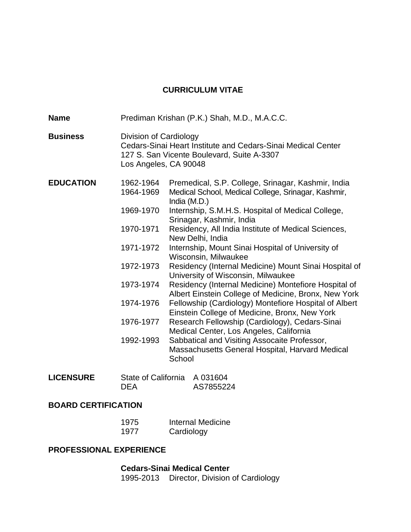# **CURRICULUM VITAE**

| <b>Name</b>      |                                                                                                                                | Prediman Krishan (P.K.) Shah, M.D., M.A.C.C.                                                                                                                                                                                                                                                                                                                                                                                                                                                                                                                                                                                                                                                                                                                                                                                                                                                          |
|------------------|--------------------------------------------------------------------------------------------------------------------------------|-------------------------------------------------------------------------------------------------------------------------------------------------------------------------------------------------------------------------------------------------------------------------------------------------------------------------------------------------------------------------------------------------------------------------------------------------------------------------------------------------------------------------------------------------------------------------------------------------------------------------------------------------------------------------------------------------------------------------------------------------------------------------------------------------------------------------------------------------------------------------------------------------------|
| <b>Business</b>  | Division of Cardiology<br>Los Angeles, CA 90048                                                                                | Cedars-Sinai Heart Institute and Cedars-Sinai Medical Center<br>127 S. San Vicente Boulevard, Suite A-3307                                                                                                                                                                                                                                                                                                                                                                                                                                                                                                                                                                                                                                                                                                                                                                                            |
| <b>EDUCATION</b> | 1962-1964<br>1964-1969<br>1969-1970<br>1970-1971<br>1971-1972<br>1972-1973<br>1973-1974<br>1974-1976<br>1976-1977<br>1992-1993 | Premedical, S.P. College, Srinagar, Kashmir, India<br>Medical School, Medical College, Srinagar, Kashmir,<br>India (M.D.)<br>Internship, S.M.H.S. Hospital of Medical College,<br>Srinagar, Kashmir, India<br>Residency, All India Institute of Medical Sciences,<br>New Delhi, India<br>Internship, Mount Sinai Hospital of University of<br>Wisconsin, Milwaukee<br>Residency (Internal Medicine) Mount Sinai Hospital of<br>University of Wisconsin, Milwaukee<br>Residency (Internal Medicine) Montefiore Hospital of<br>Albert Einstein College of Medicine, Bronx, New York<br>Fellowship (Cardiology) Montefiore Hospital of Albert<br>Einstein College of Medicine, Bronx, New York<br>Research Fellowship (Cardiology), Cedars-Sinai<br>Medical Center, Los Angeles, California<br>Sabbatical and Visiting Assocaite Professor,<br>Massachusetts General Hospital, Harvard Medical<br>School |
| <b>LICENSURE</b> | <b>State of California</b><br><b>DEA</b>                                                                                       | A 031604<br>AS7855224                                                                                                                                                                                                                                                                                                                                                                                                                                                                                                                                                                                                                                                                                                                                                                                                                                                                                 |

# **BOARD CERTIFICATION**

| 1975 | <b>Internal Medicine</b> |
|------|--------------------------|
| 1977 | Cardiology               |

#### **PROFESSIONAL EXPERIENCE**

**Cedars-Sinai Medical Center**

1995-2013 Director, Division of Cardiology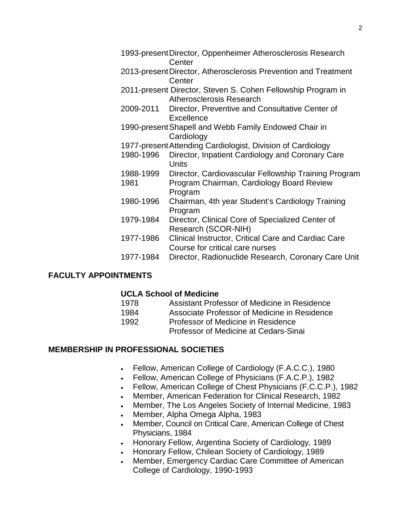|           | 1993-present Director, Oppenheimer Atherosclerosis Research<br>Center                    |
|-----------|------------------------------------------------------------------------------------------|
|           | 2013-present Director, Atherosclerosis Prevention and Treatment                          |
|           | Center                                                                                   |
|           | 2011-present Director, Steven S. Cohen Fellowship Program in<br>Atherosclerosis Research |
| 2009-2011 | Director, Preventive and Consultative Center of<br>Excellence                            |
|           | 1990-present Shapell and Webb Family Endowed Chair in<br>Cardiology                      |
|           | 1977-present Attending Cardiologist, Division of Cardiology                              |
| 1980-1996 | Director, Inpatient Cardiology and Coronary Care                                         |
|           | <b>Units</b>                                                                             |
| 1988-1999 | Director, Cardiovascular Fellowship Training Program                                     |
| 1981      | Program Chairman, Cardiology Board Review                                                |
|           | Program                                                                                  |
| 1980-1996 | Chairman, 4th year Student's Cardiology Training<br>Program                              |
| 1979-1984 | Director, Clinical Core of Specialized Center of                                         |
|           | Research (SCOR-NIH)                                                                      |
| 1977-1986 | Clinical Instructor, Critical Care and Cardiac Care                                      |
|           | Course for critical care nurses                                                          |
| 1977-1984 | Director, Radionuclide Research, Coronary Care Unit                                      |
|           |                                                                                          |

### **FACULTY APPOINTMENTS**

#### **UCLA School of Medicine**

| 1978 | Assistant Professor of Medicine in Residence |
|------|----------------------------------------------|
| 1984 | Associate Professor of Medicine in Residence |
| 1992 | Professor of Medicine in Residence           |
|      | Professor of Medicine at Cedars-Sinai        |
|      |                                              |

# **MEMBERSHIP IN PROFESSIONAL SOCIETIES**

- Fellow, American College of Cardiology (F.A.C.C.), 1980
- Fellow, American College of Physicians (F.A.C.P.), 1982
- Fellow, American College of Chest Physicians (F.C.C.P.), 1982
- Member, American Federation for Clinical Research, 1982
- Member, The Los Angeles Society of Internal Medicine, 1983
- Member, Alpha Omega Alpha, 1983
- Member, Council on Critical Care, American College of Chest Physicians, 1984
- Honorary Fellow, Argentina Society of Cardiology, 1989
- Honorary Fellow, Chilean Society of Cardiology, 1989
- Member, Emergency Cardiac Care Committee of American College of Cardiology, 1990-1993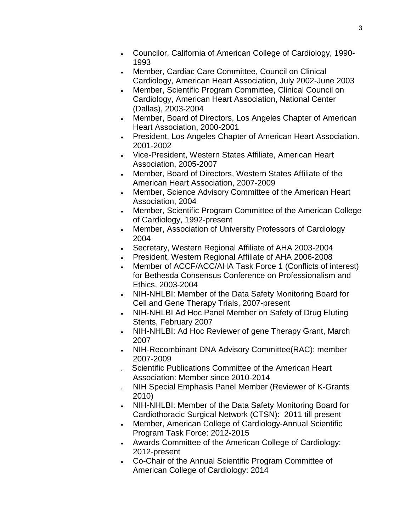- Councilor, California of American College of Cardiology, 1990- 1993
- Member, Cardiac Care Committee, Council on Clinical Cardiology, American Heart Association, July 2002-June 2003
- Member, Scientific Program Committee, Clinical Council on Cardiology, American Heart Association, National Center (Dallas), 2003-2004
- Member, Board of Directors, Los Angeles Chapter of American Heart Association, 2000-2001
- President, Los Angeles Chapter of American Heart Association. 2001-2002
- Vice-President, Western States Affiliate, American Heart Association, 2005-2007
- Member, Board of Directors, Western States Affiliate of the American Heart Association, 2007-2009
- Member, Science Advisory Committee of the American Heart Association, 2004
- Member, Scientific Program Committee of the American College of Cardiology, 1992-present
- Member, Association of University Professors of Cardiology 2004
- Secretary, Western Regional Affiliate of AHA 2003-2004
- President, Western Regional Affiliate of AHA 2006-2008
- Member of ACCF/ACC/AHA Task Force 1 (Conflicts of interest) for Bethesda Consensus Conference on Professionalism and Ethics, 2003-2004
- NIH-NHLBI: Member of the Data Safety Monitoring Board for Cell and Gene Therapy Trials, 2007-present
- NIH-NHLBI Ad Hoc Panel Member on Safety of Drug Eluting Stents, February 2007
- NIH-NHLBI: Ad Hoc Reviewer of gene Therapy Grant, March 2007
- NIH-Recombinant DNA Advisory Committee(RAC): member 2007-2009
- . Scientific Publications Committee of the American Heart Association: Member since 2010-2014
- . NIH Special Emphasis Panel Member (Reviewer of K-Grants 2010)
- NIH-NHLBI: Member of the Data Safety Monitoring Board for Cardiothoracic Surgical Network (CTSN): 2011 till present
- Member, American College of Cardiology-Annual Scientific Program Task Force: 2012-2015
- Awards Committee of the American College of Cardiology: 2012-present
- Co-Chair of the Annual Scientific Program Committee of American College of Cardiology: 2014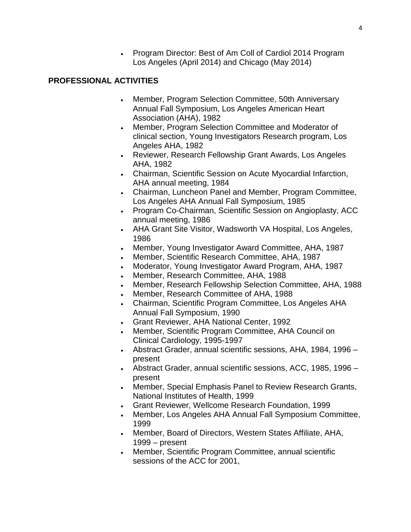• Program Director: Best of Am Coll of Cardiol 2014 Program Los Angeles (April 2014) and Chicago (May 2014)

### **PROFESSIONAL ACTIVITIES**

- Member, Program Selection Committee, 50th Anniversary Annual Fall Symposium, Los Angeles American Heart Association (AHA), 1982
- Member, Program Selection Committee and Moderator of clinical section, Young Investigators Research program, Los Angeles AHA, 1982
- Reviewer, Research Fellowship Grant Awards, Los Angeles AHA, 1982
- Chairman, Scientific Session on Acute Myocardial Infarction, AHA annual meeting, 1984
- Chairman, Luncheon Panel and Member, Program Committee, Los Angeles AHA Annual Fall Symposium, 1985
- Program Co-Chairman, Scientific Session on Angioplasty, ACC annual meeting, 1986
- AHA Grant Site Visitor, Wadsworth VA Hospital, Los Angeles, 1986
- Member, Young Investigator Award Committee, AHA, 1987
- Member, Scientific Research Committee, AHA, 1987
- Moderator, Young Investigator Award Program, AHA, 1987
- Member, Research Committee, AHA, 1988
- Member, Research Fellowship Selection Committee, AHA, 1988
- Member, Research Committee of AHA, 1988
- Chairman, Scientific Program Committee, Los Angeles AHA Annual Fall Symposium, 1990
- Grant Reviewer, AHA National Center, 1992
- Member, Scientific Program Committee, AHA Council on Clinical Cardiology, 1995-1997
- Abstract Grader, annual scientific sessions, AHA, 1984, 1996 present
- Abstract Grader, annual scientific sessions, ACC, 1985, 1996 present
- Member, Special Emphasis Panel to Review Research Grants, National Institutes of Health, 1999
- Grant Reviewer, Wellcome Research Foundation, 1999
- Member, Los Angeles AHA Annual Fall Symposium Committee, 1999
- Member, Board of Directors, Western States Affiliate, AHA, 1999 – present
- Member, Scientific Program Committee, annual scientific sessions of the ACC for 2001,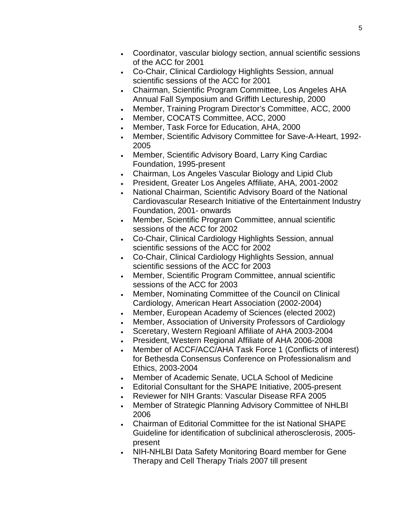- Coordinator, vascular biology section, annual scientific sessions of the ACC for 2001
- Co-Chair, Clinical Cardiology Highlights Session, annual scientific sessions of the ACC for 2001
- Chairman, Scientific Program Committee, Los Angeles AHA Annual Fall Symposium and Griffith Lectureship, 2000
- Member, Training Program Director's Committee, ACC, 2000
- Member, COCATS Committee, ACC, 2000
- Member, Task Force for Education, AHA, 2000
- Member, Scientific Advisory Committee for Save-A-Heart, 1992- 2005
- Member, Scientific Advisory Board, Larry King Cardiac Foundation, 1995-present
- Chairman, Los Angeles Vascular Biology and Lipid Club
- President, Greater Los Angeles Affiliate, AHA, 2001-2002
- National Chairman, Scientific Advisory Board of the National Cardiovascular Research Initiative of the Entertainment Industry Foundation, 2001- onwards
- Member, Scientific Program Committee, annual scientific sessions of the ACC for 2002
- Co-Chair, Clinical Cardiology Highlights Session, annual scientific sessions of the ACC for 2002
- Co-Chair, Clinical Cardiology Highlights Session, annual scientific sessions of the ACC for 2003
- Member, Scientific Program Committee, annual scientific sessions of the ACC for 2003
- Member, Nominating Committee of the Council on Clinical Cardiology, American Heart Association (2002-2004)
- Member, European Academy of Sciences (elected 2002)
- Member, Association of University Professors of Cardiology
- Sceretary, Western Regioanl Affiliate of AHA 2003-2004
- President, Western Regional Affiliate of AHA 2006-2008
- Member of ACCF/ACC/AHA Task Force 1 (Conflicts of interest) for Bethesda Consensus Conference on Professionalism and Ethics, 2003-2004
- Member of Academic Senate, UCLA School of Medicine
- Editorial Consultant for the SHAPE Initiative, 2005-present
- Reviewer for NIH Grants: Vascular Disease RFA 2005
- Member of Strategic Planning Advisory Committee of NHLBI 2006
- Chairman of Editorial Committee for the ist National SHAPE Guideline for identification of subclinical atherosclerosis, 2005 present
- NIH-NHLBI Data Safety Monitoring Board member for Gene Therapy and Cell Therapy Trials 2007 till present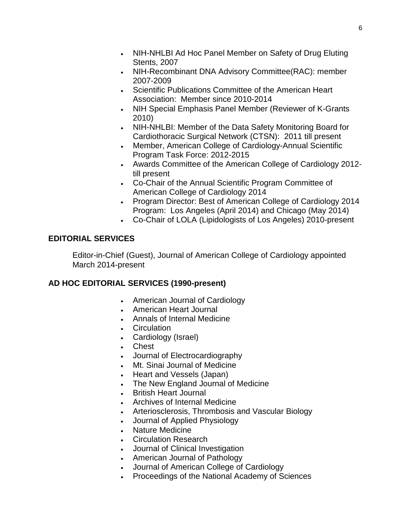- NIH-NHLBI Ad Hoc Panel Member on Safety of Drug Eluting Stents, 2007
- NIH-Recombinant DNA Advisory Committee(RAC): member 2007-2009
- Scientific Publications Committee of the American Heart Association: Member since 2010-2014
- NIH Special Emphasis Panel Member (Reviewer of K-Grants 2010)
- NIH-NHLBI: Member of the Data Safety Monitoring Board for Cardiothoracic Surgical Network (CTSN): 2011 till present
- Member, American College of Cardiology-Annual Scientific Program Task Force: 2012-2015
- Awards Committee of the American College of Cardiology 2012 till present
- Co-Chair of the Annual Scientific Program Committee of American College of Cardiology 2014
- Program Director: Best of American College of Cardiology 2014 Program: Los Angeles (April 2014) and Chicago (May 2014)
- Co-Chair of LOLA (Lipidologists of Los Angeles) 2010-present

# **EDITORIAL SERVICES**

Editor-in-Chief (Guest), Journal of American College of Cardiology appointed March 2014-present

# **AD HOC EDITORIAL SERVICES (1990-present)**

- American Journal of Cardiology
- American Heart Journal
- Annals of Internal Medicine
- Circulation
- Cardiology (Israel)
- Chest
- Journal of Electrocardiography
- Mt. Sinai Journal of Medicine
- Heart and Vessels (Japan)
- The New England Journal of Medicine
- British Heart Journal
- Archives of Internal Medicine
- Arteriosclerosis, Thrombosis and Vascular Biology
- Journal of Applied Physiology
- Nature Medicine
- Circulation Research
- Journal of Clinical Investigation
- American Journal of Pathology
- Journal of American College of Cardiology
- Proceedings of the National Academy of Sciences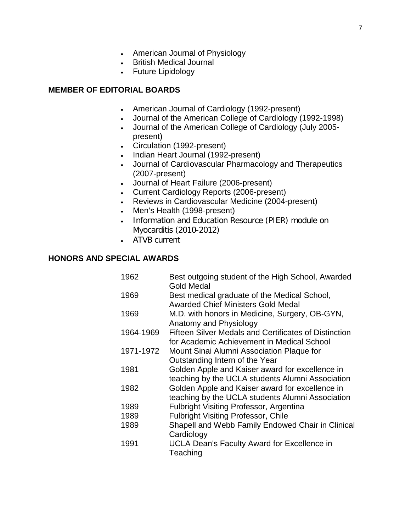- American Journal of Physiology
- British Medical Journal
- Future Lipidology

#### **MEMBER OF EDITORIAL BOARDS**

- American Journal of Cardiology (1992-present)
- Journal of the American College of Cardiology (1992-1998)
- Journal of the American College of Cardiology (July 2005 present)
- Circulation (1992-present)
- Indian Heart Journal (1992-present)
- Journal of Cardiovascular Pharmacology and Therapeutics (2007-present)
- Journal of Heart Failure (2006-present)
- Current Cardiology Reports (2006-present)
- Reviews in Cardiovascular Medicine (2004-present)
- Men's Health (1998-present)
- Information and Education Resource (PIER) module on Myocarditis (2010-2012)
- ATVB current

#### **HONORS AND SPECIAL AWARDS**

1962 Best outgoing student of the High School, Awarded Gold Medal 1969 Best medical graduate of the Medical School, Awarded Chief Ministers Gold Medal 1969 M.D. with honors in Medicine, Surgery, OB-GYN, Anatomy and Physiology 1964-1969 Fifteen Silver Medals and Certificates of Distinction for Academic Achievement in Medical School 1971-1972 Mount Sinai Alumni Association Plaque for Outstanding Intern of the Year 1981 Golden Apple and Kaiser award for excellence in teaching by the UCLA students Alumni Association 1982 Golden Apple and Kaiser award for excellence in teaching by the UCLA students Alumni Association 1989 Fulbright Visiting Professor, Argentina 1989 Fulbright Visiting Professor, Chile 1989 Shapell and Webb Family Endowed Chair in Clinical **Cardiology** 1991 UCLA Dean's Faculty Award for Excellence in **Teaching**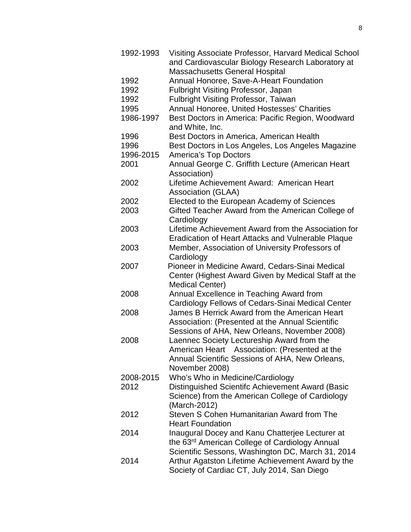1992-1993 Visiting Associate Professor, Harvard Medical School and Cardiovascular Biology Research Laboratory at Massachusetts General Hospital 1992 Annual Honoree, Save-A-Heart Foundation 1992 Fulbright Visiting Professor, Japan 1992 Fulbright Visiting Professor, Taiwan 1995 Annual Honoree, United Hostesses' Charities 1986-1997 Best Doctors in America: Pacific Region, Woodward and White, Inc. 1996 Best Doctors in America, American Health 1996 Best Doctors in Los Angeles, Los Angeles Magazine 1996-2015 America's Top Doctors 2001 Annual George C. Griffith Lecture (American Heart Association) 2002 Lifetime Achievement Award: American Heart Association (GLAA) 2002 Elected to the European Academy of Sciences 2003 Gifted Teacher Award from the American College of **Cardiology** 2003 Lifetime Achievement Award from the Association for Eradication of Heart Attacks and Vulnerable Plaque 2003 Member, Association of University Professors of **Cardiology** 2007 Pioneer in Medicine Award, Cedars-Sinai Medical Center (Highest Award Given by Medical Staff at the Medical Center) 2008 Annual Excellence in Teaching Award from Cardiology Fellows of Cedars-Sinai Medical Center 2008 James B Herrick Award from the American Heart Association: (Presented at the Annual Scientific Sessions of AHA, New Orleans, November 2008) 2008 Laennec Society Lectureship Award from the American Heart Association: (Presented at the Annual Scientific Sessions of AHA, New Orleans, November 2008) 2008-2015 Who's Who in Medicine/Cardiology 2012 Distinguished Scientifc Achievement Award (Basic Science) from the American College of Cardiology (March-2012) 2012 Steven S Cohen Humanitarian Award from The Heart Foundation 2014 Inaugural Docey and Kanu Chatterjee Lecturer at the 63rd American College of Cardiology Annual Scientific Sessons, Washington DC, March 31, 2014 2014 Arthur Agatston Lifetime Achievement Award by the Society of Cardiac CT, July 2014, San Diego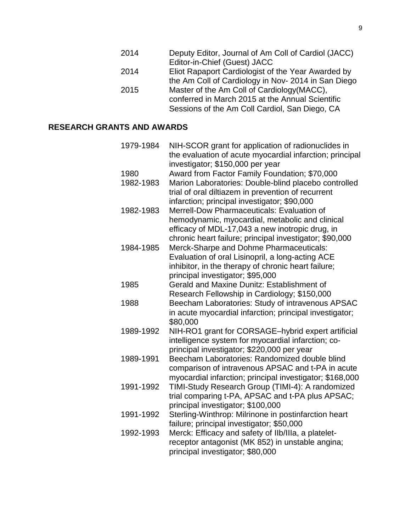- 2014 Deputy Editor, Journal of Am Coll of Cardiol (JACC) Editor-in-Chief (Guest) JACC
- 2014 Eliot Rapaport Cardiologist of the Year Awarded by the Am Coll of Cardiology in Nov- 2014 in San Diego
- 2015 Master of the Am Coll of Cardiology(MACC), conferred in March 2015 at the Annual Scientific Sessions of the Am Coll Cardiol, San Diego, CA

# **RESEARCH GRANTS AND AWARDS**

| 1979-1984 | NIH-SCOR grant for application of radionuclides in       |
|-----------|----------------------------------------------------------|
|           | the evaluation of acute myocardial infarction; principal |
|           | investigator; \$150,000 per year                         |
| 1980      | Award from Factor Family Foundation; \$70,000            |
| 1982-1983 | Marion Laboratories: Double-blind placebo controlled     |
|           | trial of oral diltiazem in prevention of recurrent       |
|           | infarction; principal investigator; \$90,000             |
| 1982-1983 | Merrell-Dow Pharmaceuticals: Evaluation of               |
|           | hemodynamic, myocardial, metabolic and clinical          |
|           | efficacy of MDL-17,043 a new inotropic drug, in          |
|           | chronic heart failure; principal investigator; \$90,000  |
| 1984-1985 | Merck-Sharpe and Dohme Pharmaceuticals:                  |
|           | Evaluation of oral Lisinopril, a long-acting ACE         |
|           | inhibitor, in the therapy of chronic heart failure;      |
|           | principal investigator; \$95,000                         |
| 1985      | Gerald and Maxine Dunitz: Establishment of               |
|           | Research Fellowship in Cardiology; \$150,000             |
| 1988      | Beecham Laboratories: Study of intravenous APSAC         |
|           | in acute myocardial infarction; principal investigator;  |
|           | \$80,000                                                 |
| 1989-1992 | NIH-RO1 grant for CORSAGE-hybrid expert artificial       |
|           | intelligence system for myocardial infarction; co-       |
|           | principal investigator; \$220,000 per year               |
| 1989-1991 | Beecham Laboratories: Randomized double blind            |
|           | comparison of intravenous APSAC and t-PA in acute        |
|           | myocardial infarction; principal investigator; \$168,000 |
| 1991-1992 | TIMI-Study Research Group (TIMI-4): A randomized         |
|           | trial comparing t-PA, APSAC and t-PA plus APSAC;         |
|           | principal investigator; \$100,000                        |
| 1991-1992 | Sterling-Winthrop: Milrinone in postinfarction heart     |
|           | failure; principal investigator; \$50,000                |
| 1992-1993 | Merck: Efficacy and safety of Ilb/Illa, a platelet-      |
|           | receptor antagonist (MK 852) in unstable angina;         |
|           | principal investigator; \$80,000                         |
|           |                                                          |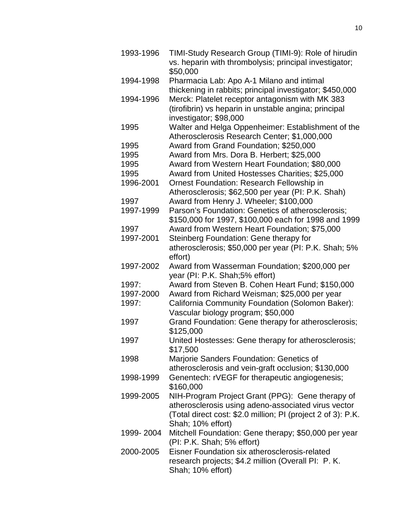| 1993-1996 | TIMI-Study Research Group (TIMI-9): Role of hirudin                              |
|-----------|----------------------------------------------------------------------------------|
|           | vs. heparin with thrombolysis; principal investigator;                           |
|           | \$50,000                                                                         |
| 1994-1998 | Pharmacia Lab: Apo A-1 Milano and intimal                                        |
|           | thickening in rabbits; principal investigator; \$450,000                         |
| 1994-1996 | Merck: Platelet receptor antagonism with MK 383                                  |
|           | (tirofibrin) vs heparin in unstable angina; principal                            |
|           | investigator; \$98,000                                                           |
| 1995      | Walter and Helga Oppenheimer: Establishment of the                               |
|           | Atherosclerosis Research Center; \$1,000,000                                     |
| 1995      | Award from Grand Foundation; \$250,000                                           |
| 1995      | Award from Mrs. Dora B. Herbert; \$25,000                                        |
| 1995      | Award from Western Heart Foundation; \$80,000                                    |
| 1995      | Award from United Hostesses Charities; \$25,000                                  |
| 1996-2001 | Ornest Foundation: Research Fellowship in                                        |
|           | Atherosclerosis; \$62,500 per year (PI: P.K. Shah)                               |
| 1997      | Award from Henry J. Wheeler; \$100,000                                           |
| 1997-1999 | Parson's Foundation: Genetics of atherosclerosis;                                |
|           | \$150,000 for 1997, \$100,000 each for 1998 and 1999                             |
| 1997      | Award from Western Heart Foundation; \$75,000                                    |
| 1997-2001 | Steinberg Foundation: Gene therapy for                                           |
|           |                                                                                  |
|           | atherosclerosis; \$50,000 per year (PI: P.K. Shah; 5%                            |
| 1997-2002 | effort)                                                                          |
|           | Award from Wasserman Foundation; \$200,000 per<br>year (PI: P.K. Shah;5% effort) |
| 1997:     |                                                                                  |
|           | Award from Steven B. Cohen Heart Fund; \$150,000                                 |
| 1997-2000 | Award from Richard Weisman; \$25,000 per year                                    |
| 1997:     | California Community Foundation (Solomon Baker):                                 |
|           | Vascular biology program; \$50,000                                               |
| 1997      | Grand Foundation: Gene therapy for atherosclerosis;                              |
| 1997      | \$125,000                                                                        |
|           | United Hostesses: Gene therapy for atherosclerosis;<br>\$17.500                  |
| 1998      | Marjorie Sanders Foundation: Genetics of                                         |
|           | atherosclerosis and vein-graft occlusion; \$130,000                              |
| 1998-1999 | Genentech: rVEGF for therapeutic angiogenesis;                                   |
|           | \$160,000                                                                        |
| 1999-2005 | NIH-Program Project Grant (PPG): Gene therapy of                                 |
|           | atherosclerosis using adeno-associated virus vector                              |
|           | (Total direct cost: \$2.0 million; PI (project 2 of 3): P.K.                     |
|           | Shah; 10% effort)                                                                |
| 1999-2004 | Mitchell Foundation: Gene therapy; \$50,000 per year                             |
|           |                                                                                  |
| 2000-2005 | (PI: P.K. Shah; 5% effort)<br>Eisner Foundation six atherosclerosis-related      |
|           |                                                                                  |
|           | research projects; \$4.2 million (Overall PI: P. K.                              |
|           | Shah; 10% effort)                                                                |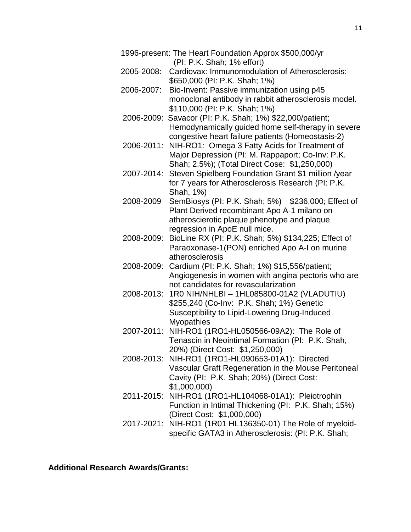|            | 1996-present: The Heart Foundation Approx \$500,000/yr<br>(PI: P.K. Shah; 1% effort)                                                                                              |
|------------|-----------------------------------------------------------------------------------------------------------------------------------------------------------------------------------|
| 2005-2008: | Cardiovax: Immunomodulation of Atherosclerosis:<br>\$650,000 (PI: P.K. Shah; 1%)                                                                                                  |
| 2006-2007: | Bio-Invent: Passive immunization using p45<br>monoclonal antibody in rabbit atherosclerosis model.<br>\$110,000 (PI: P.K. Shah; 1%)                                               |
| 2006-2009: | Savacor (PI: P.K. Shah; 1%) \$22,000/patient;<br>Hemodynamically guided home self-therapy in severe<br>congestive heart failure patients (Homeostasis-2)                          |
| 2006-2011: | NIH-RO1: Omega 3 Fatty Acids for Treatment of<br>Major Depression (PI: M. Rappaport; Co-Inv: P.K.<br>Shah; 2.5%); (Total Direct Cose: \$1,250,000)                                |
| 2007-2014: | Steven Spielberg Foundation Grant \$1 million /year<br>for 7 years for Atherosclerosis Research (PI: P.K.<br>Shah, 1%)                                                            |
| 2008-2009  | SemBiosys (PI: P.K. Shah; 5%) \$236,000; Effect of<br>Plant Derived recombinant Apo A-1 milano on<br>atheroscierotic plaque phenotype and plaque<br>regression in ApoE null mice. |
| 2008-2009: | BioLine RX (PI: P.K. Shah; 5%) \$134,225; Effect of<br>Paraoxonase-1(PON) enriched Apo A-I on murine<br>atherosclerosis                                                           |
| 2008-2009: | Cardium (PI: P.K. Shah; 1%) \$15,556/patient;<br>Angiogenesis in women with angina pectoris who are<br>not candidates for revascularization                                       |
| 2008-2013: | 1R0 NIH/NHLBI - 1HL085800-01A2 (VLADUTIU)<br>\$255,240 (Co-Inv: P.K. Shah; 1%) Genetic<br>Susceptibility to Lipid-Lowering Drug-Induced<br><b>Myopathies</b>                      |
| 2007-2011: | NIH-RO1 (1RO1-HL050566-09A2): The Role of<br>Tenascin in Neointimal Formation (PI: P.K. Shah,<br>20%) (Direct Cost: \$1,250,000)                                                  |
|            | 2008-2013: NIH-RO1 (1RO1-HL090653-01A1): Directed<br>Vascular Graft Regeneration in the Mouse Peritoneal<br>Cavity (PI: P.K. Shah; 20%) (Direct Cost:<br>\$1,000,000              |
|            | 2011-2015: NIH-RO1 (1RO1-HL104068-01A1): Pleiotrophin<br>Function in Intimal Thickening (PI: P.K. Shah; 15%)<br>(Direct Cost: \$1,000,000)                                        |
|            | 2017-2021: NIH-RO1 (1R01 HL136350-01) The Role of myeloid-<br>specific GATA3 in Atherosclerosis: (PI: P.K. Shah;                                                                  |

**Additional Research Awards/Grants:**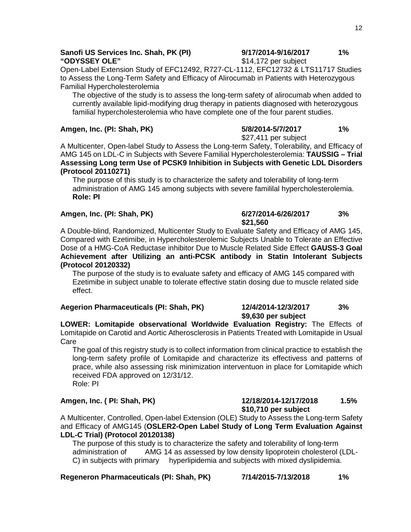# **Sanofi US Services Inc. Shah, PK (PI)**  $\begin{array}{ccc}\n 9/17/2014-9/16/2017 & 1\% \\
\text{3} & 14.172 \text{ per subject}\n\end{array}$

Open-Label Extension Study of EFC12492, R727-CL-1112, EFC12732 & LTS11717 Studies to Assess the Long-Term Safety and Efficacy of Alirocumab in Patients with Heterozygous Familial Hypercholesterolemia

The objective of the study is to assess the long-term safety of alirocumab when added to currently available lipid-modifying drug therapy in patients diagnosed with heterozygous familial hypercholesterolemia who have complete one of the four parent studies.

**Amgen, Inc. (PI: Shah, PK) 5/8/2014-5/7/2017 1%** \$27,411 per subject

\$14,172 per subject

A Multicenter, Open-label Study to Assess the Long-term Safety, Tolerability, and Efficacy of AMG 145 on LDL-C in Subjects with Severe Familial Hypercholesterolemia: **TAUSSIG – Trial Assessing Long term Use of PCSK9 Inhibition in Subjects with Genetic LDL Disorders (Protocol 20110271)** 

The purpose of this study is to characterize the safety and tolerability of long-term administration of AMG 145 among subjects with severe famililal hypercholesterolemia. **Role: PI**

#### **Amgen, Inc. (PI: Shah, PK) 6/27/2014-6/26/2017 3%**

# **\$21,560**

**\$9,630 per subject**

A Double-blind, Randomized, Multicenter Study to Evaluate Safety and Efficacy of AMG 145, Compared with Ezetimibe, in Hypercholesterolemic Subjects Unable to Tolerate an Effective Dose of a HMG-CoA Reductase inhibitor Due to Muscle Related Side Effect **GAUSS-3 Goal Achievement after Utilizing an anti-PCSK antibody in Statin Intolerant Subjects (Protocol 20120332)**

The purpose of the study is to evaluate safety and efficacy of AMG 145 compared with Ezetimibe in subject unable to tolerate effective statin dosing due to muscle related side effect.

#### **Aegerion Pharmaceuticals (PI: Shah, PK) 12/4/2014-12/3/2017 3%**

#### **LOWER: Lomitapide observational Worldwide Evaluation Registry:** The Effects of Lomitapide on Carotid and Aortic Atherosclerosis in Patients Treated with Lomitapide in Usual **Care**

The goal of this registry study is to collect information from clinical practice to establish the long-term safety profile of Lomitapide and characterize its effectivess and patterns of prace, while also assessing risk minimization interventuon in place for Lomitapide which received FDA approved on 12/31/12. Role: PI

#### **Amgen, Inc. ( PI: Shah, PK) 12/18/2014-12/17/2018 1.5% \$10,710 per subject**

A Multicenter, Controlled, Open-label Extension (OLE) Study to Assess the Long-term Safety and Efficacy of AMG145 (**OSLER2-Open Label Study of Long Term Evaluation Against LDL-C Trial) (Protocol 20120138)**

The purpose of this study is to characterize the safety and tolerability of long-term administration of AMG 14 as assessed by low density lipoprotein cholesterol (LDL-C) in subjects with primary hyperlipidemia and subjects with mixed dyslipidemia.

#### **Regeneron Pharmaceuticals (PI: Shah, PK) 7/14/2015-7/13/2018 1%**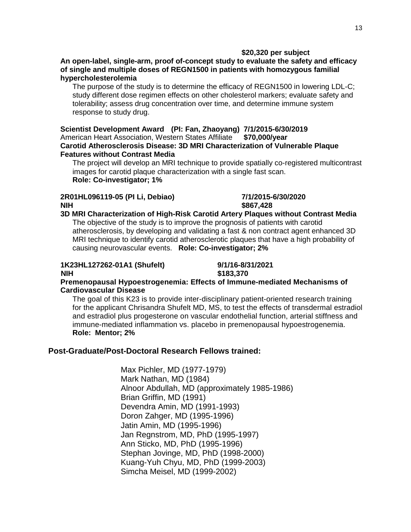#### **\$20,320 per subject**

**An open-label, single-arm, proof of-concept study to evaluate the safety and efficacy of single and multiple doses of REGN1500 in patients with homozygous familial hypercholesterolemia**

The purpose of the study is to determine the efficacy of REGN1500 in lowering LDL-C; study different dose regimen effects on other cholesterol markers; evaluate safety and tolerability; assess drug concentration over time, and determine immune system response to study drug.

**Scientist Development Award (PI: Fan, Zhaoyang) 7/1/2015-6/30/2019** American Heart Association, Western States Affiliate **Carotid Atherosclerosis Disease: 3D MRI Characterization of Vulnerable Plaque Features without Contrast Media** 

The project will develop an MRI technique to provide spatially co-registered multicontrast images for carotid plaque characterization with a single fast scan. **Role: Co-investigator; 1%**

#### **2R01HL096119-05 (PI Li, Debiao) 7/1/2015-6/30/2020 NIH \$867,428**

#### **3D MRI Characterization of High-Risk Carotid Artery Plaques without Contrast Media**  The objective of the study is to improve the prognosis of patients with carotid atherosclerosis, by developing and validating a fast & non contract agent enhanced 3D MRI technique to identify carotid atherosclerotic plaques that have a high probability of causing neurovascular events. **Role: Co-investigator; 2%**

#### **1K23HL127262-01A1 (Shufelt) 9/1/16-8/31/2021 NIH \$183,370**

#### **Premenopausal Hypoestrogenemia: Effects of Immune-mediated Mechanisms of Cardiovascular Disease**

The goal of this K23 is to provide inter-disciplinary patient-oriented research training for the applicant Chrisandra Shufelt MD, MS, to test the effects of transdermal estradiol and estradiol plus progesterone on vascular endothelial function, arterial stiffness and immune-mediated inflammation vs. placebo in premenopausal hypoestrogenemia. **Role: Mentor; 2%**

### **Post-Graduate/Post-Doctoral Research Fellows trained:**

Max Pichler, MD (1977-1979) Mark Nathan, MD (1984) Alnoor Abdullah, MD (approximately 1985-1986) Brian Griffin, MD (1991) Devendra Amin, MD (1991-1993) Doron Zahger, MD (1995-1996) Jatin Amin, MD (1995-1996) Jan Regnstrom, MD, PhD (1995-1997) Ann Sticko, MD, PhD (1995-1996) Stephan Jovinge, MD, PhD (1998-2000) Kuang-Yuh Chyu, MD, PhD (1999-2003) Simcha Meisel, MD (1999-2002)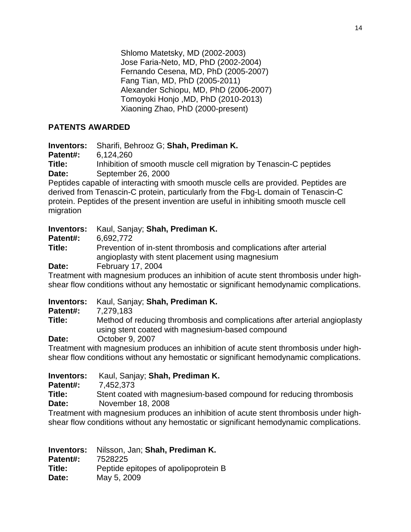Shlomo Matetsky, MD (2002-2003) Jose Faria-Neto, MD, PhD (2002-2004) Fernando Cesena, MD, PhD (2005-2007) Fang Tian, MD, PhD (2005-2011) Alexander Schiopu, MD, PhD (2006-2007) Tomoyoki Honjo ,MD, PhD (2010-2013) Xiaoning Zhao, PhD (2000-present)

# **PATENTS AWARDED**

**Inventors:** Sharifi, Behrooz G; **Shah, Prediman K.**

**Patent#:** 6,124,260

**Title:** Inhibition of smooth muscle cell migration by Tenascin-C peptides **Date:** September 26, 2000

Peptides capable of interacting with smooth muscle cells are provided. Peptides are derived from Tenascin-C protein, particularly from the Fbg-L domain of Tenascin-C protein. Peptides of the present invention are useful in inhibiting smooth muscle cell migration

# **Inventors:** Kaul, Sanjay; **Shah, Prediman K.**

**Patent#:** 6,692,772

**Title:** Prevention of in-stent thrombosis and complications after arterial angioplasty with stent placement using magnesium **Date:** February 17, 2004

Treatment with magnesium produces an inhibition of acute stent thrombosis under highshear flow conditions without any hemostatic or significant hemodynamic complications.

# **Inventors:** Kaul, Sanjay; **Shah, Prediman K.**

**Patent#:** 7,279,183

**Title:** Method of reducing thrombosis and complications after arterial angioplasty using stent coated with magnesium-based compound

**Date:** October 9, 2007

Treatment with magnesium produces an inhibition of acute stent thrombosis under highshear flow conditions without any hemostatic or significant hemodynamic complications.

**Inventors:** Kaul, Sanjay; **Shah, Prediman K. Patent#:** 7,452,373 **Title:** Stent coated with magnesium-based compound for reducing thrombosis **Date:** November 18, 2008 Treatment with magnesium produces an inhibition of acute stent thrombosis under high-

shear flow conditions without any hemostatic or significant hemodynamic complications.

**Inventors:** Nilsson, Jan; **Shah, Prediman K. Patent#:** 7528225 **Title:** Peptide epitopes of apolipoprotein B **Date:** May 5, 2009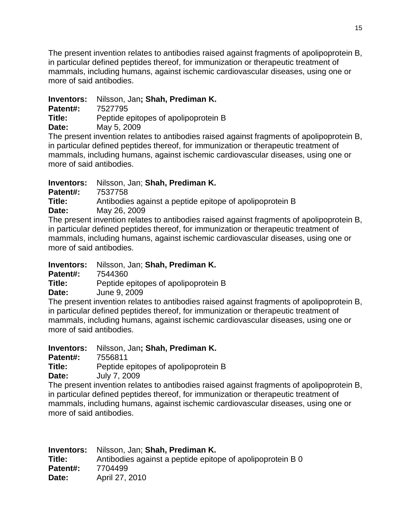The present invention relates to antibodies raised against fragments of apolipoprotein B, in particular defined peptides thereof, for immunization or therapeutic treatment of mammals, including humans, against ischemic cardiovascular diseases, using one or more of said antibodies.

# **Inventors:** Nilsson, Jan**; Shah, Prediman K.**

**Patent#:** 7527795

**Title:** Peptide epitopes of apolipoprotein B

**Date:** May 5, 2009

The present invention relates to antibodies raised against fragments of apolipoprotein B, in particular defined peptides thereof, for immunization or therapeutic treatment of mammals, including humans, against ischemic cardiovascular diseases, using one or more of said antibodies.

**Inventors:** Nilsson, Jan; **Shah, Prediman K.**

**Patent#:** 7537758

**Title:** Antibodies against a peptide epitope of apolipoprotein B

**Date:** May 26, 2009

The present invention relates to antibodies raised against fragments of apolipoprotein B, in particular defined peptides thereof, for immunization or therapeutic treatment of mammals, including humans, against ischemic cardiovascular diseases, using one or more of said antibodies.

**Inventors:** Nilsson, Jan; **Shah, Prediman K. Patent#:** 7544360 **Title:** Peptide epitopes of apolipoprotein B

**Date:** June 9, 2009

The present invention relates to antibodies raised against fragments of apolipoprotein B, in particular defined peptides thereof, for immunization or therapeutic treatment of mammals, including humans, against ischemic cardiovascular diseases, using one or more of said antibodies.

**Inventors:** Nilsson, Jan**; Shah, Prediman K.**

**Patent#: 7556811<br>Title: Peptide e** 

Peptide epitopes of apolipoprotein B

**Date:** July 7, 2009

The present invention relates to antibodies raised against fragments of apolipoprotein B, in particular defined peptides thereof, for immunization or therapeutic treatment of mammals, including humans, against ischemic cardiovascular diseases, using one or more of said antibodies.

**Inventors:** Nilsson, Jan; **Shah, Prediman K. Title:** Antibodies against a peptide epitope of apolipoprotein B 0 **Patent#:** 7704499 **Date:** April 27, 2010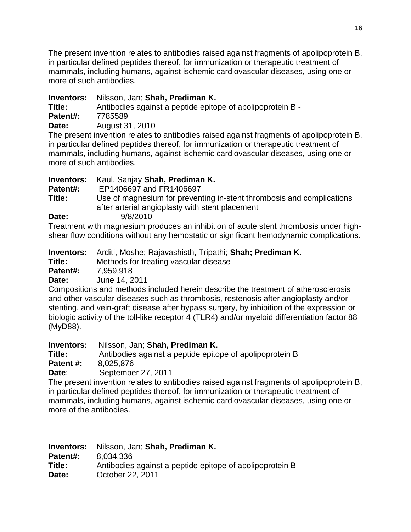The present invention relates to antibodies raised against fragments of apolipoprotein B, in particular defined peptides thereof, for immunization or therapeutic treatment of mammals, including humans, against ischemic cardiovascular diseases, using one or more of such antibodies.

# **Inventors:** Nilsson, Jan; **Shah, Prediman K.**

**Title:** Antibodies against a peptide epitope of apolipoprotein B - **Patent#:** 7785589

**Date:** August 31, 2010

The present invention relates to antibodies raised against fragments of apolipoprotein B, in particular defined peptides thereof, for immunization or therapeutic treatment of mammals, including humans, against ischemic cardiovascular diseases, using one or more of such antibodies.

| <b>Inventors:</b> | Kaul, Sanjay Shah, Prediman K.                                                                                           |
|-------------------|--------------------------------------------------------------------------------------------------------------------------|
| Patent#:          | EP1406697 and FR1406697                                                                                                  |
| Title:            | Use of magnesium for preventing in-stent thrombosis and complications<br>after arterial angioplasty with stent placement |
| Date:             | 9/8/2010                                                                                                                 |
|                   | Treatment with magnesium produces an inhibition of acute stent thrombosis under high                                     |

Treatment with magnesium produces an inhibition of acute stent thrombosis under highshear flow conditions without any hemostatic or significant hemodynamic complications.

**Inventors:** Arditi, Moshe; Rajavashisth, Tripathi; **Shah; Prediman K.**

**Title:** Methods for treating vascular disease

**Patent#:** 7,959,918

**Date:** June 14, 2011

Compositions and methods included herein describe the treatment of atherosclerosis and other vascular diseases such as thrombosis, restenosis after angioplasty and/or stenting, and vein-graft disease after bypass surgery, by inhibition of the expression or biologic activity of the toll-like receptor 4 (TLR4) and/or myeloid differentiation factor 88 (MyD88).

**Inventors:** Nilsson, Jan; **Shah, Prediman K.** 

**Title:** Antibodies against a peptide epitope of apolipoprotein B **Patent #:** 8,025,876

**Date**: September 27, 2011

The present invention relates to antibodies raised against fragments of apolipoprotein B, in particular defined peptides thereof, for immunization or therapeutic treatment of mammals, including humans, against ischemic cardiovascular diseases, using one or more of the antibodies.

| <b>Inventors:</b> | Nilsson, Jan; Shah, Prediman K.                          |
|-------------------|----------------------------------------------------------|
| Patent#:          | 8.034.336                                                |
| Title:            | Antibodies against a peptide epitope of apolipoprotein B |
| Date:             | October 22, 2011                                         |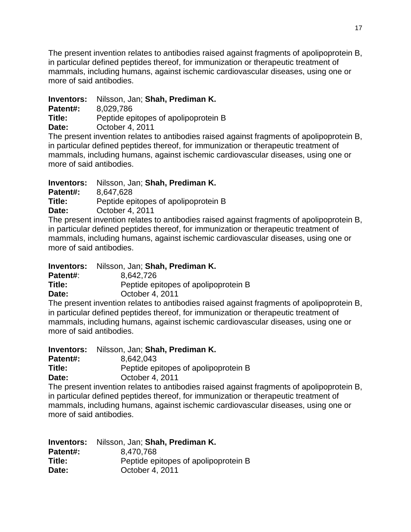The present invention relates to antibodies raised against fragments of apolipoprotein B, in particular defined peptides thereof, for immunization or therapeutic treatment of mammals, including humans, against ischemic cardiovascular diseases, using one or more of said antibodies.

# **Inventors:** Nilsson, Jan; **Shah, Prediman K.**

**Patent#:** 8,029,786

**Title:** Peptide epitopes of apolipoprotein B

**Date:** October 4, 2011

The present invention relates to antibodies raised against fragments of apolipoprotein B, in particular defined peptides thereof, for immunization or therapeutic treatment of mammals, including humans, against ischemic cardiovascular diseases, using one or more of said antibodies.

**Inventors:** Nilsson, Jan; **Shah, Prediman K.**

**Patent#:** 8,647,628

**Title:** Peptide epitopes of apolipoprotein B

**Date:** October 4, 2011

The present invention relates to antibodies raised against fragments of apolipoprotein B, in particular defined peptides thereof, for immunization or therapeutic treatment of mammals, including humans, against ischemic cardiovascular diseases, using one or more of said antibodies.

**Inventors:** Nilsson, Jan; **Shah, Prediman K. Patent#**: 8,642,726 **Title:** Peptide epitopes of apolipoprotein B **Date:** October 4, 2011

The present invention relates to antibodies raised against fragments of apolipoprotein B, in particular defined peptides thereof, for immunization or therapeutic treatment of mammals, including humans, against ischemic cardiovascular diseases, using one or more of said antibodies.

| Inventors: | Nilsson, Jan; Shah, Prediman K.      |
|------------|--------------------------------------|
| Patent#:   | 8.642.043                            |
| Title:     | Peptide epitopes of apolipoprotein B |
| Date:      | October 4, 2011                      |

The present invention relates to antibodies raised against fragments of apolipoprotein B, in particular defined peptides thereof, for immunization or therapeutic treatment of mammals, including humans, against ischemic cardiovascular diseases, using one or more of said antibodies.

|          | <b>Inventors:</b> Nilsson, Jan; Shah, Prediman K. |
|----------|---------------------------------------------------|
| Patent#: | 8,470,768                                         |
| Title:   | Peptide epitopes of apolipoprotein B              |
| Date:    | October 4, 2011                                   |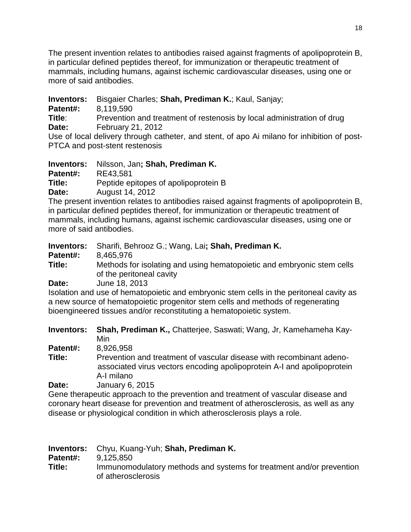The present invention relates to antibodies raised against fragments of apolipoprotein B, in particular defined peptides thereof, for immunization or therapeutic treatment of mammals, including humans, against ischemic cardiovascular diseases, using one or more of said antibodies.

**Inventors:** Bisgaier Charles; **Shah, Prediman K.**; Kaul, Sanjay;

**Patent#:** 8,119,590

**Title:** Prevention and treatment of restenosis by local administration of drug **Date:** February 21, 2012

Use of local delivery through catheter, and stent, of apo Ai milano for inhibition of post-PTCA and post-stent restenosis

**Inventors:** Nilsson, Jan**; Shah, Prediman K.**

**Patent#:** RE43,581<br>Title: Peptide en

Peptide epitopes of apolipoprotein B

**Date:** August 14, 2012

The present invention relates to antibodies raised against fragments of apolipoprotein B, in particular defined peptides thereof, for immunization or therapeutic treatment of mammals, including humans, against ischemic cardiovascular diseases, using one or more of said antibodies.

| Sharifi, Behrooz G.; Wang, Lai; Shah, Prediman K.                                                                                                                                                          |
|------------------------------------------------------------------------------------------------------------------------------------------------------------------------------------------------------------|
| 8,465,976                                                                                                                                                                                                  |
| Methods for isolating and using hematopoietic and embryonic stem cells<br>of the peritoneal cavity                                                                                                         |
| June 18, 2013                                                                                                                                                                                              |
| Isolation and use of hematopoietic and embryonic stem cells in the peritoneal cavity as<br>the contract of the contract of the contract of the contract of the contract of the contract of the contract of |
|                                                                                                                                                                                                            |

a new source of hematopoietic progenitor stem cells and methods of regenerating bioengineered tissues and/or reconstituting a hematopoietic system.

**Inventors: Shah, Prediman K.,** Chatterjee, Saswati; Wang, Jr, Kamehameha Kay-Min

**Patent#:** 8,926,958

**Title:** Prevention and treatment of vascular disease with recombinant adeno associated virus vectors encoding apolipoprotein A-I and apolipoprotein A-I milano

**Date:** January 6, 2015

Gene therapeutic approach to the prevention and treatment of vascular disease and coronary heart disease for prevention and treatment of atherosclerosis, as well as any disease or physiological condition in which atherosclerosis plays a role.

|          | <b>Inventors:</b> Chyu, Kuang-Yuh; Shah, Prediman K.                                       |
|----------|--------------------------------------------------------------------------------------------|
| Patent#: | 9.125.850                                                                                  |
| Title:   | Immunomodulatory methods and systems for treatment and/or prevention<br>of atherosclerosis |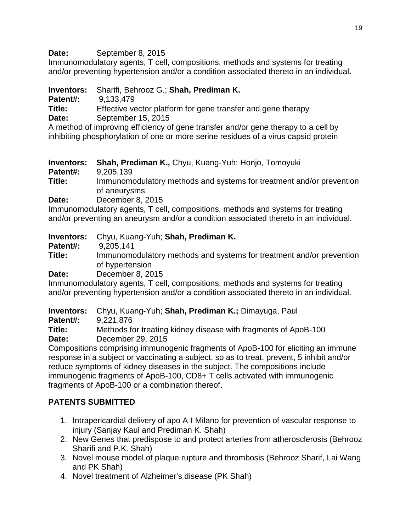Date: September 8, 2015

Immunomodulatory agents, T cell, compositions, methods and systems for treating and/or preventing hypertension and/or a condition associated thereto in an individual**.**

**Inventors:** Sharifi, Behrooz G.; **Shah, Prediman K.**

**Patent#:** 9,133,479

**Title:** Effective vector platform for gene transfer and gene therapy

**Date:** September 15, 2015

A method of improving efficiency of gene transfer and/or gene therapy to a cell by inhibiting phosphorylation of one or more serine residues of a virus capsid protein

**Inventors: Shah, Prediman K.,** Chyu, Kuang-Yuh; Honjo, Tomoyuki

**Patent#:** 9,205,139<br> **Title:** Immunomo

**Title:** Immunomodulatory methods and systems for treatment and/or prevention of aneurysms

**Date:** December 8, 2015

Immunomodulatory agents, T cell, compositions, methods and systems for treating and/or preventing an aneurysm and/or a condition associated thereto in an individual.

**Inventors:** Chyu, Kuang-Yuh; **Shah, Prediman K.** 

**Patent#:** 9,205,141<br> **Title:** Immunomo

**Title:** Immunomodulatory methods and systems for treatment and/or prevention of hypertension

**Date:** December 8, 2015

Immunomodulatory agents, T cell, compositions, methods and systems for treating and/or preventing hypertension and/or a condition associated thereto in an individual.

**Inventors:** Chyu, Kuang-Yuh; **Shah, Prediman K.;** Dimayuga, Paul

**Patent#:** 9,221,876<br> **Title:** Methods fo

Methods for treating kidney disease with fragments of ApoB-100 **Date:** December 29, 2015

Compositions comprising immunogenic fragments of ApoB-100 for eliciting an immune response in a subject or vaccinating a subject, so as to treat, prevent, 5 inhibit and/or reduce symptoms of kidney diseases in the subject. The compositions include immunogenic fragments of ApoB-100, CD8+ T cells activated with immunogenic fragments of ApoB-100 or a combination thereof.

# **PATENTS SUBMITTED**

- 1. Intrapericardial delivery of apo A-I Milano for prevention of vascular response to injury (Sanjay Kaul and Prediman K. Shah)
- 2. New Genes that predispose to and protect arteries from atherosclerosis (Behrooz Sharifi and P.K. Shah)
- 3. Novel mouse model of plaque rupture and thrombosis (Behrooz Sharif, Lai Wang and PK Shah)
- 4. Novel treatment of Alzheimer's disease (PK Shah)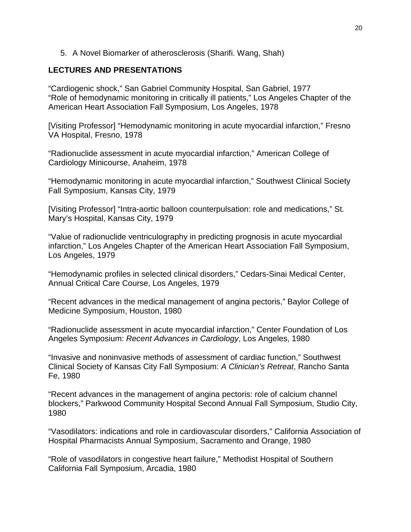#### 5. A Novel Biomarker of atherosclerosis (Sharifi. Wang, Shah)

#### **LECTURES AND PRESENTATIONS**

"Cardiogenic shock," San Gabriel Community Hospital, San Gabriel, 1977 "Role of hemodynamic monitoring in critically ill patients," Los Angeles Chapter of the American Heart Association Fall Symposium, Los Angeles, 1978

[Visiting Professor] "Hemodynamic monitoring in acute myocardial infarction," Fresno VA Hospital, Fresno, 1978

"Radionuclide assessment in acute myocardial infarction," American College of Cardiology Minicourse, Anaheim, 1978

"Hemodynamic monitoring in acute myocardial infarction," Southwest Clinical Society Fall Symposium, Kansas City, 1979

[Visiting Professor] "Intra-aortic balloon counterpulsation: role and medications," St. Mary's Hospital, Kansas City, 1979

"Value of radionuclide ventriculography in predicting prognosis in acute myocardial infarction," Los Angeles Chapter of the American Heart Association Fall Symposium, Los Angeles, 1979

"Hemodynamic profiles in selected clinical disorders," Cedars-Sinai Medical Center, Annual Critical Care Course, Los Angeles, 1979

"Recent advances in the medical management of angina pectoris," Baylor College of Medicine Symposium, Houston, 1980

"Radionuclide assessment in acute myocardial infarction," Center Foundation of Los Angeles Symposium: *Recent Advances in Cardiology*, Los Angeles, 1980

"Invasive and noninvasive methods of assessment of cardiac function," Southwest Clinical Society of Kansas City Fall Symposium: *A Clinician's Retreat*, Rancho Santa Fe, 1980

"Recent advances in the management of angina pectoris: role of calcium channel blockers," Parkwood Community Hospital Second Annual Fall Symposium, Studio City, 1980

"Vasodilators: indications and role in cardiovascular disorders," California Association of Hospital Pharmacists Annual Symposium, Sacramento and Orange, 1980

"Role of vasodilators in congestive heart failure," Methodist Hospital of Southern California Fall Symposium, Arcadia, 1980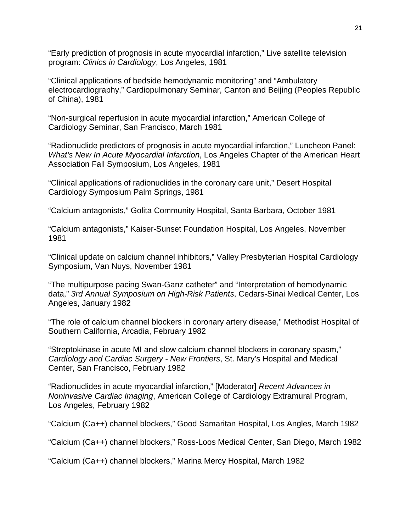"Early prediction of prognosis in acute myocardial infarction," Live satellite television program: *Clinics in Cardiology*, Los Angeles, 1981

"Clinical applications of bedside hemodynamic monitoring" and "Ambulatory electrocardiography," Cardiopulmonary Seminar, Canton and Beijing (Peoples Republic of China), 1981

"Non-surgical reperfusion in acute myocardial infarction," American College of Cardiology Seminar, San Francisco, March 1981

"Radionuclide predictors of prognosis in acute myocardial infarction," Luncheon Panel: *What's New In Acute Myocardial Infarction*, Los Angeles Chapter of the American Heart Association Fall Symposium, Los Angeles, 1981

"Clinical applications of radionuclides in the coronary care unit," Desert Hospital Cardiology Symposium Palm Springs, 1981

"Calcium antagonists," Golita Community Hospital, Santa Barbara, October 1981

"Calcium antagonists," Kaiser-Sunset Foundation Hospital, Los Angeles, November 1981

"Clinical update on calcium channel inhibitors," Valley Presbyterian Hospital Cardiology Symposium, Van Nuys, November 1981

"The multipurpose pacing Swan-Ganz catheter" and "Interpretation of hemodynamic data," *3rd Annual Symposium on High-Risk Patients*, Cedars-Sinai Medical Center, Los Angeles, January 1982

"The role of calcium channel blockers in coronary artery disease," Methodist Hospital of Southern California, Arcadia, February 1982

"Streptokinase in acute MI and slow calcium channel blockers in coronary spasm," *Cardiology and Cardiac Surgery - New Frontiers*, St. Mary's Hospital and Medical Center, San Francisco, February 1982

"Radionuclides in acute myocardial infarction," [Moderator] *Recent Advances in Noninvasive Cardiac Imaging*, American College of Cardiology Extramural Program, Los Angeles, February 1982

"Calcium (Ca++) channel blockers," Good Samaritan Hospital, Los Angles, March 1982

"Calcium (Ca++) channel blockers," Ross-Loos Medical Center, San Diego, March 1982

"Calcium (Ca++) channel blockers," Marina Mercy Hospital, March 1982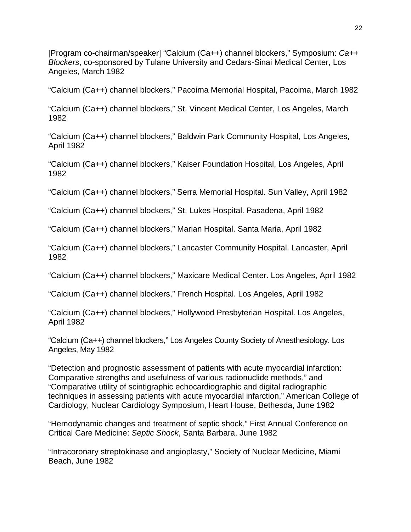[Program co-chairman/speaker] "Calcium (Ca++) channel blockers," Symposium: *Ca++ Blockers*, co-sponsored by Tulane University and Cedars-Sinai Medical Center, Los Angeles, March 1982

"Calcium (Ca++) channel blockers," Pacoima Memorial Hospital, Pacoima, March 1982

"Calcium (Ca++) channel blockers," St. Vincent Medical Center, Los Angeles, March 1982

"Calcium (Ca++) channel blockers," Baldwin Park Community Hospital, Los Angeles, April 1982

"Calcium (Ca++) channel blockers," Kaiser Foundation Hospital, Los Angeles, April 1982

"Calcium (Ca++) channel blockers," Serra Memorial Hospital. Sun Valley, April 1982

"Calcium (Ca++) channel blockers," St. Lukes Hospital. Pasadena, April 1982

"Calcium (Ca++) channel blockers," Marian Hospital. Santa Maria, April 1982

"Calcium (Ca++) channel blockers," Lancaster Community Hospital. Lancaster, April 1982

"Calcium (Ca++) channel blockers," Maxicare Medical Center. Los Angeles, April 1982

"Calcium (Ca++) channel blockers," French Hospital. Los Angeles, April 1982

"Calcium (Ca++) channel blockers," Hollywood Presbyterian Hospital. Los Angeles, April 1982

"Calcium (Ca++) channel blockers," Los Angeles County Society of Anesthesiology. Los Angeles, May 1982

"Detection and prognostic assessment of patients with acute myocardial infarction: Comparative strengths and usefulness of various radionuclide methods," and "Comparative utility of scintigraphic echocardiographic and digital radiographic techniques in assessing patients with acute myocardial infarction," American College of Cardiology, Nuclear Cardiology Symposium, Heart House, Bethesda, June 1982

"Hemodynamic changes and treatment of septic shock," First Annual Conference on Critical Care Medicine: *Septic Shock*, Santa Barbara, June 1982

"Intracoronary streptokinase and angioplasty," Society of Nuclear Medicine, Miami Beach, June 1982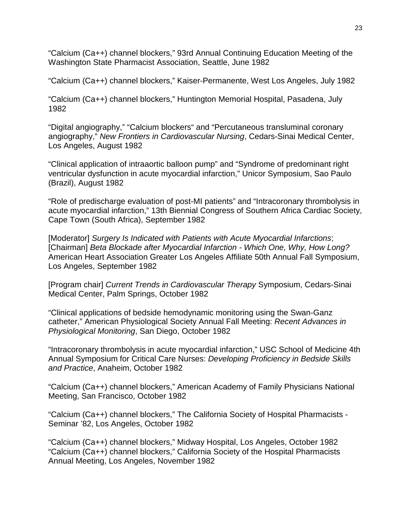"Calcium (Ca++) channel blockers," 93rd Annual Continuing Education Meeting of the Washington State Pharmacist Association, Seattle, June 1982

"Calcium (Ca++) channel blockers," Kaiser-Permanente, West Los Angeles, July 1982

"Calcium (Ca++) channel blockers," Huntington Memorial Hospital, Pasadena, July 1982

"Digital angiography," "Calcium blockers" and "Percutaneous transluminal coronary angiography," *New Frontiers in Cardiovascular Nursing*, Cedars-Sinai Medical Center, Los Angeles, August 1982

"Clinical application of intraaortic balloon pump" and "Syndrome of predominant right ventricular dysfunction in acute myocardial infarction," Unicor Symposium, Sao Paulo (Brazil), August 1982

"Role of predischarge evaluation of post-MI patients" and "Intracoronary thrombolysis in acute myocardial infarction," 13th Biennial Congress of Southern Africa Cardiac Society, Cape Town (South Africa), September 1982

[Moderator] *Surgery Is Indicated with Patients with Acute Myocardial Infarctions*; [Chairman] *Beta Blockade after Myocardial Infarction - Which One, Why, How Long?* American Heart Association Greater Los Angeles Affiliate 50th Annual Fall Symposium, Los Angeles, September 1982

[Program chair] *Current Trends in Cardiovascular Therapy* Symposium, Cedars-Sinai Medical Center, Palm Springs, October 1982

"Clinical applications of bedside hemodynamic monitoring using the Swan-Ganz catheter," American Physiological Society Annual Fall Meeting: *Recent Advances in Physiological Monitoring*, San Diego, October 1982

"Intracoronary thrombolysis in acute myocardial infarction," USC School of Medicine 4th Annual Symposium for Critical Care Nurses: *Developing Proficiency in Bedside Skills and Practice*, Anaheim, October 1982

"Calcium (Ca++) channel blockers," American Academy of Family Physicians National Meeting, San Francisco, October 1982

"Calcium (Ca++) channel blockers," The California Society of Hospital Pharmacists - Seminar '82, Los Angeles, October 1982

"Calcium (Ca++) channel blockers," Midway Hospital, Los Angeles, October 1982 "Calcium (Ca++) channel blockers," California Society of the Hospital Pharmacists Annual Meeting, Los Angeles, November 1982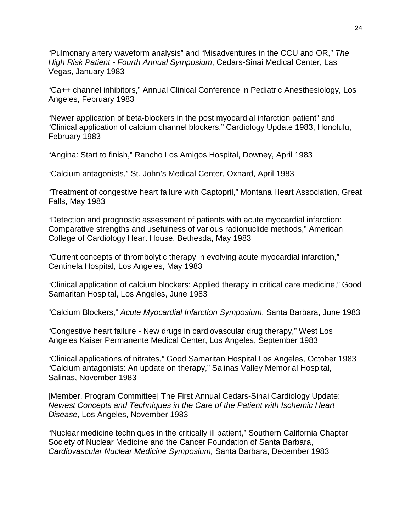"Pulmonary artery waveform analysis" and "Misadventures in the CCU and OR," *The High Risk Patient - Fourth Annual Symposium*, Cedars-Sinai Medical Center, Las Vegas, January 1983

"Ca++ channel inhibitors," Annual Clinical Conference in Pediatric Anesthesiology, Los Angeles, February 1983

"Newer application of beta-blockers in the post myocardial infarction patient" and "Clinical application of calcium channel blockers," Cardiology Update 1983, Honolulu, February 1983

"Angina: Start to finish," Rancho Los Amigos Hospital, Downey, April 1983

"Calcium antagonists," St. John's Medical Center, Oxnard, April 1983

"Treatment of congestive heart failure with Captopril," Montana Heart Association, Great Falls, May 1983

"Detection and prognostic assessment of patients with acute myocardial infarction: Comparative strengths and usefulness of various radionuclide methods," American College of Cardiology Heart House, Bethesda, May 1983

"Current concepts of thrombolytic therapy in evolving acute myocardial infarction," Centinela Hospital, Los Angeles, May 1983

"Clinical application of calcium blockers: Applied therapy in critical care medicine," Good Samaritan Hospital, Los Angeles, June 1983

"Calcium Blockers," *Acute Myocardial Infarction Symposium*, Santa Barbara, June 1983

"Congestive heart failure - New drugs in cardiovascular drug therapy," West Los Angeles Kaiser Permanente Medical Center, Los Angeles, September 1983

"Clinical applications of nitrates," Good Samaritan Hospital Los Angeles, October 1983 "Calcium antagonists: An update on therapy," Salinas Valley Memorial Hospital, Salinas, November 1983

[Member, Program Committee] The First Annual Cedars-Sinai Cardiology Update: *Newest Concepts and Techniques in the Care of the Patient with Ischemic Heart Disease*, Los Angeles, November 1983

"Nuclear medicine techniques in the critically ill patient," Southern California Chapter Society of Nuclear Medicine and the Cancer Foundation of Santa Barbara, *Cardiovascular Nuclear Medicine Symposium,* Santa Barbara, December 1983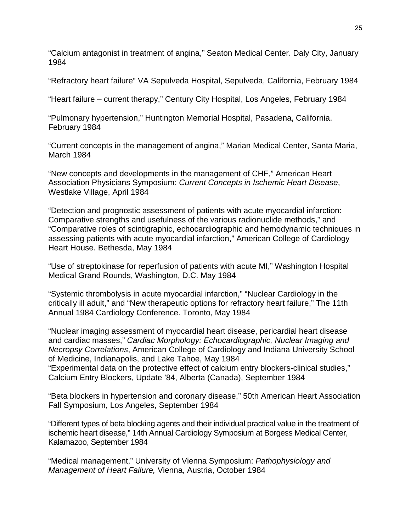"Calcium antagonist in treatment of angina," Seaton Medical Center. Daly City, January 1984

"Refractory heart failure" VA Sepulveda Hospital, Sepulveda, California, February 1984

"Heart failure – current therapy," Century City Hospital, Los Angeles, February 1984

"Pulmonary hypertension," Huntington Memorial Hospital, Pasadena, California. February 1984

"Current concepts in the management of angina," Marian Medical Center, Santa Maria, March 1984

"New concepts and developments in the management of CHF," American Heart Association Physicians Symposium: *Current Concepts in Ischemic Heart Disease*, Westlake Village, April 1984

"Detection and prognostic assessment of patients with acute myocardial infarction: Comparative strengths and usefulness of the various radionuclide methods," and "Comparative roles of scintigraphic, echocardiographic and hemodynamic techniques in assessing patients with acute myocardial infarction," American College of Cardiology Heart House. Bethesda, May 1984

"Use of streptokinase for reperfusion of patients with acute MI," Washington Hospital Medical Grand Rounds, Washington, D.C. May 1984

"Systemic thrombolysis in acute myocardial infarction," "Nuclear Cardiology in the critically ill adult," and "New therapeutic options for refractory heart failure," The 11th Annual 1984 Cardiology Conference. Toronto, May 1984

"Nuclear imaging assessment of myocardial heart disease, pericardial heart disease and cardiac masses," *Cardiac Morphology: Echocardiographic, Nuclear Imaging and Necropsy Correlations*, American College of Cardiology and Indiana University School of Medicine, Indianapolis, and Lake Tahoe, May 1984 "Experimental data on the protective effect of calcium entry blockers-clinical studies," Calcium Entry Blockers, Update '84, Alberta (Canada), September 1984

"Beta blockers in hypertension and coronary disease," 50th American Heart Association Fall Symposium, Los Angeles, September 1984

"Different types of beta blocking agents and their individual practical value in the treatment of ischemic heart disease," 14th Annual Cardiology Symposium at Borgess Medical Center, Kalamazoo, September 1984

"Medical management," University of Vienna Symposium: *Pathophysiology and Management of Heart Failure,* Vienna, Austria, October 1984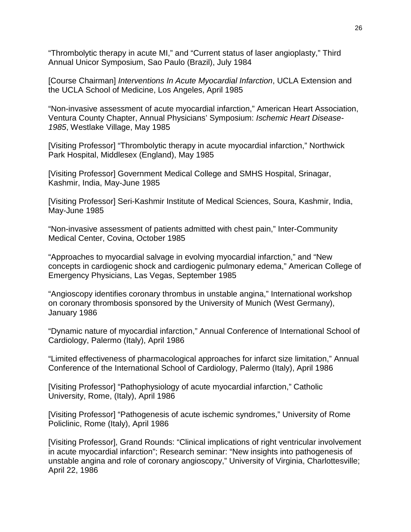"Thrombolytic therapy in acute MI," and "Current status of laser angioplasty," Third Annual Unicor Symposium, Sao Paulo (Brazil), July 1984

[Course Chairman] *Interventions In Acute Myocardial Infarction*, UCLA Extension and the UCLA School of Medicine, Los Angeles, April 1985

"Non-invasive assessment of acute myocardial infarction," American Heart Association, Ventura County Chapter, Annual Physicians' Symposium: *Ischemic Heart Disease-1985*, Westlake Village, May 1985

[Visiting Professor] "Thrombolytic therapy in acute myocardial infarction," Northwick Park Hospital, Middlesex (England), May 1985

[Visiting Professor] Government Medical College and SMHS Hospital, Srinagar, Kashmir, India, May-June 1985

[Visiting Professor] Seri-Kashmir Institute of Medical Sciences, Soura, Kashmir, India, May-June 1985

"Non-invasive assessment of patients admitted with chest pain," Inter-Community Medical Center, Covina, October 1985

"Approaches to myocardial salvage in evolving myocardial infarction," and "New concepts in cardiogenic shock and cardiogenic pulmonary edema," American College of Emergency Physicians, Las Vegas, September 1985

"Angioscopy identifies coronary thrombus in unstable angina," International workshop on coronary thrombosis sponsored by the University of Munich (West Germany), January 1986

"Dynamic nature of myocardial infarction," Annual Conference of International School of Cardiology, Palermo (Italy), April 1986

"Limited effectiveness of pharmacological approaches for infarct size limitation," Annual Conference of the International School of Cardiology, Palermo (Italy), April 1986

[Visiting Professor] "Pathophysiology of acute myocardial infarction," Catholic University, Rome, (Italy), April 1986

[Visiting Professor] "Pathogenesis of acute ischemic syndromes," University of Rome Policlinic, Rome (Italy), April 1986

[Visiting Professor], Grand Rounds: "Clinical implications of right ventricular involvement in acute myocardial infarction"; Research seminar: "New insights into pathogenesis of unstable angina and role of coronary angioscopy," University of Virginia, Charlottesville; April 22, 1986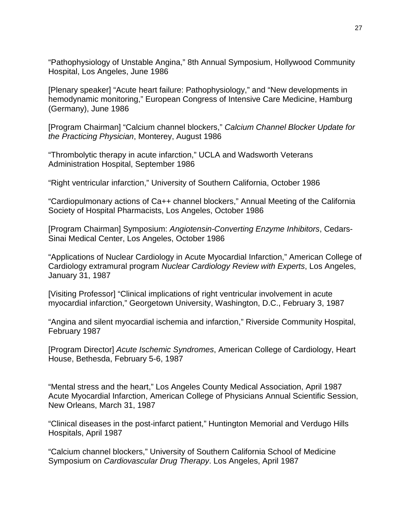"Pathophysiology of Unstable Angina," 8th Annual Symposium, Hollywood Community Hospital, Los Angeles, June 1986

[Plenary speaker] "Acute heart failure: Pathophysiology," and "New developments in hemodynamic monitoring," European Congress of Intensive Care Medicine, Hamburg (Germany), June 1986

[Program Chairman] "Calcium channel blockers," *Calcium Channel Blocker Update for the Practicing Physician*, Monterey, August 1986

"Thrombolytic therapy in acute infarction," UCLA and Wadsworth Veterans Administration Hospital, September 1986

"Right ventricular infarction," University of Southern California, October 1986

"Cardiopulmonary actions of Ca++ channel blockers," Annual Meeting of the California Society of Hospital Pharmacists, Los Angeles, October 1986

[Program Chairman] Symposium: *Angiotensin-Converting Enzyme Inhibitors*, Cedars-Sinai Medical Center, Los Angeles, October 1986

"Applications of Nuclear Cardiology in Acute Myocardial Infarction," American College of Cardiology extramural program *Nuclear Cardiology Review with Experts*, Los Angeles, January 31, 1987

[Visiting Professor] "Clinical implications of right ventricular involvement in acute myocardial infarction," Georgetown University, Washington, D.C., February 3, 1987

"Angina and silent myocardial ischemia and infarction," Riverside Community Hospital, February 1987

[Program Director] *Acute Ischemic Syndromes*, American College of Cardiology, Heart House, Bethesda, February 5-6, 1987

"Mental stress and the heart," Los Angeles County Medical Association, April 1987 Acute Myocardial Infarction, American College of Physicians Annual Scientific Session, New Orleans, March 31, 1987

"Clinical diseases in the post-infarct patient," Huntington Memorial and Verdugo Hills Hospitals, April 1987

"Calcium channel blockers," University of Southern California School of Medicine Symposium on *Cardiovascular Drug Therapy*. Los Angeles, April 1987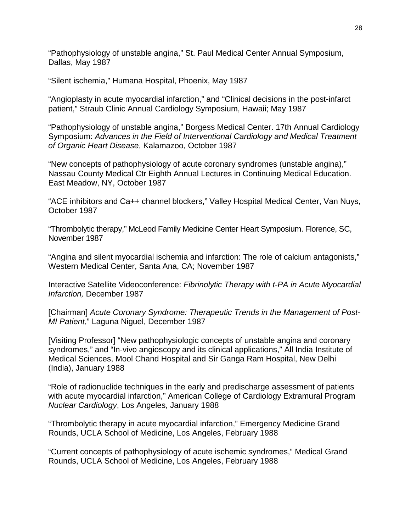"Pathophysiology of unstable angina," St. Paul Medical Center Annual Symposium, Dallas, May 1987

"Silent ischemia," Humana Hospital, Phoenix, May 1987

"Angioplasty in acute myocardial infarction," and "Clinical decisions in the post-infarct patient," Straub Clinic Annual Cardiology Symposium, Hawaii; May 1987

"Pathophysiology of unstable angina," Borgess Medical Center. 17th Annual Cardiology Symposium: *Advances in the Field of Interventional Cardiology and Medical Treatment of Organic Heart Disease*, Kalamazoo, October 1987

"New concepts of pathophysiology of acute coronary syndromes (unstable angina)," Nassau County Medical Ctr Eighth Annual Lectures in Continuing Medical Education. East Meadow, NY, October 1987

"ACE inhibitors and Ca++ channel blockers," Valley Hospital Medical Center, Van Nuys, October 1987

"Thrombolytic therapy," McLeod Family Medicine Center Heart Symposium. Florence, SC, November 1987

"Angina and silent myocardial ischemia and infarction: The role of calcium antagonists," Western Medical Center, Santa Ana, CA; November 1987

Interactive Satellite Videoconference: *Fibrinolytic Therapy with t-PA in Acute Myocardial Infarction,* December 1987

[Chairman] *Acute Coronary Syndrome: Therapeutic Trends in the Management of Post-MI Patient*," Laguna Niguel, December 1987

[Visiting Professor] "New pathophysiologic concepts of unstable angina and coronary syndromes," and "In-vivo angioscopy and its clinical applications," All India Institute of Medical Sciences, Mool Chand Hospital and Sir Ganga Ram Hospital, New Delhi (India), January 1988

"Role of radionuclide techniques in the early and predischarge assessment of patients with acute myocardial infarction," American College of Cardiology Extramural Program *Nuclear Cardiology*, Los Angeles, January 1988

"Thrombolytic therapy in acute myocardial infarction," Emergency Medicine Grand Rounds, UCLA School of Medicine, Los Angeles, February 1988

"Current concepts of pathophysiology of acute ischemic syndromes," Medical Grand Rounds, UCLA School of Medicine, Los Angeles, February 1988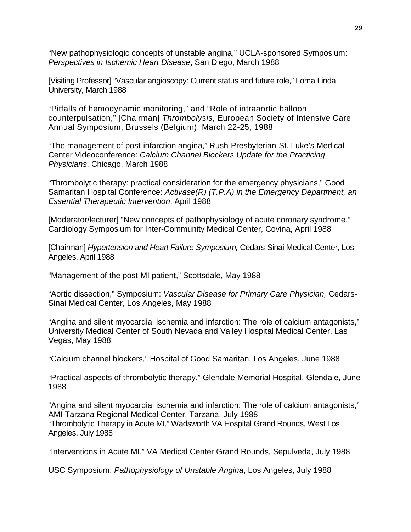"New pathophysiologic concepts of unstable angina," UCLA-sponsored Symposium: *Perspectives in Ischemic Heart Disease*, San Diego, March 1988

[Visiting Professor] "Vascular angioscopy: Current status and future role," Loma Linda University, March 1988

"Pitfalls of hemodynamic monitoring," and "Role of intraaortic balloon counterpulsation," [Chairman] *Thrombolysis*, European Society of Intensive Care Annual Symposium, Brussels (Belgium), March 22-25, 1988

"The management of post-infarction angina," Rush-Presbyterian-St. Luke's Medical Center Videoconference: *Calcium Channel Blockers Update for the Practicing Physicians*, Chicago, March 1988

"Thrombolytic therapy: practical consideration for the emergency physicians," Good Samaritan Hospital Conference: *Activase(R) (T.P.A) in the Emergency Department, an Essential Therapeutic Intervention*, April 1988

[Moderator/lecturer] "New concepts of pathophysiology of acute coronary syndrome," Cardiology Symposium for Inter-Community Medical Center, Covina, April 1988

[Chairman] *Hypertension and Heart Failure Symposium,* Cedars-Sinai Medical Center, Los Angeles, April 1988

"Management of the post-MI patient," Scottsdale, May 1988

"Aortic dissection," Symposium: *Vascular Disease for Primary Care Physician,* Cedars-Sinai Medical Center, Los Angeles, May 1988

"Angina and silent myocardial ischemia and infarction: The role of calcium antagonists," University Medical Center of South Nevada and Valley Hospital Medical Center, Las Vegas, May 1988

"Calcium channel blockers," Hospital of Good Samaritan, Los Angeles, June 1988

"Practical aspects of thrombolytic therapy," Glendale Memorial Hospital, Glendale, June 1988

"Angina and silent myocardial ischemia and infarction: The role of calcium antagonists," AMI Tarzana Regional Medical Center, Tarzana, July 1988 "Thrombolytic Therapy in Acute MI," Wadsworth VA Hospital Grand Rounds, West Los Angeles, July 1988

"Interventions in Acute MI," VA Medical Center Grand Rounds, Sepulveda, July 1988

USC Symposium: *Pathophysiology of Unstable Angina*, Los Angeles, July 1988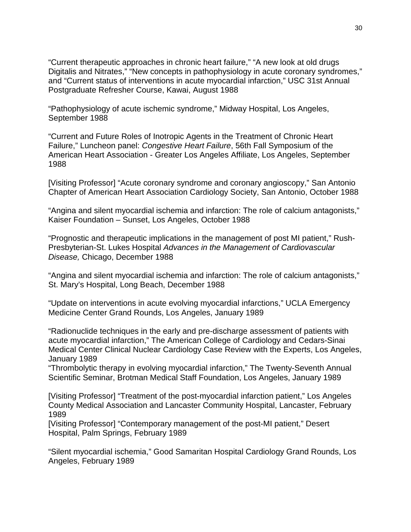"Current therapeutic approaches in chronic heart failure," "A new look at old drugs Digitalis and Nitrates," "New concepts in pathophysiology in acute coronary syndromes," and "Current status of interventions in acute myocardial infarction," USC 31st Annual Postgraduate Refresher Course, Kawai, August 1988

"Pathophysiology of acute ischemic syndrome," Midway Hospital, Los Angeles, September 1988

"Current and Future Roles of Inotropic Agents in the Treatment of Chronic Heart Failure," Luncheon panel: *Congestive Heart Failure*, 56th Fall Symposium of the American Heart Association - Greater Los Angeles Affiliate, Los Angeles, September 1988

[Visiting Professor] "Acute coronary syndrome and coronary angioscopy," San Antonio Chapter of American Heart Association Cardiology Society, San Antonio, October 1988

"Angina and silent myocardial ischemia and infarction: The role of calcium antagonists," Kaiser Foundation – Sunset, Los Angeles, October 1988

"Prognostic and therapeutic implications in the management of post MI patient," Rush-Presbyterian-St. Lukes Hospital *Advances in the Management of Cardiovascular Disease,* Chicago, December 1988

"Angina and silent myocardial ischemia and infarction: The role of calcium antagonists," St. Mary's Hospital, Long Beach, December 1988

"Update on interventions in acute evolving myocardial infarctions," UCLA Emergency Medicine Center Grand Rounds, Los Angeles, January 1989

"Radionuclide techniques in the early and pre-discharge assessment of patients with acute myocardial infarction," The American College of Cardiology and Cedars-Sinai Medical Center Clinical Nuclear Cardiology Case Review with the Experts, Los Angeles, January 1989

"Thrombolytic therapy in evolving myocardial infarction," The Twenty-Seventh Annual Scientific Seminar, Brotman Medical Staff Foundation, Los Angeles, January 1989

[Visiting Professor] "Treatment of the post-myocardial infarction patient," Los Angeles County Medical Association and Lancaster Community Hospital, Lancaster, February 1989

[Visiting Professor] "Contemporary management of the post-MI patient," Desert Hospital, Palm Springs, February 1989

"Silent myocardial ischemia," Good Samaritan Hospital Cardiology Grand Rounds, Los Angeles, February 1989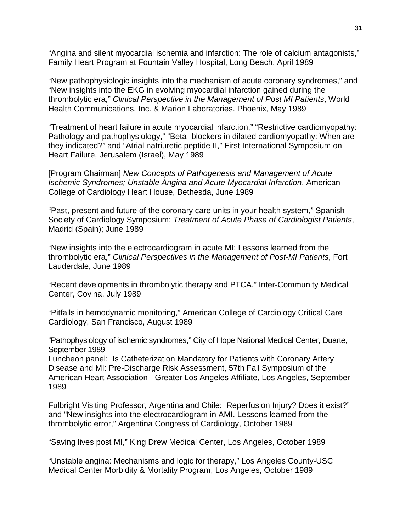"Angina and silent myocardial ischemia and infarction: The role of calcium antagonists," Family Heart Program at Fountain Valley Hospital, Long Beach, April 1989

"New pathophysiologic insights into the mechanism of acute coronary syndromes," and "New insights into the EKG in evolving myocardial infarction gained during the thrombolytic era," *Clinical Perspective in the Management of Post MI Patients*, World Health Communications, Inc. & Marion Laboratories. Phoenix, May 1989

"Treatment of heart failure in acute myocardial infarction," "Restrictive cardiomyopathy: Pathology and pathophysiology," "Beta -blockers in dilated cardiomyopathy: When are they indicated?" and "Atrial natriuretic peptide II," First International Symposium on Heart Failure, Jerusalem (Israel), May 1989

[Program Chairman] *New Concepts of Pathogenesis and Management of Acute Ischemic Syndromes; Unstable Angina and Acute Myocardial Infarction*, American College of Cardiology Heart House, Bethesda, June 1989

"Past, present and future of the coronary care units in your health system," Spanish Society of Cardiology Symposium: *Treatment of Acute Phase of Cardiologist Patients*, Madrid (Spain); June 1989

"New insights into the electrocardiogram in acute MI: Lessons learned from the thrombolytic era," *Clinical Perspectives in the Management of Post-MI Patients*, Fort Lauderdale, June 1989

"Recent developments in thrombolytic therapy and PTCA," Inter-Community Medical Center, Covina, July 1989

"Pitfalls in hemodynamic monitoring," American College of Cardiology Critical Care Cardiology, San Francisco, August 1989

"Pathophysiology of ischemic syndromes," City of Hope National Medical Center, Duarte, September 1989

Luncheon panel: Is Catheterization Mandatory for Patients with Coronary Artery Disease and MI: Pre-Discharge Risk Assessment, 57th Fall Symposium of the American Heart Association - Greater Los Angeles Affiliate, Los Angeles, September 1989

Fulbright Visiting Professor, Argentina and Chile: Reperfusion Injury? Does it exist?" and "New insights into the electrocardiogram in AMI. Lessons learned from the thrombolytic error," Argentina Congress of Cardiology, October 1989

"Saving lives post MI," King Drew Medical Center, Los Angeles, October 1989

"Unstable angina: Mechanisms and logic for therapy," Los Angeles County-USC Medical Center Morbidity & Mortality Program, Los Angeles, October 1989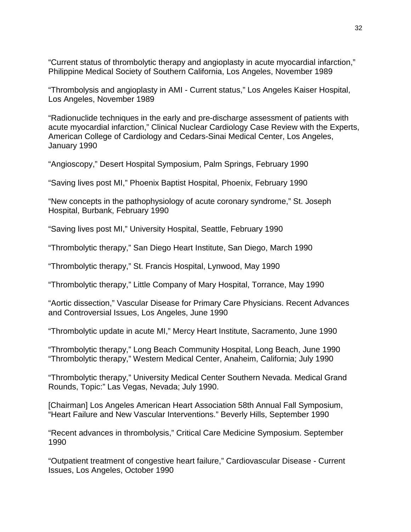"Current status of thrombolytic therapy and angioplasty in acute myocardial infarction," Philippine Medical Society of Southern California, Los Angeles, November 1989

"Thrombolysis and angioplasty in AMI - Current status," Los Angeles Kaiser Hospital, Los Angeles, November 1989

"Radionuclide techniques in the early and pre-discharge assessment of patients with acute myocardial infarction," Clinical Nuclear Cardiology Case Review with the Experts, American College of Cardiology and Cedars-Sinai Medical Center, Los Angeles, January 1990

"Angioscopy," Desert Hospital Symposium, Palm Springs, February 1990

"Saving lives post MI," Phoenix Baptist Hospital, Phoenix, February 1990

"New concepts in the pathophysiology of acute coronary syndrome," St. Joseph Hospital, Burbank, February 1990

"Saving lives post MI," University Hospital, Seattle, February 1990

"Thrombolytic therapy," San Diego Heart Institute, San Diego, March 1990

"Thrombolytic therapy," St. Francis Hospital, Lynwood, May 1990

"Thrombolytic therapy," Little Company of Mary Hospital, Torrance, May 1990

"Aortic dissection," Vascular Disease for Primary Care Physicians. Recent Advances and Controversial Issues, Los Angeles, June 1990

"Thrombolytic update in acute MI," Mercy Heart Institute, Sacramento, June 1990

"Thrombolytic therapy," Long Beach Community Hospital, Long Beach, June 1990 "Thrombolytic therapy," Western Medical Center, Anaheim, California; July 1990

"Thrombolytic therapy," University Medical Center Southern Nevada. Medical Grand Rounds, Topic:" Las Vegas, Nevada; July 1990.

[Chairman] Los Angeles American Heart Association 58th Annual Fall Symposium, "Heart Failure and New Vascular Interventions." Beverly Hills, September 1990

"Recent advances in thrombolysis," Critical Care Medicine Symposium. September 1990

"Outpatient treatment of congestive heart failure," Cardiovascular Disease - Current Issues, Los Angeles, October 1990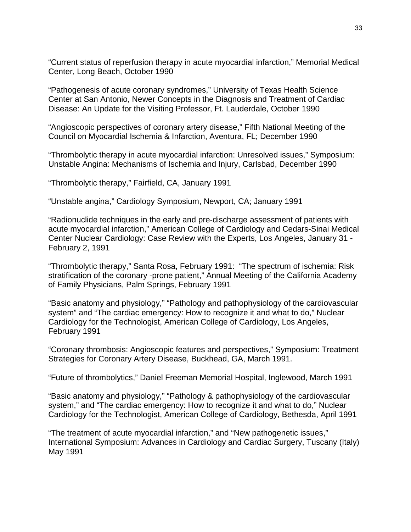"Current status of reperfusion therapy in acute myocardial infarction," Memorial Medical Center, Long Beach, October 1990

"Pathogenesis of acute coronary syndromes," University of Texas Health Science Center at San Antonio, Newer Concepts in the Diagnosis and Treatment of Cardiac Disease: An Update for the Visiting Professor, Ft. Lauderdale, October 1990

"Angioscopic perspectives of coronary artery disease," Fifth National Meeting of the Council on Myocardial Ischemia & Infarction, Aventura, FL; December 1990

"Thrombolytic therapy in acute myocardial infarction: Unresolved issues," Symposium: Unstable Angina: Mechanisms of Ischemia and Injury, Carlsbad, December 1990

"Thrombolytic therapy," Fairfield, CA, January 1991

"Unstable angina," Cardiology Symposium, Newport, CA; January 1991

"Radionuclide techniques in the early and pre-discharge assessment of patients with acute myocardial infarction," American College of Cardiology and Cedars-Sinai Medical Center Nuclear Cardiology: Case Review with the Experts, Los Angeles, January 31 - February 2, 1991

"Thrombolytic therapy," Santa Rosa, February 1991: "The spectrum of ischemia: Risk stratification of the coronary -prone patient," Annual Meeting of the California Academy of Family Physicians, Palm Springs, February 1991

"Basic anatomy and physiology," "Pathology and pathophysiology of the cardiovascular system" and "The cardiac emergency: How to recognize it and what to do," Nuclear Cardiology for the Technologist, American College of Cardiology, Los Angeles, February 1991

"Coronary thrombosis: Angioscopic features and perspectives," Symposium: Treatment Strategies for Coronary Artery Disease, Buckhead, GA, March 1991.

"Future of thrombolytics," Daniel Freeman Memorial Hospital, Inglewood, March 1991

"Basic anatomy and physiology," "Pathology & pathophysiology of the cardiovascular system," and "The cardiac emergency: How to recognize it and what to do," Nuclear Cardiology for the Technologist, American College of Cardiology, Bethesda, April 1991

"The treatment of acute myocardial infarction," and "New pathogenetic issues," International Symposium: Advances in Cardiology and Cardiac Surgery, Tuscany (Italy) May 1991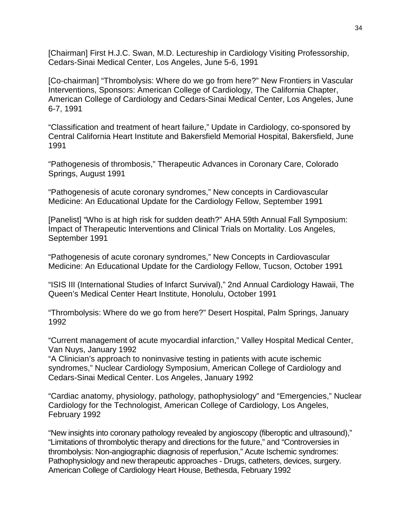[Chairman] First H.J.C. Swan, M.D. Lectureship in Cardiology Visiting Professorship, Cedars-Sinai Medical Center, Los Angeles, June 5-6, 1991

[Co-chairman] "Thrombolysis: Where do we go from here?" New Frontiers in Vascular Interventions, Sponsors: American College of Cardiology, The California Chapter, American College of Cardiology and Cedars-Sinai Medical Center, Los Angeles, June 6-7, 1991

"Classification and treatment of heart failure," Update in Cardiology, co-sponsored by Central California Heart Institute and Bakersfield Memorial Hospital, Bakersfield, June 1991

"Pathogenesis of thrombosis," Therapeutic Advances in Coronary Care, Colorado Springs, August 1991

"Pathogenesis of acute coronary syndromes," New concepts in Cardiovascular Medicine: An Educational Update for the Cardiology Fellow, September 1991

[Panelist] "Who is at high risk for sudden death?" AHA 59th Annual Fall Symposium: Impact of Therapeutic Interventions and Clinical Trials on Mortality. Los Angeles, September 1991

"Pathogenesis of acute coronary syndromes," New Concepts in Cardiovascular Medicine: An Educational Update for the Cardiology Fellow, Tucson, October 1991

"ISIS III (International Studies of Infarct Survival)," 2nd Annual Cardiology Hawaii, The Queen's Medical Center Heart Institute, Honolulu, October 1991

"Thrombolysis: Where do we go from here?" Desert Hospital, Palm Springs, January 1992

"Current management of acute myocardial infarction," Valley Hospital Medical Center, Van Nuys, January 1992

"A Clinician's approach to noninvasive testing in patients with acute ischemic syndromes," Nuclear Cardiology Symposium, American College of Cardiology and Cedars-Sinai Medical Center. Los Angeles, January 1992

"Cardiac anatomy, physiology, pathology, pathophysiology" and "Emergencies," Nuclear Cardiology for the Technologist, American College of Cardiology, Los Angeles, February 1992

"New insights into coronary pathology revealed by angioscopy (fiberoptic and ultrasound)," "Limitations of thrombolytic therapy and directions for the future," and "Controversies in thrombolysis: Non-angiographic diagnosis of reperfusion," Acute Ischemic syndromes: Pathophysiology and new therapeutic approaches - Drugs, catheters, devices, surgery. American College of Cardiology Heart House, Bethesda, February 1992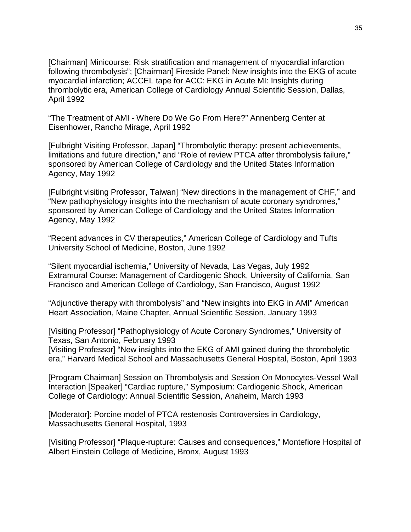[Chairman] Minicourse: Risk stratification and management of myocardial infarction following thrombolysis"; [Chairman] Fireside Panel: New insights into the EKG of acute myocardial infarction; ACCEL tape for ACC: EKG in Acute MI: Insights during thrombolytic era, American College of Cardiology Annual Scientific Session, Dallas, April 1992

"The Treatment of AMI - Where Do We Go From Here?" Annenberg Center at Eisenhower, Rancho Mirage, April 1992

[Fulbright Visiting Professor, Japan] "Thrombolytic therapy: present achievements, limitations and future direction," and "Role of review PTCA after thrombolysis failure," sponsored by American College of Cardiology and the United States Information Agency, May 1992

[Fulbright visiting Professor, Taiwan] "New directions in the management of CHF," and "New pathophysiology insights into the mechanism of acute coronary syndromes," sponsored by American College of Cardiology and the United States Information Agency, May 1992

"Recent advances in CV therapeutics," American College of Cardiology and Tufts University School of Medicine, Boston, June 1992

"Silent myocardial ischemia," University of Nevada, Las Vegas, July 1992 Extramural Course: Management of Cardiogenic Shock, University of California, San Francisco and American College of Cardiology, San Francisco, August 1992

"Adjunctive therapy with thrombolysis" and "New insights into EKG in AMI" American Heart Association, Maine Chapter, Annual Scientific Session, January 1993

[Visiting Professor] "Pathophysiology of Acute Coronary Syndromes," University of Texas, San Antonio, February 1993

[Visiting Professor] "New insights into the EKG of AMI gained during the thrombolytic era," Harvard Medical School and Massachusetts General Hospital, Boston, April 1993

[Program Chairman] Session on Thrombolysis and Session On Monocytes-Vessel Wall Interaction [Speaker] "Cardiac rupture," Symposium: Cardiogenic Shock, American College of Cardiology: Annual Scientific Session, Anaheim, March 1993

[Moderator]: Porcine model of PTCA restenosis Controversies in Cardiology, Massachusetts General Hospital, 1993

[Visiting Professor] "Plaque-rupture: Causes and consequences," Montefiore Hospital of Albert Einstein College of Medicine, Bronx, August 1993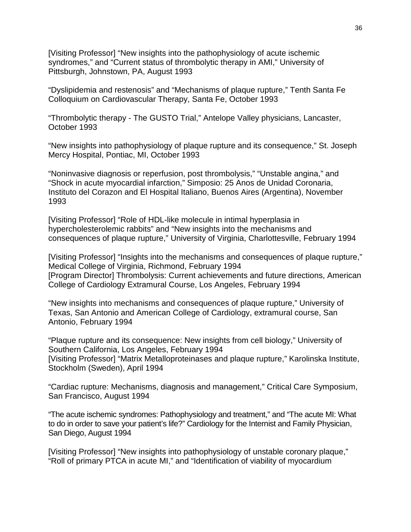[Visiting Professor] "New insights into the pathophysiology of acute ischemic syndromes," and "Current status of thrombolytic therapy in AMI," University of Pittsburgh, Johnstown, PA, August 1993

"Dyslipidemia and restenosis" and "Mechanisms of plaque rupture," Tenth Santa Fe Colloquium on Cardiovascular Therapy, Santa Fe, October 1993

"Thrombolytic therapy - The GUSTO Trial," Antelope Valley physicians, Lancaster, October 1993

"New insights into pathophysiology of plaque rupture and its consequence," St. Joseph Mercy Hospital, Pontiac, MI, October 1993

"Noninvasive diagnosis or reperfusion, post thrombolysis," "Unstable angina," and "Shock in acute myocardial infarction," Simposio: 25 Anos de Unidad Coronaria, Instituto del Corazon and El Hospital Italiano, Buenos Aires (Argentina), November 1993

[Visiting Professor] "Role of HDL-like molecule in intimal hyperplasia in hypercholesterolemic rabbits" and "New insights into the mechanisms and consequences of plaque rupture," University of Virginia, Charlottesville, February 1994

[Visiting Professor] "Insights into the mechanisms and consequences of plaque rupture," Medical College of Virginia, Richmond, February 1994 [Program Director] Thrombolysis: Current achievements and future directions, American College of Cardiology Extramural Course, Los Angeles, February 1994

"New insights into mechanisms and consequences of plaque rupture," University of Texas, San Antonio and American College of Cardiology, extramural course, San Antonio, February 1994

"Plaque rupture and its consequence: New insights from cell biology," University of Southern California, Los Angeles, February 1994 [Visiting Professor] "Matrix Metalloproteinases and plaque rupture," Karolinska Institute, Stockholm (Sweden), April 1994

"Cardiac rupture: Mechanisms, diagnosis and management," Critical Care Symposium, San Francisco, August 1994

"The acute ischemic syndromes: Pathophysiology and treatment," and "The acute MI: What to do in order to save your patient's life?" Cardiology for the Internist and Family Physician, San Diego, August 1994

[Visiting Professor] "New insights into pathophysiology of unstable coronary plaque," "Roll of primary PTCA in acute MI," and "Identification of viability of myocardium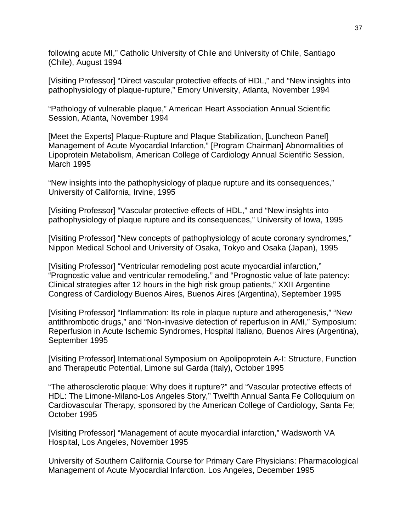following acute MI," Catholic University of Chile and University of Chile, Santiago (Chile), August 1994

[Visiting Professor] "Direct vascular protective effects of HDL," and "New insights into pathophysiology of plaque-rupture," Emory University, Atlanta, November 1994

"Pathology of vulnerable plaque," American Heart Association Annual Scientific Session, Atlanta, November 1994

[Meet the Experts] Plaque-Rupture and Plaque Stabilization, [Luncheon Panel] Management of Acute Myocardial Infarction," [Program Chairman] Abnormalities of Lipoprotein Metabolism, American College of Cardiology Annual Scientific Session, March 1995

"New insights into the pathophysiology of plaque rupture and its consequences," University of California, Irvine, 1995

[Visiting Professor] "Vascular protective effects of HDL," and "New insights into pathophysiology of plaque rupture and its consequences," University of Iowa, 1995

[Visiting Professor] "New concepts of pathophysiology of acute coronary syndromes," Nippon Medical School and University of Osaka, Tokyo and Osaka (Japan), 1995

[Visiting Professor] "Ventricular remodeling post acute myocardial infarction," "Prognostic value and ventricular remodeling," and "Prognostic value of late patency: Clinical strategies after 12 hours in the high risk group patients," XXII Argentine Congress of Cardiology Buenos Aires, Buenos Aires (Argentina), September 1995

[Visiting Professor] "Inflammation: Its role in plaque rupture and atherogenesis," "New antithrombotic drugs," and "Non-invasive detection of reperfusion in AMI," Symposium: Reperfusion in Acute Ischemic Syndromes, Hospital Italiano, Buenos Aires (Argentina), September 1995

[Visiting Professor] International Symposium on Apolipoprotein A-I: Structure, Function and Therapeutic Potential, Limone sul Garda (Italy), October 1995

"The atherosclerotic plaque: Why does it rupture?" and "Vascular protective effects of HDL: The Limone-Milano-Los Angeles Story," Twelfth Annual Santa Fe Colloquium on Cardiovascular Therapy, sponsored by the American College of Cardiology, Santa Fe; October 1995

[Visiting Professor] "Management of acute myocardial infarction," Wadsworth VA Hospital, Los Angeles, November 1995

University of Southern California Course for Primary Care Physicians: Pharmacological Management of Acute Myocardial Infarction. Los Angeles, December 1995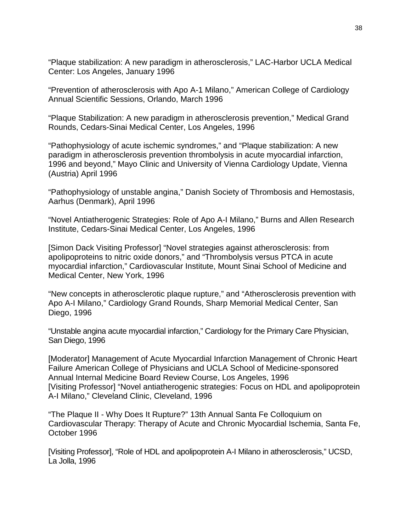"Plaque stabilization: A new paradigm in atherosclerosis," LAC-Harbor UCLA Medical Center: Los Angeles, January 1996

"Prevention of atherosclerosis with Apo A-1 Milano," American College of Cardiology Annual Scientific Sessions, Orlando, March 1996

"Plaque Stabilization: A new paradigm in atherosclerosis prevention," Medical Grand Rounds, Cedars-Sinai Medical Center, Los Angeles, 1996

"Pathophysiology of acute ischemic syndromes," and "Plaque stabilization: A new paradigm in atherosclerosis prevention thrombolysis in acute myocardial infarction, 1996 and beyond," Mayo Clinic and University of Vienna Cardiology Update, Vienna (Austria) April 1996

"Pathophysiology of unstable angina," Danish Society of Thrombosis and Hemostasis, Aarhus (Denmark), April 1996

"Novel Antiatherogenic Strategies: Role of Apo A-I Milano," Burns and Allen Research Institute, Cedars-Sinai Medical Center, Los Angeles, 1996

[Simon Dack Visiting Professor] "Novel strategies against atherosclerosis: from apolipoproteins to nitric oxide donors," and "Thrombolysis versus PTCA in acute myocardial infarction," Cardiovascular Institute, Mount Sinai School of Medicine and Medical Center, New York, 1996

"New concepts in atherosclerotic plaque rupture," and "Atherosclerosis prevention with Apo A-I Milano," Cardiology Grand Rounds, Sharp Memorial Medical Center, San Diego, 1996

"Unstable angina acute myocardial infarction," Cardiology for the Primary Care Physician, San Diego, 1996

[Moderator] Management of Acute Myocardial Infarction Management of Chronic Heart Failure American College of Physicians and UCLA School of Medicine-sponsored Annual Internal Medicine Board Review Course, Los Angeles, 1996 [Visiting Professor] "Novel antiatherogenic strategies: Focus on HDL and apolipoprotein A-I Milano," Cleveland Clinic, Cleveland, 1996

"The Plaque II - Why Does It Rupture?" 13th Annual Santa Fe Colloquium on Cardiovascular Therapy: Therapy of Acute and Chronic Myocardial Ischemia, Santa Fe, October 1996

[Visiting Professor], "Role of HDL and apolipoprotein A-I Milano in atherosclerosis," UCSD, La Jolla, 1996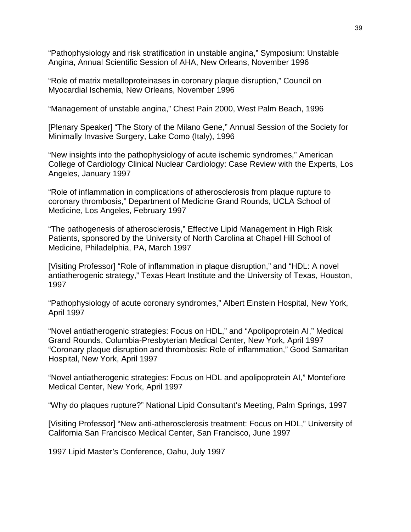"Pathophysiology and risk stratification in unstable angina," Symposium: Unstable Angina, Annual Scientific Session of AHA, New Orleans, November 1996

"Role of matrix metalloproteinases in coronary plaque disruption," Council on Myocardial Ischemia, New Orleans, November 1996

"Management of unstable angina," Chest Pain 2000, West Palm Beach, 1996

[Plenary Speaker] "The Story of the Milano Gene," Annual Session of the Society for Minimally Invasive Surgery, Lake Como (Italy), 1996

"New insights into the pathophysiology of acute ischemic syndromes," American College of Cardiology Clinical Nuclear Cardiology: Case Review with the Experts, Los Angeles, January 1997

"Role of inflammation in complications of atherosclerosis from plaque rupture to coronary thrombosis," Department of Medicine Grand Rounds, UCLA School of Medicine, Los Angeles, February 1997

"The pathogenesis of atherosclerosis," Effective Lipid Management in High Risk Patients, sponsored by the University of North Carolina at Chapel Hill School of Medicine, Philadelphia, PA, March 1997

[Visiting Professor] "Role of inflammation in plaque disruption," and "HDL: A novel antiatherogenic strategy," Texas Heart Institute and the University of Texas, Houston, 1997

"Pathophysiology of acute coronary syndromes," Albert Einstein Hospital, New York, April 1997

"Novel antiatherogenic strategies: Focus on HDL," and "Apolipoprotein AI," Medical Grand Rounds, Columbia-Presbyterian Medical Center, New York, April 1997 "Coronary plaque disruption and thrombosis: Role of inflammation," Good Samaritan Hospital, New York, April 1997

"Novel antiatherogenic strategies: Focus on HDL and apolipoprotein AI," Montefiore Medical Center, New York, April 1997

"Why do plaques rupture?" National Lipid Consultant's Meeting, Palm Springs, 1997

[Visiting Professor] "New anti-atherosclerosis treatment: Focus on HDL," University of California San Francisco Medical Center, San Francisco, June 1997

1997 Lipid Master's Conference, Oahu, July 1997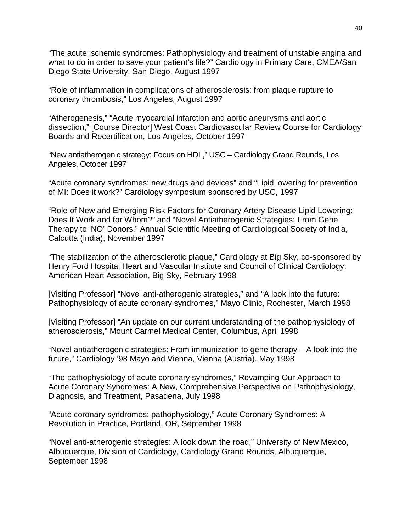"The acute ischemic syndromes: Pathophysiology and treatment of unstable angina and what to do in order to save your patient's life?" Cardiology in Primary Care, CMEA/San Diego State University, San Diego, August 1997

"Role of inflammation in complications of atherosclerosis: from plaque rupture to coronary thrombosis," Los Angeles, August 1997

"Atherogenesis," "Acute myocardial infarction and aortic aneurysms and aortic dissection," [Course Director] West Coast Cardiovascular Review Course for Cardiology Boards and Recertification, Los Angeles, October 1997

"New antiatherogenic strategy: Focus on HDL," USC – Cardiology Grand Rounds, Los Angeles, October 1997

"Acute coronary syndromes: new drugs and devices" and "Lipid lowering for prevention of MI: Does it work?" Cardiology symposium sponsored by USC, 1997

"Role of New and Emerging Risk Factors for Coronary Artery Disease Lipid Lowering: Does It Work and for Whom?" and "Novel Antiatherogenic Strategies: From Gene Therapy to 'NO' Donors," Annual Scientific Meeting of Cardiological Society of India, Calcutta (India), November 1997

"The stabilization of the atherosclerotic plaque," Cardiology at Big Sky, co-sponsored by Henry Ford Hospital Heart and Vascular Institute and Council of Clinical Cardiology, American Heart Association, Big Sky, February 1998

[Visiting Professor] "Novel anti-atherogenic strategies," and "A look into the future: Pathophysiology of acute coronary syndromes," Mayo Clinic, Rochester, March 1998

[Visiting Professor] "An update on our current understanding of the pathophysiology of atherosclerosis," Mount Carmel Medical Center, Columbus, April 1998

"Novel antiatherogenic strategies: From immunization to gene therapy – A look into the future," Cardiology '98 Mayo and Vienna, Vienna (Austria), May 1998

"The pathophysiology of acute coronary syndromes," Revamping Our Approach to Acute Coronary Syndromes: A New, Comprehensive Perspective on Pathophysiology, Diagnosis, and Treatment, Pasadena, July 1998

"Acute coronary syndromes: pathophysiology," Acute Coronary Syndromes: A Revolution in Practice, Portland, OR, September 1998

"Novel anti-atherogenic strategies: A look down the road," University of New Mexico, Albuquerque, Division of Cardiology, Cardiology Grand Rounds, Albuquerque, September 1998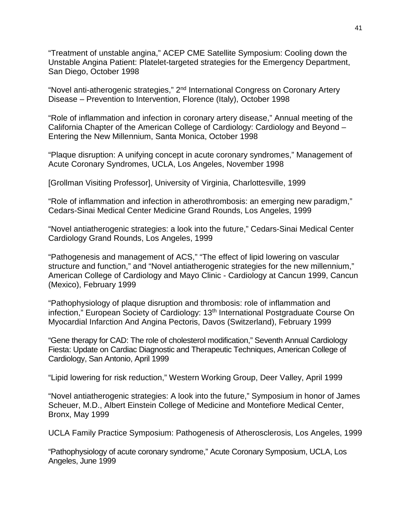"Treatment of unstable angina," ACEP CME Satellite Symposium: Cooling down the Unstable Angina Patient: Platelet-targeted strategies for the Emergency Department, San Diego, October 1998

"Novel anti-atherogenic strategies," 2<sup>nd</sup> International Congress on Coronary Artery Disease – Prevention to Intervention, Florence (Italy), October 1998

"Role of inflammation and infection in coronary artery disease," Annual meeting of the California Chapter of the American College of Cardiology: Cardiology and Beyond – Entering the New Millennium, Santa Monica, October 1998

"Plaque disruption: A unifying concept in acute coronary syndromes," Management of Acute Coronary Syndromes, UCLA, Los Angeles, November 1998

[Grollman Visiting Professor], University of Virginia, Charlottesville, 1999

"Role of inflammation and infection in atherothrombosis: an emerging new paradigm," Cedars-Sinai Medical Center Medicine Grand Rounds, Los Angeles, 1999

"Novel antiatherogenic strategies: a look into the future," Cedars-Sinai Medical Center Cardiology Grand Rounds, Los Angeles, 1999

"Pathogenesis and management of ACS," "The effect of lipid lowering on vascular structure and function," and "Novel antiatherogenic strategies for the new millennium," American College of Cardiology and Mayo Clinic - Cardiology at Cancun 1999, Cancun (Mexico), February 1999

"Pathophysiology of plaque disruption and thrombosis: role of inflammation and infection," European Society of Cardiology: 13<sup>th</sup> International Postgraduate Course On Myocardial Infarction And Angina Pectoris, Davos (Switzerland), February 1999

"Gene therapy for CAD: The role of cholesterol modification," Seventh Annual Cardiology Fiesta: Update on Cardiac Diagnostic and Therapeutic Techniques, American College of Cardiology, San Antonio, April 1999

"Lipid lowering for risk reduction," Western Working Group, Deer Valley, April 1999

"Novel antiatherogenic strategies: A look into the future," Symposium in honor of James Scheuer, M.D., Albert Einstein College of Medicine and Montefiore Medical Center, Bronx, May 1999

UCLA Family Practice Symposium: Pathogenesis of Atherosclerosis, Los Angeles, 1999

"Pathophysiology of acute coronary syndrome," Acute Coronary Symposium, UCLA, Los Angeles, June 1999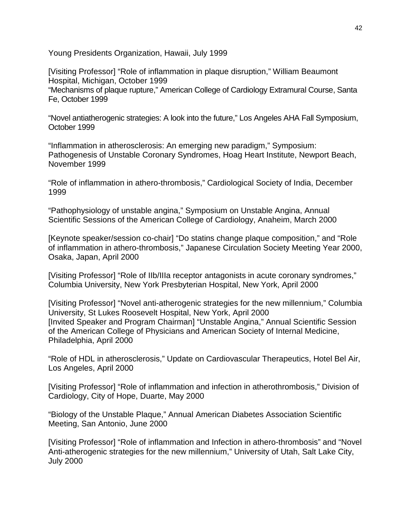Young Presidents Organization, Hawaii, July 1999

[Visiting Professor] "Role of inflammation in plaque disruption," William Beaumont Hospital, Michigan, October 1999 "Mechanisms of plaque rupture," American College of Cardiology Extramural Course, Santa Fe, October 1999

"Novel antiatherogenic strategies: A look into the future," Los Angeles AHA Fall Symposium, October 1999

"Inflammation in atherosclerosis: An emerging new paradigm," Symposium: Pathogenesis of Unstable Coronary Syndromes, Hoag Heart Institute, Newport Beach, November 1999

"Role of inflammation in athero-thrombosis," Cardiological Society of India, December 1999

"Pathophysiology of unstable angina," Symposium on Unstable Angina, Annual Scientific Sessions of the American College of Cardiology, Anaheim, March 2000

[Keynote speaker/session co-chair] "Do statins change plaque composition," and "Role of inflammation in athero-thrombosis," Japanese Circulation Society Meeting Year 2000, Osaka, Japan, April 2000

[Visiting Professor] "Role of IIb/IIIa receptor antagonists in acute coronary syndromes," Columbia University, New York Presbyterian Hospital, New York, April 2000

[Visiting Professor] "Novel anti-atherogenic strategies for the new millennium," Columbia University, St Lukes Roosevelt Hospital, New York, April 2000 [Invited Speaker and Program Chairman] "Unstable Angina," Annual Scientific Session of the American College of Physicians and American Society of Internal Medicine, Philadelphia, April 2000

"Role of HDL in atherosclerosis," Update on Cardiovascular Therapeutics, Hotel Bel Air, Los Angeles, April 2000

[Visiting Professor] "Role of inflammation and infection in atherothrombosis," Division of Cardiology, City of Hope, Duarte, May 2000

"Biology of the Unstable Plaque," Annual American Diabetes Association Scientific Meeting, San Antonio, June 2000

[Visiting Professor] "Role of inflammation and Infection in athero-thrombosis" and "Novel Anti-atherogenic strategies for the new millennium," University of Utah, Salt Lake City, July 2000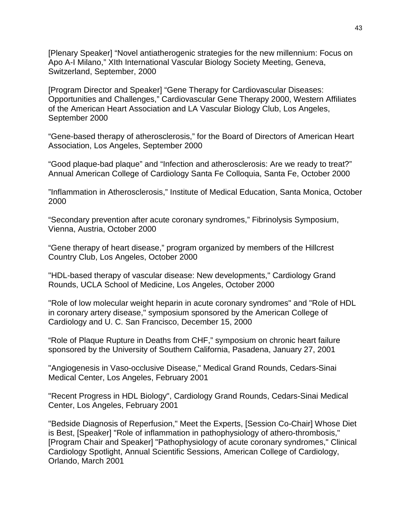[Plenary Speaker] "Novel antiatherogenic strategies for the new millennium: Focus on Apo A-I Milano," XIth International Vascular Biology Society Meeting, Geneva, Switzerland, September, 2000

[Program Director and Speaker] "Gene Therapy for Cardiovascular Diseases: Opportunities and Challenges," Cardiovascular Gene Therapy 2000, Western Affiliates of the American Heart Association and LA Vascular Biology Club, Los Angeles, September 2000

"Gene-based therapy of atherosclerosis," for the Board of Directors of American Heart Association, Los Angeles, September 2000

"Good plaque-bad plaque" and "Infection and atherosclerosis: Are we ready to treat?" Annual American College of Cardiology Santa Fe Colloquia, Santa Fe, October 2000

"Inflammation in Atherosclerosis," Institute of Medical Education, Santa Monica, October 2000

"Secondary prevention after acute coronary syndromes," Fibrinolysis Symposium, Vienna, Austria, October 2000

"Gene therapy of heart disease," program organized by members of the Hillcrest Country Club, Los Angeles, October 2000

"HDL-based therapy of vascular disease: New developments," Cardiology Grand Rounds, UCLA School of Medicine, Los Angeles, October 2000

"Role of low molecular weight heparin in acute coronary syndromes" and "Role of HDL in coronary artery disease," symposium sponsored by the American College of Cardiology and U. C. San Francisco, December 15, 2000

"Role of Plaque Rupture in Deaths from CHF," symposium on chronic heart failure sponsored by the University of Southern California, Pasadena, January 27, 2001

"Angiogenesis in Vaso-occlusive Disease," Medical Grand Rounds, Cedars-Sinai Medical Center, Los Angeles, February 2001

"Recent Progress in HDL Biology", Cardiology Grand Rounds, Cedars-Sinai Medical Center, Los Angeles, February 2001

"Bedside Diagnosis of Reperfusion," Meet the Experts, [Session Co-Chair] Whose Diet is Best, [Speaker] "Role of inflammation in pathophysiology of athero-thrombosis," [Program Chair and Speaker] "Pathophysiology of acute coronary syndromes," Clinical Cardiology Spotlight, Annual Scientific Sessions, American College of Cardiology, Orlando, March 2001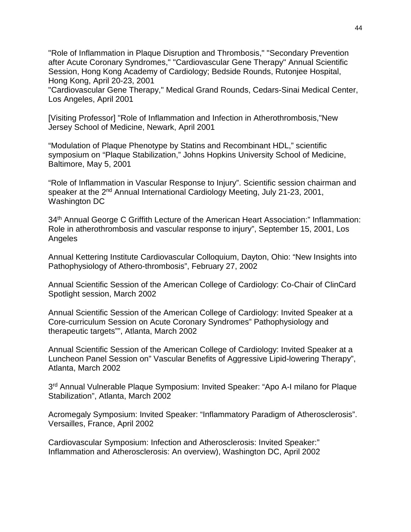"Role of Inflammation in Plaque Disruption and Thrombosis," "Secondary Prevention after Acute Coronary Syndromes," "Cardiovascular Gene Therapy" Annual Scientific Session, Hong Kong Academy of Cardiology; Bedside Rounds, Rutonjee Hospital, Hong Kong, April 20-23, 2001

"Cardiovascular Gene Therapy," Medical Grand Rounds, Cedars-Sinai Medical Center, Los Angeles, April 2001

[Visiting Professor] "Role of Inflammation and Infection in Atherothrombosis,"New Jersey School of Medicine, Newark, April 2001

"Modulation of Plaque Phenotype by Statins and Recombinant HDL," scientific symposium on "Plaque Stabilization," Johns Hopkins University School of Medicine, Baltimore, May 5, 2001

"Role of Inflammation in Vascular Response to Injury". Scientific session chairman and speaker at the 2nd Annual International Cardiology Meeting, July 21-23, 2001, Washington DC

34<sup>th</sup> Annual George C Griffith Lecture of the American Heart Association:" Inflammation: Role in atherothrombosis and vascular response to injury", September 15, 2001, Los Angeles

Annual Kettering Institute Cardiovascular Colloquium, Dayton, Ohio: "New Insights into Pathophysiology of Athero-thrombosis", February 27, 2002

Annual Scientific Session of the American College of Cardiology: Co-Chair of ClinCard Spotlight session, March 2002

Annual Scientific Session of the American College of Cardiology: Invited Speaker at a Core-curriculum Session on Acute Coronary Syndromes" Pathophysiology and therapeutic targets"", Atlanta, March 2002

Annual Scientific Session of the American College of Cardiology: Invited Speaker at a Luncheon Panel Session on" Vascular Benefits of Aggressive Lipid-lowering Therapy", Atlanta, March 2002

3rd Annual Vulnerable Plaque Symposium: Invited Speaker: "Apo A-I milano for Plaque Stabilization", Atlanta, March 2002

Acromegaly Symposium: Invited Speaker: "Inflammatory Paradigm of Atherosclerosis". Versailles, France, April 2002

Cardiovascular Symposium: Infection and Atherosclerosis: Invited Speaker:" Inflammation and Atherosclerosis: An overview), Washington DC, April 2002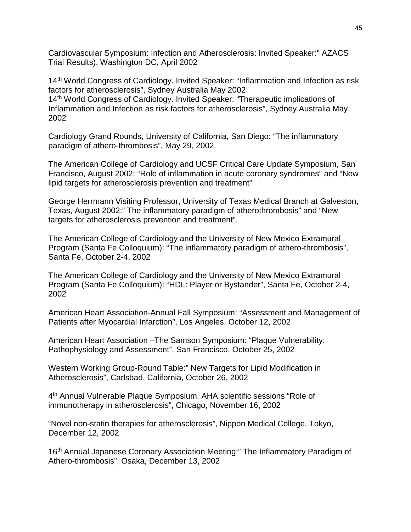Cardiovascular Symposium: Infection and Atherosclerosis: Invited Speaker:" AZACS Trial Results), Washington DC, April 2002

14<sup>th</sup> World Congress of Cardiology. Invited Speaker: "Inflammation and Infection as risk factors for atherosclerosis", Sydney Australia May 2002 14<sup>th</sup> World Congress of Cardiology. Invited Speaker: "Therapeutic implications of Inflammation and Infection as risk factors for atherosclerosis", Sydney Australia May 2002

Cardiology Grand Rounds, University of California, San Diego: "The inflammatory paradigm of athero-thrombosis", May 29, 2002.

The American College of Cardiology and UCSF Critical Care Update Symposium, San Francisco, August 2002: "Role of inflammation in acute coronary syndromes" and "New lipid targets for atherosclerosis prevention and treatment"

George Herrmann Visiting Professor, University of Texas Medical Branch at Galveston, Texas, August 2002:" The inflammatory paradigm of atherothrombosis" and "New targets for atherosclerosis prevention and treatment".

The American College of Cardiology and the University of New Mexico Extramural Program (Santa Fe Colloquium): "The inflammatory paradigm of athero-thrombosis", Santa Fe, October 2-4, 2002

The American College of Cardiology and the University of New Mexico Extramural Program (Santa Fe Colloquium): "HDL: Player or Bystander", Santa Fe, October 2-4, 2002

American Heart Association-Annual Fall Symposium: "Assessment and Management of Patients after Myocardial Infarction", Los Angeles, October 12, 2002

American Heart Association –The Samson Symposium: "Plaque Vulnerability: Pathophysiology and Assessment". San Francisco, October 25, 2002

Western Working Group-Round Table:" New Targets for Lipid Modification in Atherosclerosis", Carlsbad, California, October 26, 2002

4th Annual Vulnerable Plaque Symposium, AHA scientific sessions "Role of immunotherapy in atherosclerosis", Chicago, November 16, 2002

"Novel non-statin therapies for atherosclerosis", Nippon Medical College, Tokyo, December 12, 2002

16th Annual Japanese Coronary Association Meeting:" The Inflammatory Paradigm of Athero-thrombosis", Osaka, December 13, 2002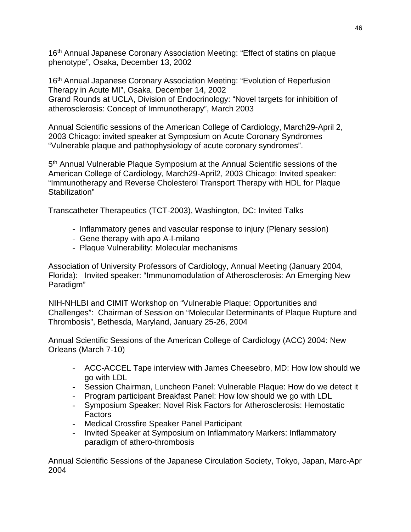16th Annual Japanese Coronary Association Meeting: "Effect of statins on plaque phenotype", Osaka, December 13, 2002

16<sup>th</sup> Annual Japanese Coronary Association Meeting: "Evolution of Reperfusion Therapy in Acute MI", Osaka, December 14, 2002 Grand Rounds at UCLA, Division of Endocrinology: "Novel targets for inhibition of atherosclerosis: Concept of Immunotherapy", March 2003

Annual Scientific sessions of the American College of Cardiology, March29-April 2, 2003 Chicago: invited speaker at Symposium on Acute Coronary Syndromes "Vulnerable plaque and pathophysiology of acute coronary syndromes".

5th Annual Vulnerable Plaque Symposium at the Annual Scientific sessions of the American College of Cardiology, March29-April2, 2003 Chicago: Invited speaker: "Immunotherapy and Reverse Cholesterol Transport Therapy with HDL for Plaque Stabilization"

Transcatheter Therapeutics (TCT-2003), Washington, DC: Invited Talks

- Inflammatory genes and vascular response to injury (Plenary session)
- Gene therapy with apo A-I-milano
- Plaque Vulnerability: Molecular mechanisms

Association of University Professors of Cardiology, Annual Meeting (January 2004, Florida): Invited speaker: "Immunomodulation of Atherosclerosis: An Emerging New Paradigm"

NIH-NHLBI and CIMIT Workshop on "Vulnerable Plaque: Opportunities and Challenges": Chairman of Session on "Molecular Determinants of Plaque Rupture and Thrombosis", Bethesda, Maryland, January 25-26, 2004

Annual Scientific Sessions of the American College of Cardiology (ACC) 2004: New Orleans (March 7-10)

- ACC-ACCEL Tape interview with James Cheesebro, MD: How low should we go with LDL
- Session Chairman, Luncheon Panel: Vulnerable Plaque: How do we detect it
- Program participant Breakfast Panel: How low should we go with LDL
- Symposium Speaker: Novel Risk Factors for Atherosclerosis: Hemostatic Factors
- Medical Crossfire Speaker Panel Participant
- Invited Speaker at Symposium on Inflammatory Markers: Inflammatory paradigm of athero-thrombosis

Annual Scientific Sessions of the Japanese Circulation Society, Tokyo, Japan, Marc-Apr 2004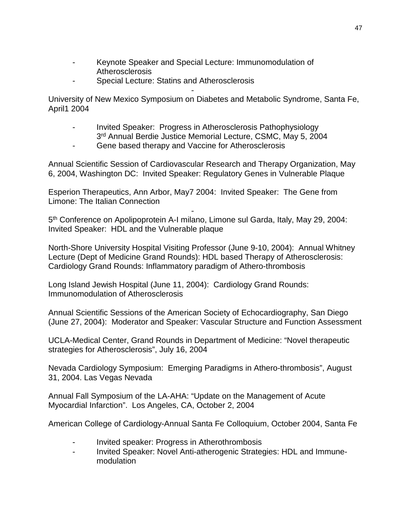- Keynote Speaker and Special Lecture: Immunomodulation of **Atherosclerosis**
- Special Lecture: Statins and Atherosclerosis

- University of New Mexico Symposium on Diabetes and Metabolic Syndrome, Santa Fe, April1 2004

- Invited Speaker: Progress in Atherosclerosis Pathophysiology 3<sup>rd</sup> Annual Berdie Justice Memorial Lecture, CSMC, May 5, 2004
- Gene based therapy and Vaccine for Atherosclerosis

Annual Scientific Session of Cardiovascular Research and Therapy Organization, May 6, 2004, Washington DC: Invited Speaker: Regulatory Genes in Vulnerable Plaque

Esperion Therapeutics, Ann Arbor, May7 2004: Invited Speaker: The Gene from Limone: The Italian Connection

- 5<sup>th</sup> Conference on Apolipoprotein A-I milano, Limone sul Garda, Italy, May 29, 2004: Invited Speaker: HDL and the Vulnerable plaque

North-Shore University Hospital Visiting Professor (June 9-10, 2004): Annual Whitney Lecture (Dept of Medicine Grand Rounds): HDL based Therapy of Atherosclerosis: Cardiology Grand Rounds: Inflammatory paradigm of Athero-thrombosis

Long Island Jewish Hospital (June 11, 2004): Cardiology Grand Rounds: Immunomodulation of Atherosclerosis

Annual Scientific Sessions of the American Society of Echocardiography, San Diego (June 27, 2004): Moderator and Speaker: Vascular Structure and Function Assessment

UCLA-Medical Center, Grand Rounds in Department of Medicine: "Novel therapeutic strategies for Atherosclerosis", July 16, 2004

Nevada Cardiology Symposium: Emerging Paradigms in Athero-thrombosis", August 31, 2004. Las Vegas Nevada

Annual Fall Symposium of the LA-AHA: "Update on the Management of Acute Myocardial Infarction". Los Angeles, CA, October 2, 2004

American College of Cardiology-Annual Santa Fe Colloquium, October 2004, Santa Fe

- Invited speaker: Progress in Atherothrombosis
- Invited Speaker: Novel Anti-atherogenic Strategies: HDL and Immunemodulation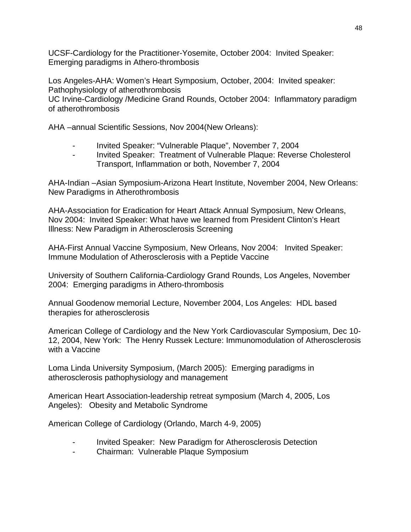UCSF-Cardiology for the Practitioner-Yosemite, October 2004: Invited Speaker: Emerging paradigms in Athero-thrombosis

Los Angeles-AHA: Women's Heart Symposium, October, 2004: Invited speaker: Pathophysiology of atherothrombosis

UC Irvine-Cardiology /Medicine Grand Rounds, October 2004: Inflammatory paradigm of atherothrombosis

AHA –annual Scientific Sessions, Nov 2004(New Orleans):

- Invited Speaker: "Vulnerable Plaque", November 7, 2004
- Invited Speaker: Treatment of Vulnerable Plaque: Reverse Cholesterol Transport, Inflammation or both, November 7, 2004

AHA-Indian –Asian Symposium-Arizona Heart Institute, November 2004, New Orleans: New Paradigms in Atherothrombosis

AHA-Association for Eradication for Heart Attack Annual Symposium, New Orleans, Nov 2004: Invited Speaker: What have we learned from President Clinton's Heart Illness: New Paradigm in Atherosclerosis Screening

AHA-First Annual Vaccine Symposium, New Orleans, Nov 2004: Invited Speaker: Immune Modulation of Atherosclerosis with a Peptide Vaccine

University of Southern California-Cardiology Grand Rounds, Los Angeles, November 2004: Emerging paradigms in Athero-thrombosis

Annual Goodenow memorial Lecture, November 2004, Los Angeles: HDL based therapies for atherosclerosis

American College of Cardiology and the New York Cardiovascular Symposium, Dec 10- 12, 2004, New York: The Henry Russek Lecture: Immunomodulation of Atherosclerosis with a Vaccine

Loma Linda University Symposium, (March 2005): Emerging paradigms in atherosclerosis pathophysiology and management

American Heart Association-leadership retreat symposium (March 4, 2005, Los Angeles): Obesity and Metabolic Syndrome

American College of Cardiology (Orlando, March 4-9, 2005)

- Invited Speaker: New Paradigm for Atherosclerosis Detection
- Chairman: Vulnerable Plaque Symposium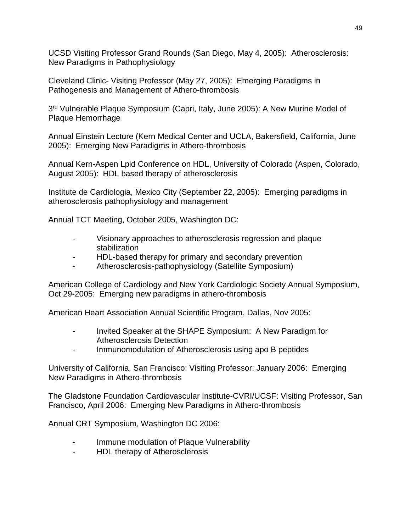UCSD Visiting Professor Grand Rounds (San Diego, May 4, 2005): Atherosclerosis: New Paradigms in Pathophysiology

Cleveland Clinic- Visiting Professor (May 27, 2005): Emerging Paradigms in Pathogenesis and Management of Athero-thrombosis

3rd Vulnerable Plaque Symposium (Capri, Italy, June 2005): A New Murine Model of Plaque Hemorrhage

Annual Einstein Lecture (Kern Medical Center and UCLA, Bakersfield, California, June 2005): Emerging New Paradigms in Athero-thrombosis

Annual Kern-Aspen Lpid Conference on HDL, University of Colorado (Aspen, Colorado, August 2005): HDL based therapy of atherosclerosis

Institute de Cardiologia, Mexico City (September 22, 2005): Emerging paradigms in atherosclerosis pathophysiology and management

Annual TCT Meeting, October 2005, Washington DC:

- Visionary approaches to atherosclerosis regression and plaque stabilization
- HDL-based therapy for primary and secondary prevention
- Atherosclerosis-pathophysiology (Satellite Symposium)

American College of Cardiology and New York Cardiologic Society Annual Symposium, Oct 29-2005: Emerging new paradigms in athero-thrombosis

American Heart Association Annual Scientific Program, Dallas, Nov 2005:

- Invited Speaker at the SHAPE Symposium: A New Paradigm for Atherosclerosis Detection
- Immunomodulation of Atherosclerosis using apo B peptides

University of California, San Francisco: Visiting Professor: January 2006: Emerging New Paradigms in Athero-thrombosis

The Gladstone Foundation Cardiovascular Institute-CVRI/UCSF: Visiting Professor, San Francisco, April 2006: Emerging New Paradigms in Athero-thrombosis

Annual CRT Symposium, Washington DC 2006:

- Immune modulation of Plaque Vulnerability
- HDL therapy of Atherosclerosis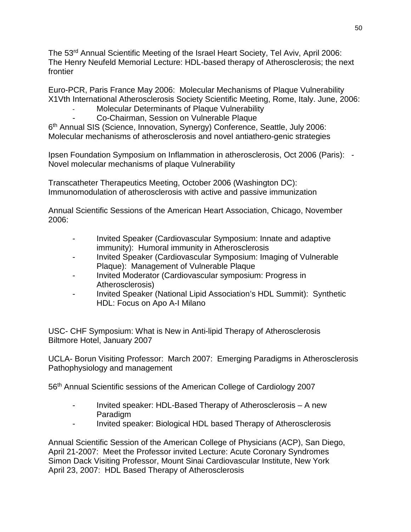The 53<sup>rd</sup> Annual Scientific Meeting of the Israel Heart Society, Tel Aviv, April 2006: The Henry Neufeld Memorial Lecture: HDL-based therapy of Atherosclerosis; the next frontier

Euro-PCR, Paris France May 2006: Molecular Mechanisms of Plaque Vulnerability X1Vth International Atherosclerosis Society Scientific Meeting, Rome, Italy. June, 2006:

## Molecular Determinants of Plaque Vulnerability

- Co-Chairman, Session on Vulnerable Plaque

6<sup>th</sup> Annual SIS (Science, Innovation, Synergy) Conference, Seattle, July 2006: Molecular mechanisms of atherosclerosis and novel antiathero-genic strategies

Ipsen Foundation Symposium on Inflammation in atherosclerosis, Oct 2006 (Paris): - Novel molecular mechanisms of plaque Vulnerability

Transcatheter Therapeutics Meeting, October 2006 (Washington DC): Immunomodulation of atherosclerosis with active and passive immunization

Annual Scientific Sessions of the American Heart Association, Chicago, November 2006:

- Invited Speaker (Cardiovascular Symposium: Innate and adaptive immunity): Humoral immunity in Atherosclerosis
- Invited Speaker (Cardiovascular Symposium: Imaging of Vulnerable Plaque): Management of Vulnerable Plaque
- Invited Moderator (Cardiovascular symposium: Progress in Atherosclerosis)
- Invited Speaker (National Lipid Association's HDL Summit): Synthetic HDL: Focus on Apo A-I Milano

USC- CHF Symposium: What is New in Anti-lipid Therapy of Atherosclerosis Biltmore Hotel, January 2007

UCLA- Borun Visiting Professor: March 2007: Emerging Paradigms in Atherosclerosis Pathophysiology and management

56th Annual Scientific sessions of the American College of Cardiology 2007

- Invited speaker: HDL-Based Therapy of Atherosclerosis A new **Paradigm**
- Invited speaker: Biological HDL based Therapy of Atherosclerosis

Annual Scientific Session of the American College of Physicians (ACP), San Diego, April 21-2007: Meet the Professor invited Lecture: Acute Coronary Syndromes Simon Dack Visiting Professor, Mount Sinai Cardiovascular Institute, New York April 23, 2007: HDL Based Therapy of Atherosclerosis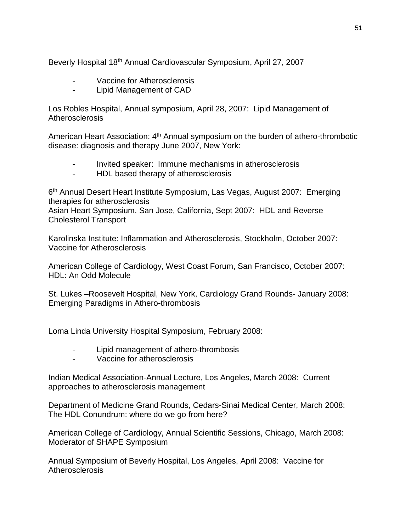Beverly Hospital 18th Annual Cardiovascular Symposium, April 27, 2007

- Vaccine for Atherosclerosis
- Lipid Management of CAD

Los Robles Hospital, Annual symposium, April 28, 2007: Lipid Management of **Atherosclerosis** 

American Heart Association: 4<sup>th</sup> Annual symposium on the burden of athero-thrombotic disease: diagnosis and therapy June 2007, New York:

- Invited speaker: Immune mechanisms in atherosclerosis
- HDL based therapy of atherosclerosis

6<sup>th</sup> Annual Desert Heart Institute Symposium, Las Vegas, August 2007: Emerging therapies for atherosclerosis

Asian Heart Symposium, San Jose, California, Sept 2007: HDL and Reverse Cholesterol Transport

Karolinska Institute: Inflammation and Atherosclerosis, Stockholm, October 2007: Vaccine for Atherosclerosis

American College of Cardiology, West Coast Forum, San Francisco, October 2007: HDL: An Odd Molecule

St. Lukes –Roosevelt Hospital, New York, Cardiology Grand Rounds- January 2008: Emerging Paradigms in Athero-thrombosis

Loma Linda University Hospital Symposium, February 2008:

- Lipid management of athero-thrombosis
- Vaccine for atherosclerosis

Indian Medical Association-Annual Lecture, Los Angeles, March 2008: Current approaches to atherosclerosis management

Department of Medicine Grand Rounds, Cedars-Sinai Medical Center, March 2008: The HDL Conundrum: where do we go from here?

American College of Cardiology, Annual Scientific Sessions, Chicago, March 2008: Moderator of SHAPE Symposium

Annual Symposium of Beverly Hospital, Los Angeles, April 2008: Vaccine for **Atherosclerosis**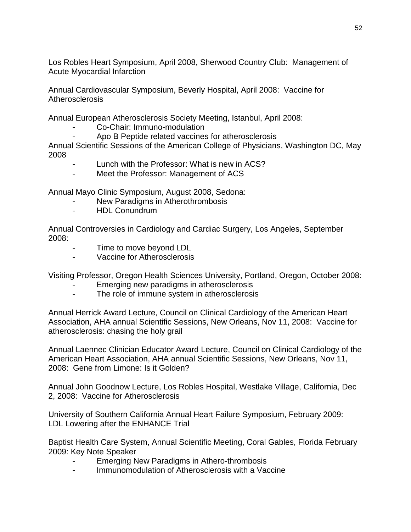Los Robles Heart Symposium, April 2008, Sherwood Country Club: Management of Acute Myocardial Infarction

Annual Cardiovascular Symposium, Beverly Hospital, April 2008: Vaccine for **Atherosclerosis** 

Annual European Atherosclerosis Society Meeting, Istanbul, April 2008:

- Co-Chair: Immuno-modulation
- Apo B Peptide related vaccines for atherosclerosis

Annual Scientific Sessions of the American College of Physicians, Washington DC, May 2008

- Lunch with the Professor: What is new in ACS?
- Meet the Professor: Management of ACS

Annual Mayo Clinic Symposium, August 2008, Sedona:

- New Paradigms in Atherothrombosis
- HDL Conundrum

Annual Controversies in Cardiology and Cardiac Surgery, Los Angeles, September 2008:

- Time to move beyond LDL
- Vaccine for Atherosclerosis

Visiting Professor, Oregon Health Sciences University, Portland, Oregon, October 2008:

- Emerging new paradigms in atherosclerosis
- The role of immune system in atherosclerosis

Annual Herrick Award Lecture, Council on Clinical Cardiology of the American Heart Association, AHA annual Scientific Sessions, New Orleans, Nov 11, 2008: Vaccine for atherosclerosis: chasing the holy grail

Annual Laennec Clinician Educator Award Lecture, Council on Clinical Cardiology of the American Heart Association, AHA annual Scientific Sessions, New Orleans, Nov 11, 2008: Gene from Limone: Is it Golden?

Annual John Goodnow Lecture, Los Robles Hospital, Westlake Village, California, Dec 2, 2008: Vaccine for Atherosclerosis

University of Southern California Annual Heart Failure Symposium, February 2009: LDL Lowering after the ENHANCE Trial

Baptist Health Care System, Annual Scientific Meeting, Coral Gables, Florida February 2009: Key Note Speaker

- Emerging New Paradigms in Athero-thrombosis
- Immunomodulation of Atherosclerosis with a Vaccine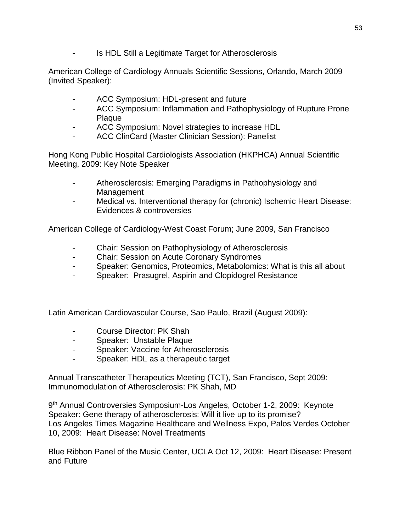Is HDL Still a Legitimate Target for Atherosclerosis

American College of Cardiology Annuals Scientific Sessions, Orlando, March 2009 (Invited Speaker):

- ACC Symposium: HDL-present and future
- ACC Symposium: Inflammation and Pathophysiology of Rupture Prone Plaque
- ACC Symposium: Novel strategies to increase HDL
- ACC ClinCard (Master Clinician Session): Panelist

Hong Kong Public Hospital Cardiologists Association (HKPHCA) Annual Scientific Meeting, 2009: Key Note Speaker

- Atherosclerosis: Emerging Paradigms in Pathophysiology and Management
- Medical vs. Interventional therapy for (chronic) Ischemic Heart Disease: Evidences & controversies

American College of Cardiology-West Coast Forum; June 2009, San Francisco

- Chair: Session on Pathophysiology of Atherosclerosis
- Chair: Session on Acute Coronary Syndromes
- Speaker: Genomics, Proteomics, Metabolomics: What is this all about
- Speaker: Prasugrel, Aspirin and Clopidogrel Resistance

Latin American Cardiovascular Course, Sao Paulo, Brazil (August 2009):

- Course Director: PK Shah
- Speaker: Unstable Plaque
- Speaker: Vaccine for Atherosclerosis
- Speaker: HDL as a therapeutic target

Annual Transcatheter Therapeutics Meeting (TCT), San Francisco, Sept 2009: Immunomodulation of Atherosclerosis: PK Shah, MD

9th Annual Controversies Symposium-Los Angeles, October 1-2, 2009: Keynote Speaker: Gene therapy of atherosclerosis: Will it live up to its promise? Los Angeles Times Magazine Healthcare and Wellness Expo, Palos Verdes October 10, 2009: Heart Disease: Novel Treatments

Blue Ribbon Panel of the Music Center, UCLA Oct 12, 2009: Heart Disease: Present and Future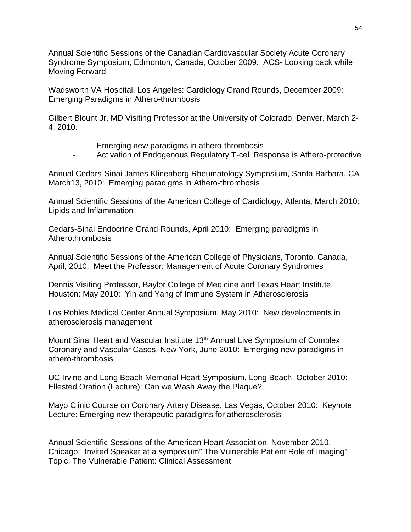Annual Scientific Sessions of the Canadian Cardiovascular Society Acute Coronary Syndrome Symposium, Edmonton, Canada, October 2009: ACS- Looking back while Moving Forward

Wadsworth VA Hospital, Los Angeles: Cardiology Grand Rounds, December 2009: Emerging Paradigms in Athero-thrombosis

Gilbert Blount Jr, MD Visiting Professor at the University of Colorado, Denver, March 2- 4, 2010:

- Emerging new paradigms in athero-thrombosis
- Activation of Endogenous Regulatory T-cell Response is Athero-protective

Annual Cedars-Sinai James Klinenberg Rheumatology Symposium, Santa Barbara, CA March13, 2010: Emerging paradigms in Athero-thrombosis

Annual Scientific Sessions of the American College of Cardiology, Atlanta, March 2010: Lipids and Inflammation

Cedars-Sinai Endocrine Grand Rounds, April 2010: Emerging paradigms in Atherothrombosis

Annual Scientific Sessions of the American College of Physicians, Toronto, Canada, April, 2010: Meet the Professor: Management of Acute Coronary Syndromes

Dennis Visiting Professor, Baylor College of Medicine and Texas Heart Institute, Houston: May 2010: Yin and Yang of Immune System in Atherosclerosis

Los Robles Medical Center Annual Symposium, May 2010: New developments in atherosclerosis management

Mount Sinai Heart and Vascular Institute 13th Annual Live Symposium of Complex Coronary and Vascular Cases, New York, June 2010: Emerging new paradigms in athero-thrombosis

UC Irvine and Long Beach Memorial Heart Symposium, Long Beach, October 2010: Ellested Oration (Lecture): Can we Wash Away the Plaque?

Mayo Clinic Course on Coronary Artery Disease, Las Vegas, October 2010: Keynote Lecture: Emerging new therapeutic paradigms for atherosclerosis

Annual Scientific Sessions of the American Heart Association, November 2010, Chicago: Invited Speaker at a symposium" The Vulnerable Patient Role of Imaging" Topic: The Vulnerable Patient: Clinical Assessment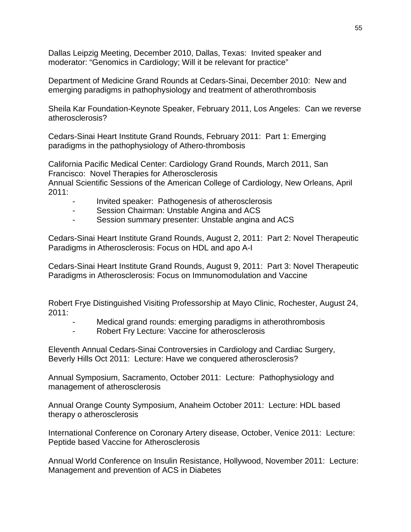Dallas Leipzig Meeting, December 2010, Dallas, Texas: Invited speaker and moderator: "Genomics in Cardiology; Will it be relevant for practice"

Department of Medicine Grand Rounds at Cedars-Sinai, December 2010: New and emerging paradigms in pathophysiology and treatment of atherothrombosis

Sheila Kar Foundation-Keynote Speaker, February 2011, Los Angeles: Can we reverse atherosclerosis?

Cedars-Sinai Heart Institute Grand Rounds, February 2011: Part 1: Emerging paradigms in the pathophysiology of Athero-thrombosis

California Pacific Medical Center: Cardiology Grand Rounds, March 2011, San Francisco: Novel Therapies for Atherosclerosis

Annual Scientific Sessions of the American College of Cardiology, New Orleans, April 2011:

- Invited speaker: Pathogenesis of atherosclerosis
- Session Chairman: Unstable Angina and ACS
- Session summary presenter: Unstable angina and ACS

Cedars-Sinai Heart Institute Grand Rounds, August 2, 2011: Part 2: Novel Therapeutic Paradigms in Atherosclerosis: Focus on HDL and apo A-I

Cedars-Sinai Heart Institute Grand Rounds, August 9, 2011: Part 3: Novel Therapeutic Paradigms in Atherosclerosis: Focus on Immunomodulation and Vaccine

Robert Frye Distinguished Visiting Professorship at Mayo Clinic, Rochester, August 24, 2011:

- Medical grand rounds: emerging paradigms in atherothrombosis
- Robert Fry Lecture: Vaccine for atherosclerosis

Eleventh Annual Cedars-Sinai Controversies in Cardiology and Cardiac Surgery, Beverly Hills Oct 2011: Lecture: Have we conquered atherosclerosis?

Annual Symposium, Sacramento, October 2011: Lecture: Pathophysiology and management of atherosclerosis

Annual Orange County Symposium, Anaheim October 2011: Lecture: HDL based therapy o atherosclerosis

International Conference on Coronary Artery disease, October, Venice 2011: Lecture: Peptide based Vaccine for Atherosclerosis

Annual World Conference on Insulin Resistance, Hollywood, November 2011: Lecture: Management and prevention of ACS in Diabetes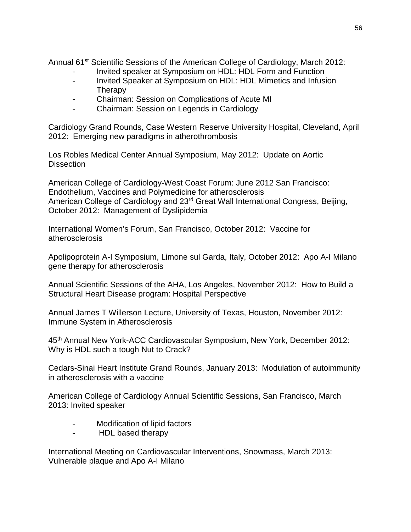Annual 61<sup>st</sup> Scientific Sessions of the American College of Cardiology, March 2012:

- Invited speaker at Symposium on HDL: HDL Form and Function
- Invited Speaker at Symposium on HDL: HDL Mimetics and Infusion **Therapy**
- Chairman: Session on Complications of Acute MI
- Chairman: Session on Legends in Cardiology

Cardiology Grand Rounds, Case Western Reserve University Hospital, Cleveland, April 2012: Emerging new paradigms in atherothrombosis

Los Robles Medical Center Annual Symposium, May 2012: Update on Aortic **Dissection** 

American College of Cardiology-West Coast Forum: June 2012 San Francisco: Endothelium, Vaccines and Polymedicine for atherosclerosis American College of Cardiology and 23rd Great Wall International Congress, Beijing, October 2012: Management of Dyslipidemia

International Women's Forum, San Francisco, October 2012: Vaccine for atherosclerosis

Apolipoprotein A-I Symposium, Limone sul Garda, Italy, October 2012: Apo A-I Milano gene therapy for atherosclerosis

Annual Scientific Sessions of the AHA, Los Angeles, November 2012: How to Build a Structural Heart Disease program: Hospital Perspective

Annual James T Willerson Lecture, University of Texas, Houston, November 2012: Immune System in Atherosclerosis

45th Annual New York-ACC Cardiovascular Symposium, New York, December 2012: Why is HDL such a tough Nut to Crack?

Cedars-Sinai Heart Institute Grand Rounds, January 2013: Modulation of autoimmunity in atherosclerosis with a vaccine

American College of Cardiology Annual Scientific Sessions, San Francisco, March 2013: Invited speaker

- Modification of lipid factors
- HDL based therapy

International Meeting on Cardiovascular Interventions, Snowmass, March 2013: Vulnerable plaque and Apo A-I Milano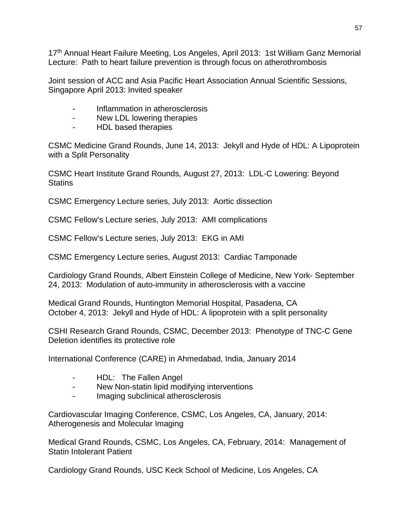17<sup>th</sup> Annual Heart Failure Meeting, Los Angeles, April 2013: 1st William Ganz Memorial Lecture: Path to heart failure prevention is through focus on atherothrombosis

Joint session of ACC and Asia Pacific Heart Association Annual Scientific Sessions, Singapore April 2013: Invited speaker

- Inflammation in atherosclerosis
- New LDL lowering therapies
- HDL based therapies

CSMC Medicine Grand Rounds, June 14, 2013: Jekyll and Hyde of HDL: A Lipoprotein with a Split Personality

CSMC Heart Institute Grand Rounds, August 27, 2013: LDL-C Lowering: Beyond **Statins** 

CSMC Emergency Lecture series, July 2013: Aortic dissection

CSMC Fellow's Lecture series, July 2013: AMI complications

CSMC Fellow's Lecture series, July 2013: EKG in AMI

CSMC Emergency Lecture series, August 2013: Cardiac Tamponade

Cardiology Grand Rounds, Albert Einstein College of Medicine, New York- September 24, 2013: Modulation of auto-immunity in atherosclerosis with a vaccine

Medical Grand Rounds, Huntington Memorial Hospital, Pasadena, CA October 4, 2013: Jekyll and Hyde of HDL: A lipoprotein with a split personality

CSHI Research Grand Rounds, CSMC, December 2013: Phenotype of TNC-C Gene Deletion identifies its protective role

International Conference (CARE) in Ahmedabad, India, January 2014

- HDL: The Fallen Angel
- New Non-statin lipid modifying interventions
- Imaging subclinical atherosclerosis

Cardiovascular Imaging Conference, CSMC, Los Angeles, CA, January, 2014: Atherogenesis and Molecular Imaging

Medical Grand Rounds, CSMC, Los Angeles, CA, February, 2014: Management of Statin Intolerant Patient

Cardiology Grand Rounds, USC Keck School of Medicine, Los Angeles, CA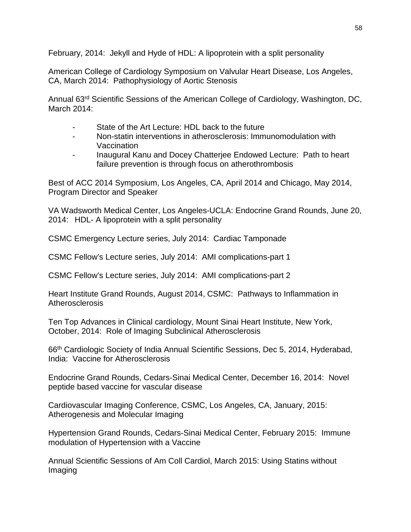February, 2014: Jekyll and Hyde of HDL: A lipoprotein with a split personality

American College of Cardiology Symposium on Valvular Heart Disease, Los Angeles, CA, March 2014: Pathophysiology of Aortic Stenosis

Annual 63rd Scientific Sessions of the American College of Cardiology, Washington, DC, March 2014:

- State of the Art Lecture: HDL back to the future
- Non-statin interventions in atherosclerosis: Immunomodulation with Vaccination
- Inaugural Kanu and Docey Chatterjee Endowed Lecture: Path to heart failure prevention is through focus on atherothrombosis

Best of ACC 2014 Symposium, Los Angeles, CA, April 2014 and Chicago, May 2014, Program Director and Speaker

VA Wadsworth Medical Center, Los Angeles-UCLA: Endocrine Grand Rounds, June 20, 2014: HDL- A lipoprotein with a split personality

CSMC Emergency Lecture series, July 2014: Cardiac Tamponade

CSMC Fellow's Lecture series, July 2014: AMI complications-part 1

CSMC Fellow's Lecture series, July 2014: AMI complications-part 2

Heart Institute Grand Rounds, August 2014, CSMC: Pathways to Inflammation in **Atherosclerosis** 

Ten Top Advances in Clinical cardiology, Mount Sinai Heart Institute, New York, October, 2014: Role of Imaging Subclinical Atherosclerosis

66th Cardiologic Society of India Annual Scientific Sessions, Dec 5, 2014, Hyderabad, India: Vaccine for Atherosclerosis

Endocrine Grand Rounds, Cedars-Sinai Medical Center, December 16, 2014: Novel peptide based vaccine for vascular disease

Cardiovascular Imaging Conference, CSMC, Los Angeles, CA, January, 2015: Atherogenesis and Molecular Imaging

Hypertension Grand Rounds, Cedars-Sinai Medical Center, February 2015: Immune modulation of Hypertension with a Vaccine

Annual Scientific Sessions of Am Coll Cardiol, March 2015: Using Statins without Imaging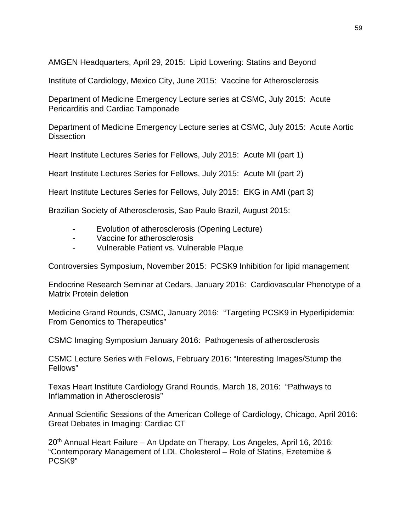AMGEN Headquarters, April 29, 2015: Lipid Lowering: Statins and Beyond

Institute of Cardiology, Mexico City, June 2015: Vaccine for Atherosclerosis

Department of Medicine Emergency Lecture series at CSMC, July 2015: Acute Pericarditis and Cardiac Tamponade

Department of Medicine Emergency Lecture series at CSMC, July 2015: Acute Aortic **Dissection** 

Heart Institute Lectures Series for Fellows, July 2015: Acute MI (part 1)

Heart Institute Lectures Series for Fellows, July 2015: Acute MI (part 2)

Heart Institute Lectures Series for Fellows, July 2015: EKG in AMI (part 3)

Brazilian Society of Atherosclerosis, Sao Paulo Brazil, August 2015:

- **-** Evolution of atherosclerosis (Opening Lecture)
- Vaccine for atherosclerosis
- Vulnerable Patient vs. Vulnerable Plaque

Controversies Symposium, November 2015: PCSK9 Inhibition for lipid management

Endocrine Research Seminar at Cedars, January 2016: Cardiovascular Phenotype of a Matrix Protein deletion

Medicine Grand Rounds, CSMC, January 2016: "Targeting PCSK9 in Hyperlipidemia: From Genomics to Therapeutics"

CSMC Imaging Symposium January 2016: Pathogenesis of atherosclerosis

CSMC Lecture Series with Fellows, February 2016: "Interesting Images/Stump the Fellows"

Texas Heart Institute Cardiology Grand Rounds, March 18, 2016: "Pathways to Inflammation in Atherosclerosis"

Annual Scientific Sessions of the American College of Cardiology, Chicago, April 2016: Great Debates in Imaging: Cardiac CT

20<sup>th</sup> Annual Heart Failure – An Update on Therapy, Los Angeles, April 16, 2016: "Contemporary Management of LDL Cholesterol – Role of Statins, Ezetemibe & PCSK9"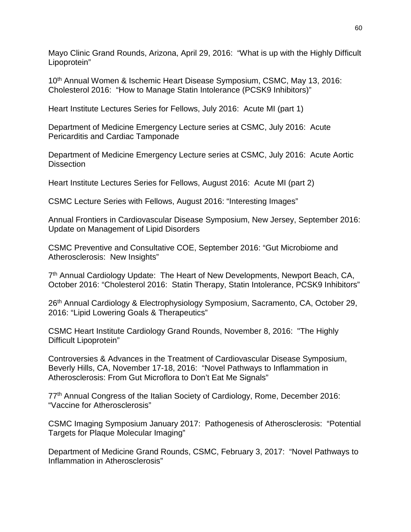Mayo Clinic Grand Rounds, Arizona, April 29, 2016: "What is up with the Highly Difficult Lipoprotein"

10<sup>th</sup> Annual Women & Ischemic Heart Disease Symposium, CSMC, May 13, 2016: Cholesterol 2016: "How to Manage Statin Intolerance (PCSK9 Inhibitors)"

Heart Institute Lectures Series for Fellows, July 2016: Acute MI (part 1)

Department of Medicine Emergency Lecture series at CSMC, July 2016: Acute Pericarditis and Cardiac Tamponade

Department of Medicine Emergency Lecture series at CSMC, July 2016: Acute Aortic **Dissection** 

Heart Institute Lectures Series for Fellows, August 2016: Acute MI (part 2)

CSMC Lecture Series with Fellows, August 2016: "Interesting Images"

Annual Frontiers in Cardiovascular Disease Symposium, New Jersey, September 2016: Update on Management of Lipid Disorders

CSMC Preventive and Consultative COE, September 2016: "Gut Microbiome and Atherosclerosis: New Insights"

7<sup>th</sup> Annual Cardiology Update: The Heart of New Developments, Newport Beach, CA, October 2016: "Cholesterol 2016: Statin Therapy, Statin Intolerance, PCSK9 Inhibitors"

26<sup>th</sup> Annual Cardiology & Electrophysiology Symposium, Sacramento, CA, October 29, 2016: "Lipid Lowering Goals & Therapeutics"

CSMC Heart Institute Cardiology Grand Rounds, November 8, 2016: "The Highly Difficult Lipoprotein"

Controversies & Advances in the Treatment of Cardiovascular Disease Symposium, Beverly Hills, CA, November 17-18, 2016: "Novel Pathways to Inflammation in Atherosclerosis: From Gut Microflora to Don't Eat Me Signals"

77<sup>th</sup> Annual Congress of the Italian Society of Cardiology, Rome, December 2016: "Vaccine for Atherosclerosis"

CSMC Imaging Symposium January 2017: Pathogenesis of Atherosclerosis: "Potential Targets for Plaque Molecular Imaging"

Department of Medicine Grand Rounds, CSMC, February 3, 2017: "Novel Pathways to Inflammation in Atherosclerosis"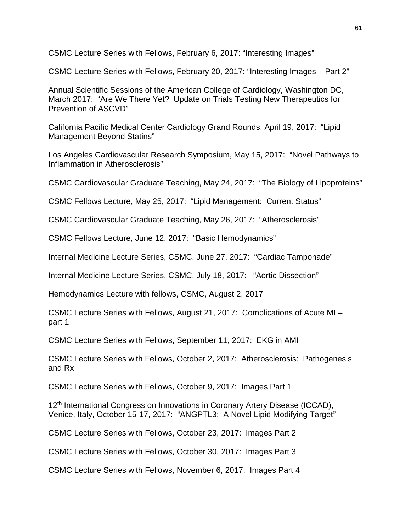CSMC Lecture Series with Fellows, February 6, 2017: "Interesting Images"

CSMC Lecture Series with Fellows, February 20, 2017: "Interesting Images – Part 2"

Annual Scientific Sessions of the American College of Cardiology, Washington DC, March 2017: "Are We There Yet? Update on Trials Testing New Therapeutics for Prevention of ASCVD"

California Pacific Medical Center Cardiology Grand Rounds, April 19, 2017: "Lipid Management Beyond Statins"

Los Angeles Cardiovascular Research Symposium, May 15, 2017: "Novel Pathways to Inflammation in Atherosclerosis"

CSMC Cardiovascular Graduate Teaching, May 24, 2017: "The Biology of Lipoproteins"

CSMC Fellows Lecture, May 25, 2017: "Lipid Management: Current Status"

CSMC Cardiovascular Graduate Teaching, May 26, 2017: "Atherosclerosis"

CSMC Fellows Lecture, June 12, 2017: "Basic Hemodynamics"

Internal Medicine Lecture Series, CSMC, June 27, 2017: "Cardiac Tamponade"

Internal Medicine Lecture Series, CSMC, July 18, 2017: "Aortic Dissection"

Hemodynamics Lecture with fellows, CSMC, August 2, 2017

CSMC Lecture Series with Fellows, August 21, 2017: Complications of Acute MI – part 1

CSMC Lecture Series with Fellows, September 11, 2017: EKG in AMI

CSMC Lecture Series with Fellows, October 2, 2017: Atherosclerosis: Pathogenesis and Rx

CSMC Lecture Series with Fellows, October 9, 2017: Images Part 1

12<sup>th</sup> International Congress on Innovations in Coronary Artery Disease (ICCAD), Venice, Italy, October 15-17, 2017: "ANGPTL3: A Novel Lipid Modifying Target"

CSMC Lecture Series with Fellows, October 23, 2017: Images Part 2

CSMC Lecture Series with Fellows, October 30, 2017: Images Part 3

CSMC Lecture Series with Fellows, November 6, 2017: Images Part 4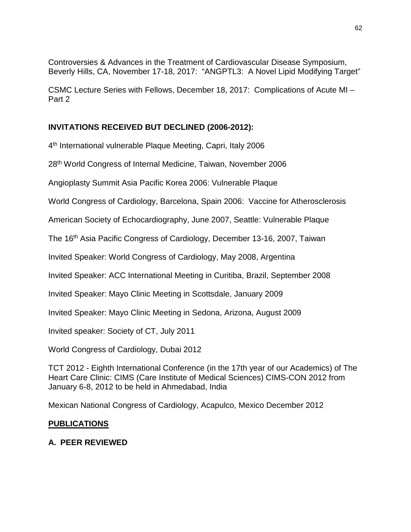Controversies & Advances in the Treatment of Cardiovascular Disease Symposium, Beverly Hills, CA, November 17-18, 2017: "ANGPTL3: A Novel Lipid Modifying Target"

CSMC Lecture Series with Fellows, December 18, 2017: Complications of Acute MI – Part 2

## **INVITATIONS RECEIVED BUT DECLINED (2006-2012):**

4th International vulnerable Plaque Meeting, Capri, Italy 2006

28th World Congress of Internal Medicine, Taiwan, November 2006

Angioplasty Summit Asia Pacific Korea 2006: Vulnerable Plaque

World Congress of Cardiology, Barcelona, Spain 2006: Vaccine for Atherosclerosis

American Society of Echocardiography, June 2007, Seattle: Vulnerable Plaque

The 16th Asia Pacific Congress of Cardiology, December 13-16, 2007, Taiwan

Invited Speaker: World Congress of Cardiology, May 2008, Argentina

Invited Speaker: ACC International Meeting in Curitiba, Brazil, September 2008

Invited Speaker: Mayo Clinic Meeting in Scottsdale, January 2009

Invited Speaker: Mayo Clinic Meeting in Sedona, Arizona, August 2009

Invited speaker: Society of CT, July 2011

World Congress of Cardiology, Dubai 2012

TCT 2012 - Eighth International Conference (in the 17th year of our Academics) of The Heart Care Clinic: CIMS (Care Institute of Medical Sciences) CIMS-CON 2012 from January 6-8, 2012 to be held in Ahmedabad, India

Mexican National Congress of Cardiology, Acapulco, Mexico December 2012

## **PUBLICATIONS**

## **A. PEER REVIEWED**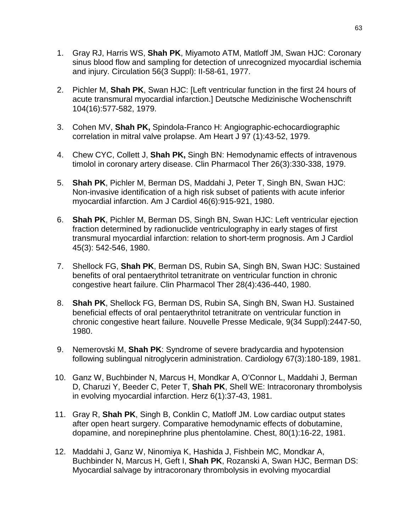- 1. Gray RJ, Harris WS, **Shah PK**, Miyamoto ATM, Matloff JM, Swan HJC: Coronary sinus blood flow and sampling for detection of unrecognized myocardial ischemia and injury. Circulation 56(3 Suppl): II-58-61, 1977.
- 2. Pichler M, **Shah PK**, Swan HJC: [Left ventricular function in the first 24 hours of acute transmural myocardial infarction.] Deutsche Medizinische Wochenschrift 104(16):577-582, 1979.
- 3. Cohen MV, **Shah PK,** Spindola-Franco H: Angiographic-echocardiographic correlation in mitral valve prolapse. Am Heart J 97 (1):43-52, 1979.
- 4. Chew CYC, Collett J, **Shah PK,** Singh BN: Hemodynamic effects of intravenous timolol in coronary artery disease. Clin Pharmacol Ther 26(3):330-338, 1979.
- 5. **Shah PK**, Pichler M, Berman DS, Maddahi J, Peter T, Singh BN, Swan HJC: Non-invasive identification of a high risk subset of patients with acute inferior myocardial infarction. Am J Cardiol 46(6):915-921, 1980.
- 6. **Shah PK**, Pichler M, Berman DS, Singh BN, Swan HJC: Left ventricular ejection fraction determined by radionuclide ventriculography in early stages of first transmural myocardial infarction: relation to short-term prognosis. Am J Cardiol 45(3): 542-546, 1980.
- 7. Shellock FG, **Shah PK**, Berman DS, Rubin SA, Singh BN, Swan HJC: Sustained benefits of oral pentaerythritol tetranitrate on ventricular function in chronic congestive heart failure. Clin Pharmacol Ther 28(4):436-440, 1980.
- 8. **Shah PK**, Shellock FG, Berman DS, Rubin SA, Singh BN, Swan HJ. Sustained beneficial effects of oral pentaerythritol tetranitrate on ventricular function in chronic congestive heart failure. Nouvelle Presse Medicale, 9(34 Suppl):2447-50, 1980.
- 9. Nemerovski M, **Shah PK**: Syndrome of severe bradycardia and hypotension following sublingual nitroglycerin administration. Cardiology 67(3):180-189, 1981.
- 10. Ganz W, Buchbinder N, Marcus H, Mondkar A, O'Connor L, Maddahi J, Berman D, Charuzi Y, Beeder C, Peter T, **Shah PK**, Shell WE: Intracoronary thrombolysis in evolving myocardial infarction. Herz 6(1):37-43, 1981.
- 11. Gray R, **Shah PK**, Singh B, Conklin C, Matloff JM. Low cardiac output states after open heart surgery. Comparative hemodynamic effects of dobutamine, dopamine, and norepinephrine plus phentolamine. Chest, 80(1):16-22, 1981.
- 12. Maddahi J, Ganz W, Ninomiya K, Hashida J, Fishbein MC, Mondkar A, Buchbinder N, Marcus H, Geft I, **Shah PK**, Rozanski A, Swan HJC, Berman DS: Myocardial salvage by intracoronary thrombolysis in evolving myocardial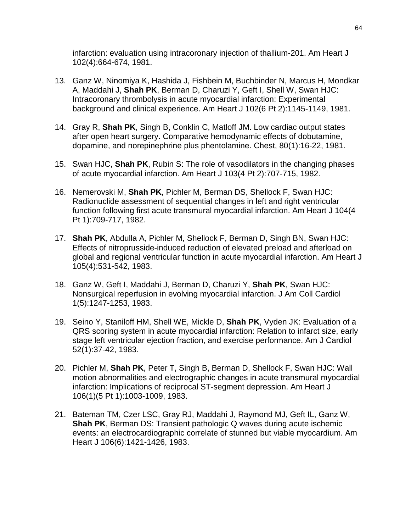infarction: evaluation using intracoronary injection of thallium-201. Am Heart J 102(4):664-674, 1981.

- 13. Ganz W, Ninomiya K, Hashida J, Fishbein M, Buchbinder N, Marcus H, Mondkar A, Maddahi J, **Shah PK**, Berman D, Charuzi Y, Geft I, Shell W, Swan HJC: Intracoronary thrombolysis in acute myocardial infarction: Experimental background and clinical experience. Am Heart J 102(6 Pt 2):1145-1149, 1981.
- 14. Gray R, **Shah PK**, Singh B, Conklin C, Matloff JM. Low cardiac output states after open heart surgery. Comparative hemodynamic effects of dobutamine, dopamine, and norepinephrine plus phentolamine. Chest, 80(1):16-22, 1981.
- 15. Swan HJC, **Shah PK**, Rubin S: The role of vasodilators in the changing phases of acute myocardial infarction. Am Heart J 103(4 Pt 2):707-715, 1982.
- 16. Nemerovski M, **Shah PK**, Pichler M, Berman DS, Shellock F, Swan HJC: Radionuclide assessment of sequential changes in left and right ventricular function following first acute transmural myocardial infarction. Am Heart J 104(4 Pt 1):709-717, 1982.
- 17. **Shah PK**, Abdulla A, Pichler M, Shellock F, Berman D, Singh BN, Swan HJC: Effects of nitroprusside-induced reduction of elevated preload and afterload on global and regional ventricular function in acute myocardial infarction. Am Heart J 105(4):531-542, 1983.
- 18. Ganz W, Geft I, Maddahi J, Berman D, Charuzi Y, **Shah PK**, Swan HJC: Nonsurgical reperfusion in evolving myocardial infarction. J Am Coll Cardiol 1(5):1247-1253, 1983.
- 19. Seino Y, Staniloff HM, Shell WE, Mickle D, **Shah PK**, Vyden JK: Evaluation of a QRS scoring system in acute myocardial infarction: Relation to infarct size, early stage left ventricular ejection fraction, and exercise performance. Am J Cardiol 52(1):37-42, 1983.
- 20. Pichler M, **Shah PK**, Peter T, Singh B, Berman D, Shellock F, Swan HJC: Wall motion abnormalities and electrographic changes in acute transmural myocardial infarction: Implications of reciprocal ST-segment depression. Am Heart J 106(1)(5 Pt 1):1003-1009, 1983.
- 21. Bateman TM, Czer LSC, Gray RJ, Maddahi J, Raymond MJ, Geft IL, Ganz W, **Shah PK**, Berman DS: Transient pathologic Q waves during acute ischemic events: an electrocardiographic correlate of stunned but viable myocardium. Am Heart J 106(6):1421-1426, 1983.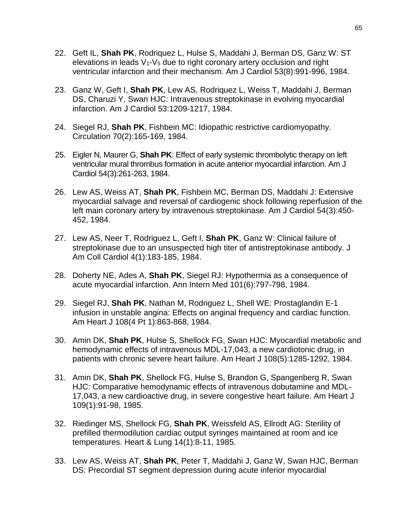- 22. Geft IL, **Shah PK**, Rodriquez L, Hulse S, Maddahi J, Berman DS, Ganz W: ST elevations in leads  $V_1$ - $V_5$  due to right coronary artery occlusion and right ventricular infarction and their mechanism. Am J Cardiol 53(8):991-996, 1984.
- 23. Ganz W, Geft I, **Shah PK**, Lew AS, Rodriquez L, Weiss T, Maddahi J, Berman DS, Charuzi Y, Swan HJC: Intravenous streptokinase in evolving myocardial infarction. Am J Cardiol 53:1209-1217, 1984.
- 24. Siegel RJ, **Shah PK**, Fishbein MC: Idiopathic restrictive cardiomyopathy. Circulation 70(2):165-169, 1984.
- 25. Eigler N, Maurer G, **Shah PK**: Effect of early systemic thrombolytic therapy on left ventricular mural thrombus formation in acute anterior myocardial infarction. Am J Cardiol 54(3):261-263, 1984.
- 26. Lew AS, Weiss AT, **Shah PK**, Fishbein MC, Berman DS, Maddahi J: Extensive myocardial salvage and reversal of cardiogenic shock following reperfusion of the left main coronary artery by intravenous streptokinase. Am J Cardiol 54(3):450- 452, 1984.
- 27. Lew AS, Neer T, Rodriguez L, Geft I, **Shah PK**, Ganz W: Clinical failure of streptokinase due to an unsuspected high titer of antistreptokinase antibody. J Am Coll Cardiol 4(1):183-185, 1984.
- 28. Doherty NE, Ades A, **Shah PK**, Siegel RJ: Hypothermia as a consequence of acute myocardial infarction. Ann Intern Med 101(6):797-798, 1984.
- 29. Siegel RJ, **Shah PK**, Nathan M, Rodriguez L, Shell WE: Prostaglandin E-1 infusion in unstable angina: Effects on anginal frequency and cardiac function. Am Heart J 108(4 Pt 1):863-868, 1984.
- 30. Amin DK, **Shah PK**, Hulse S, Shellock FG, Swan HJC: Myocardial metabolic and hemodynamic effects of intravenous MDL-17,043, a new cardiotonic drug, in patients with chronic severe heart failure. Am Heart J 108(5):1285-1292, 1984.
- 31. Amin DK, **Shah PK**, Shellock FG, Hulse S, Brandon G, Spangenberg R, Swan HJC: Comparative hemodynamic effects of intravenous dobutamine and MDL-17,043, a new cardioactive drug, in severe congestive heart failure. Am Heart J 109(1):91-98, 1985.
- 32. Riedinger MS, Shellock FG, **Shah PK**, Weissfeld AS, Ellrodt AG: Sterility of prefilled thermodilution cardiac output syringes maintained at room and ice temperatures. Heart & Lung 14(1):8-11, 1985.
- 33. Lew AS, Weiss AT, **Shah PK**, Peter T, Maddahi J, Ganz W, Swan HJC, Berman DS: Precordial ST segment depression during acute inferior myocardial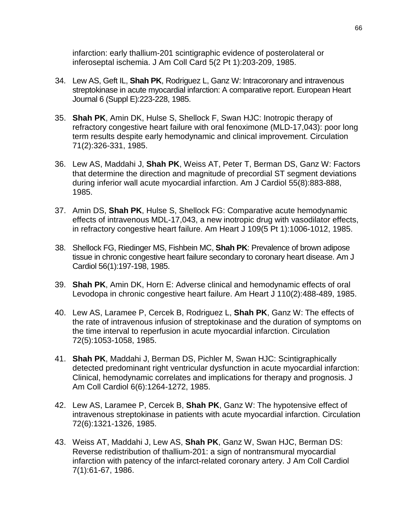infarction: early thallium-201 scintigraphic evidence of posterolateral or inferoseptal ischemia. J Am Coll Card 5(2 Pt 1):203-209, 1985.

- 34. Lew AS, Geft IL, **Shah PK**, Rodriguez L, Ganz W: Intracoronary and intravenous streptokinase in acute myocardial infarction: A comparative report. European Heart Journal 6 (Suppl E):223-228, 1985.
- 35. **Shah PK**, Amin DK, Hulse S, Shellock F, Swan HJC: Inotropic therapy of refractory congestive heart failure with oral fenoximone (MLD-17,043): poor long term results despite early hemodynamic and clinical improvement. Circulation 71(2):326-331, 1985.
- 36. Lew AS, Maddahi J, **Shah PK**, Weiss AT, Peter T, Berman DS, Ganz W: Factors that determine the direction and magnitude of precordial ST segment deviations during inferior wall acute myocardial infarction. Am J Cardiol 55(8):883-888, 1985.
- 37. Amin DS, **Shah PK**, Hulse S, Shellock FG: Comparative acute hemodynamic effects of intravenous MDL-17,043, a new inotropic drug with vasodilator effects, in refractory congestive heart failure. Am Heart J 109(5 Pt 1):1006-1012, 1985.
- 38. Shellock FG, Riedinger MS, Fishbein MC, **Shah PK**: Prevalence of brown adipose tissue in chronic congestive heart failure secondary to coronary heart disease. Am J Cardiol 56(1):197-198, 1985.
- 39. **Shah PK**, Amin DK, Horn E: Adverse clinical and hemodynamic effects of oral Levodopa in chronic congestive heart failure. Am Heart J 110(2):488-489, 1985.
- 40. Lew AS, Laramee P, Cercek B, Rodriguez L, **Shah PK**, Ganz W: The effects of the rate of intravenous infusion of streptokinase and the duration of symptoms on the time interval to reperfusion in acute myocardial infarction. Circulation 72(5):1053-1058, 1985.
- 41. **Shah PK**, Maddahi J, Berman DS, Pichler M, Swan HJC: Scintigraphically detected predominant right ventricular dysfunction in acute myocardial infarction: Clinical, hemodynamic correlates and implications for therapy and prognosis. J Am Coll Cardiol 6(6):1264-1272, 1985.
- 42. Lew AS, Laramee P, Cercek B, **Shah PK**, Ganz W: The hypotensive effect of intravenous streptokinase in patients with acute myocardial infarction. Circulation 72(6):1321-1326, 1985.
- 43. Weiss AT, Maddahi J, Lew AS, **Shah PK**, Ganz W, Swan HJC, Berman DS: Reverse redistribution of thallium-201: a sign of nontransmural myocardial infarction with patency of the infarct-related coronary artery. J Am Coll Cardiol 7(1):61-67, 1986.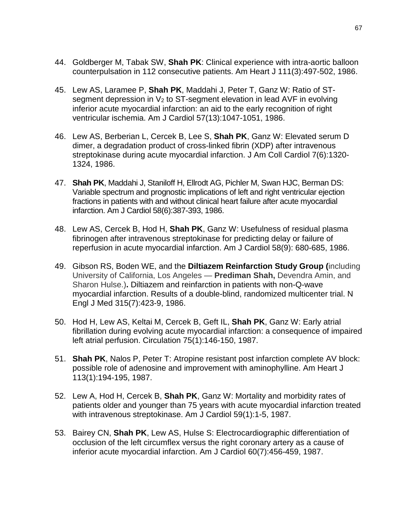- 44. Goldberger M, Tabak SW, **Shah PK**: Clinical experience with intra-aortic balloon counterpulsation in 112 consecutive patients. Am Heart J 111(3):497-502, 1986.
- 45. Lew AS, Laramee P, **Shah PK**, Maddahi J, Peter T, Ganz W: Ratio of STsegment depression in  $V_2$  to ST-segment elevation in lead AVF in evolving inferior acute myocardial infarction: an aid to the early recognition of right ventricular ischemia. Am J Cardiol 57(13):1047-1051, 1986.
- 46. Lew AS, Berberian L, Cercek B, Lee S, **Shah PK**, Ganz W: Elevated serum D dimer, a degradation product of cross-linked fibrin (XDP) after intravenous streptokinase during acute myocardial infarction. J Am Coll Cardiol 7(6):1320- 1324, 1986.
- 47. **Shah PK**, Maddahi J, Staniloff H, Ellrodt AG, Pichler M, Swan HJC, Berman DS: Variable spectrum and prognostic implications of left and right ventricular ejection fractions in patients with and without clinical heart failure after acute myocardial infarction. Am J Cardiol 58(6):387-393, 1986.
- 48. Lew AS, Cercek B, Hod H, **Shah PK**, Ganz W: Usefulness of residual plasma fibrinogen after intravenous streptokinase for predicting delay or failure of reperfusion in acute myocardial infarction. Am J Cardiol 58(9): 680-685, 1986.
- 49. Gibson RS, Boden WE, and the **Diltiazem Reinfarction Study Group (**including University of California, Los Angeles — **Prediman Shah,** Devendra Amin, and Sharon Hulse.)**.** Diltiazem and reinfarction in patients with non-Q-wave myocardial infarction. Results of a double-blind, randomized multicenter trial. N Engl J Med 315(7):423-9, 1986.
- 50. Hod H, Lew AS, Keltai M, Cercek B, Geft IL, **Shah PK**, Ganz W: Early atrial fibrillation during evolving acute myocardial infarction: a consequence of impaired left atrial perfusion. Circulation 75(1):146-150, 1987.
- 51. **Shah PK**, Nalos P, Peter T: Atropine resistant post infarction complete AV block: possible role of adenosine and improvement with aminophylline. Am Heart J 113(1):194-195, 1987.
- 52. Lew A, Hod H, Cercek B, **Shah PK**, Ganz W: Mortality and morbidity rates of patients older and younger than 75 years with acute myocardial infarction treated with intravenous streptokinase. Am J Cardiol 59(1):1-5, 1987.
- 53. Bairey CN, **Shah PK**, Lew AS, Hulse S: Electrocardiographic differentiation of occlusion of the left circumflex versus the right coronary artery as a cause of inferior acute myocardial infarction. Am J Cardiol 60(7):456-459, 1987.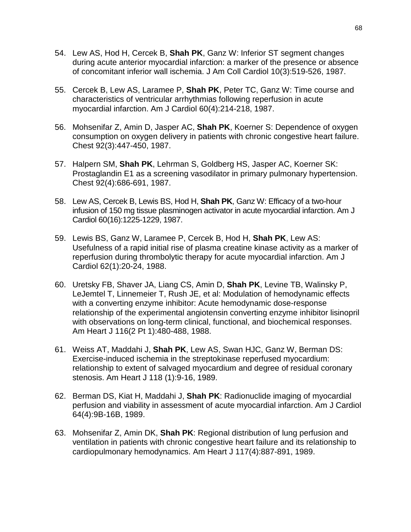- 54. Lew AS, Hod H, Cercek B, **Shah PK**, Ganz W: Inferior ST segment changes during acute anterior myocardial infarction: a marker of the presence or absence of concomitant inferior wall ischemia. J Am Coll Cardiol 10(3):519-526, 1987.
- 55. Cercek B, Lew AS, Laramee P, **Shah PK**, Peter TC, Ganz W: Time course and characteristics of ventricular arrhythmias following reperfusion in acute myocardial infarction. Am J Cardiol 60(4):214-218, 1987.
- 56. Mohsenifar Z, Amin D, Jasper AC, **Shah PK**, Koerner S: Dependence of oxygen consumption on oxygen delivery in patients with chronic congestive heart failure. Chest 92(3):447-450, 1987.
- 57. Halpern SM, **Shah PK**, Lehrman S, Goldberg HS, Jasper AC, Koerner SK: Prostaglandin E1 as a screening vasodilator in primary pulmonary hypertension. Chest 92(4):686-691, 1987.
- 58. Lew AS, Cercek B, Lewis BS, Hod H, **Shah PK**, Ganz W: Efficacy of a two-hour infusion of 150 mg tissue plasminogen activator in acute myocardial infarction. Am J Cardiol 60(16):1225-1229, 1987.
- 59. Lewis BS, Ganz W, Laramee P, Cercek B, Hod H, **Shah PK**, Lew AS: Usefulness of a rapid initial rise of plasma creatine kinase activity as a marker of reperfusion during thrombolytic therapy for acute myocardial infarction. Am J Cardiol 62(1):20-24, 1988.
- 60. Uretsky FB, Shaver JA, Liang CS, Amin D, **Shah PK**, Levine TB, Walinsky P, LeJemtel T, Linnemeier T, Rush JE, et al: Modulation of hemodynamic effects with a converting enzyme inhibitor: Acute hemodynamic dose-response relationship of the experimental angiotensin converting enzyme inhibitor lisinopril with observations on long-term clinical, functional, and biochemical responses. Am Heart J 116(2 Pt 1):480-488, 1988.
- 61. Weiss AT, Maddahi J, **Shah PK**, Lew AS, Swan HJC, Ganz W, Berman DS: Exercise-induced ischemia in the streptokinase reperfused myocardium: relationship to extent of salvaged myocardium and degree of residual coronary stenosis. Am Heart J 118 (1):9-16, 1989.
- 62. Berman DS, Kiat H, Maddahi J, **Shah PK**: Radionuclide imaging of myocardial perfusion and viability in assessment of acute myocardial infarction. Am J Cardiol 64(4):9B-16B, 1989.
- 63. Mohsenifar Z, Amin DK, **Shah PK**: Regional distribution of lung perfusion and ventilation in patients with chronic congestive heart failure and its relationship to cardiopulmonary hemodynamics. Am Heart J 117(4):887-891, 1989.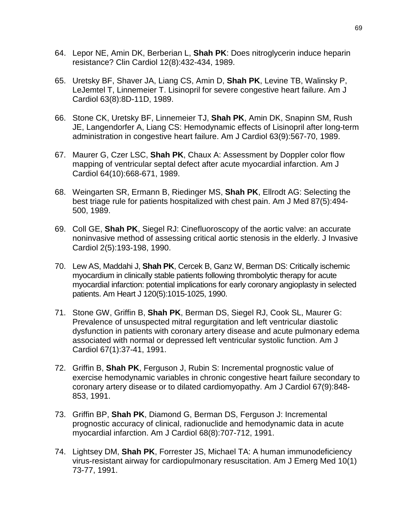- 64. Lepor NE, Amin DK, Berberian L, **Shah PK**: Does nitroglycerin induce heparin resistance? Clin Cardiol 12(8):432-434, 1989.
- 65. Uretsky BF, Shaver JA, Liang CS, Amin D, **Shah PK**, Levine TB, Walinsky P, LeJemtel T, Linnemeier T. Lisinopril for severe congestive heart failure. Am J Cardiol 63(8):8D-11D, 1989.
- 66. Stone CK, Uretsky BF, Linnemeier TJ, **Shah PK**, Amin DK, Snapinn SM, Rush JE, Langendorfer A, Liang CS: Hemodynamic effects of Lisinopril after long-term administration in congestive heart failure. Am J Cardiol 63(9):567-70, 1989.
- 67. Maurer G, Czer LSC, **Shah PK**, Chaux A: Assessment by Doppler color flow mapping of ventricular septal defect after acute myocardial infarction. Am J Cardiol 64(10):668-671, 1989.
- 68. Weingarten SR, Ermann B, Riedinger MS, **Shah PK**, Ellrodt AG: Selecting the best triage rule for patients hospitalized with chest pain. Am J Med 87(5):494- 500, 1989.
- 69. Coll GE, **Shah PK**, Siegel RJ: Cinefluoroscopy of the aortic valve: an accurate noninvasive method of assessing critical aortic stenosis in the elderly. J Invasive Cardiol 2(5):193-198, 1990.
- 70. Lew AS, Maddahi J, **Shah PK**, Cercek B, Ganz W, Berman DS: Critically ischemic myocardium in clinically stable patients following thrombolytic therapy for acute myocardial infarction: potential implications for early coronary angioplasty in selected patients. Am Heart J 120(5):1015-1025, 1990.
- 71. Stone GW, Griffin B, **Shah PK**, Berman DS, Siegel RJ, Cook SL, Maurer G: Prevalence of unsuspected mitral regurgitation and left ventricular diastolic dysfunction in patients with coronary artery disease and acute pulmonary edema associated with normal or depressed left ventricular systolic function. Am J Cardiol 67(1):37-41, 1991.
- 72. Griffin B, **Shah PK**, Ferguson J, Rubin S: Incremental prognostic value of exercise hemodynamic variables in chronic congestive heart failure secondary to coronary artery disease or to dilated cardiomyopathy. Am J Cardiol 67(9):848- 853, 1991.
- 73. Griffin BP, **Shah PK**, Diamond G, Berman DS, Ferguson J: Incremental prognostic accuracy of clinical, radionuclide and hemodynamic data in acute myocardial infarction. Am J Cardiol 68(8):707-712, 1991.
- 74. Lightsey DM, **Shah PK**, Forrester JS, Michael TA: A human immunodeficiency virus-resistant airway for cardiopulmonary resuscitation. Am J Emerg Med 10(1) 73-77, 1991.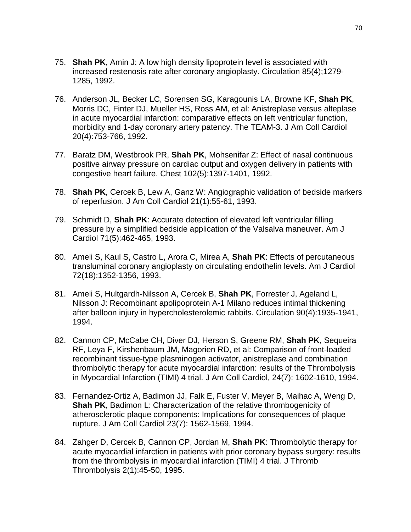- 75. **Shah PK**, Amin J: A low high density lipoprotein level is associated with increased restenosis rate after coronary angioplasty. Circulation 85(4);1279- 1285, 1992.
- 76. Anderson JL, Becker LC, Sorensen SG, Karagounis LA, Browne KF, **Shah PK**, Morris DC, Finter DJ, Mueller HS, Ross AM, et al: Anistreplase versus alteplase in acute myocardial infarction: comparative effects on left ventricular function, morbidity and 1-day coronary artery patency. The TEAM-3. J Am Coll Cardiol 20(4):753-766, 1992.
- 77. Baratz DM, Westbrook PR, **Shah PK**, Mohsenifar Z: Effect of nasal continuous positive airway pressure on cardiac output and oxygen delivery in patients with congestive heart failure. Chest 102(5):1397-1401, 1992.
- 78. **Shah PK**, Cercek B, Lew A, Ganz W: Angiographic validation of bedside markers of reperfusion. J Am Coll Cardiol 21(1):55-61, 1993.
- 79. Schmidt D, **Shah PK**: Accurate detection of elevated left ventricular filling pressure by a simplified bedside application of the Valsalva maneuver. Am J Cardiol 71(5):462-465, 1993.
- 80. Ameli S, Kaul S, Castro L, Arora C, Mirea A, **Shah PK**: Effects of percutaneous transluminal coronary angioplasty on circulating endothelin levels. Am J Cardiol 72(18):1352-1356, 1993.
- 81. Ameli S, Hultgardh-Nilsson A, Cercek B, **Shah PK**, Forrester J, Ageland L, Nilsson J: Recombinant apolipoprotein A-1 Milano reduces intimal thickening after balloon injury in hypercholesterolemic rabbits. Circulation 90(4):1935-1941, 1994.
- 82. Cannon CP, McCabe CH, Diver DJ, Herson S, Greene RM, **Shah PK**, Sequeira RF, Leya F, Kirshenbaum JM, Magorien RD, et al: Comparison of front-loaded recombinant tissue-type plasminogen activator, anistreplase and combination thrombolytic therapy for acute myocardial infarction: results of the Thrombolysis in Myocardial Infarction (TIMI) 4 trial. J Am Coll Cardiol, 24(7): 1602-1610, 1994.
- 83. Fernandez-Ortiz A, Badimon JJ, Falk E, Fuster V, Meyer B, Maihac A, Weng D, **Shah PK**, Badimon L: Characterization of the relative thrombogenicity of atherosclerotic plaque components: Implications for consequences of plaque rupture. J Am Coll Cardiol 23(7): 1562-1569, 1994.
- 84. Zahger D, Cercek B, Cannon CP, Jordan M, **Shah PK**: Thrombolytic therapy for acute myocardial infarction in patients with prior coronary bypass surgery: results from the thrombolysis in myocardial infarction (TIMI) 4 trial. J Thromb Thrombolysis 2(1):45-50, 1995.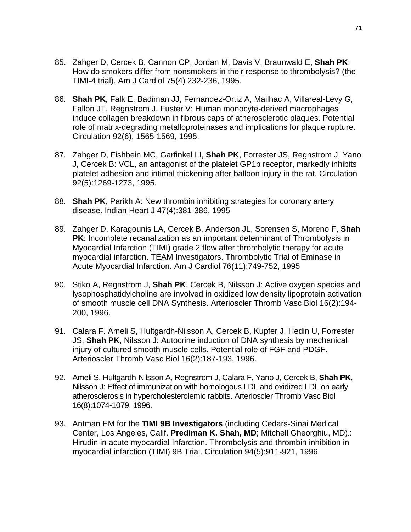- 85. Zahger D, Cercek B, Cannon CP, Jordan M, Davis V, Braunwald E, **Shah PK**: How do smokers differ from nonsmokers in their response to thrombolysis? (the TIMI-4 trial). Am J Cardiol 75(4) 232-236, 1995.
- 86. **Shah PK**, Falk E, Badiman JJ, Fernandez-Ortiz A, Mailhac A, Villareal-Levy G, Fallon JT, Regnstrom J, Fuster V: Human monocyte-derived macrophages induce collagen breakdown in fibrous caps of atherosclerotic plaques. Potential role of matrix-degrading metalloproteinases and implications for plaque rupture. Circulation 92(6), 1565-1569, 1995.
- 87. Zahger D, Fishbein MC, Garfinkel LI, **Shah PK**, Forrester JS, Regnstrom J, Yano J, Cercek B: VCL, an antagonist of the platelet GP1b receptor, markedly inhibits platelet adhesion and intimal thickening after balloon injury in the rat. Circulation 92(5):1269-1273, 1995.
- 88. **Shah PK**, Parikh A: New thrombin inhibiting strategies for coronary artery disease. Indian Heart J 47(4):381-386, 1995
- 89. Zahger D, Karagounis LA, Cercek B, Anderson JL, Sorensen S, Moreno F, **Shah PK**: Incomplete recanalization as an important determinant of Thrombolysis in Myocardial Infarction (TIMI) grade 2 flow after thrombolytic therapy for acute myocardial infarction. TEAM Investigators. Thrombolytic Trial of Eminase in Acute Myocardial Infarction. Am J Cardiol 76(11):749-752, 1995
- 90. Stiko A, Regnstrom J, **Shah PK**, Cercek B, Nilsson J: Active oxygen species and lysophosphatidylcholine are involved in oxidized low density lipoprotein activation of smooth muscle cell DNA Synthesis. Arterioscler Thromb Vasc Biol 16(2):194- 200, 1996.
- 91. Calara F. Ameli S, Hultgardh-Nilsson A, Cercek B, Kupfer J, Hedin U, Forrester JS, **Shah PK**, Nilsson J: Autocrine induction of DNA synthesis by mechanical injury of cultured smooth muscle cells. Potential role of FGF and PDGF. Arterioscler Thromb Vasc Biol 16(2):187-193, 1996.
- 92. Ameli S, Hultgardh-Nilsson A, Regnstrom J, Calara F, Yano J, Cercek B, **Shah PK**, Nilsson J: Effect of immunization with homologous LDL and oxidized LDL on early atherosclerosis in hypercholesterolemic rabbits. Arterioscler Thromb Vasc Biol 16(8):1074-1079, 1996.
- 93. Antman EM for the **TIMI 9B Investigators** (including Cedars-Sinai Medical Center, Los Angeles, Calif. **Prediman K. Shah, MD**; Mitchell Gheorghiu, MD).: Hirudin in acute myocardial Infarction. Thrombolysis and thrombin inhibition in myocardial infarction (TIMI) 9B Trial. Circulation 94(5):911-921, 1996.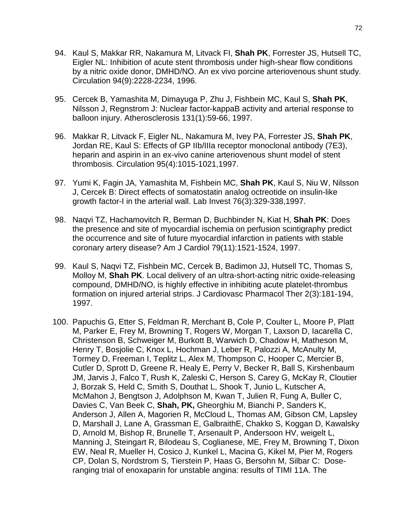- 94. Kaul S, Makkar RR, Nakamura M, Litvack FI, **Shah PK**, Forrester JS, Hutsell TC, Eigler NL: Inhibition of acute stent thrombosis under high-shear flow conditions by a nitric oxide donor, DMHD/NO. An ex vivo porcine arteriovenous shunt study. Circulation 94(9):2228-2234, 1996.
- 95. Cercek B, Yamashita M, Dimayuga P, Zhu J, Fishbein MC, Kaul S, **Shah PK**, Nilsson J, Regnstrom J: Nuclear factor-kappaB activity and arterial response to balloon injury. Atherosclerosis 131(1):59-66, 1997.
- 96. Makkar R, Litvack F, Eigler NL, Nakamura M, Ivey PA, Forrester JS, **Shah PK**, Jordan RE, Kaul S: Effects of GP IIb/IIIa receptor monoclonal antibody (7E3), heparin and aspirin in an ex-vivo canine arteriovenous shunt model of stent thrombosis. Circulation 95(4):1015-1021,1997.
- 97. Yumi K, Fagin JA, Yamashita M, Fishbein MC, **Shah PK**, Kaul S, Niu W, Nilsson J, Cercek B: Direct effects of somatostatin analog octreotide on insulin-like growth factor-I in the arterial wall. Lab Invest 76(3):329-338,1997.
- 98. Naqvi TZ, Hachamovitch R, Berman D, Buchbinder N, Kiat H, **Shah PK**: Does the presence and site of myocardial ischemia on perfusion scintigraphy predict the occurrence and site of future myocardial infarction in patients with stable coronary artery disease? Am J Cardiol 79(11):1521-1524, 1997.
- 99. Kaul S, Naqvi TZ, Fishbein MC, Cercek B, Badimon JJ, Hutsell TC, Thomas S, Molloy M, **Shah PK**. Local delivery of an ultra-short-acting nitric oxide-releasing compound, DMHD/NO, is highly effective in inhibiting acute platelet-thrombus formation on injured arterial strips. J Cardiovasc Pharmacol Ther 2(3):181-194, 1997.
- 100. Papuchis G, Etter S, Feldman R, Merchant B, Cole P, Coulter L, Moore P, Platt M, Parker E, Frey M, Browning T, Rogers W, Morgan T, Laxson D, Iacarella C, Christenson B, Schweiger M, Burkott B, Warwich D, Chadow H, Matheson M, Henry T, Bosjolie C, Knox L, Hochman J, Leber R, Palozzi A, McAnulty M, Tormey D, Freeman I, Teplitz L, Alex M, Thompson C, Hooper C, Mercier B, Cutler D, Sprott D, Greene R, Healy E, Perry V, Becker R, Ball S, Kirshenbaum JM, Jarvis J, Falco T, Rush K, Zaleski C, Herson S, Carey G, McKay R, Cloutier J, Borzak S, Held C, Smith S, Douthat L, Shook T, Junio L, Kutscher A, McMahon J, Bengtson J, Adolphson M, Kwan T, Julien R, Fung A, Buller C, Davies C, Van Beek C, **Shah, PK,** Gheorghiu M, Bianchi P, Sanders K, Anderson J, Allen A, Magorien R, McCloud L, Thomas AM, Gibson CM, Lapsley D, Marshall J, Lane A, Grassman E, GalbraithE, Chakko S, Koggan D, Kawalsky D, Arnold M, Bishop R, Brunelle T, Arsenault P, Andersoon HV, weigelt L, Manning J, Steingart R, Bilodeau S, Coglianese, ME, Frey M, Browning T, Dixon EW, Neal R, Mueller H, Cosico J, Kunkel L, Macina G, Kikel M, Pier M, Rogers CP, Dolan S, Nordstrom S, Tierstein P, Haas G, Bersohn M, Silbar C: Doseranging trial of enoxaparin for unstable angina: results of TIMI 11A. The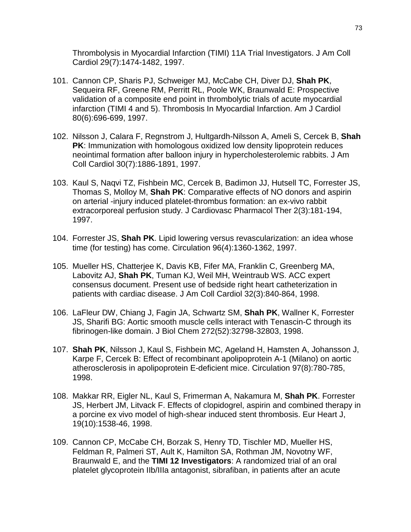Thrombolysis in Myocardial Infarction (TIMI) 11A Trial Investigators. J Am Coll Cardiol 29(7):1474-1482, 1997.

- 101. Cannon CP, Sharis PJ, Schweiger MJ, McCabe CH, Diver DJ, **Shah PK**, Sequeira RF, Greene RM, Perritt RL, Poole WK, Braunwald E: Prospective validation of a composite end point in thrombolytic trials of acute myocardial infarction (TIMI 4 and 5). Thrombosis In Myocardial Infarction. Am J Cardiol 80(6):696-699, 1997.
- 102. Nilsson J, Calara F, Regnstrom J, Hultgardh-Nilsson A, Ameli S, Cercek B, **Shah PK**: Immunization with homologous oxidized low density lipoprotein reduces neointimal formation after balloon injury in hypercholesterolemic rabbits. J Am Coll Cardiol 30(7):1886-1891, 1997.
- 103. Kaul S, Naqvi TZ, Fishbein MC, Cercek B, Badimon JJ, Hutsell TC, Forrester JS, Thomas S, Molloy M, **Shah PK**: Comparative effects of NO donors and aspirin on arterial -injury induced platelet-thrombus formation: an ex-vivo rabbit extracorporeal perfusion study. J Cardiovasc Pharmacol Ther 2(3):181-194, 1997.
- 104. Forrester JS, **Shah PK**. Lipid lowering versus revascularization: an idea whose time (for testing) has come. Circulation 96(4):1360-1362, 1997.
- 105. Mueller HS, Chatterjee K, Davis KB, Fifer MA, Franklin C, Greenberg MA, Labovitz AJ, **Shah PK**, Tuman KJ, Weil MH, Weintraub WS. ACC expert consensus document. Present use of bedside right heart catheterization in patients with cardiac disease. J Am Coll Cardiol 32(3):840-864, 1998.
- 106. LaFleur DW, Chiang J, Fagin JA, Schwartz SM, **Shah PK**, Wallner K, Forrester JS, Sharifi BG: Aortic smooth muscle cells interact with Tenascin-C through its fibrinogen-like domain. J Biol Chem 272(52):32798-32803, 1998.
- 107. **Shah PK**, Nilsson J, Kaul S, Fishbein MC, Ageland H, Hamsten A, Johansson J, Karpe F, Cercek B: Effect of recombinant apolipoprotein A-1 (Milano) on aortic atherosclerosis in apolipoprotein E-deficient mice. Circulation 97(8):780-785, 1998.
- 108. Makkar RR, Eigler NL, Kaul S, Frimerman A, Nakamura M, **Shah PK**. Forrester JS, Herbert JM, Litvack F. Effects of clopidogrel, aspirin and combined therapy in a porcine ex vivo model of high-shear induced stent thrombosis. Eur Heart J, 19(10):1538-46, 1998.
- 109. Cannon CP, McCabe CH, Borzak S, Henry TD, Tischler MD, Mueller HS, Feldman R, Palmeri ST, Ault K, Hamilton SA, Rothman JM, Novotny WF, Braunwald E, and the **TIMI 12 Investigators**: A randomized trial of an oral platelet glycoprotein IIb/IIIa antagonist, sibrafiban, in patients after an acute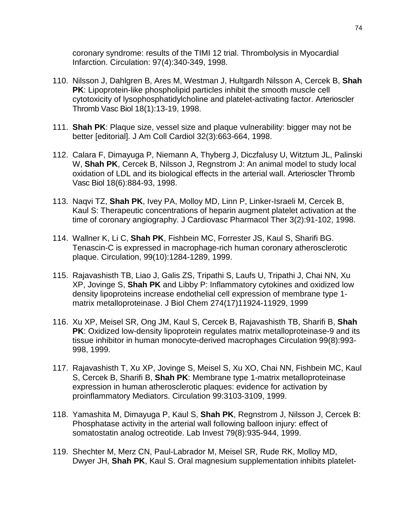coronary syndrome: results of the TIMI 12 trial. Thrombolysis in Myocardial Infarction. Circulation: 97(4):340-349, 1998.

- 110. Nilsson J, Dahlgren B, Ares M, Westman J, Hultgardh Nilsson A, Cercek B, **Shah PK**: Lipoprotein-like phospholipid particles inhibit the smooth muscle cell cytotoxicity of lysophosphatidylcholine and platelet-activating factor. Arterioscler Thromb Vasc Biol 18(1):13-19, 1998.
- 111. **Shah PK**: Plaque size, vessel size and plaque vulnerability: bigger may not be better [editorial]. J Am Coll Cardiol 32(3):663-664, 1998.
- 112. Calara F, Dimayuga P, Niemann A, Thyberg J, Diczfalusy U, Witztum JL, Palinski W, **Shah PK**, Cercek B, Nilsson J, Regnstrom J: An animal model to study local oxidation of LDL and its biological effects in the arterial wall. Arterioscler Thromb Vasc Biol 18(6):884-93, 1998.
- 113. Naqvi TZ, **Shah PK**, Ivey PA, Molloy MD, Linn P, Linker-Israeli M, Cercek B, Kaul S: Therapeutic concentrations of heparin augment platelet activation at the time of coronary angiography. J Cardiovasc Pharmacol Ther 3(2):91-102, 1998.
- 114. Wallner K, Li C, **Shah PK**, Fishbein MC, Forrester JS, Kaul S, Sharifi BG. Tenascin-C is expressed in macrophage-rich human coronary atherosclerotic plaque. Circulation, 99(10):1284-1289, 1999.
- 115. Rajavashisth TB, Liao J, Galis ZS, Tripathi S, Laufs U, Tripathi J, Chai NN, Xu XP, Jovinge S, **Shah PK** and Libby P: Inflammatory cytokines and oxidized low density lipoproteins increase endothelial cell expression of membrane type 1 matrix metalloproteinase. J Biol Chem 274(17)11924-11929, 1999
- 116. Xu XP, Meisel SR, Ong JM, Kaul S, Cercek B, Rajavashisth TB, Sharifi B, **Shah PK:** Oxidized low-density lipoprotein regulates matrix metalloproteinase-9 and its tissue inhibitor in human monocyte-derived macrophages Circulation 99(8):993- 998, 1999.
- 117. Rajavashisth T, Xu XP, Jovinge S, Meisel S, Xu XO, Chai NN, Fishbein MC, Kaul S, Cercek B, Sharifi B, **Shah PK**: Membrane type 1-matrix metalloproteinase expression in human atherosclerotic plaques: evidence for activation by proinflammatory Mediators. Circulation 99:3103-3109, 1999.
- 118. Yamashita M, Dimayuga P, Kaul S, **Shah PK**, Regnstrom J, Nilsson J, Cercek B: Phosphatase activity in the arterial wall following balloon injury: effect of somatostatin analog octreotide. Lab Invest 79(8):935-944, 1999.
- 119. Shechter M, Merz CN, Paul-Labrador M, Meisel SR, Rude RK, Molloy MD, Dwyer JH, **Shah PK**, Kaul S. Oral magnesium supplementation inhibits platelet-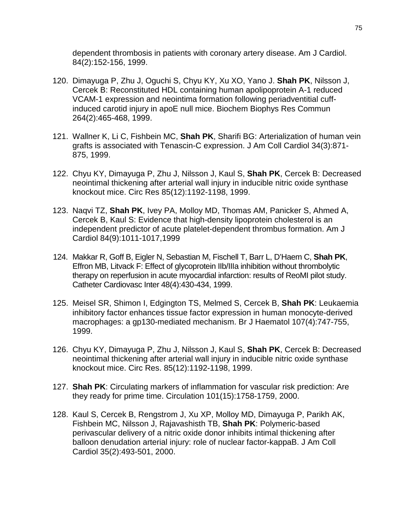dependent thrombosis in patients with coronary artery disease. Am J Cardiol. 84(2):152-156, 1999.

- 120. Dimayuga P, Zhu J, Oguchi S, Chyu KY, Xu XO, Yano J. **Shah PK**, Nilsson J, Cercek B: Reconstituted HDL containing human apolipoprotein A-1 reduced VCAM-1 expression and neointima formation following periadventitial cuffinduced carotid injury in apoE null mice. Biochem Biophys Res Commun 264(2):465-468, 1999.
- 121. Wallner K, Li C, Fishbein MC, **Shah PK**, Sharifi BG: Arterialization of human vein grafts is associated with Tenascin-C expression. J Am Coll Cardiol 34(3):871- 875, 1999.
- 122. Chyu KY, Dimayuga P, Zhu J, Nilsson J, Kaul S, **Shah PK**, Cercek B: Decreased neointimal thickening after arterial wall injury in inducible nitric oxide synthase knockout mice. Circ Res 85(12):1192-1198, 1999.
- 123. Naqvi TZ, **Shah PK**, Ivey PA, Molloy MD, Thomas AM, Panicker S, Ahmed A, Cercek B, Kaul S: Evidence that high-density lipoprotein cholesterol is an independent predictor of acute platelet-dependent thrombus formation. Am J Cardiol 84(9):1011-1017,1999
- 124. Makkar R, Goff B, Eigler N, Sebastian M, Fischell T, Barr L, D'Haem C, **Shah PK**, Effron MB, Litvack F: Effect of glycoprotein IIb/IIIa inhibition without thrombolytic therapy on reperfusion in acute myocardial infarction: results of ReoMI pilot study. Catheter Cardiovasc Inter 48(4):430-434, 1999.
- 125. Meisel SR, Shimon I, Edgington TS, Melmed S, Cercek B, **Shah PK**: Leukaemia inhibitory factor enhances tissue factor expression in human monocyte-derived macrophages: a gp130-mediated mechanism. Br J Haematol 107(4):747-755, 1999.
- 126. Chyu KY, Dimayuga P, Zhu J, Nilsson J, Kaul S, **Shah PK**, Cercek B: Decreased neointimal thickening after arterial wall injury in inducible nitric oxide synthase knockout mice. Circ Res. 85(12):1192-1198, 1999.
- 127. **Shah PK**: Circulating markers of inflammation for vascular risk prediction: Are they ready for prime time. Circulation 101(15):1758-1759, 2000.
- 128. Kaul S, Cercek B, Rengstrom J, Xu XP, Molloy MD, Dimayuga P, Parikh AK, Fishbein MC, Nilsson J, Rajavashisth TB, **Shah PK**: Polymeric-based perivascular delivery of a nitric oxide donor inhibits intimal thickening after balloon denudation arterial injury: role of nuclear factor-kappaB. J Am Coll Cardiol 35(2):493-501, 2000.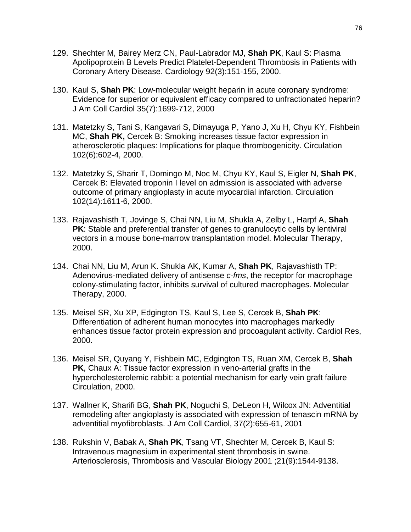- 129. Shechter M, Bairey Merz CN, Paul-Labrador MJ, **Shah PK**, Kaul S: Plasma Apolipoprotein B Levels Predict Platelet-Dependent Thrombosis in Patients with Coronary Artery Disease. Cardiology 92(3):151-155, 2000.
- 130. Kaul S, **Shah PK**: Low-molecular weight heparin in acute coronary syndrome: Evidence for superior or equivalent efficacy compared to unfractionated heparin? J Am Coll Cardiol 35(7):1699-712, 2000
- 131. Matetzky S, Tani S, Kangavari S, Dimayuga P, Yano J, Xu H, Chyu KY, Fishbein MC, **Shah PK,** Cercek B: Smoking increases tissue factor expression in atherosclerotic plaques: Implications for plaque thrombogenicity. Circulation 102(6):602-4, 2000.
- 132. Matetzky S, Sharir T, Domingo M, Noc M, Chyu KY, Kaul S, Eigler N, **Shah PK**, Cercek B: Elevated troponin I level on admission is associated with adverse outcome of primary angioplasty in acute myocardial infarction. Circulation 102(14):1611-6, 2000.
- 133. Rajavashisth T, Jovinge S, Chai NN, Liu M, Shukla A, Zelby L, Harpf A, **Shah PK**: Stable and preferential transfer of genes to granulocytic cells by lentiviral vectors in a mouse bone-marrow transplantation model. Molecular Therapy, 2000.
- 134. Chai NN, Liu M, Arun K. Shukla AK, Kumar A, **Shah PK**, Rajavashisth TP: Adenovirus-mediated delivery of antisense *c-fms*, the receptor for macrophage colony-stimulating factor, inhibits survival of cultured macrophages. Molecular Therapy, 2000.
- 135. Meisel SR, Xu XP, Edgington TS, Kaul S, Lee S, Cercek B, **Shah PK**: Differentiation of adherent human monocytes into macrophages markedly enhances tissue factor protein expression and procoagulant activity. Cardiol Res, 2000.
- 136. Meisel SR, Quyang Y, Fishbein MC, Edgington TS, Ruan XM, Cercek B, **Shah PK**, Chaux A: Tissue factor expression in veno-arterial grafts in the hypercholesterolemic rabbit: a potential mechanism for early vein graft failure Circulation, 2000.
- 137. Wallner K, Sharifi BG, **Shah PK**, Noguchi S, DeLeon H, Wilcox JN: Adventitial remodeling after angioplasty is associated with expression of tenascin mRNA by adventitial myofibroblasts. J Am Coll Cardiol, 37(2):655-61, 2001
- 138. Rukshin V, Babak A, **Shah PK**, Tsang VT, Shechter M, Cercek B, Kaul S: Intravenous magnesium in experimental stent thrombosis in swine. Arteriosclerosis, Thrombosis and Vascular Biology 2001 ;21(9):1544-9138.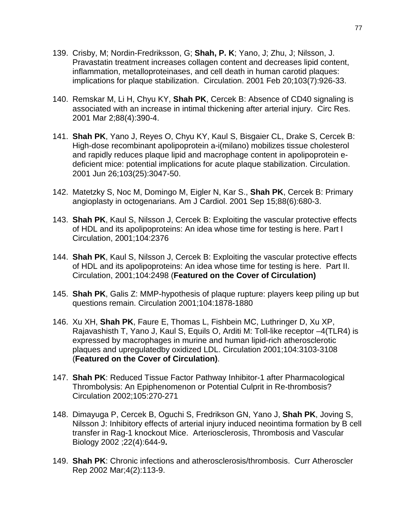- 139. Crisby, M; Nordin-Fredriksson, G; **Shah, P. K**; Yano, J; Zhu, J; Nilsson, J. Pravastatin treatment increases collagen content and decreases lipid content, inflammation, metalloproteinases, and cell death in human carotid plaques: implications for plaque stabilization. Circulation. 2001 Feb 20;103(7):926-33.
- 140. Remskar M, Li H, Chyu KY, **Shah PK**, Cercek B: Absence of CD40 signaling is associated with an increase in intimal thickening after arterial injury. Circ Res. 2001 Mar 2;88(4):390-4.
- 141. **Shah PK**, Yano J, Reyes O, Chyu KY, Kaul S, Bisgaier CL, Drake S, Cercek B: High-dose recombinant apolipoprotein a-i(milano) mobilizes tissue cholesterol and rapidly reduces plaque lipid and macrophage content in apolipoprotein edeficient mice: potential implications for acute plaque stabilization. Circulation. 2001 Jun 26;103(25):3047-50.
- 142. Matetzky S, Noc M, Domingo M, Eigler N, Kar S., **Shah PK**, Cercek B: Primary angioplasty in octogenarians. Am J Cardiol. 2001 Sep 15;88(6):680-3.
- 143. **Shah PK**, Kaul S, Nilsson J, Cercek B: Exploiting the vascular protective effects of HDL and its apolipoproteins: An idea whose time for testing is here. Part I Circulation, 2001;104:2376
- 144. **Shah PK**, Kaul S, Nilsson J, Cercek B: Exploiting the vascular protective effects of HDL and its apolipoproteins: An idea whose time for testing is here. Part II. Circulation, 2001;104:2498 (**Featured on the Cover of Circulation)**
- 145. **Shah PK**, Galis Z: MMP-hypothesis of plaque rupture: players keep piling up but questions remain. Circulation 2001;104:1878-1880
- 146. Xu XH, **Shah PK**, Faure E, Thomas L, Fishbein MC, Luthringer D, Xu XP, Rajavashisth T, Yano J, Kaul S, Equils O, Arditi M: Toll-like receptor –4(TLR4) is expressed by macrophages in murine and human lipid-rich atherosclerotic plaques and upregulatedby oxidized LDL. Circulation 2001;104:3103-3108 (**Featured on the Cover of Circulation)**.
- 147. **Shah PK**: Reduced Tissue Factor Pathway Inhibitor-1 after Pharmacological Thrombolysis: An Epiphenomenon or Potential Culprit in Re-thrombosis? Circulation 2002;105:270-271
- 148. Dimayuga P, Cercek B, Oguchi S, Fredrikson GN, Yano J, **Shah PK**, Joving S, Nilsson J: Inhibitory effects of arterial injury induced neointima formation by B cell transfer in Rag-1 knockout Mice. Arteriosclerosis, Thrombosis and Vascular Biology 2002 ;22(4):644-9**.**
- 149. **Shah PK**: Chronic infections and atherosclerosis/thrombosis. Curr Atheroscler Rep 2002 Mar;4(2):113-9.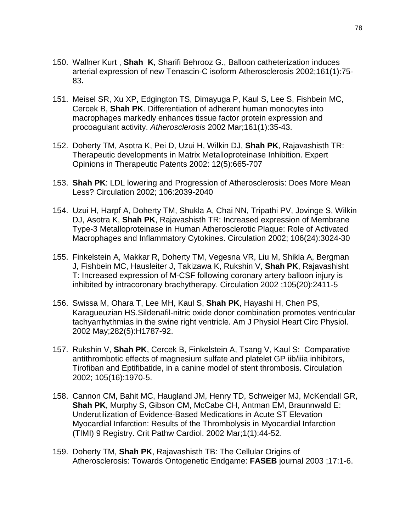- 150. [Wallner Kurt ,](http://www.ncbi.nlm.nih.gov/entrez/query.fcgi?cmd=search&db=pubmed&term=Wallner+K%5bau%5d&dispmax=50) **[Shah K](http://www.ncbi.nlm.nih.gov/entrez/query.fcgi?cmd=search&db=pubmed&term=Shah+PK%5bau%5d&dispmax=50)**, [Sharifi Behrooz G.,](http://www.ncbi.nlm.nih.gov/entrez/query.fcgi?cmd=search&db=pubmed&term=Sharifi+BG%5bau%5d&dispmax=50) Balloon catheterization induces arterial expression of new Tenascin-C isoform Atherosclerosis 2002;161(1):75- 83**.**
- 151. Meisel SR, Xu XP, Edgington TS, Dimayuga P, Kaul S, Lee S, Fishbein MC, Cercek B, **Shah PK**. Differentiation of adherent human monocytes into macrophages markedly enhances tissue factor protein expression and procoagulant activity. *Atherosclerosis* 2002 Mar;161(1):35-43.
- 152. Doherty TM, Asotra K, Pei D, Uzui H, Wilkin DJ, **Shah PK**, Rajavashisth TR: Therapeutic developments in Matrix Metalloproteinase Inhibition. Expert Opinions in Therapeutic Patents 2002: 12(5):665-707
- 153. **Shah PK**: LDL lowering and Progression of Atherosclerosis: Does More Mean Less? Circulation 2002; 106:2039-2040
- 154. Uzui H, Harpf A, Doherty TM, Shukla A, Chai NN, Tripathi PV, Jovinge S, Wilkin DJ, Asotra K, **Shah PK**, Rajavashisth TR: Increased expression of Membrane Type-3 Metalloproteinase in Human Atherosclerotic Plaque: Role of Activated Macrophages and Inflammatory Cytokines. Circulation 2002; 106(24):3024-30
- 155. Finkelstein A, Makkar R, Doherty TM, Vegesna VR, Liu M, Shikla A, Bergman J, Fishbein MC, Hausleiter J, Takizawa K, Rukshin V, **Shah PK**, Rajavashisht T: Increased expression of M-CSF following coronary artery balloon injury is inhibited by intracoronary brachytherapy. Circulation 2002 ;105(20):2411-5
- 156. [Swissa M, Ohara T, Lee MH, Kaul S,](http://www.ncbi.nlm.nih.gov/entrez/query.fcgi?cmd=Retrieve&db=PubMed&list_uids=11959644&dopt=Abstract) **Shah PK**, Hayashi H, Chen PS, [Karagueuzian HS.S](http://www.ncbi.nlm.nih.gov/entrez/query.fcgi?cmd=Retrieve&db=PubMed&list_uids=11959644&dopt=Abstract)ildenafil-nitric oxide donor combination promotes ventricular tachyarrhythmias in the swine right ventricle. Am J Physiol Heart Circ Physiol. 2002 May;282(5):H1787-92.
- 157. Rukshin V, **Shah PK**, Cercek B, Finkelstein A, Tsang V, Kaul S: Comparative antithrombotic effects of magnesium sulfate and platelet GP iib/iiia inhibitors, Tirofiban and Eptifibatide, in a canine model of stent thrombosis. Circulation 2002; 105(16):1970-5.
- 158. Cannon CM, Bahit MC, Haugland JM, Henry TD, Schweiger MJ, McKendall GR, **Shah PK**, Murphy S, Gibson CM, McCabe CH, Antman EM, Braunnwald E: Underutilization of Evidence-Based Medications in Acute ST Elevation Myocardial Infarction: Results of the Thrombolysis in Myocardial Infarction (TIMI) 9 Registry. Crit Pathw Cardiol. 2002 Mar;1(1):44-52.
- 159. Doherty TM, **Shah PK**, Rajavashisth TB: The Cellular Origins of Atherosclerosis: Towards Ontogenetic Endgame: **FASEB** journal 2003 ;17:1-6.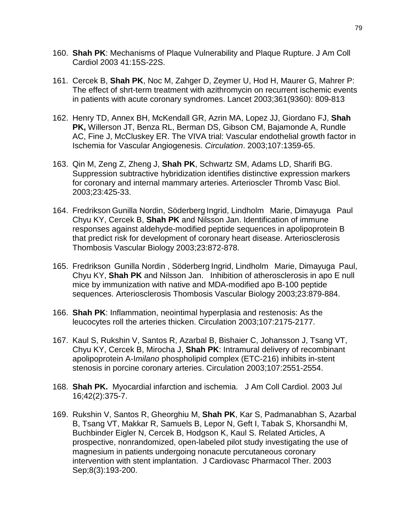- 160. **Shah PK**: Mechanisms of Plaque Vulnerability and Plaque Rupture. J Am Coll Cardiol 2003 41:15S-22S.
- 161. Cercek B, **Shah PK**, Noc M, Zahger D, Zeymer U, Hod H, Maurer G, Mahrer P: The effect of shrt-term treatment with azithromycin on recurrent ischemic events in patients with acute coronary syndromes. Lancet 2003;361(9360): 809-813
- 162. Henry TD, Annex BH, McKendall GR, Azrin MA, Lopez JJ, Giordano FJ, **Shah PK,** Willerson JT, Benza RL, Berman DS, Gibson CM, Bajamonde A, Rundle AC, Fine J, McCluskey ER. The VIVA trial: Vascular endothelial growth factor in Ischemia for Vascular Angiogenesis. *Circulation*. 2003;107:1359-65.
- 163. Qin M, Zeng Z, Zheng J, **Shah PK**, Schwartz SM, Adams LD, Sharifi BG. Suppression subtractive hybridization identifies distinctive expression markers for coronary and internal mammary arteries. Arterioscler Thromb Vasc Biol. 2003;23:425-33.
- 164. Fredrikson Gunilla Nordin, Söderberg Ingrid, Lindholm Marie, Dimayuga Paul Chyu KY, Cercek B, **Shah PK** and Nilsson Jan. Identification of immune responses against aldehyde-modified peptide sequences in apolipoprotein B that predict risk for development of coronary heart disease. Arteriosclerosis Thombosis Vascular Biology 2003;23:872-878.
- 165. Fredrikson Gunilla Nordin , Söderberg Ingrid, Lindholm Marie, Dimayuga Paul, Chyu KY, **Shah PK** and Nilsson Jan. Inhibition of atherosclerosis in apo E null mice by immunization with native and MDA-modified apo B-100 peptide sequences. Arteriosclerosis Thombosis Vascular Biology 2003;23:879-884.
- 166. **Shah PK**: Inflammation, neointimal hyperplasia and restenosis: As the leucocytes roll the arteries thicken. Circulation 2003;107:2175-2177.
- 167. Kaul S, Rukshin V, Santos R, Azarbal B, Bishaier C, Johansson J, Tsang VT, Chyu KY, Cercek B, Mirocha J, **Shah PK**: Intramural delivery of recombinant apolipoprotein A-I*milano* phospholipid complex (ETC-216) inhibits in-stent stenosis in porcine coronary arteries. Circulation 2003;107:2551-2554.
- 168. **[Shah PK.](http://www.ncbi.nlm.nih.gov/entrez/query.fcgi?cmd=Retrieve&db=PubMed&list_uids=12875779&dopt=Abstract)** Myocardial infarction and ischemia. J Am Coll Cardiol. 2003 Jul 16;42(2):375-7.
- 169. [Rukshin V, Santos R, Gheorghiu M,](http://www.ncbi.nlm.nih.gov/entrez/query.fcgi?cmd=Retrieve&db=PubMed&list_uids=14506544&dopt=Abstract) **Shah PK**, Kar S, Padmanabhan S, Azarbal [B, Tsang VT, Makkar R, Samuels B, Lepor N, Geft I, Tabak S, Khorsandhi M,](http://www.ncbi.nlm.nih.gov/entrez/query.fcgi?cmd=Retrieve&db=PubMed&list_uids=14506544&dopt=Abstract)  [Buchbinder Eigler N, Cercek B, Hodgson K, Kaul S.](http://www.ncbi.nlm.nih.gov/entrez/query.fcgi?cmd=Retrieve&db=PubMed&list_uids=14506544&dopt=Abstract) [Related Articles,](http://www.ncbi.nlm.nih.gov/entrez/query.fcgi?db=PubMed&cmd=Display&dopt=pubmed_pubmed&from_uid=14506544) A prospective, nonrandomized, open-labeled pilot study investigating the use of magnesium in patients undergoing nonacute percutaneous coronary intervention with stent implantation. J Cardiovasc Pharmacol Ther. 2003 Sep;8(3):193-200.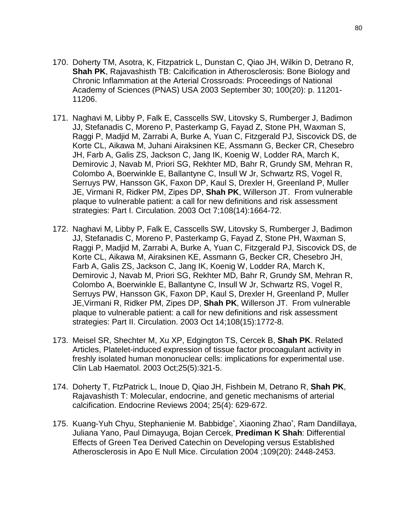- 170. Doherty TM, Asotra, K, Fitzpatrick L, Dunstan C, Qiao JH, Wilkin D, Detrano R, **Shah PK**, Rajavashisth TB: Calcification in Atherosclerosis: Bone Biology and Chronic Inflammation at the Arterial Crossroads: Proceedings of National Academy of Sciences (PNAS) USA 2003 September 30; 100(20): p. 11201- 11206.
- 171. [Naghavi M, Libby P, Falk E, Casscells SW, Litovsky S, Rumberger J, Badimon](http://www.ncbi.nlm.nih.gov/entrez/query.fcgi?cmd=Retrieve&db=PubMed&list_uids=14530185&dopt=Abstract)  [JJ, Stefanadis C, Moreno P, Pasterkamp G, Fayad Z, Stone PH, Waxman S,](http://www.ncbi.nlm.nih.gov/entrez/query.fcgi?cmd=Retrieve&db=PubMed&list_uids=14530185&dopt=Abstract)  [Raggi P, Madjid M, Zarrabi A, Burke A, Yuan C, Fitzgerald PJ, Siscovick DS, de](http://www.ncbi.nlm.nih.gov/entrez/query.fcgi?cmd=Retrieve&db=PubMed&list_uids=14530185&dopt=Abstract)  [Korte CL, Aikawa M, Juhani Airaksinen KE, Assmann G, Becker CR, Chesebro](http://www.ncbi.nlm.nih.gov/entrez/query.fcgi?cmd=Retrieve&db=PubMed&list_uids=14530185&dopt=Abstract)  [JH, Farb A, Galis ZS, Jackson C, Jang IK, Koenig W, Lodder RA, March K,](http://www.ncbi.nlm.nih.gov/entrez/query.fcgi?cmd=Retrieve&db=PubMed&list_uids=14530185&dopt=Abstract)  [Demirovic J, Navab M, Priori SG, Rekhter MD, Bahr R, Grundy SM, Mehran R,](http://www.ncbi.nlm.nih.gov/entrez/query.fcgi?cmd=Retrieve&db=PubMed&list_uids=14530185&dopt=Abstract)  [Colombo A, Boerwinkle E, Ballantyne C, Insull W Jr, Schwartz RS, Vogel R,](http://www.ncbi.nlm.nih.gov/entrez/query.fcgi?cmd=Retrieve&db=PubMed&list_uids=14530185&dopt=Abstract)  [Serruys PW, Hansson GK, Faxon DP, Kaul S, Drexler H, Greenland P, Muller](http://www.ncbi.nlm.nih.gov/entrez/query.fcgi?cmd=Retrieve&db=PubMed&list_uids=14530185&dopt=Abstract)  [JE, Virmani R, Ridker PM, Zipes DP,](http://www.ncbi.nlm.nih.gov/entrez/query.fcgi?cmd=Retrieve&db=PubMed&list_uids=14530185&dopt=Abstract) **Shah PK**, Willerson JT. From vulnerable plaque to vulnerable patient: a call for new definitions and risk assessment strategies: Part I. Circulation. 2003 Oct 7;108(14):1664-72.
- 172. [Naghavi M, Libby P, Falk E, Casscells SW, Litovsky S, Rumberger J, Badimon](http://www.ncbi.nlm.nih.gov/entrez/query.fcgi?cmd=Retrieve&db=PubMed&list_uids=14557340&dopt=Abstract)  [JJ, Stefanadis C, Moreno P, Pasterkamp G, Fayad Z, Stone PH, Waxman S,](http://www.ncbi.nlm.nih.gov/entrez/query.fcgi?cmd=Retrieve&db=PubMed&list_uids=14557340&dopt=Abstract)  [Raggi P, Madjid M, Zarrabi A, Burke A, Yuan C, Fitzgerald PJ, Siscovick DS, de](http://www.ncbi.nlm.nih.gov/entrez/query.fcgi?cmd=Retrieve&db=PubMed&list_uids=14557340&dopt=Abstract)  [Korte CL, Aikawa M, Airaksinen KE, Assmann G, Becker CR, Chesebro JH,](http://www.ncbi.nlm.nih.gov/entrez/query.fcgi?cmd=Retrieve&db=PubMed&list_uids=14557340&dopt=Abstract)  [Farb A, Galis ZS, Jackson C, Jang IK, Koenig W, Lodder RA, March K,](http://www.ncbi.nlm.nih.gov/entrez/query.fcgi?cmd=Retrieve&db=PubMed&list_uids=14557340&dopt=Abstract)  [Demirovic J, Navab M, Priori SG, Rekhter MD, Bahr R, Grundy SM, Mehran R,](http://www.ncbi.nlm.nih.gov/entrez/query.fcgi?cmd=Retrieve&db=PubMed&list_uids=14557340&dopt=Abstract)  [Colombo A, Boerwinkle E, Ballantyne C, Insull W Jr, Schwartz RS, Vogel R,](http://www.ncbi.nlm.nih.gov/entrez/query.fcgi?cmd=Retrieve&db=PubMed&list_uids=14557340&dopt=Abstract)  Serruys PW, Hansson GK, Faxon DP, [Kaul S, Drexler H, Greenland P, Muller](http://www.ncbi.nlm.nih.gov/entrez/query.fcgi?cmd=Retrieve&db=PubMed&list_uids=14557340&dopt=Abstract)  [JE,Virmani R, Ridker PM, Zipes DP,](http://www.ncbi.nlm.nih.gov/entrez/query.fcgi?cmd=Retrieve&db=PubMed&list_uids=14557340&dopt=Abstract) **Shah PK**, Willerson JT. From vulnerable plaque to vulnerable patient: a call for new definitions and risk assessment strategies: Part II. Circulation. 2003 Oct 14;108(15):1772-8.
- 173. [Meisel SR, Shechter M, Xu XP, Edgington TS, Cercek B,](http://www.ncbi.nlm.nih.gov/entrez/query.fcgi?cmd=Retrieve&db=PubMed&list_uids=12974724&dopt=Abstract) **Shah PK**. [Related](http://www.ncbi.nlm.nih.gov/entrez/query.fcgi?db=PubMed&cmd=Display&dopt=pubmed_pubmed&from_uid=12974724)  [Articles,](http://www.ncbi.nlm.nih.gov/entrez/query.fcgi?db=PubMed&cmd=Display&dopt=pubmed_pubmed&from_uid=12974724) Platelet-induced expression of tissue factor procoagulant activity in freshly isolated human mononuclear cells: implications for experimental use. Clin Lab Haematol. 2003 Oct;25(5):321-5.
- 174. Doherty T, FtzPatrick L, Inoue D, Qiao JH, Fishbein M, Detrano R, **Shah PK**, Rajavashisth T: Molecular, endocrine, and genetic mechanisms of arterial calcification. Endocrine Reviews 2004; 25(4): 629-672.
- 175. Kuang-Yuh Chyu, Stephanienie M. Babbidge\* , Xiaoning Zhao\* , Ram Dandillaya, Juliana Yano, Paul Dimayuga, Bojan Cercek, **Prediman K Shah**: Differential Effects of Green Tea Derived Catechin on Developing versus Established Atherosclerosis in Apo E Null Mice. Circulation 2004 ;109(20): 2448-2453.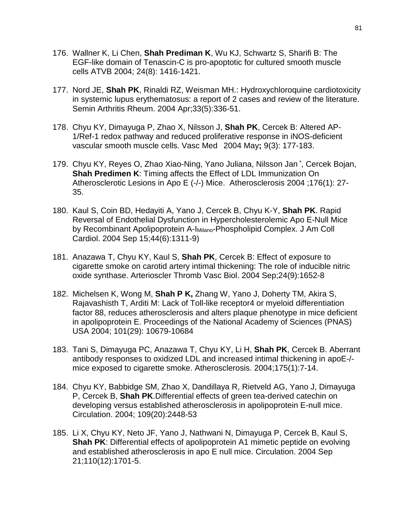- 176. Wallner K, Li Chen, **Shah Prediman K**, Wu KJ, Schwartz S, Sharifi B: The EGF-like domain of Tenascin-C is pro-apoptotic for cultured smooth muscle cells ATVB 2004; 24(8): 1416-1421.
- 177. Nord JE, **Shah PK**[, Rinaldi RZ, Weisman MH.:](http://www.ncbi.nlm.nih.gov/entrez/query.fcgi?cmd=Retrieve&db=pubmed&dopt=Abstract&list_uids=15079764) Hydroxychloroquine cardiotoxicity in systemic lupus erythematosus: a report of 2 cases and review of the literature. Semin Arthritis Rheum. 2004 Apr;33(5):336-51.
- 178. Chyu KY, Dimayuga P, Zhao X, Nilsson J, **Shah PK**, Cercek B: Altered AP-1/Ref-1 redox pathway and reduced proliferative response in iNOS-deficient vascular smooth muscle cells. Vasc Med 2004 May**;** 9(3): 177-183.
- 179. Chyu KY, Reyes O, Zhao Xiao-Ning, Yano Juliana, Nilsson Jan \* , Cercek Bojan, **Shah Predimen K**: Timing affects the Effect of LDL Immunization On Atherosclerotic Lesions in Apo E (-/-) Mice. Atherosclerosis 2004 ;176(1): 27- 35.
- 180. Kaul S, Coin BD, Hedayiti A, Yano J, Cercek B, Chyu K-Y, **Shah PK**. Rapid Reversal of Endothelial Dysfunction in Hypercholesterolemic Apo E-Null Mice by Recombinant Apolipoprotein A-I<sub>Milano</sub>-Phospholipid Complex. J Am Coll Cardiol. 2004 Sep 15;44(6):1311-9)
- 181. Anazawa T, Chyu KY, Kaul S, **Shah PK**, Cercek B: Effect of exposure to cigarette smoke on carotid artery intimal thickening: The role of inducible nitric oxide synthase. Arterioscler Thromb Vasc Biol. 2004 Sep;24(9):1652-8
- 182. Michelsen K, Wong M, **Shah P K,** Zhang W, Yano J, Doherty TM, Akira S, Rajavashisth T, Arditi M: Lack of Toll-like receptor4 or myeloid differentiation factor 88, reduces atherosclerosis and alters plaque phenotype in mice deficient in apolipoprotein E. Proceedings of the National Academy of Sciences (PNAS) USA 2004; 101(29): 10679-10684
- 183. [Tani S, Dimayuga PC, Anazawa T, Chyu KY, Li H,](http://www.ncbi.nlm.nih.gov/entrez/query.fcgi?cmd=Retrieve&db=pubmed&dopt=Abstract&list_uids=15186941) **Shah PK**, Cercek B. Aberrant antibody responses to oxidized LDL and increased intimal thickening in apoE-/ mice exposed to cigarette smoke. Atherosclerosis. 2004;175(1):7-14.
- 184. [Chyu KY, Babbidge SM, Zhao X, Dandillaya R, Rietveld AG, Yano J, Dimayuga](http://www.ncbi.nlm.nih.gov/entrez/query.fcgi?cmd=Retrieve&db=pubmed&dopt=Abstract&list_uids=15136500)  [P, Cercek B,](http://www.ncbi.nlm.nih.gov/entrez/query.fcgi?cmd=Retrieve&db=pubmed&dopt=Abstract&list_uids=15136500) **Shah PK**.Differential effects of green tea-derived catechin on developing versus established atherosclerosis in apolipoprotein E-null mice. Circulation. 2004; 109(20):2448-53
- 185. Li X, Chyu KY, Neto JF, Yano J, Nathwani N, Dimayuga P, Cercek B, Kaul S, **Shah PK:** Differential effects of apolipoprotein A1 mimetic peptide on evolving and established atherosclerosis in apo E null mice. Circulation. 2004 Sep 21;110(12):1701-5.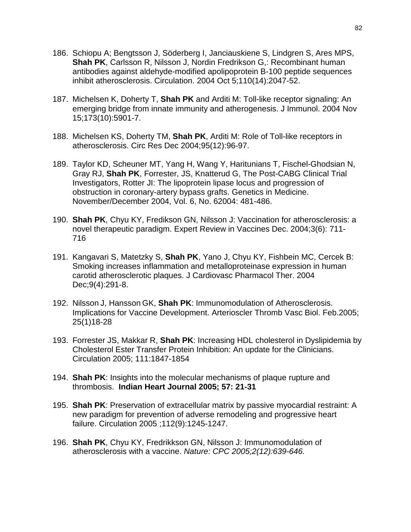- 186. Schiopu A; Bengtsson J, Söderberg I, Janciauskiene S, Lindgren S, Ares MPS, **Shah PK**, Carlsson R, Nilsson J, Nordin Fredrikson G,: Recombinant human antibodies against aldehyde-modified apolipoprotein B-100 peptide sequences inhibit atherosclerosis. Circulation. 2004 Oct 5;110(14):2047-52.
- 187. Michelsen K, Doherty T, **Shah PK** and Arditi M: Toll-like receptor signaling: An emerging bridge from innate immunity and atherogenesis. J Immunol. 2004 Nov 15;173(10):5901-7.
- 188. Michelsen KS, Doherty TM, **Shah PK**, Arditi M: Role of Toll-like receptors in atherosclerosis. Circ Res Dec 2004;95(12):96-97.
- 189. Taylor KD, Scheuner MT, Yang H, Wang Y, Haritunians T, Fischel-Ghodsian N, Gray RJ, **Shah PK**, Forrester, JS, Knatterud G, The Post-CABG Clinical Trial Investigators, Rotter JI: The lipoprotein lipase locus and progression of obstruction in coronary-artery bypass grafts. Genetics in Medicine. November/December 2004, Vol. 6, No. 62004: 481-486.
- 190. **Shah PK**, Chyu KY, Fredikson GN, Nilsson J: Vaccination for atherosclerosis: a novel therapeutic paradigm. Expert Review in Vaccines Dec. 2004;3(6): 711- 716
- 191. Kangavari S, Matetzky S, **Shah PK**, Yano J, Chyu KY, Fishbein MC, Cercek B: Smoking increases inflammation and metalloproteinase expression in human carotid atherosclerotic plaques. J Cardiovasc Pharmacol Ther. 2004 Dec;9(4):291-8.
- 192. Nilsson J, Hansson GK, **Shah PK**: Immunomodulation of Atherosclerosis. Implications for Vaccine Development. Arterioscler Thromb Vasc Biol. Feb.2005; 25(1)18-28
- 193. Forrester JS, Makkar R, **Shah PK**: Increasing HDL cholesterol in Dyslipidemia by Cholesterol Ester Transfer Protein Inhibition: An update for the Clinicians. Circulation 2005; 111:1847-1854
- 194. **Shah PK**: Insights into the molecular mechanisms of plaque rupture and thrombosis. **Indian Heart Journal 2005; 57: 21-31**
- 195. **Shah PK**: Preservation of extracellular matrix by passive myocardial restraint: A new paradigm for prevention of adverse remodeling and progressive heart failure. Circulation 2005 ;112(9):1245-1247.
- 196. **Shah PK**, Chyu KY, Fredrikkson GN, Nilsson J: Immunomodulation of atherosclerosis with a vaccine. *Nature: CPC 2005;2(12):639-646.*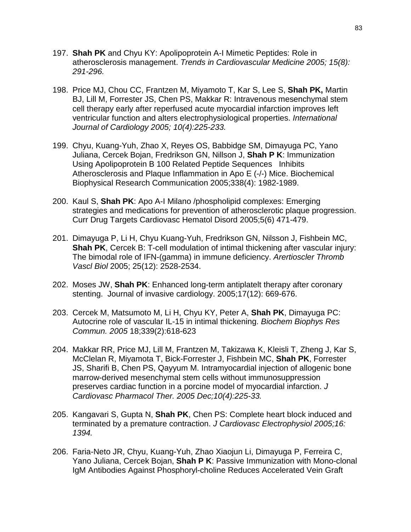- 197. **Shah PK** and Chyu KY: Apolipoprotein A-I Mimetic Peptides: Role in atherosclerosis management. *Trends in Cardiovascular Medicine 2005; 15(8): 291-296.*
- 198. Price MJ, Chou CC, Frantzen M, Miyamoto T, Kar S, Lee S, **Shah PK,** Martin BJ, Lill M, Forrester JS, Chen PS, Makkar R: Intravenous mesenchymal stem cell therapy early after reperfused acute myocardial infarction improves left ventricular function and alters electrophysiological properties. *International Journal of Cardiology 2005; 10(4):225-233.*
- 199. Chyu, Kuang-Yuh, Zhao X, Reyes OS, Babbidge SM, Dimayuga PC, Yano Juliana, Cercek Bojan, Fredrikson GN, Nillson J, **Shah P K**: Immunization Using Apolipoprotein B 100 Related Peptide Sequences Inhibits Atherosclerosis and Plaque Inflammation in Apo E (-/-) Mice. Biochemical Biophysical Research Communication 2005;338(4): 1982-1989.
- 200. Kaul S, **Shah PK**: Apo A-I Milano /phospholipid complexes: Emerging strategies and medications for prevention of atherosclerotic plaque progression. Curr Drug Targets Cardiovasc Hematol Disord 2005;5(6) 471-479.
- 201. Dimayuga P, Li H, Chyu Kuang-Yuh, Fredrikson GN, Nilsson J, Fishbein MC, **Shah PK**, Cercek B: T-cell modulation of intimal thickening after vascular injury: The bimodal role of IFN-(gamma) in immune deficiency. *Arertioscler Thromb Vascl Biol* 2005; 25(12): 2528-2534.
- 202. Moses JW, **Shah PK**: Enhanced long-term antiplatelt therapy after coronary stenting. Journal of invasive cardiology. 2005;17(12): 669-676.
- 203. [Cercek M, Matsumoto M, Li H, Chyu KY, Peter A,](http://www.ncbi.nlm.nih.gov/entrez/query.fcgi?cmd=Retrieve&db=pubmed&dopt=Abstract&list_uids=16321364&query_hl=1) **Shah PK**, Dimayuga PC: Autocrine role of vascular IL-15 in intimal thickening. *Biochem Biophys Res Commun. 2005* 18;339(2):618-623
- 204. [Makkar RR, Price MJ, Lill M, Frantzen M, Takizawa K, Kleisli T, Zheng J, Kar S,](http://www.ncbi.nlm.nih.gov/entrez/query.fcgi?cmd=Retrieve&db=pubmed&dopt=Abstract&list_uids=16382259&query_hl=1&itool=pubmed_docsum)  [McClelan R, Miyamota T, Bick-Forrester J, Fishbein MC,](http://www.ncbi.nlm.nih.gov/entrez/query.fcgi?cmd=Retrieve&db=pubmed&dopt=Abstract&list_uids=16382259&query_hl=1&itool=pubmed_docsum) **Shah PK**, Forrester [JS, Sharifi B, Chen PS, Qayyum M.](http://www.ncbi.nlm.nih.gov/entrez/query.fcgi?cmd=Retrieve&db=pubmed&dopt=Abstract&list_uids=16382259&query_hl=1&itool=pubmed_docsum) Intramyocardial injection of allogenic bone marrow-derived mesenchymal stem cells without immunosuppression preserves cardiac function in a porcine model of myocardial infarction. *J Cardiovasc Pharmacol Ther. 2005 Dec;10(4):225-33.*
- 205. Kangavari S, Gupta N, **Shah PK**, Chen PS: Complete heart block induced and terminated by a premature contraction. *J Cardiovasc Electrophysiol 2005;16: 1394.*
- 206. Faria-Neto JR, Chyu, Kuang-Yuh, Zhao Xiaojun Li, Dimayuga P, Ferreira C, Yano Juliana, Cercek Bojan, **Shah P K**: Passive Immunization with Mono-clonal IgM Antibodies Against Phosphoryl-choline Reduces Accelerated Vein Graft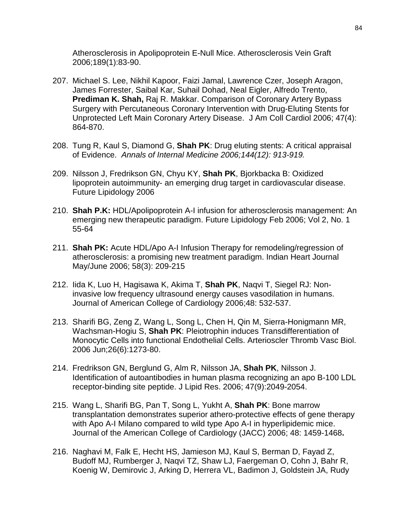Atherosclerosis in Apolipoprotein E-Null Mice. Atherosclerosis Vein Graft 2006;189(1):83-90.

- 207. Michael S. Lee, Nikhil Kapoor, Faizi Jamal, Lawrence Czer, Joseph Aragon, James Forrester, Saibal Kar, Suhail Dohad, Neal Eigler, Alfredo Trento, **Prediman K. Shah,** Raj R. Makkar. Comparison of Coronary Artery Bypass Surgery with Percutaneous Coronary Intervention with Drug-Eluting Stents for Unprotected Left Main Coronary Artery Disease. J Am Coll Cardiol 2006; 47(4): 864-870.
- 208. Tung R, Kaul S, Diamond G, **Shah PK**: Drug eluting stents: A critical appraisal of Evidence. *Annals of Internal Medicine 2006;144(12): 913-919.*
- 209. Nilsson J, Fredrikson GN, Chyu KY, **Shah PK**, Bjorkbacka B: Oxidized lipoprotein autoimmunity- an emerging drug target in cardiovascular disease. Future Lipidology 2006
- 210. **Shah P.K:** HDL/Apolipoprotein A-I infusion for atherosclerosis management: An emerging new therapeutic paradigm. Future Lipidology Feb 2006; Vol 2, No. 1 55-64
- 211. **Shah PK:** Acute HDL/Apo A-I Infusion Therapy for remodeling/regression of atherosclerosis: a promising new treatment paradigm. Indian Heart Journal May/June 2006; 58(3): 209-215
- 212. Iida K, Luo H, Hagisawa K, Akima T, **Shah PK**, Naqvi T, Siegel RJ: Noninvasive low frequency ultrasound energy causes vasodilation in humans. Journal of American College of Cardiology 2006;48: 532-537.
- 213. Sharifi BG, Zeng Z, Wang L, Song L, Chen H, Qin M, Sierra-Honigmann MR, Wachsman-Hogiu S, **Shah PK**: Pleiotrophin induces Transdifferentiation of Monocytic Cells into functional Endothelial Cells. Arterioscler Thromb Vasc Biol. 2006 Jun;26(6):1273-80.
- 214. [Fredrikson GN, Berglund G, Alm R, Nilsson JA,](http://www.ncbi.nlm.nih.gov/entrez/query.fcgi?db=pubmed&cmd=Retrieve&dopt=Abstract&list_uids=16809787&query_hl=1&itool=pubmed_docsum) **Shah PK**, Nilsson J. Identification of autoantibodies in human plasma recognizing an apo B-100 LDL receptor-binding site peptide. J Lipid Res. 2006; 47(9):2049-2054.
- 215. Wang L, Sharifi BG, Pan T, Song L, Yukht A, **Shah PK**: Bone marrow transplantation demonstrates superior athero-protective effects of gene therapy with Apo A-I Milano compared to wild type Apo A-I in hyperlipidemic mice. Journal of the American College of Cardiology (JACC) 2006; 48: 1459-1468**.**
- 216. [Naghavi M, Falk E, Hecht HS, Jamieson MJ, Kaul S, Berman D, Fayad Z,](http://www.ncbi.nlm.nih.gov/entrez/query.fcgi?db=pubmed&cmd=Retrieve&dopt=Abstract&list_uids=16843744&itool=pubmed_DocSum)  [Budoff MJ, Rumberger J, Naqvi TZ, Shaw LJ, Faergeman O, Cohn J, Bahr R,](http://www.ncbi.nlm.nih.gov/entrez/query.fcgi?db=pubmed&cmd=Retrieve&dopt=Abstract&list_uids=16843744&itool=pubmed_DocSum)  [Koenig W, Demirovic J, Arking D, Herrera VL, Badimon J, Goldstein JA, Rudy](http://www.ncbi.nlm.nih.gov/entrez/query.fcgi?db=pubmed&cmd=Retrieve&dopt=Abstract&list_uids=16843744&itool=pubmed_DocSum)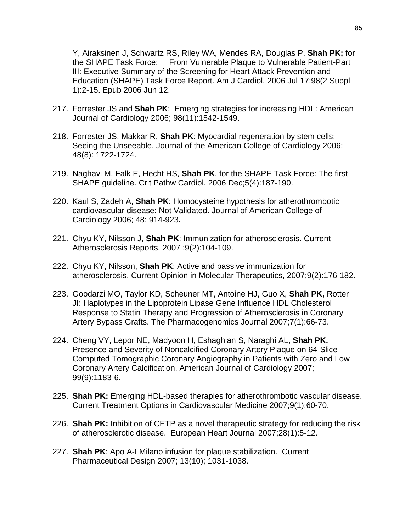[Y, Airaksinen J, Schwartz RS, Riley WA, Mendes RA, Douglas P,](http://www.ncbi.nlm.nih.gov/entrez/query.fcgi?db=pubmed&cmd=Retrieve&dopt=Abstract&list_uids=16843744&itool=pubmed_DocSum) **Shah PK;** for [the SHAPE Task Force:](http://www.ncbi.nlm.nih.gov/entrez/query.fcgi?db=pubmed&cmd=Retrieve&dopt=Abstract&list_uids=16843744&itool=pubmed_DocSum) From Vulnerable Plaque to Vulnerable Patient-Part III: Executive Summary of the Screening for Heart Attack Prevention and Education (SHAPE) Task Force Report. Am J Cardiol. 2006 Jul 17;98(2 Suppl 1):2-15. Epub 2006 Jun 12.

- 217. Forrester JS and **Shah PK**: Emerging strategies for increasing HDL: American Journal of Cardiology 2006; 98(11):1542-1549.
- 218. Forrester JS, Makkar R, **Shah PK**: Myocardial regeneration by stem cells: Seeing the Unseeable. Journal of the American College of Cardiology 2006; 48(8): 1722-1724.
- 219. Naghavi M, Falk E, Hecht HS, **Shah PK**, for the SHAPE Task Force: The first SHAPE guideline. Crit Pathw Cardiol. 2006 Dec;5(4):187-190.
- 220. Kaul S, Zadeh A, **Shah PK**: Homocysteine hypothesis for atherothrombotic cardiovascular disease: Not Validated. Journal of American College of Cardiology 2006; 48: 914-923**.**
- 221. Chyu KY, Nilsson J, **Shah PK**: Immunization for atherosclerosis. Current Atherosclerosis Reports, 2007 ;9(2):104-109.
- 222. Chyu KY, Nilsson, **Shah PK**: Active and passive immunization for atherosclerosis. Current Opinion in Molecular Therapeutics, 2007;9(2):176-182.
- 223. Goodarzi MO, Taylor KD, Scheuner MT, Antoine HJ, Guo X, **Shah PK,** Rotter JI: Haplotypes in the Lipoprotein Lipase Gene Influence HDL Cholesterol Response to Statin Therapy and Progression of Atherosclerosis in Coronary Artery Bypass Grafts. The Pharmacogenomics Journal 2007;7(1):66-73.
- 224. Cheng VY, Lepor NE, Madyoon H, Eshaghian S, Naraghi AL, **Shah PK.**  Presence and Severity of Noncalcified Coronary Artery Plaque on 64-Slice Computed Tomographic Coronary Angiography in Patients with Zero and Low Coronary Artery Calcification. American Journal of Cardiology 2007; 99(9):1183-6.
- 225. **Shah PK:** Emerging HDL-based therapies for atherothrombotic vascular disease. Current Treatment Options in Cardiovascular Medicine 2007;9(1):60-70.
- 226. **Shah PK:** Inhibition of CETP as a novel therapeutic strategy for reducing the risk of atherosclerotic disease. European Heart Journal 2007;28(1):5-12.
- 227. **Shah PK**: Apo A-I Milano infusion for plaque stabilization. Current Pharmaceutical Design 2007; 13(10); 1031-1038.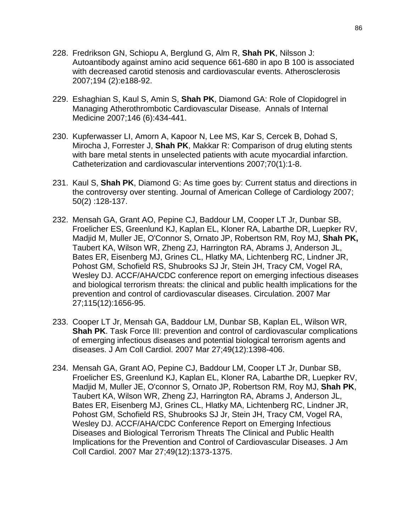- 228. Fredrikson GN, Schiopu A, Berglund G, Alm R, **Shah PK**, Nilsson J: Autoantibody against amino acid sequence 661-680 in apo B 100 is associated with decreased carotid stenosis and cardiovascular events. Atherosclerosis 2007;194 (2):e188-92.
- 229. Eshaghian S, Kaul S, Amin S, **Shah PK**, Diamond GA: Role of Clopidogrel in Managing Atherothrombotic Cardiovascular Disease. Annals of Internal Medicine 2007;146 (6):434-441.
- 230. Kupferwasser LI, Amorn A, Kapoor N, Lee MS, Kar S, Cercek B, Dohad S, Mirocha J, Forrester J, **Shah PK**, Makkar R: Comparison of drug eluting stents with bare metal stents in unselected patients with acute myocardial infarction. Catheterization and cardiovascular interventions 2007;70(1):1-8.
- 231. Kaul S, **Shah PK**, Diamond G: As time goes by: Current status and directions in the controversy over stenting. Journal of American College of Cardiology 2007; 50(2) :128-137.
- 232. [Mensah GA, Grant AO, Pepine CJ, Baddour LM, Cooper LT Jr, Dunbar SB,](http://www.ncbi.nlm.nih.gov/entrez/query.fcgi?db=pubmed&cmd=Retrieve&dopt=AbstractPlus&list_uids=17372165&query_hl=1&itool=pubmed_docsum)  [Froelicher ES, Greenlund KJ, Kaplan EL, Kloner RA, Labarthe DR, Luepker RV,](http://www.ncbi.nlm.nih.gov/entrez/query.fcgi?db=pubmed&cmd=Retrieve&dopt=AbstractPlus&list_uids=17372165&query_hl=1&itool=pubmed_docsum)  [Madjid M, Muller JE, O'Connor S, Ornato JP, Robertson RM, Roy MJ,](http://www.ncbi.nlm.nih.gov/entrez/query.fcgi?db=pubmed&cmd=Retrieve&dopt=AbstractPlus&list_uids=17372165&query_hl=1&itool=pubmed_docsum) **Shah PK,**  [Taubert KA, Wilson WR, Zheng ZJ, Harrington RA, Abrams J, Anderson JL,](http://www.ncbi.nlm.nih.gov/entrez/query.fcgi?db=pubmed&cmd=Retrieve&dopt=AbstractPlus&list_uids=17372165&query_hl=1&itool=pubmed_docsum)  [Bates ER, Eisenberg MJ, Grines CL, Hlatky MA, Lichtenberg RC, Lindner JR,](http://www.ncbi.nlm.nih.gov/entrez/query.fcgi?db=pubmed&cmd=Retrieve&dopt=AbstractPlus&list_uids=17372165&query_hl=1&itool=pubmed_docsum)  [Pohost GM, Schofield RS, Shubrooks SJ Jr, Stein JH, Tracy CM, Vogel RA,](http://www.ncbi.nlm.nih.gov/entrez/query.fcgi?db=pubmed&cmd=Retrieve&dopt=AbstractPlus&list_uids=17372165&query_hl=1&itool=pubmed_docsum)  [Wesley DJ.](http://www.ncbi.nlm.nih.gov/entrez/query.fcgi?db=pubmed&cmd=Retrieve&dopt=AbstractPlus&list_uids=17372165&query_hl=1&itool=pubmed_docsum) ACCF/AHA/CDC conference report on emerging infectious diseases and biological terrorism threats: the clinical and public health implications for the prevention and control of cardiovascular diseases. Circulation. 2007 Mar 27;115(12):1656-95.
- 233. [Cooper LT Jr, Mensah GA, Baddour LM, Dunbar SB, Kaplan EL, Wilson WR,](http://www.ncbi.nlm.nih.gov/entrez/query.fcgi?db=pubmed&cmd=Retrieve&dopt=AbstractPlus&list_uids=17394981&query_hl=1&itool=pubmed_docsum)  **[Shah PK](http://www.ncbi.nlm.nih.gov/entrez/query.fcgi?db=pubmed&cmd=Retrieve&dopt=AbstractPlus&list_uids=17394981&query_hl=1&itool=pubmed_docsum).** Task Force III: prevention and control of cardiovascular complications of emerging infectious diseases and potential biological terrorism agents and diseases. J Am Coll Cardiol. 2007 Mar 27;49(12):1398-406.
- 234. [Mensah GA, Grant AO, Pepine CJ, Baddour LM, Cooper LT Jr, Dunbar SB,](http://www.ncbi.nlm.nih.gov/entrez/query.fcgi?db=pubmed&cmd=Retrieve&dopt=AbstractPlus&list_uids=17394977&query_hl=1&itool=pubmed_docsum)  [Froelicher ES, Greenlund KJ, Kaplan EL, Kloner RA, Labarthe DR, Luepker RV,](http://www.ncbi.nlm.nih.gov/entrez/query.fcgi?db=pubmed&cmd=Retrieve&dopt=AbstractPlus&list_uids=17394977&query_hl=1&itool=pubmed_docsum)  [Madjid M, Muller JE, O'connor S, Ornato JP, Robertson RM, Roy MJ,](http://www.ncbi.nlm.nih.gov/entrez/query.fcgi?db=pubmed&cmd=Retrieve&dopt=AbstractPlus&list_uids=17394977&query_hl=1&itool=pubmed_docsum) **Shah PK**, Taubert KA, Wilson WR, [Zheng ZJ, Harrington RA, Abrams J, Anderson JL,](http://www.ncbi.nlm.nih.gov/entrez/query.fcgi?db=pubmed&cmd=Retrieve&dopt=AbstractPlus&list_uids=17394977&query_hl=1&itool=pubmed_docsum)  [Bates ER, Eisenberg MJ, Grines CL, Hlatky MA, Lichtenberg RC, Lindner JR,](http://www.ncbi.nlm.nih.gov/entrez/query.fcgi?db=pubmed&cmd=Retrieve&dopt=AbstractPlus&list_uids=17394977&query_hl=1&itool=pubmed_docsum)  [Pohost GM, Schofield RS, Shubrooks SJ Jr, Stein JH, Tracy CM, Vogel RA,](http://www.ncbi.nlm.nih.gov/entrez/query.fcgi?db=pubmed&cmd=Retrieve&dopt=AbstractPlus&list_uids=17394977&query_hl=1&itool=pubmed_docsum)  [Wesley DJ.](http://www.ncbi.nlm.nih.gov/entrez/query.fcgi?db=pubmed&cmd=Retrieve&dopt=AbstractPlus&list_uids=17394977&query_hl=1&itool=pubmed_docsum) ACCF/AHA/CDC Conference Report on Emerging Infectious Diseases and Biological Terrorism Threats The Clinical and Public Health Implications for the Prevention and Control of Cardiovascular Diseases. J Am Coll Cardiol. 2007 Mar 27;49(12):1373-1375.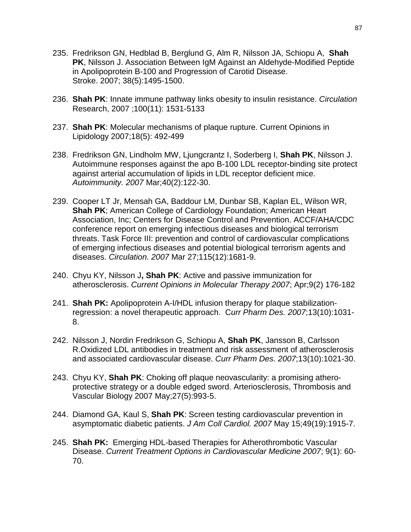- 235. [Fredrikson GN, Hedblad B, Berglund G, Alm R, Nilsson JA, Schiopu A,](http://www.ncbi.nlm.nih.gov/entrez/query.fcgi?db=pubmed&cmd=Retrieve&dopt=AbstractPlus&list_uids=17363723&query_hl=1&itool=pubmed_docsum) **Shah PK**[, Nilsson J.](http://www.ncbi.nlm.nih.gov/entrez/query.fcgi?db=pubmed&cmd=Retrieve&dopt=AbstractPlus&list_uids=17363723&query_hl=1&itool=pubmed_docsum) Association Between IgM Against an Aldehyde-Modified Peptide in Apolipoprotein B-100 and Progression of Carotid Disease. Stroke. 2007; 38(5):1495-1500.
- 236. **Shah PK**: Innate immune pathway links obesity to insulin resistance. *Circulation*  Research, 2007 ;100(11): 1531-5133
- 237. **Shah PK**: Molecular mechanisms of plaque rupture. Current Opinions in Lipidology 2007;18(5): 492-499
- 238. [Fredrikson GN, Lindholm MW, Ljungcrantz I, Soderberg I,](http://www.ncbi.nlm.nih.gov/entrez/query.fcgi?db=pubmed&cmd=Retrieve&dopt=AbstractPlus&list_uids=17453711&query_hl=1&itool=pubmed_docsum) **Shah PK**, Nilsson J. Autoimmune responses against the apo B-100 LDL receptor-binding site protect against arterial accumulation of lipids in LDL receptor deficient mice. *Autoimmunity. 2007* Mar;40(2):122-30.
- 239. [Cooper LT Jr, Mensah GA, Baddour LM, Dunbar SB, Kaplan EL, Wilson WR,](http://www.ncbi.nlm.nih.gov/entrez/query.fcgi?db=pubmed&cmd=Retrieve&dopt=AbstractPlus&list_uids=17506122&query_hl=1&itool=pubmed_DocSum)  **Shah PK**; American College of [Cardiology Foundation; American Heart](http://www.ncbi.nlm.nih.gov/entrez/query.fcgi?db=pubmed&cmd=Retrieve&dopt=AbstractPlus&list_uids=17506122&query_hl=1&itool=pubmed_DocSum)  [Association, Inc; Centers for Disease Control and Prevention.](http://www.ncbi.nlm.nih.gov/entrez/query.fcgi?db=pubmed&cmd=Retrieve&dopt=AbstractPlus&list_uids=17506122&query_hl=1&itool=pubmed_DocSum) ACCF/AHA/CDC conference report on emerging infectious diseases and biological terrorism threats. Task Force III: prevention and control of cardiovascular complications of emerging infectious diseases and potential biological terrorism agents and diseases. *Circulation. 2007* Mar 27;115(12):1681-9.
- 240. Chyu KY, Nilsson J**, Shah PK**: Active and passive immunization for atherosclerosis. *Current Opinions in Molecular Therapy 2007*; Apr;9(2) 176-182
- 241. **Shah PK:** Apolipoprotein A-I/HDL infusion therapy for plaque stabilizationregression: a novel therapeutic approach. C*urr Pharm Des. 2007*;13(10):1031- 8.
- 242. [Nilsson J, Nordin Fredrikson G, Schiopu A,](http://www.ncbi.nlm.nih.gov/entrez/query.fcgi?db=pubmed&cmd=Retrieve&dopt=AbstractPlus&list_uids=17430165&query_hl=1&itool=pubmed_docsum) **Shah PK**, Jansson B, Carlsson [R.O](http://www.ncbi.nlm.nih.gov/entrez/query.fcgi?db=pubmed&cmd=Retrieve&dopt=AbstractPlus&list_uids=17430165&query_hl=1&itool=pubmed_docsum)xidized LDL antibodies in treatment and risk assessment of atherosclerosis and associated cardiovascular disease. *Curr Pharm Des. 2007*;13(10):1021-30.
- 243. Chyu KY, **Shah PK**: Choking off plaque neovascularity: a promising atheroprotective strategy or a double edged sword. Arteriosclerosis, Thrombosis and Vascular Biology 2007 May;27(5):993-5.
- 244. [Diamond GA, Kaul S,](http://www.ncbi.nlm.nih.gov/entrez/query.fcgi?db=pubmed&cmd=Retrieve&dopt=AbstractPlus&list_uids=17498574&query_hl=1&itool=pubmed_DocSum) **Shah PK**: Screen testing cardiovascular prevention in asymptomatic diabetic patients. *J Am Coll Cardiol. 2007* May 15;49(19):1915-7.
- 245. **Shah PK:** Emerging HDL-based Therapies for Atherothrombotic Vascular Disease. *Current Treatment Options in Cardiovascular Medicine 2007*; 9(1): 60- 70.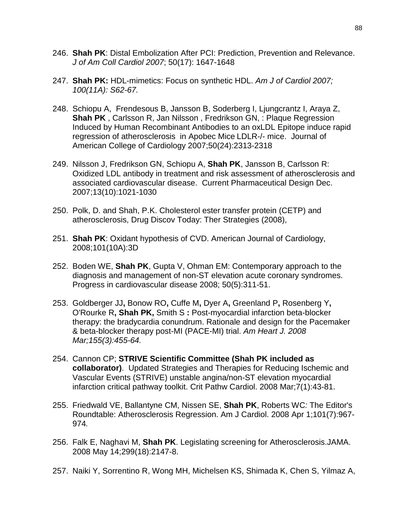- 246. **Shah PK**: Distal Embolization After PCI: Prediction, Prevention and Relevance. *J of Am Coll Cardiol 2007*; 50(17): 1647-1648
- 247. **Shah PK:** HDL-mimetics: Focus on synthetic HDL. *Am J of Cardiol 2007; 100(11A): S62-67.*
- 248. Schiopu A, Frendesous B, Jansson B, Soderberg I, Ljungcrantz I, Araya Z, **Shah PK** , Carlsson R, Jan Nilsson , Fredrikson GN, : [Plaque Regression](javascript:openPopupWindow()  [Induced by Human Recombinant Antibodies to an oxLDL Epitope induce rapid](javascript:openPopupWindow()  [regression of atherosclerosis in Apobec Mice](javascript:openPopupWindow() LDLR-/- mice. Journal of American College of Cardiology 2007;50(24):2313-2318
- 249. Nilsson J, Fredrikson GN, Schiopu A, **Shah PK**, Jansson B, Carlsson R: Oxidized LDL antibody in treatment and risk assessment of atherosclerosis and associated cardiovascular disease. Current Pharmaceutical Design Dec. 2007;13(10):1021-1030
- 250. Polk, D. and Shah, P.K. Cholesterol ester transfer protein (CETP) and atherosclerosis, Drug Discov Today: Ther Strategies (2008),
- 251. **Shah PK**: Oxidant hypothesis of CVD. American Journal of Cardiology, 2008;101(10A):3D
- 252. Boden WE, **Shah PK**, Gupta V, Ohman EM: Contemporary approach to the diagnosis and management of non-ST elevation acute coronary syndromes. Progress in cardiovascular disease 2008; 50(5):311-51.
- 253. [Goldberger JJ](http://www.ncbi.nlm.nih.gov/sites/entrez?Db=pubmed&Cmd=Search&Term=%22Goldberger%20JJ%22%5BAuthor%5D&itool=EntrezSystem2.PEntrez.Pubmed.Pubmed_ResultsPanel.Pubmed_DiscoveryPanel.Pubmed_RVAbstractPlus)**,** [Bonow RO](http://www.ncbi.nlm.nih.gov/sites/entrez?Db=pubmed&Cmd=Search&Term=%22Bonow%20RO%22%5BAuthor%5D&itool=EntrezSystem2.PEntrez.Pubmed.Pubmed_ResultsPanel.Pubmed_DiscoveryPanel.Pubmed_RVAbstractPlus)**,** [Cuffe M](http://www.ncbi.nlm.nih.gov/sites/entrez?Db=pubmed&Cmd=Search&Term=%22Cuffe%20M%22%5BAuthor%5D&itool=EntrezSystem2.PEntrez.Pubmed.Pubmed_ResultsPanel.Pubmed_DiscoveryPanel.Pubmed_RVAbstractPlus)**,** [Dyer A](http://www.ncbi.nlm.nih.gov/sites/entrez?Db=pubmed&Cmd=Search&Term=%22Dyer%20A%22%5BAuthor%5D&itool=EntrezSystem2.PEntrez.Pubmed.Pubmed_ResultsPanel.Pubmed_DiscoveryPanel.Pubmed_RVAbstractPlus)**,** [Greenland P](http://www.ncbi.nlm.nih.gov/sites/entrez?Db=pubmed&Cmd=Search&Term=%22Greenland%20P%22%5BAuthor%5D&itool=EntrezSystem2.PEntrez.Pubmed.Pubmed_ResultsPanel.Pubmed_DiscoveryPanel.Pubmed_RVAbstractPlus)**,** [Rosenberg Y](http://www.ncbi.nlm.nih.gov/sites/entrez?Db=pubmed&Cmd=Search&Term=%22Rosenberg%20Y%22%5BAuthor%5D&itool=EntrezSystem2.PEntrez.Pubmed.Pubmed_ResultsPanel.Pubmed_DiscoveryPanel.Pubmed_RVAbstractPlus)**,**  [O'Rourke R](http://www.ncbi.nlm.nih.gov/sites/entrez?Db=pubmed&Cmd=Search&Term=%22O)**, [Shah PK,](http://www.ncbi.nlm.nih.gov/sites/entrez?Db=pubmed&Cmd=Search&Term=%22Shah%20PK%22%5BAuthor%5D&itool=EntrezSystem2.PEntrez.Pubmed.Pubmed_ResultsPanel.Pubmed_DiscoveryPanel.Pubmed_RVAbstractPlus)** [Smith S](http://www.ncbi.nlm.nih.gov/sites/entrez?Db=pubmed&Cmd=Search&Term=%22Smith%20S%22%5BAuthor%5D&itool=EntrezSystem2.PEntrez.Pubmed.Pubmed_ResultsPanel.Pubmed_DiscoveryPanel.Pubmed_RVAbstractPlus) **:** Post-myocardial infarction beta-blocker therapy: the bradycardia conundrum. Rationale and design for the Pacemaker & beta-blocker therapy post-MI (PACE-MI) trial. *[Am Heart J.](javascript:AL_get(this,%20) 2008 Mar;155(3):455-64.*
- 254. Cannon CP; **STRIVE Scientific Committee (Shah PK included as collaborator)**. Updated Strategies and Therapies for Reducing Ischemic and Vascular Events (STRIVE) unstable angina/non-ST elevation myocardial infarction critical pathway toolkit. Crit Pathw Cardiol. 2008 Mar;7(1):43-81.
- 255. Friedwald VE, Ballantyne CM, Nissen SE, **Shah PK**, Roberts WC*:* The Editor's Roundtable: Atherosclerosis Regression. Am J Cardiol. 2008 Apr 1;101(7):967- 974*.*
- 256. Falk E, Naghavi M, **Shah PK**. Legislating screening for Atherosclerosis.JAMA. 2008 May 14;299(18):2147-8.
- 257. Naiki Y, Sorrentino R, Wong MH, Michelsen KS, Shimada K, Chen S, Yilmaz A,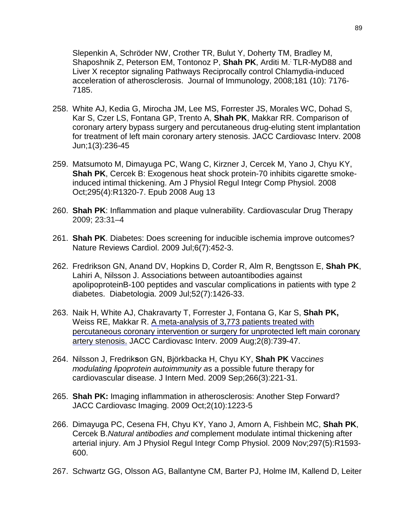Slepenkin A, Schröder NW, Crother TR, Bulut Y, Doherty TM, Bradley M, Shaposhnik Z, Peterson EM, Tontonoz P, **Shah PK**, Arditi M.: TLR-MyD88 and Liver X receptor signaling Pathways Reciprocally control Chlamydia-induced acceleration of atherosclerosis. Journal of Immunology, 2008;181 (10): 7176- 7185.

- 258. White AJ, Kedia G, Mirocha JM, Lee MS, Forrester JS, Morales WC, Dohad S, Kar S, Czer LS, Fontana GP, Trento A, **Shah PK**, Makkar RR. Comparison of coronary artery bypass surgery and percutaneous drug-eluting stent implantation for treatment of left main coronary artery stenosis. JACC Cardiovasc Interv. 2008 Jun;1(3):236-45
- 259. Matsumoto M, Dimayuga PC, Wang C, Kirzner J, Cercek M, Yano J, Chyu KY, **Shah PK**, Cercek B: Exogenous heat shock protein-70 inhibits cigarette smokeinduced intimal thickening. Am J Physiol Regul Integr Comp Physiol. 2008 Oct;295(4):R1320-7. Epub 2008 Aug 13
- 260. **Shah PK**: Inflammation and plaque vulnerability. Cardiovascular Drug Therapy 2009; 23:31–4
- 261. **Shah PK**. Diabetes: Does screening for inducible ischemia improve outcomes? Nature Reviews Cardiol. 2009 Jul;6(7):452-3.
- 262. Fredrikson GN, Anand DV, Hopkins D, Corder R, Alm R, Bengtsson E, **Shah PK**, Lahiri A, Nilsson J. Associations between autoantibodies against apolipoproteinB-100 peptides and vascular complications in patients with type 2 diabetes. Diabetologia. 2009 Jul;52(7):1426-33.
- 263. Naik H, White AJ, Chakravarty T, Forrester J, Fontana G, Kar S, **Shah PK,** Weiss RE, Makkar R. A meta-analysis of 3,773 patients treated with [percutaneous coronary intervention or surgery for unprotected left main coronary](http://www.ncbi.nlm.nih.gov/pubmed/19695542?ordinalpos=3&itool=EntrezSystem2.PEntrez.Pubmed.Pubmed_ResultsPanel.Pubmed_DefaultReportPanel.Pubmed_RVDocSum)  [artery stenosis.](http://www.ncbi.nlm.nih.gov/pubmed/19695542?ordinalpos=3&itool=EntrezSystem2.PEntrez.Pubmed.Pubmed_ResultsPanel.Pubmed_DefaultReportPanel.Pubmed_RVDocSum) JACC Cardiovasc Interv. 2009 Aug;2(8):739-47.
- 264. Nilsson J, Fredrik**s**on GN, Björkbacka H, Chyu KY, **Shah PK** [Vacci](http://www.ncbi.nlm.nih.gov/pubmed/19702790?ordinalpos=2&itool=EntrezSystem2.PEntrez.Pubmed.Pubmed_ResultsPanel.Pubmed_DefaultReportPanel.Pubmed_RVDocSum)*nes modulating l*i*poprotein autoimmunity a*s [a possible future therapy for](http://www.ncbi.nlm.nih.gov/pubmed/19702790?ordinalpos=2&itool=EntrezSystem2.PEntrez.Pubmed.Pubmed_ResultsPanel.Pubmed_DefaultReportPanel.Pubmed_RVDocSum)  [cardiovascular disease.](http://www.ncbi.nlm.nih.gov/pubmed/19702790?ordinalpos=2&itool=EntrezSystem2.PEntrez.Pubmed.Pubmed_ResultsPanel.Pubmed_DefaultReportPanel.Pubmed_RVDocSum) J Intern Med. 2009 Sep;266(3):221-31.
- 265. **Shah PK:** Imaging inflammation in atherosclerosis: Another Step Forward? JACC Cardiovasc Imaging. 2009 Oct;2(10):1223-5
- 266. Dimayuga PC, Cesena FH, Chyu KY, Yano J, Amorn A, Fishbein MC, **Shah PK**, Cercek B.*Natural antibodies and* [complement modulate intimal thickening after](http://www.ncbi.nlm.nih.gov/pubmed/19776252?ordinalpos=1&itool=EntrezSystem2.PEntrez.Pubmed.Pubmed_ResultsPanel.Pubmed_DefaultReportPanel.Pubmed_RVDocSum)  [arterial injury.](http://www.ncbi.nlm.nih.gov/pubmed/19776252?ordinalpos=1&itool=EntrezSystem2.PEntrez.Pubmed.Pubmed_ResultsPanel.Pubmed_DefaultReportPanel.Pubmed_RVDocSum) Am J Physiol Regul Integr Comp Physiol. 2009 Nov;297(5):R1593- 600.
- 267. Schwartz GG, Olsson AG, Ballantyne CM, Barter PJ, Holme IM, Kallend D, Leiter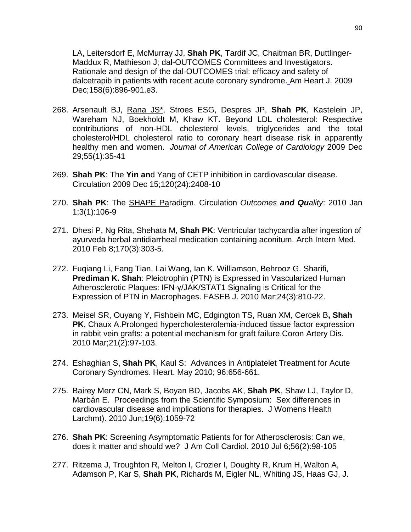LA, Leitersdorf E, McMurray JJ, **Shah PK**, Tardif JC, Chaitman BR, Duttlinger-Maddux R, Mathieson J; dal-OUTCOMES Committees and Investigators. Rationale and design of the dal-OUTCOMES trial: efficacy and safety of dalcetrapib in patients with recent acute coronary syndrome. Am Heart J. 2009 Dec;158(6):896-901.e3.

- 268. Arsenault BJ, Rana JS\*, Stroes ESG, Despres JP, **Shah PK**, Kastelein JP, Wareham NJ, Boekholdt M, Khaw KT**.** Beyond LDL cholesterol: Respective contributions of non-HDL cholesterol levels, triglycerides and the total cholesterol/HDL cholesterol ratio to coronary heart disease risk in apparently healthy men and women. *Journal of American College of Cardiology* 2009 Dec 29;55(1):35-41
- 269. **Shah PK**: The **Yin an**d Yang of CETP inhibition in cardiovascular disease. Circulation 2009 Dec 15;120(24):2408-10
- 270. **Shah PK**: The SHAPE Paradigm. Circulation *Outcomes and Quality*: 2010 Jan 1;3(1):106-9
- 271. Dhesi P, Ng Rita, Shehata M, **Shah PK**: Ventricular tachycardia after ingestion of ayurveda herbal antidiarrheal medication containing aconitum. [Arch Intern Med.](javascript:AL_get(this,%20) 2010 Feb 8;170(3):303-5.
- 272. Fuqiang Li, Fang Tian, Lai Wang, Ian K. Williamson, Behrooz G. Sharifi, **Prediman K. Shah**: Pleiotrophin (PTN) is Expressed in Vascularized Human Atherosclerotic Plaques: IFN-γ/JAK/STAT1 Signaling is Critical for the Expression of PTN in Macrophages. FASEB J. 2010 Mar;24(3):810-22.
- 273. Meisel SR, Ouyang Y, Fishbein MC, Edgington TS, Ruan XM, Cercek B**, Shah PK**, Chaux A[.Prolonged hypercholesterolemia-induced tissue factor expression](http://www.ncbi.nlm.nih.gov/pubmed/20087175?itool=EntrezSystem2.PEntrez.Pubmed.Pubmed_ResultsPanel.Pubmed_RVDocSum&ordinalpos=3)  [in rabbit vein grafts: a potential mechanism for graft failure.C](http://www.ncbi.nlm.nih.gov/pubmed/20087175?itool=EntrezSystem2.PEntrez.Pubmed.Pubmed_ResultsPanel.Pubmed_RVDocSum&ordinalpos=3)oron Artery Dis. 2010 Mar;21(2):97-103.
- 274. Eshaghian S, **Shah PK**, Kaul S: Advances in Antiplatelet Treatment for Acute Coronary Syndromes. Heart. May 2010; 96:656-661.
- 275. Bairey Merz CN, Mark S, Boyan BD, Jacobs AK, **Shah PK**, Shaw LJ, Taylor D, Marbán E. Proceedings from the Scientific Symposium: Sex differences in cardiovascular disease and implications for therapies. J Womens Health Larchmt). 2010 Jun;19(6):1059-72
- 276. **Shah PK**: Screening Asymptomatic Patients for for Atherosclerosis: Can we, does it matter and should we? J Am Coll Cardiol. 2010 Jul 6;56(2):98-105
- 277. Ritzema J, Troughton R, Melton I, Crozier I, Doughty R, Krum H, Walton A, Adamson P, Kar S, **Shah PK**, Richards M, Eigler NL, Whiting JS, Haas GJ, J.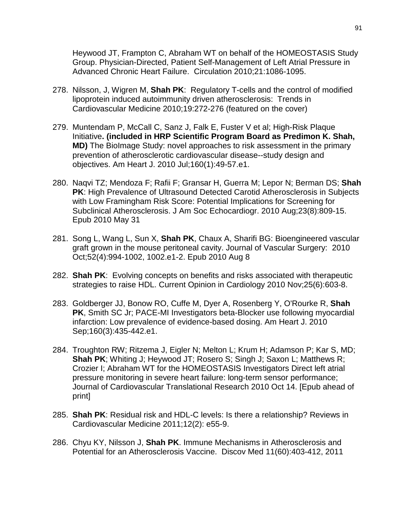Heywood JT, Frampton C, Abraham WT on behalf of the HOMEOSTASIS Study Group. Physician-Directed, Patient Self-Management of Left Atrial Pressure in Advanced Chronic Heart Failure. Circulation 2010;21:1086-1095.

- 278. Nilsson, J, Wigren M, **Shah PK**: Regulatory T-cells and the control of modified lipoprotein induced autoimmunity driven atherosclerosis: Trends in Cardiovascular Medicine 2010;19:272-276 (featured on the cover)
- 279. Muntendam P, McCall C, Sanz J, Falk E, Fuster V et al; High-Risk Plaque Initiative**. (included in HRP Scientific Program Board as Predimon K. Shah, MD)** [The BioImage Study: novel approaches to risk assessment in the primary](http://www.ncbi.nlm.nih.gov/pubmed/20598972)  [prevention of atherosclerotic cardiovascular disease--study design and](http://www.ncbi.nlm.nih.gov/pubmed/20598972)  [objectives.](http://www.ncbi.nlm.nih.gov/pubmed/20598972) Am Heart J. 2010 Jul;160(1):49-57.e1.
- 280. Naqvi TZ; Mendoza F; Rafii F; Gransar H, Guerra M; Lepor N; Berman DS; **Shah PK**: High Prevalence of Ultrasound Detected Carotid Atherosclerosis in Subjects with Low Framingham Risk Score: Potential Implications for Screening for Subclinical Atherosclerosis. J Am Soc Echocardiogr. 2010 Aug;23(8):809-15. Epub 2010 May 31
- 281. Song L, Wang L, Sun X, **Shah PK**, Chaux A, Sharifi BG: Bioengineered vascular graft grown in the mouse peritoneal cavity. Journal of Vascular Surgery: 2010 Oct;52(4):994-1002, 1002.e1-2. Epub 2010 Aug 8
- 282. **Shah PK**: Evolving concepts on benefits and risks associated with therapeutic strategies to raise HDL. Current Opinion in Cardiology 2010 Nov;25(6):603-8.
- 283. Goldberger JJ, Bonow RO, Cuffe M, Dyer A, Rosenberg Y, O'Rourke R, **Shah PK**, Smith SC Jr; PACE-MI Investigators [beta-Blocker use following myocardial](http://www.ncbi.nlm.nih.gov/pubmed/20826250)  [infarction: Low prevalence of evidence-based dosing.](http://www.ncbi.nlm.nih.gov/pubmed/20826250) Am Heart J. 2010 Sep;160(3):435-442.e1.
- 284. Troughton RW; Ritzema J, Eigler N; Melton L; Krum H; Adamson P; Kar S, MD; **Shah PK**; Whiting J; Heywood JT; Rosero S; Singh J; Saxon L; Matthews R; Crozier I; Abraham WT for the HOMEOSTASIS Investigators Direct left atrial pressure monitoring in severe heart failure: long-term sensor performance; Journal of Cardiovascular Translational Research 2010 Oct 14. [Epub ahead of print]
- 285. **Shah PK**: Residual risk and HDL-C levels: Is there a relationship? Reviews in Cardiovascular Medicine 2011;12(2): e55-9.
- 286. Chyu KY, Nilsson J, **Shah PK**. Immune Mechanisms in Atherosclerosis and Potential for an Atherosclerosis Vaccine. Discov Med 11(60):403-412, 2011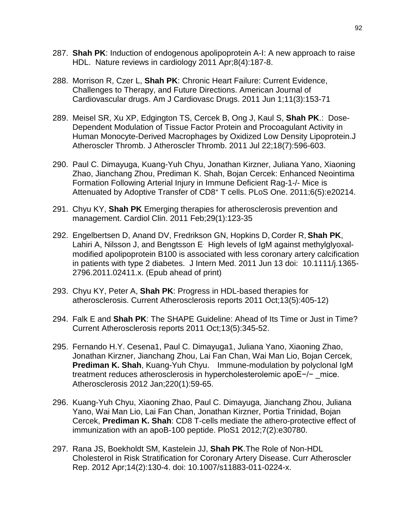- 287. **Shah PK**: Induction of endogenous apolipoprotein A-I: A new approach to raise HDL. Nature reviews in cardiology 2011 Apr;8(4):187-8.
- 288. Morrison R, Czer L, **Shah PK**: Chronic Heart Failure: Current Evidence, Challenges to Therapy, and Future Directions. American Journal of Cardiovascular drugs. Am J Cardiovasc Drugs. 2011 Jun 1;11(3):153-71
- 289. Meisel SR, Xu XP, Edgington TS, Cercek B, Ong J, Kaul S, **Shah PK**.: [Dose-](http://www.ncbi.nlm.nih.gov/pubmed/21467727)[Dependent Modulation of Tissue Factor Protein and Procoagulant Activity in](http://www.ncbi.nlm.nih.gov/pubmed/21467727)  [Human Monocyte-Derived Macrophages by Oxidized Low Density Lipoprotein.J](http://www.ncbi.nlm.nih.gov/pubmed/21467727) Atheroscler Thromb. J Atheroscler Thromb. 2011 Jul 22;18(7):596-603.
- 290. Paul C. Dimayuga, Kuang-Yuh Chyu, Jonathan Kirzner, Juliana Yano, Xiaoning Zhao, Jianchang Zhou, Prediman K. Shah, Bojan Cercek: Enhanced Neointima Formation Following Arterial Injury in Immune Deficient Rag-1-/- Mice is Attenuated by Adoptive Transfer of CD8+ T cells. PLoS One. 2011;6(5):e20214.
- 291. Chyu KY, **Shah PK** [Emerging therapies for atherosclerosis prevention and](http://www.ncbi.nlm.nih.gov/pubmed/21257104)  [management.](http://www.ncbi.nlm.nih.gov/pubmed/21257104) Cardiol Clin. 2011 Feb;29(1):123-35
- 292. Engelbertsen D, Anand DV, Fredrikson GN, Hopkins D, Corder R, **Shah PK**, Lahiri A, Nilsson J, and Bengtsson E. High levels of IgM against methylglyoxalmodified apolipoprotein B100 is associated with less coronary artery calcification in patients with type 2 diabetes. J Intern Med. 2011 Jun 13 doi: 10.1111/j.1365- 2796.2011.02411.x. (Epub ahead of print)
- 293. Chyu KY, Peter A, **Shah PK**: Progress in HDL-based therapies for atherosclerosis. Current Atherosclerosis reports 2011 Oct;13(5):405-12)
- 294. Falk E and **Shah PK**: The SHAPE Guideline: Ahead of Its Time or Just in Time? Current Atherosclerosis reports 2011 Oct;13(5):345-52.
- 295. Fernando H.Y. Cesena1, Paul C. Dimayuga1, Juliana Yano, Xiaoning Zhao, Jonathan Kirzner, Jianchang Zhou, Lai Fan Chan, Wai Man Lio, Bojan Cercek, **Prediman K. Shah**, Kuang-Yuh Chyu. Immune-modulation by polyclonal IgM treatment reduces atherosclerosis in hypercholesterolemic apoE−/− mice. Atherosclerosis 2012 Jan;220(1):59-65.
- 296. Kuang-Yuh Chyu, Xiaoning Zhao, Paul C. Dimayuga, Jianchang Zhou, Juliana Yano, Wai Man Lio, Lai Fan Chan, Jonathan Kirzner, Portia Trinidad, Bojan Cercek, **Prediman K. Shah**: CD8 T-cells mediate the athero-protective effect of immunization with an apoB-100 peptide. PloS1 2012;7(2):e30780.
- 297. Rana JS, Boekholdt SM, Kastelein JJ, **Shah PK**[.The Role of Non-HDL](http://www.ncbi.nlm.nih.gov/pubmed/22203405)  [Cholesterol in Risk Stratification for Coronary Artery Disease.](http://www.ncbi.nlm.nih.gov/pubmed/22203405) Curr Atheroscler Rep. 2012 Apr;14(2):130-4. doi: 10.1007/s11883-011-0224-x.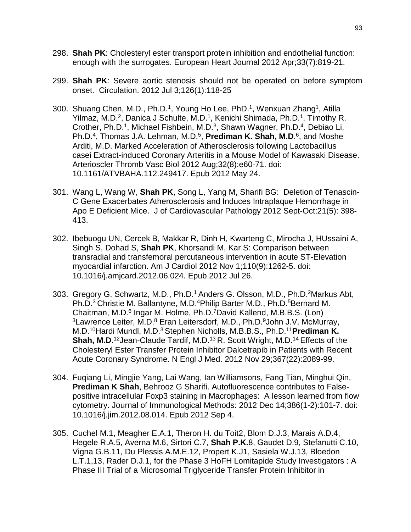- 298. **Shah PK**: Cholesteryl ester transport protein inhibition and endothelial function: enough with the surrogates. European Heart Journal 2012 Apr;33(7):819-21.
- 299. **Shah PK**: Severe aortic stenosis should not be operated on before symptom onset.Circulation. 2012 Jul 3;126(1):118-25
- 300. Shuang Chen, M.D., Ph.D.<sup>1</sup>, Young Ho Lee, PhD.<sup>1</sup>, Wenxuan Zhang<sup>1</sup>, Atilla Yilmaz, M.D.<sup>2</sup>, Danica J Schulte, M.D.<sup>1</sup>, Kenichi Shimada, Ph.D.<sup>1</sup>, Timothy R. Crother, Ph.D.<sup>1</sup>, Michael Fishbein, M.D.<sup>3</sup>, Shawn Wagner, Ph.D.<sup>4</sup>, Debiao Li, Ph.D.<sup>4</sup>, Thomas J.A. Lehman, M.D.<sup>5</sup>, Prediman K. Shah, M.D.<sup>6</sup>, and Moshe Arditi, M.D. Marked Acceleration of Atherosclerosis following Lactobacillus casei Extract-induced Coronary Arteritis in a Mouse Model of Kawasaki Disease. Arterioscler Thromb Vasc Biol 2012 Aug;32(8):e60-71. doi: 10.1161/ATVBAHA.112.249417. Epub 2012 May 24.
- 301. Wang L, Wang W, **Shah PK**, Song L, Yang M, Sharifi BG: Deletion of Tenascin-C Gene Exacerbates Atherosclerosis and Induces Intraplaque Hemorrhage in Apo E Deficient Mice. J of Cardiovascular Pathology 2012 Sept-Oct:21(5): 398- 413.
- 302. Ibebuogu UN, Cercek B, Makkar R, Dinh H, Kwarteng C, Mirocha J, HUssaini A, Singh S, Dohad S, **Shah PK**, Khorsandi M, Kar S: Comparison between transradial and transfemoral percutaneous intervention in acute ST-Elevation myocardial infarction. Am J Cardiol 2012 Nov 1;110(9):1262-5. doi: 10.1016/j.amjcard.2012.06.024. Epub 2012 Jul 26.
- 303. Gregory G. Schwartz, M.D., Ph.D.1 Anders G. Olsson, M.D., Ph.D.2Markus Abt, Ph.D.<sup>3</sup> Christie M. Ballantyne, M.D.<sup>4</sup>Philip Barter M.D., Ph.D.<sup>5</sup>Bernard M. Chaitman, M.D.6 Ingar M. Holme, Ph.D.7David Kallend, M.B.B.S. (Lon) <sup>3</sup> Lawrence Leiter, M.D.<sup>8</sup> Eran Leitersdorf, M.D., Ph.D. <sup>9</sup> John J.V. McMurray, M.D.10Hardi Mundl, M.D.3 Stephen Nicholls, M.B.B.S., Ph.D.11**Prediman K. Shah, M.D.**<sup>12</sup>Jean-Claude Tardif, M.D.<sup>13</sup> R. Scott Wright, M.D.<sup>14</sup> Effects of the Cholesteryl Ester Transfer Protein Inhibitor Dalcetrapib in Patients with Recent Acute Coronary Syndrome. N Engl J Med. 2012 Nov 29;367(22):2089-99.
- 304. Fuqiang Li, Mingjie Yang, Lai Wang, Ian Williamsons, Fang Tian, Minghui Qin, **Prediman K Shah**, Behrooz G Sharifi. Autofluorescence contributes to Falsepositive intracellular Foxp3 staining in Macrophages: A lesson learned from flow cytometry. Journal of Immunological Methods: 2012 Dec 14;386(1-2):101-7. doi: 10.1016/j.jim.2012.08.014. Epub 2012 Sep 4.
- 305. Cuchel M.1, Meagher E.A.1, Theron H. du Toit2, Blom D.J.3, Marais A.D.4, Hegele R.A.5, Averna M.6, Sirtori C.7, **Shah P.K.**8, Gaudet D.9, Stefanutti C.10, Vigna G.B.11, Du Plessis A.M.E.12, Propert K.J1, Sasiela W.J.13, Bloedon L.T.1,13, Rader D.J.1, for the Phase 3 HoFH Lomitapide Study Investigators : A Phase III Trial of a Microsomal Triglyceride Transfer Protein Inhibitor in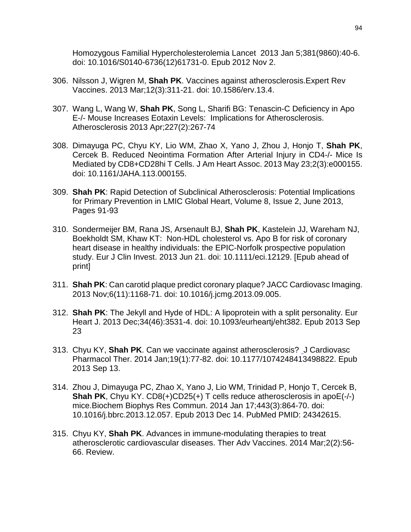Homozygous Familial Hypercholesterolemia Lancet 2013 Jan 5;381(9860):40-6. doi: 10.1016/S0140-6736(12)61731-0. Epub 2012 Nov 2.

- 306. Nilsson J, Wigren M, **Shah PK**. [Vaccines against atherosclerosis.E](http://www.ncbi.nlm.nih.gov/pubmed/23496670)xpert Rev Vaccines. 2013 Mar;12(3):311-21. doi: 10.1586/erv.13.4.
- 307. Wang L, Wang W, **Shah PK**, Song L, Sharifi BG: Tenascin-C Deficiency in Apo E-/- Mouse Increases Eotaxin Levels: Implications for Atherosclerosis. Atherosclerosis 2013 Apr;227(2):267-74
- 308. Dimayuga PC, Chyu KY, Lio WM, Zhao X, Yano J, Zhou J, Honjo T, **Shah PK**, Cercek B. Reduced Neointima Formation After Arterial Injury in CD4-/- Mice Is Mediated by CD8+CD28hi T Cells. J Am Heart Assoc. 2013 May 23;2(3):e000155. doi: 10.1161/JAHA.113.000155.
- 309. **Shah PK**: [Rapid Detection of Subclinical Atherosclerosis: Potential Implications](http://www.sciencedirect.com/science/article/pii/S2211816013000513)  [for Primary Prevention in LMIC](http://www.sciencedirect.com/science/article/pii/S2211816013000513) Global Heart, Volume 8, Issue 2, June 2013, Pages 91-93
- 310. Sondermeijer BM, Rana JS, Arsenault BJ, **Shah PK**, Kastelein JJ, Wareham NJ, Boekholdt SM, Khaw KT: [Non-HDL cholesterol vs. Apo B for risk of coronary](http://www.ncbi.nlm.nih.gov/pubmed/23859101)  [heart disease in healthy individuals: the EPIC-Norfolk prospective population](http://www.ncbi.nlm.nih.gov/pubmed/23859101)  [study.](http://www.ncbi.nlm.nih.gov/pubmed/23859101) Eur J Clin Invest. 2013 Jun 21. doi: 10.1111/eci.12129. [Epub ahead of print]
- 311. **Shah PK**: Can carotid plaque predict coronary plaque? JACC Cardiovasc Imaging. 2013 Nov;6(11):1168-71. doi: 10.1016/j.jcmg.2013.09.005.
- 312. **Shah PK**: The Jekyll and Hyde of HDL: A lipoprotein with a split personality. Eur Heart J. 2013 Dec;34(46):3531-4. doi: 10.1093/eurheartj/eht382. Epub 2013 Sep 23
- 313. Chyu KY, **Shah PK**. [Can we vaccinate against atherosclerosis?](http://www.ncbi.nlm.nih.gov/pubmed/24038015) J Cardiovasc Pharmacol Ther. 2014 Jan;19(1):77-82. doi: 10.1177/1074248413498822. Epub 2013 Sep 13.
- 314. Zhou J, Dimayuga PC, Zhao X, Yano J, Lio WM, Trinidad P, Honjo T, Cercek B, **Shah PK**, Chyu KY. CD8(+)CD25(+) T cells reduce atherosclerosis in apoE(-/-) mice.Biochem Biophys Res Commun. 2014 Jan 17;443(3):864-70. doi: 10.1016/j.bbrc.2013.12.057. Epub 2013 Dec 14. PubMed PMID: 24342615.
- 315. Chyu KY, **Shah PK**. [Advances in immune-modulating therapies to treat](http://www.ncbi.nlm.nih.gov/pubmed/24757525)  [atherosclerotic cardiovascular diseases.](http://www.ncbi.nlm.nih.gov/pubmed/24757525) Ther Adv Vaccines. 2014 Mar;2(2):56- 66. Review.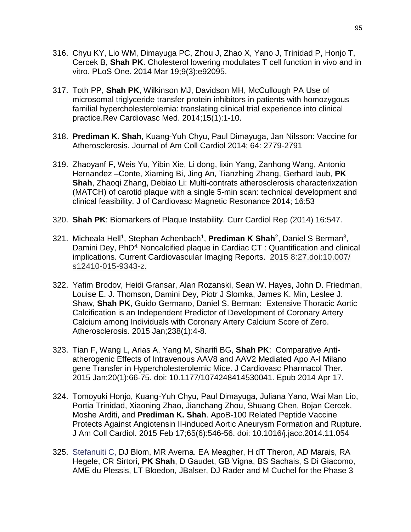- 316. Chyu KY, Lio WM, Dimayuga PC, Zhou J, Zhao X, Yano J, Trinidad P, Honjo T, Cercek B, **Shah PK**. [Cholesterol lowering modulates T cell function in vivo and in](http://www.ncbi.nlm.nih.gov/pubmed/24647529)  [vitro.](http://www.ncbi.nlm.nih.gov/pubmed/24647529) PLoS One. 2014 Mar 19;9(3):e92095.
- 317. Toth PP, **Shah PK**, Wilkinson MJ, Davidson MH, McCullough PA [Use of](http://www.ncbi.nlm.nih.gov/pubmed/24762461)  [microsomal triglyceride transfer protein inhibitors in patients with homozygous](http://www.ncbi.nlm.nih.gov/pubmed/24762461)  [familial hypercholesterolemia: translating clinical trial experience into clinical](http://www.ncbi.nlm.nih.gov/pubmed/24762461)  [practice.R](http://www.ncbi.nlm.nih.gov/pubmed/24762461)ev Cardiovasc Med. 2014;15(1):1-10.
- 318. **Prediman K. Shah**, Kuang-Yuh Chyu, Paul Dimayuga, Jan Nilsson: Vaccine for Atherosclerosis. Journal of Am Coll Cardiol 2014; 64: 2779-2791
- 319. Zhaoyanf F, Weis Yu, Yibin Xie, Li dong, lixin Yang, Zanhong Wang, Antonio Hernandez –Conte, Xiaming Bi, Jing An, Tianzhing Zhang, Gerhard laub, **PK Shah**, Zhaoqi Zhang, Debiao Li: Multi-contrats atherosclerosis characterixzation (MATCH) of carotid plaque with a single 5-min scan: technical development and clinical feasibility. J of Cardiovasc Magnetic Resonance 2014; 16:53
- 320. **Shah PK**: Biomarkers of Plaque Instability. Curr Cardiol Rep (2014) 16:547.
- 321. Micheala Hell1, Stephan Achenbach1, **Prediman K Shah**2, Daniel S Berman3, Damini Dey, PhD<sup>4.</sup> Noncalcified plaque in Cardiac CT : Quantification and clinical implications. Current Cardiovascular Imaging Reports. 2015 8:27.doi:10.007/ s12410-015-9343-z.
- 322. Yafim Brodov, Heidi Gransar, Alan Rozanski, Sean W. Hayes, John D. Friedman, Louise E. J. Thomson, Damini Dey, Piotr J Slomka, James K. Min, Leslee J. Shaw, **Shah PK**, Guido Germano, Daniel S. Berman: Extensive Thoracic Aortic Calcification is an Independent Predictor of Development of Coronary Artery Calcium among Individuals with Coronary Artery Calcium Score of Zero. Atherosclerosis. 2015 Jan;238(1):4-8.
- 323. Tian F, Wang L, Arias A, Yang M, Sharifi BG, **Shah PK**: Comparative Antiatherogenic Effects of Intravenous AAV8 and AAV2 Mediated Apo A-I Milano gene Transfer in Hypercholesterolemic Mice. J Cardiovasc Pharmacol Ther. 2015 Jan;20(1):66-75. doi: 10.1177/1074248414530041. Epub 2014 Apr 17.
- 324. Tomoyuki Honjo, Kuang-Yuh Chyu, Paul Dimayuga, Juliana Yano, Wai Man Lio, Portia Trinidad, Xiaoning Zhao, Jianchang Zhou, Shuang Chen, Bojan Cercek, Moshe Arditi, and **Prediman K. Shah**. ApoB-100 Related Peptide Vaccine Protects Against Angiotensin II-induced Aortic Aneurysm Formation and Rupture. J Am Coll Cardiol. 2015 Feb 17;65(6):546-56. doi: 10.1016/j.jacc.2014.11.054
- 325. Stefanuiti C, DJ Blom, MR Averna. EA Meagher, H dT Theron, AD Marais, RA Hegele, CR Sirtori, **PK Shah**, D Gaudet, GB Vigna, BS Sachais, S Di Giacomo, AME du Plessis, LT Bloedon, JBalser, DJ Rader and M Cuchel for the Phase 3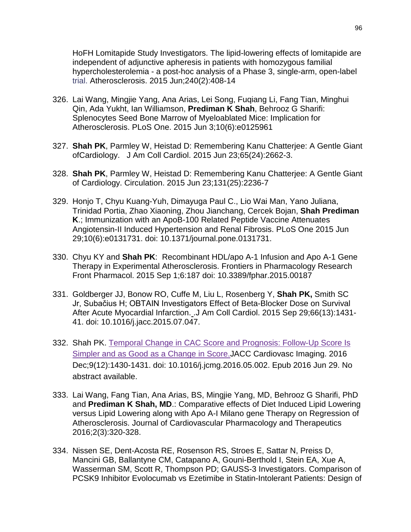HoFH Lomitapide Study Investigators. The lipid-lowering effects of lomitapide are independent of adjunctive apheresis in patients with homozygous familial hypercholesterolemia - a post-hoc analysis of a Phase 3, single-arm, open-label trial. Atherosclerosis. 2015 Jun;240(2):408-14

- 326. Lai Wang, Mingjie Yang, Ana Arias, Lei Song, Fuqiang Li, Fang Tian, Minghui Qin, Ada Yukht, Ian Williamson, **Prediman K Shah**, Behrooz G Sharifi: Splenocytes Seed Bone Marrow of Myeloablated Mice: Implication for Atherosclerosis. PLoS One. 2015 Jun 3;10(6):e0125961
- 327. **Shah PK**, Parmley W, Heistad D: Remembering Kanu Chatterjee: A Gentle Giant ofCardiology. J Am Coll Cardiol. 2015 Jun 23;65(24):2662-3.
- 328. **Shah PK**, Parmley W, Heistad D: Remembering Kanu Chatterjee: A Gentle Giant of Cardiology. Circulation. 2015 Jun 23;131(25):2236-7
- 329. Honjo T, Chyu Kuang-Yuh, Dimayuga Paul C., Lio Wai Man, Yano Juliana, Trinidad Portia, Zhao Xiaoning, Zhou Jianchang, Cercek Bojan, **Shah Prediman K**.; Immunization with an ApoB-100 Related Peptide Vaccine Attenuates Angiotensin-II Induced Hypertension and Renal Fibrosis. PLoS One 2015 Jun 29;10(6):e0131731. doi: 10.1371/journal.pone.0131731.
- 330. Chyu KY and **Shah PK**: Recombinant HDL/apo A-1 Infusion and Apo A-1 Gene Therapy in Experimental Atherosclerosis. Frontiers in Pharmacology Research Front Pharmacol. 2015 Sep 1;6:187 doi: 10.3389/fphar.2015.00187
- 331. Goldberger JJ, Bonow RO, Cuffe M, Liu L, Rosenberg Y, **Shah PK,** Smith SC Jr, Subačius H; OBTAIN Investigators [Effect of Beta-Blocker Dose on Survival](http://www.ncbi.nlm.nih.gov/pubmed/26403339)  [After Acute Myocardial Infarction.](http://www.ncbi.nlm.nih.gov/pubmed/26403339) .J Am Coll Cardiol. 2015 Sep 29;66(13):1431- 41. doi: 10.1016/j.jacc.2015.07.047.
- 332. Shah PK. [Temporal Change in CAC Score and Prognosis: Follow-Up Score Is](https://www.ncbi.nlm.nih.gov/pubmed/27372020)  [Simpler and as Good as a Change in Score.J](https://www.ncbi.nlm.nih.gov/pubmed/27372020)ACC Cardiovasc Imaging. 2016 Dec;9(12):1430-1431. doi: 10.1016/j.jcmg.2016.05.002. Epub 2016 Jun 29. No abstract available.
- 333. Lai Wang, Fang Tian, Ana Arias, BS, Mingjie Yang, MD, Behrooz G Sharifi, PhD and **Prediman K Shah, MD**.: Comparative effects of Diet Induced Lipid Lowering versus Lipid Lowering along with Apo A-I Milano gene Therapy on Regression of Atherosclerosis. Journal of Cardiovascular Pharmacology and Therapeutics 2016;2(3):320-328.
- 334. Nissen SE, Dent-Acosta RE, Rosenson RS, Stroes E, Sattar N, Preiss D, Mancini GB, Ballantyne CM, Catapano A, Gouni-Berthold I, Stein EA, Xue A, Wasserman SM, Scott R, Thompson PD; GAUSS-3 Investigators. Comparison of PCSK9 Inhibitor Evolocumab vs Ezetimibe in Statin-Intolerant Patients: Design of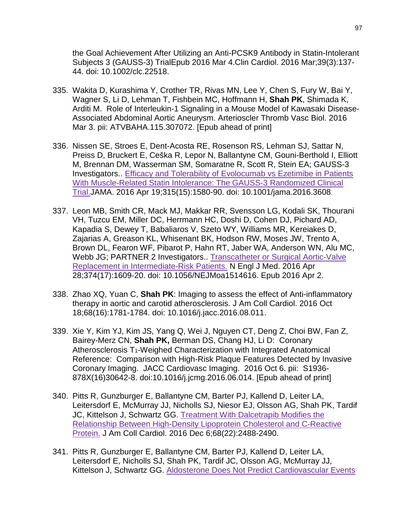the Goal Achievement After Utilizing an Anti-PCSK9 Antibody in Statin-Intolerant Subjects 3 (GAUSS-3) TrialEpub 2016 Mar 4.Clin Cardiol. 2016 Mar;39(3):137- 44. doi: 10.1002/clc.22518.

- 335. Wakita D, Kurashima Y, Crother TR, Rivas MN, Lee Y, Chen S, Fury W, Bai Y, Wagner S, Li D, Lehman T, Fishbein MC, Hoffmann H, **Shah PK**, Shimada K, Arditi M. [Role of Interleukin-1 Signaling in a Mouse Model of Kawasaki Disease-](http://www.ncbi.nlm.nih.gov/pubmed/26941015)[Associated Abdominal Aortic Aneurysm.](http://www.ncbi.nlm.nih.gov/pubmed/26941015) Arterioscler Thromb Vasc Biol. 2016 Mar 3. pii: ATVBAHA.115.307072. [Epub ahead of print]
- 336. Nissen SE, Stroes E, Dent-Acosta RE, Rosenson RS, Lehman SJ, Sattar N, Preiss D, Bruckert E, Ceška R, Lepor N, Ballantyne CM, Gouni-Berthold I, Elliott M, Brennan DM, Wasserman SM, Somaratne R, Scott R, Stein EA; GAUSS-3 Investigators.. [Efficacy and Tolerability of Evolocumab vs Ezetimibe in Patients](https://www.ncbi.nlm.nih.gov/pubmed/27039291)  [With Muscle-Related Statin Intolerance: The GAUSS-3 Randomized Clinical](https://www.ncbi.nlm.nih.gov/pubmed/27039291)  [Trial.J](https://www.ncbi.nlm.nih.gov/pubmed/27039291)AMA. 2016 Apr 19;315(15):1580-90. doi: 10.1001/jama.2016.3608.
- 337. Leon MB, Smith CR, Mack MJ, Makkar RR, Svensson LG, Kodali SK, Thourani VH, Tuzcu EM, Miller DC, Herrmann HC, Doshi D, Cohen DJ, Pichard AD, Kapadia S, Dewey T, Babaliaros V, Szeto WY, Williams MR, Kereiakes D, Zajarias A, Greason KL, Whisenant BK, Hodson RW, Moses JW, Trento A, Brown DL, Fearon WF, Pibarot P, Hahn RT, Jaber WA, Anderson WN, Alu MC, Webb JG; PARTNER 2 Investigators.. [Transcatheter or Surgical Aortic-Valve](https://www.ncbi.nlm.nih.gov/pubmed/27040324)  [Replacement in Intermediate-Risk Patients.](https://www.ncbi.nlm.nih.gov/pubmed/27040324) N Engl J Med. 2016 Apr 28;374(17):1609-20. doi: 10.1056/NEJMoa1514616. Epub 2016 Apr 2.
- 338. Zhao XQ, Yuan C, **Shah PK**: Imaging to assess the effect of Anti-inflammatory therapy in aortic and carotid atherosclerosis. J Am Coll Cardiol. 2016 Oct 18;68(16):1781-1784. doi: 10.1016/j.jacc.2016.08.011.
- 339. Xie Y, Kim YJ, Kim JS, Yang Q, Wei J, Nguyen CT, Deng Z, Choi BW, Fan Z, Bairey-Merz CN, **Shah PK,** Berman DS, Chang HJ, Li D: Coronary Atherosclerosis T1-Weighed Characterization with Integrated Anatomical Reference: Comparison with High-Risk Plaque Features Detected by Invasive Coronary Imaging. JACC Cardiovasc Imaging. 2016 Oct 6. pii: S1936- 878X(16)30642-8. doi:10.1016/j.jcmg.2016.06.014. [Epub ahead of print]
- 340. Pitts R, Gunzburger E, Ballantyne CM, Barter PJ, Kallend D, Leiter LA, Leitersdorf E, McMurray JJ, Nicholls SJ, Niesor EJ, Olsson AG, Shah PK, Tardif JC, Kittelson J, Schwartz GG. [Treatment With Dalcetrapib Modifies the](https://www.ncbi.nlm.nih.gov/pubmed/27908356)  [Relationship Between High-Density Lipoprotein Cholesterol and C-Reactive](https://www.ncbi.nlm.nih.gov/pubmed/27908356)  [Protein.](https://www.ncbi.nlm.nih.gov/pubmed/27908356) J Am Coll Cardiol. 2016 Dec 6;68(22):2488-2490.
- 341. Pitts R, Gunzburger E, Ballantyne CM, Barter PJ, Kallend D, Leiter LA, Leitersdorf E, Nicholls SJ, Shah PK, Tardif JC, Olsson AG, McMurray JJ, Kittelson J, Schwartz GG. [Aldosterone Does Not Predict Cardiovascular Events](https://www.ncbi.nlm.nih.gov/pubmed/28073769)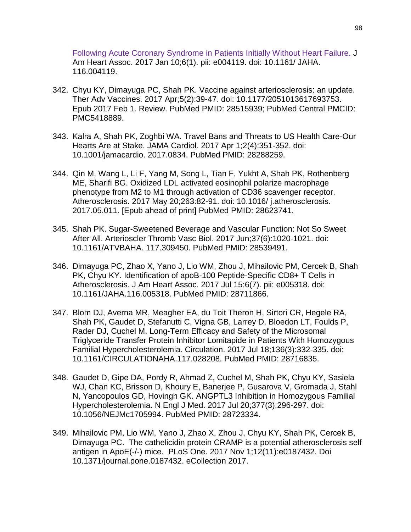[Following Acute Coronary Syndrome in Patients Initially Without Heart Failure.](https://www.ncbi.nlm.nih.gov/pubmed/28073769) J Am Heart Assoc. 2017 Jan 10;6(1). pii: e004119. doi: 10.1161/ JAHA. 116.004119.

- 342. Chyu KY, Dimayuga PC, Shah PK. Vaccine against arteriosclerosis: an update. Ther Adv Vaccines. 2017 Apr;5(2):39-47. doi: 10.1177/2051013617693753. Epub 2017 Feb 1. Review. PubMed PMID: 28515939; PubMed Central PMCID: PMC5418889.
- 343. Kalra A, Shah PK, Zoghbi WA. Travel Bans and Threats to US Health Care-Our Hearts Are at Stake. JAMA Cardiol. 2017 Apr 1;2(4):351-352. doi: 10.1001/jamacardio. 2017.0834. PubMed PMID: 28288259.
- 344. Qin M, Wang L, Li F, Yang M, Song L, Tian F, Yukht A, Shah PK, Rothenberg ME, Sharifi BG. Oxidized LDL activated eosinophil polarize macrophage phenotype from M2 to M1 through activation of CD36 scavenger receptor. Atherosclerosis. 2017 May 20;263:82-91. doi: 10.1016/ j.atherosclerosis. 2017.05.011. [Epub ahead of print] PubMed PMID: 28623741.
- 345. Shah PK. Sugar-Sweetened Beverage and Vascular Function: Not So Sweet After All. Arterioscler Thromb Vasc Biol. 2017 Jun;37(6):1020-1021. doi: 10.1161/ATVBAHA. 117.309450. PubMed PMID: 28539491.
- 346. Dimayuga PC, Zhao X, Yano J, Lio WM, Zhou J, Mihailovic PM, Cercek B, Shah PK, Chyu KY. Identification of apoB-100 Peptide-Specific CD8+ T Cells in Atherosclerosis. J Am Heart Assoc. 2017 Jul 15;6(7). pii: e005318. doi: 10.1161/JAHA.116.005318. PubMed PMID: 28711866.
- 347. Blom DJ, Averna MR, Meagher EA, du Toit Theron H, Sirtori CR, Hegele RA, Shah PK, Gaudet D, Stefanutti C, Vigna GB, Larrey D, Bloedon LT, Foulds P, Rader DJ, Cuchel M. Long-Term Efficacy and Safety of the Microsomal Triglyceride Transfer Protein Inhibitor Lomitapide in Patients With Homozygous Familial Hypercholesterolemia. Circulation. 2017 Jul 18;136(3):332-335. doi: 10.1161/CIRCULATIONAHA.117.028208. PubMed PMID: 28716835.
- 348. Gaudet D, Gipe DA, Pordy R, Ahmad Z, Cuchel M, Shah PK, Chyu KY, Sasiela WJ, Chan KC, Brisson D, Khoury E, Banerjee P, Gusarova V, Gromada J, Stahl N, Yancopoulos GD, Hovingh GK. ANGPTL3 Inhibition in Homozygous Familial Hypercholesterolemia. N Engl J Med. 2017 Jul 20;377(3):296-297. doi: 10.1056/NEJMc1705994. PubMed PMID: 28723334.
- 349. Mihailovic PM, Lio WM, Yano J, Zhao X, Zhou J, Chyu KY, Shah PK, Cercek B, Dimayuga PC. The cathelicidin protein CRAMP is a potential atherosclerosis self antigen in ApoE(-/-) mice. PLoS One. 2017 Nov 1;12(11):e0187432. Doi 10.1371/journal.pone.0187432. eCollection 2017.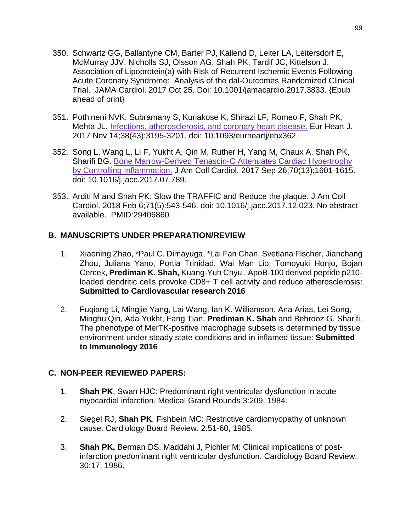- 350. Schwartz GG, Ballantyne CM, Barter PJ, Kallend D, Leiter LA, Leitersdorf E, McMurray JJV, Nicholls SJ, Olsson AG, Shah PK, Tardif JC, Kittelson J. Association of Lipoprotein(a) with Risk of Recurrent Ischemic Events Following Acute Coronary Syndrome: Analysis of the dal-Outcomes Randomized Clinical Trial. JAMA Cardiol. 2017 Oct 25. Doi: 10.1001/jamacardio.2017.3833. {Epub ahead of print}
- 351. Pothineni NVK, Subramany S, Kuriakose K, Shirazi LF, Romeo F, Shah PK, Mehta JL. [Infections, atherosclerosis, and coronary heart disease.](https://www.ncbi.nlm.nih.gov/pubmed/29020241) Eur Heart J. 2017 Nov 14;38(43):3195-3201. doi: 10.1093/eurheartj/ehx362.
- 352. Song L, Wang L, Li F, Yukht A, Qin M, Ruther H, Yang M, Chaux A, Shah PK, Sharifi BG. [Bone Marrow-Derived Tenascin-C Attenuates Cardiac Hypertrophy](https://www.ncbi.nlm.nih.gov/pubmed/28935038)  [by Controlling Inflammation.](https://www.ncbi.nlm.nih.gov/pubmed/28935038) J Am Coll Cardiol. 2017 Sep 26;70(13):1601-1615. doi: 10.1016/j.jacc.2017.07.789.
- 353. Arditi M and Shah PK: Slow the TRAFFIC and Reduce the plaque. J Am Coll Cardiol. 2018 Feb 6;71(5):543-546. doi: 10.1016/j.jacc.2017.12.023. No abstract available. PMID:29406860

### **B. MANUSCRIPTS UNDER PREPARATION/REVIEW**

- 1. Xiaoning Zhao, \*Paul C. Dimayuga, \*Lai Fan Chan, Svetlana Fischer, Jianchang Zhou, Juliana Yano, Portia Trinidad, Wai Man Lio, Tomoyuki Honjo, Bojan Cercek, **Prediman K. Shah,** Kuang-Yuh Chyu . ApoB-100 derived peptide p210 loaded dendritic cells provoke CD8+ T cell activity and reduce atherosclerosis: **Submitted to Cardiovascular research 2016**
- 2. Fuqiang Li, Mingjie Yang, Lai Wang, Ian K. Williamson, Ana Arias, Lei Song, MinghuiQin, Ada Yukht, Fang Tian, **Prediman K. Shah** and Behrooz G. Sharifi. The phenotype of MerTK-positive macrophage subsets is determined by tissue environment under steady state conditions and in inflamed tissue: **Submitted to Immunology 2016**

#### **C. NON-PEER REVIEWED PAPERS:**

- 1. **Shah PK**, Swan HJC: Predominant right ventricular dysfunction in acute myocardial infarction. Medical Grand Rounds 3:209, 1984.
- 2. Siegel RJ, **Shah PK**, Fishbein MC: Restrictive cardiomyopathy of unknown cause. Cardiology Board Review. 2:51-60, 1985.
- 3. **Shah PK,** Berman DS, Maddahi J, Pichler M: Clinical implications of postinfarction predominant right ventricular dysfunction. Cardiology Board Review. 30:17, 1986.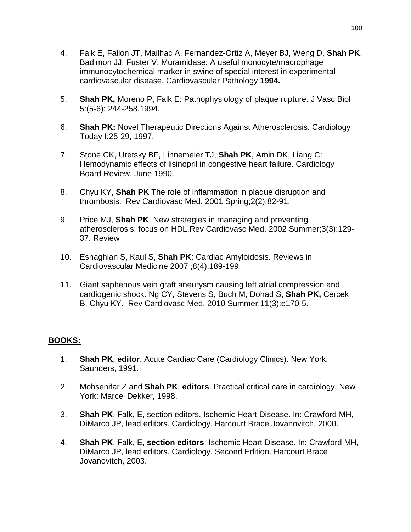- 4. Falk E, Fallon JT, Mailhac A, Fernandez-Ortiz A, Meyer BJ, Weng D, **Shah PK**, Badimon JJ, Fuster V: Muramidase: A useful monocyte/macrophage immunocytochemical marker in swine of special interest in experimental cardiovascular disease. Cardiovascular Pathology **1994.**
- 5. **Shah PK,** Moreno P, Falk E: Pathophysiology of plaque rupture. J Vasc Biol 5:(5-6): 244-258,1994.
- 6. **Shah PK:** Novel Therapeutic Directions Against Atherosclerosis. Cardiology Today I:25-29, 1997.
- 7. Stone CK, Uretsky BF, Linnemeier TJ, **Shah PK**, Amin DK, Liang C: Hemodynamic effects of lisinopril in congestive heart failure. Cardiology Board Review, June 1990.
- 8. Chyu KY, **Shah PK** The role of inflammation in plaque disruption and thrombosis. Rev Cardiovasc Med. 2001 Spring;2(2):82-91.
- 9. [Price MJ,](http://www.ncbi.nlm.nih.gov/entrez/query.fcgi?cmd=Retrieve&db=PubMed&list_uids=12439437&dopt=Abstract) **Shah PK**. New strategies in managing and preventing atherosclerosis: focus on HDL.Rev Cardiovasc Med. 2002 Summer;3(3):129- 37. Review
- 10. Eshaghian S, Kaul S, **Shah PK**: Cardiac Amyloidosis. Reviews in Cardiovascular Medicine 2007 ;8(4):189-199.
- 11. [Giant saphenous vein graft aneurysm causing left atrial compression and](http://www.ncbi.nlm.nih.gov/pubmed/21045770)  [cardiogenic shock.](http://www.ncbi.nlm.nih.gov/pubmed/21045770) Ng CY, Stevens S, Buch M, Dohad S, **Shah PK,** Cercek B, Chyu KY. Rev Cardiovasc Med. 2010 Summer;11(3):e170-5.

# **BOOKS:**

- 1. **Shah PK**, **editor**. Acute Cardiac Care (Cardiology Clinics). New York: Saunders, 1991.
- 2. Mohsenifar Z and **Shah PK**, **editors**. Practical critical care in cardiology. New York: Marcel Dekker, 1998.
- 3. **Shah PK**, Falk, E, section editors. Ischemic Heart Disease. In: Crawford MH, DiMarco JP, lead editors. Cardiology. Harcourt Brace Jovanovitch, 2000.
- 4. **Shah PK**, Falk, E, **section editors**. Ischemic Heart Disease. In: Crawford MH, DiMarco JP, lead editors. Cardiology. Second Edition. Harcourt Brace Jovanovitch, 2003.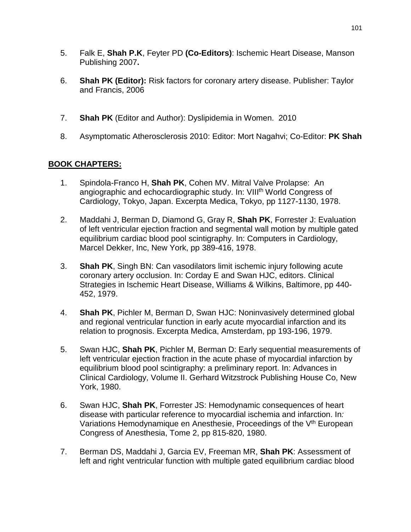- 5. Falk E, **Shah P.K**, Feyter PD **(Co-Editors)**: Ischemic Heart Disease, Manson Publishing 2007**.**
- 6. **Shah PK (Editor):** Risk factors for coronary artery disease. Publisher: Taylor and Francis, 2006
- 7. **Shah PK** (Editor and Author): Dyslipidemia in Women. 2010
- 8. Asymptomatic Atherosclerosis 2010: Editor: Mort Nagahvi; Co-Editor: **PK Shah**

# **BOOK CHAPTERS:**

- 1. Spindola-Franco H, **Shah PK**, Cohen MV. Mitral Valve Prolapse: An angiographic and echocardiographic study. In: VIII<sup>th</sup> World Congress of Cardiology, Tokyo, Japan. Excerpta Medica, Tokyo, pp 1127-1130, 1978.
- 2. Maddahi J, Berman D, Diamond G, Gray R, **Shah PK**, Forrester J: Evaluation of left ventricular ejection fraction and segmental wall motion by multiple gated equilibrium cardiac blood pool scintigraphy. In: Computers in Cardiology, Marcel Dekker, Inc, New York, pp 389-416, 1978.
- 3. **Shah PK**, Singh BN: Can vasodilators limit ischemic injury following acute coronary artery occlusion. In: Corday E and Swan HJC, editors. Clinical Strategies in Ischemic Heart Disease, Williams & Wilkins, Baltimore, pp 440- 452, 1979.
- 4. **Shah PK**, Pichler M, Berman D, Swan HJC: Noninvasively determined global and regional ventricular function in early acute myocardial infarction and its relation to prognosis. Excerpta Medica, Amsterdam, pp 193-196, 1979.
- 5. Swan HJC, **Shah PK**, Pichler M, Berman D: Early sequential measurements of left ventricular ejection fraction in the acute phase of myocardial infarction by equilibrium blood pool scintigraphy: a preliminary report. In: Advances in Clinical Cardiology, Volume II. Gerhard Witzstrock Publishing House Co, New York, 1980.
- 6. Swan HJC, **Shah PK**, Forrester JS: Hemodynamic consequences of heart disease with particular reference to myocardial ischemia and infarction. In*:* Variations Hemodynamique en Anesthesie, Proceedings of the V<sup>th</sup> European Congress of Anesthesia, Tome 2, pp 815-820, 1980.
- 7. Berman DS, Maddahi J, Garcia EV, Freeman MR, **Shah PK**: Assessment of left and right ventricular function with multiple gated equilibrium cardiac blood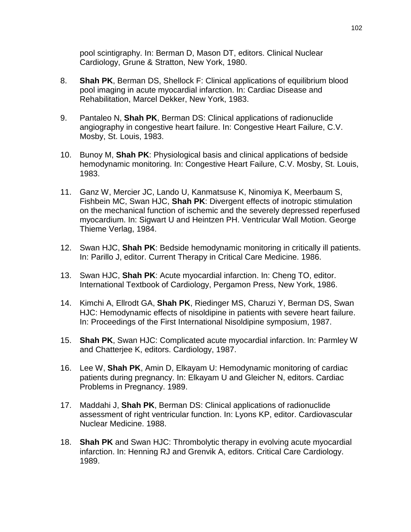pool scintigraphy. In: Berman D, Mason DT, editors. Clinical Nuclear Cardiology, Grune & Stratton, New York, 1980.

- 8. **Shah PK**, Berman DS, Shellock F: Clinical applications of equilibrium blood pool imaging in acute myocardial infarction. In: Cardiac Disease and Rehabilitation, Marcel Dekker, New York, 1983.
- 9. Pantaleo N, **Shah PK**, Berman DS: Clinical applications of radionuclide angiography in congestive heart failure. In: Congestive Heart Failure, C.V. Mosby, St. Louis, 1983.
- 10. Bunoy M, **Shah PK**: Physiological basis and clinical applications of bedside hemodynamic monitoring. In: Congestive Heart Failure, C.V. Mosby, St. Louis, 1983.
- 11. Ganz W, Mercier JC, Lando U, Kanmatsuse K, Ninomiya K, Meerbaum S, Fishbein MC, Swan HJC, **Shah PK**: Divergent effects of inotropic stimulation on the mechanical function of ischemic and the severely depressed reperfused myocardium. In: Sigwart U and Heintzen PH. Ventricular Wall Motion. George Thieme Verlag, 1984.
- 12. Swan HJC, **Shah PK**: Bedside hemodynamic monitoring in critically ill patients. In: Parillo J, editor. Current Therapy in Critical Care Medicine. 1986.
- 13. Swan HJC, **Shah PK**: Acute myocardial infarction. In: Cheng TO, editor. International Textbook of Cardiology, Pergamon Press, New York, 1986.
- 14. Kimchi A, Ellrodt GA, **Shah PK**, Riedinger MS, Charuzi Y, Berman DS, Swan HJC: Hemodynamic effects of nisoldipine in patients with severe heart failure. In: Proceedings of the First International Nisoldipine symposium, 1987.
- 15. **Shah PK**, Swan HJC: Complicated acute myocardial infarction. In: Parmley W and Chatterjee K, editors. Cardiology, 1987.
- 16. Lee W, **Shah PK**, Amin D, Elkayam U: Hemodynamic monitoring of cardiac patients during pregnancy. In: Elkayam U and Gleicher N, editors. Cardiac Problems in Pregnancy. 1989.
- 17. Maddahi J, **Shah PK**, Berman DS: Clinical applications of radionuclide assessment of right ventricular function. In: Lyons KP, editor. Cardiovascular Nuclear Medicine. 1988.
- 18. **Shah PK** and Swan HJC: Thrombolytic therapy in evolving acute myocardial infarction. In: Henning RJ and Grenvik A, editors. Critical Care Cardiology. 1989.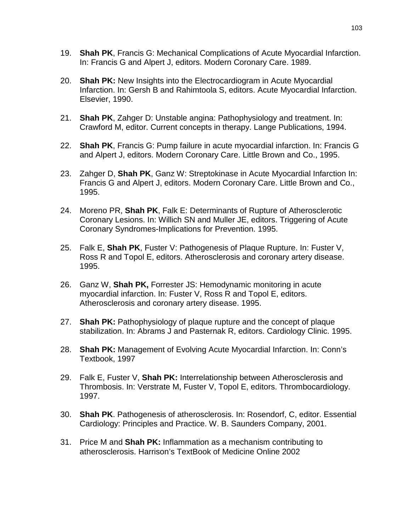- 19. **Shah PK**, Francis G: Mechanical Complications of Acute Myocardial Infarction. In: Francis G and Alpert J, editors. Modern Coronary Care. 1989.
- 20. **Shah PK:** New Insights into the Electrocardiogram in Acute Myocardial Infarction. In: Gersh B and Rahimtoola S, editors. Acute Myocardial Infarction. Elsevier, 1990.
- 21. **Shah PK**, Zahger D: Unstable angina: Pathophysiology and treatment. In: Crawford M, editor. Current concepts in therapy. Lange Publications, 1994.
- 22. **Shah PK**, Francis G: Pump failure in acute myocardial infarction. In: Francis G and Alpert J, editors. Modern Coronary Care. Little Brown and Co., 1995.
- 23. Zahger D, **Shah PK**, Ganz W: Streptokinase in Acute Myocardial Infarction In: Francis G and Alpert J, editors. Modern Coronary Care. Little Brown and Co., 1995.
- 24. Moreno PR, **Shah PK**, Falk E: Determinants of Rupture of Atherosclerotic Coronary Lesions. In: Willich SN and Muller JE, editors. Triggering of Acute Coronary Syndromes-Implications for Prevention. 1995.
- 25. Falk E, **Shah PK**, Fuster V: Pathogenesis of Plaque Rupture. In: Fuster V, Ross R and Topol E, editors. Atherosclerosis and coronary artery disease. 1995.
- 26. Ganz W, **Shah PK,** Forrester JS: Hemodynamic monitoring in acute myocardial infarction. In: Fuster V, Ross R and Topol E, editors. Atherosclerosis and coronary artery disease. 1995.
- 27. **Shah PK:** Pathophysiology of plaque rupture and the concept of plaque stabilization. In: Abrams J and Pasternak R, editors. Cardiology Clinic. 1995.
- 28. **Shah PK:** Management of Evolving Acute Myocardial Infarction. In: Conn's Textbook, 1997
- 29. Falk E, Fuster V, **Shah PK:** Interrelationship between Atherosclerosis and Thrombosis. In: Verstrate M, Fuster V, Topol E, editors. Thrombocardiology. 1997.
- 30. **Shah PK**. Pathogenesis of atherosclerosis. In: Rosendorf, C, editor. Essential Cardiology: Principles and Practice. W. B. Saunders Company, 2001.
- 31. Price M and **Shah PK:** Inflammation as a mechanism contributing to atherosclerosis. Harrison's TextBook of Medicine Online 2002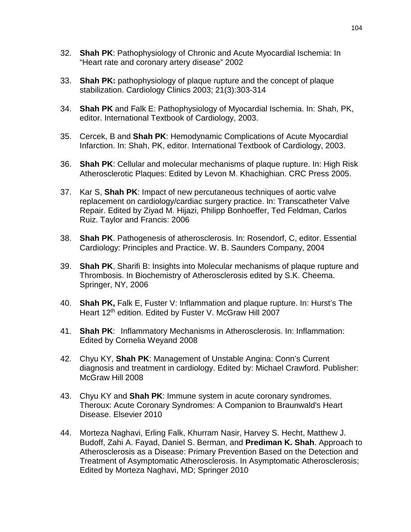- 32. **Shah PK**: Pathophysiology of Chronic and Acute Myocardial Ischemia: In "Heart rate and coronary artery disease" 2002
- 33. **Shah PK:** pathophysiology of plaque rupture and the concept of plaque stabilization. Cardiology Clinics 2003; 21(3):303-314
- 34. **Shah PK** and Falk E: Pathophysiology of Myocardial Ischemia. In: Shah, PK, editor. International Textbook of Cardiology, 2003.
- 35. Cercek, B and **Shah PK**: Hemodynamic Complications of Acute Myocardial Infarction. In: Shah, PK, editor. International Textbook of Cardiology, 2003.
- 36. **Shah PK**: Cellular and molecular mechanisms of plaque rupture. In: High Risk Atherosclerotic Plaques: Edited by Levon M. Khachighian. CRC Press 2005.
- 37. Kar S, **Shah PK**: Impact of new percutaneous techniques of aortic valve replacement on cardiology/cardiac surgery practice. In: Transcatheter Valve Repair. Edited by Ziyad M. Hijazi, Philipp Bonhoeffer, Ted Feldman, Carlos Ruiz. Taylor and Francis: 2006
- 38. **Shah PK**. Pathogenesis of atherosclerosis. In: Rosendorf, C, editor. Essential Cardiology: Principles and Practice. W. B. Saunders Company, 2004
- 39. **Shah PK**, Sharifi B: Insights into Molecular mechanisms of plaque rupture and Thrombosis. In Biochemistry of Atherosclerosis edited by S.K. Cheema. Springer, NY, 2006
- 40. **Shah PK,** Falk E, Fuster V: Inflammation and plaque rupture. In: Hurst's The Heart 12<sup>th</sup> edition. Edited by Fuster V. McGraw Hill 2007
- 41. **Shah PK**: Inflammatory Mechanisms in Atherosclerosis. In: Inflammation: Edited by Cornelia Weyand 2008
- 42. Chyu KY, **Shah PK**: Management of Unstable Angina: Conn's Current diagnosis and treatment in cardiology. Edited by: Michael Crawford. Publisher: McGraw Hill 2008
- 43. Chyu KY and **Shah PK**: Immune system in acute coronary syndromes. Theroux: Acute Coronary Syndromes: A Companion to Braunwald's Heart Disease. Elsevier 2010
- 44. Morteza Naghavi, Erling Falk, Khurram Nasir, Harvey S. Hecht, Matthew J. Budoff, Zahi A. Fayad, Daniel S. Berman, and **Prediman K. Shah**. Approach to Atherosclerosis as a Disease: Primary Prevention Based on the Detection and Treatment of Asymptomatic Atherosclerosis. In Asymptomatic Atherosclerosis; Edited by Morteza Naghavi, MD; Springer 2010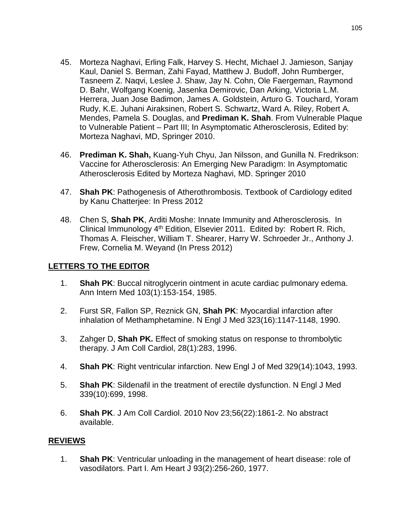- 45. Morteza Naghavi, Erling Falk, Harvey S. Hecht, Michael J. Jamieson, Sanjay Kaul, Daniel S. Berman, Zahi Fayad, Matthew J. Budoff, John Rumberger, Tasneem Z. Naqvi, Leslee J. Shaw, Jay N. Cohn, Ole Faergeman, Raymond D. Bahr, Wolfgang Koenig, Jasenka Demirovic, Dan Arking, Victoria L.M. Herrera, Juan Jose Badimon, James A. Goldstein, Arturo G. Touchard, Yoram Rudy, K.E. Juhani Airaksinen, Robert S. Schwartz, Ward A. Riley, Robert A. Mendes, Pamela S. Douglas, and **Prediman K. Shah**. From Vulnerable Plaque to Vulnerable Patient – Part III; In Asymptomatic Atherosclerosis, Edited by: Morteza Naghavi, MD, Springer 2010.
- 46. **Prediman K. Shah,** Kuang-Yuh Chyu, Jan Nilsson, and Gunilla N. Fredrikson: Vaccine for Atherosclerosis: An Emerging New Paradigm: In Asymptomatic Atherosclerosis Edited by Morteza Naghavi, MD. Springer 2010
- 47. **Shah PK**: Pathogenesis of Atherothrombosis. Textbook of Cardiology edited by Kanu Chatterjee: In Press 2012
- 48. Chen S, **Shah PK**, Arditi Moshe: Innate Immunity and Atherosclerosis. In Clinical Immunology  $4<sup>th</sup>$  Edition, Elsevier 2011. Edited by: Robert R. Rich, Thomas A. Fleischer, William T. Shearer, Harry W. Schroeder Jr., Anthony J. Frew, Cornelia M. Weyand (In Press 2012)

### **LETTERS TO THE EDITOR**

- 1. **Shah PK**: Buccal nitroglycerin ointment in acute cardiac pulmonary edema. Ann Intern Med 103(1):153-154, 1985.
- 2. Furst SR, Fallon SP, Reznick GN, **Shah PK**: Myocardial infarction after inhalation of Methamphetamine. N Engl J Med 323(16):1147-1148, 1990.
- 3. Zahger D, **Shah PK.** Effect of smoking status on response to thrombolytic therapy. J Am Coll Cardiol, 28(1):283, 1996.
- 4. **Shah PK**: Right ventricular infarction. New Engl J of Med 329(14):1043, 1993.
- 5. **Shah PK**: Sildenafil in the treatment of erectile dysfunction. N Engl J Med 339(10):699, 1998.
- 6. **Shah PK**. J Am Coll Cardiol. 2010 Nov 23;56(22):1861-2. No abstract available.

#### **REVIEWS**

1. **Shah PK**: Ventricular unloading in the management of heart disease: role of vasodilators. Part I. Am Heart J 93(2):256-260, 1977.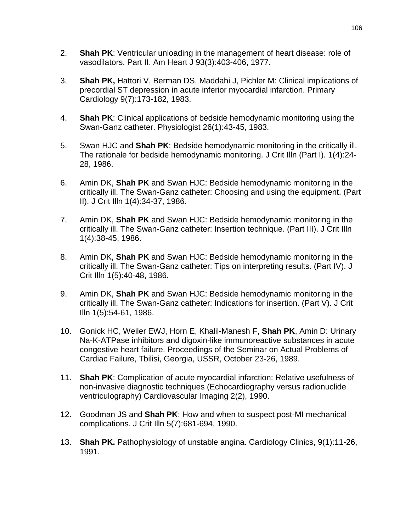- 2. **Shah PK**: Ventricular unloading in the management of heart disease: role of vasodilators. Part II. Am Heart J 93(3):403-406, 1977.
- 3. **Shah PK,** Hattori V, Berman DS, Maddahi J, Pichler M: Clinical implications of precordial ST depression in acute inferior myocardial infarction. Primary Cardiology 9(7):173-182, 1983.
- 4. **Shah PK**: Clinical applications of bedside hemodynamic monitoring using the Swan-Ganz catheter. Physiologist 26(1):43-45, 1983.
- 5. Swan HJC and **Shah PK**: Bedside hemodynamic monitoring in the critically ill. The rationale for bedside hemodynamic monitoring. J Crit Illn (Part I). 1(4):24- 28, 1986.
- 6. Amin DK, **Shah PK** and Swan HJC: Bedside hemodynamic monitoring in the critically ill. The Swan-Ganz catheter: Choosing and using the equipment. (Part II). J Crit Illn 1(4):34-37, 1986.
- 7. Amin DK, **Shah PK** and Swan HJC: Bedside hemodynamic monitoring in the critically ill. The Swan-Ganz catheter: Insertion technique. (Part III). J Crit Illn 1(4):38-45, 1986.
- 8. Amin DK, **Shah PK** and Swan HJC: Bedside hemodynamic monitoring in the critically ill. The Swan-Ganz catheter: Tips on interpreting results. (Part IV). J Crit Illn 1(5):40-48, 1986.
- 9. Amin DK, **Shah PK** and Swan HJC: Bedside hemodynamic monitoring in the critically ill. The Swan-Ganz catheter: Indications for insertion. (Part V). J Crit Illn 1(5):54-61, 1986.
- 10. Gonick HC, Weiler EWJ, Horn E, Khalil-Manesh F, **Shah PK**, Amin D: Urinary Na-K-ATPase inhibitors and digoxin-like immunoreactive substances in acute congestive heart failure. Proceedings of the Seminar on Actual Problems of Cardiac Failure, Tbilisi, Georgia, USSR, October 23-26, 1989.
- 11. **Shah PK**: Complication of acute myocardial infarction: Relative usefulness of non-invasive diagnostic techniques (Echocardiography versus radionuclide ventriculography) Cardiovascular Imaging 2(2), 1990.
- 12. Goodman JS and **Shah PK**: How and when to suspect post-MI mechanical complications. J Crit Illn 5(7):681-694, 1990.
- 13. **Shah PK.** Pathophysiology of unstable angina. Cardiology Clinics, 9(1):11-26, 1991.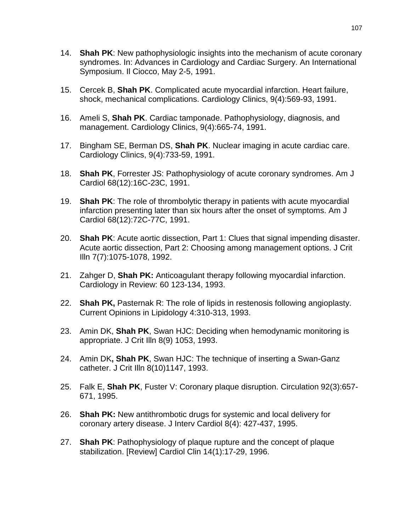- 14. **Shah PK**: New pathophysiologic insights into the mechanism of acute coronary syndromes. In: Advances in Cardiology and Cardiac Surgery. An International Symposium. Il Ciocco, May 2-5, 1991.
- 15. Cercek B, **Shah PK**. Complicated acute myocardial infarction. Heart failure, shock, mechanical complications. Cardiology Clinics, 9(4):569-93, 1991.
- 16. Ameli S, **Shah PK**. Cardiac tamponade. Pathophysiology, diagnosis, and management. Cardiology Clinics, 9(4):665-74, 1991.
- 17. Bingham SE, Berman DS, **Shah PK**. Nuclear imaging in acute cardiac care. Cardiology Clinics, 9(4):733-59, 1991.
- 18. **Shah PK**, Forrester JS: Pathophysiology of acute coronary syndromes. Am J Cardiol 68(12):16C-23C, 1991.
- 19. **Shah PK**: The role of thrombolytic therapy in patients with acute myocardial infarction presenting later than six hours after the onset of symptoms. Am J Cardiol 68(12):72C-77C, 1991.
- 20. **Shah PK**: Acute aortic dissection, Part 1: Clues that signal impending disaster. Acute aortic dissection, Part 2: Choosing among management options. J Crit Illn 7(7):1075-1078, 1992.
- 21. Zahger D, **Shah PK:** Anticoagulant therapy following myocardial infarction. Cardiology in Review: 60 123-134, 1993.
- 22. **Shah PK,** Pasternak R: The role of lipids in restenosis following angioplasty. Current Opinions in Lipidology 4:310-313, 1993.
- 23. Amin DK, **Shah PK**, Swan HJC: Deciding when hemodynamic monitoring is appropriate. J Crit Illn 8(9) 1053, 1993.
- 24. Amin DK**, Shah PK**, Swan HJC: The technique of inserting a Swan-Ganz catheter. J Crit Illn 8(10)1147, 1993.
- 25. Falk E, **Shah PK**, Fuster V: Coronary plaque disruption. Circulation 92(3):657- 671, 1995.
- 26. **Shah PK:** New antithrombotic drugs for systemic and local delivery for coronary artery disease. J Interv Cardiol 8(4): 427-437, 1995.
- 27. **Shah PK**: Pathophysiology of plaque rupture and the concept of plaque stabilization. [Review] Cardiol Clin 14(1):17-29, 1996.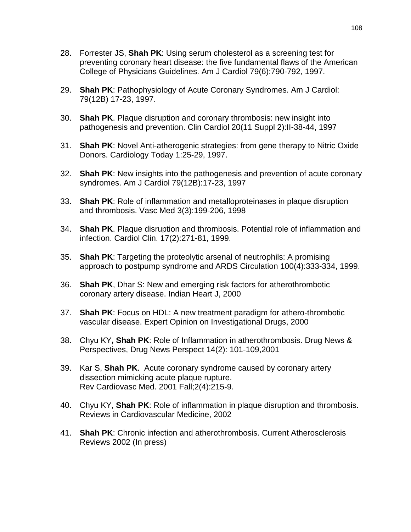- 28. Forrester JS, **Shah PK**: Using serum cholesterol as a screening test for preventing coronary heart disease: the five fundamental flaws of the American College of Physicians Guidelines. Am J Cardiol 79(6):790-792, 1997.
- 29. **Shah PK**: Pathophysiology of Acute Coronary Syndromes. Am J Cardiol: 79(12B) 17-23, 1997.
- 30. **Shah PK**. Plaque disruption and coronary thrombosis: new insight into pathogenesis and prevention. Clin Cardiol 20(11 Suppl 2):II-38-44, 1997
- 31. **Shah PK**: Novel Anti-atherogenic strategies: from gene therapy to Nitric Oxide Donors. Cardiology Today 1:25-29, 1997.
- 32. **Shah PK**: New insights into the pathogenesis and prevention of acute coronary syndromes. Am J Cardiol 79(12B):17-23, 1997
- 33. **Shah PK**: Role of inflammation and metalloproteinases in plaque disruption and thrombosis. Vasc Med 3(3):199-206, 1998
- 34. **Shah PK**. Plaque disruption and thrombosis. Potential role of inflammation and infection. Cardiol Clin. 17(2):271-81, 1999.
- 35. **Shah PK**: Targeting the proteolytic arsenal of neutrophils: A promising approach to postpump syndrome and ARDS Circulation 100(4):333-334, 1999.
- 36. **Shah PK**, Dhar S: New and emerging risk factors for atherothrombotic coronary artery disease. Indian Heart J, 2000
- 37. **Shah PK**: Focus on HDL: A new treatment paradigm for athero-thrombotic vascular disease. Expert Opinion on Investigational Drugs, 2000
- 38. Chyu KY**, Shah PK**: Role of Inflammation in atherothrombosis. Drug News & Perspectives, Drug News Perspect 14(2): 101-109,2001
- 39. Kar S, **[Shah PK](http://www.ncbi.nlm.nih.gov/entrez/query.fcgi?cmd=Retrieve&db=PubMed&list_uids=12439371&dopt=Abstract)**. Acute coronary syndrome caused by coronary artery dissection mimicking acute plaque rupture. Rev Cardiovasc Med. 2001 Fall;2(4):215-9.
- 40. Chyu KY, **Shah PK**: Role of inflammation in plaque disruption and thrombosis. Reviews in Cardiovascular Medicine, 2002
- 41. **Shah PK**: Chronic infection and atherothrombosis. Current Atherosclerosis Reviews 2002 (In press)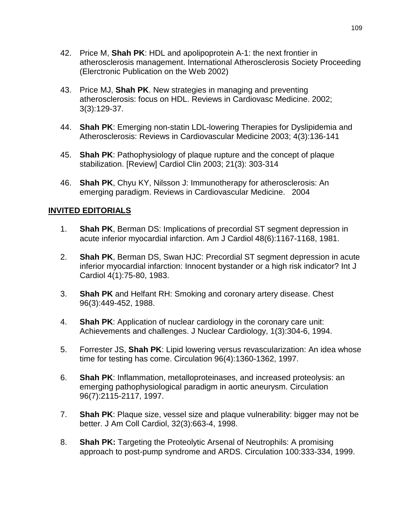- 42. Price M, **Shah PK**: HDL and apolipoprotein A-1: the next frontier in atherosclerosis management. International Atherosclerosis Society Proceeding (Elerctronic Publication on the Web 2002)
- 43. [Price MJ,](http://www.ncbi.nlm.nih.gov/entrez/query.fcgi?cmd=Retrieve&db=PubMed&list_uids=12439437&dopt=Abstract) **Shah PK**. New strategies in managing and preventing atherosclerosis: focus on HDL. Reviews in Cardiovasc Medicine. 2002; 3(3):129-37.
- 44. **Shah PK**: Emerging non-statin LDL-lowering Therapies for Dyslipidemia and Atherosclerosis: Reviews in Cardiovascular Medicine 2003; 4(3):136-141
- 45. **Shah PK**: Pathophysiology of plaque rupture and the concept of plaque stabilization. [Review] Cardiol Clin 2003; 21(3): 303-314
- 46. **Shah PK**, Chyu KY, Nilsson J: Immunotherapy for atherosclerosis: An emerging paradigm. Reviews in Cardiovascular Medicine. 2004

## **INVITED EDITORIALS**

- 1. **Shah PK**, Berman DS: Implications of precordial ST segment depression in acute inferior myocardial infarction. Am J Cardiol 48(6):1167-1168, 1981.
- 2. **Shah PK**, Berman DS, Swan HJC: Precordial ST segment depression in acute inferior myocardial infarction: Innocent bystander or a high risk indicator? Int J Cardiol 4(1):75-80, 1983.
- 3. **Shah PK** and Helfant RH: Smoking and coronary artery disease. Chest 96(3):449-452, 1988.
- 4. **Shah PK**: Application of nuclear cardiology in the coronary care unit: Achievements and challenges. J Nuclear Cardiology, 1(3):304-6, 1994.
- 5. Forrester JS, **Shah PK**: Lipid lowering versus revascularization: An idea whose time for testing has come. Circulation 96(4):1360-1362, 1997.
- 6. **Shah PK**: Inflammation, metalloproteinases, and increased proteolysis: an emerging pathophysiological paradigm in aortic aneurysm. Circulation 96(7):2115-2117, 1997.
- 7. **Shah PK**: Plaque size, vessel size and plaque vulnerability: bigger may not be better. J Am Coll Cardiol, 32(3):663-4, 1998.
- 8. **Shah PK:** Targeting the Proteolytic Arsenal of Neutrophils: A promising approach to post-pump syndrome and ARDS. Circulation 100:333-334, 1999.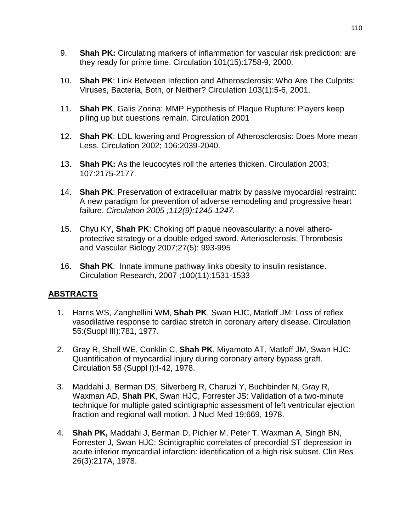- 9. **Shah PK:** Circulating markers of inflammation for vascular risk prediction: are they ready for prime time. Circulation 101(15):1758-9, 2000.
- 10. **Shah PK**: Link Between Infection and Atherosclerosis: Who Are The Culprits: Viruses, Bacteria, Both, or Neither? Circulation 103(1):5-6, 2001.
- 11. **Shah PK**, Galis Zorina: MMP Hypothesis of Plaque Rupture: Players keep piling up but questions remain. Circulation 2001
- 12. **Shah PK**: LDL lowering and Progression of Atherosclerosis: Does More mean Less. Circulation 2002; 106:2039-2040.
- 13. **Shah PK:** As the leucocytes roll the arteries thicken. Circulation 2003; 107:2175-2177.
- 14. **Shah PK**: Preservation of extracellular matrix by passive myocardial restraint: A new paradigm for prevention of adverse remodeling and progressive heart failure. *Circulation 2005 ;112(9):1245-1247.*
- 15. Chyu KY, **Shah PK**: Choking off plaque neovascularity: a novel atheroprotective strategy or a double edged sword. Arteriosclerosis, Thrombosis and Vascular Biology 2007;27(5): 993-995
- 16. **Shah PK**: Innate immune pathway links obesity to insulin resistance. Circulation Research, 2007 ;100(11):1531-1533

## **ABSTRACTS**

- 1. Harris WS, Zanghellini WM, **Shah PK**, Swan HJC, Matloff JM: Loss of reflex vasodilative response to cardiac stretch in coronary artery disease. Circulation 55:(Suppl III):781, 1977.
- 2. Gray R, Shell WE, Conklin C, **Shah PK**, Miyamoto AT, Matloff JM, Swan HJC: Quantification of myocardial injury during coronary artery bypass graft. Circulation 58 (Suppl I):I-42, 1978.
- 3. Maddahi J, Berman DS, Silverberg R, Charuzi Y, Buchbinder N, Gray R, Waxman AD, **Shah PK**, Swan HJC, Forrester JS: Validation of a two-minute technique for multiple gated scintigraphic assessment of left ventricular ejection fraction and regional wall motion. J Nucl Med 19:669, 1978.
- 4. **Shah PK,** Maddahi J, Berman D, Pichler M, Peter T, Waxman A, Singh BN, Forrester J, Swan HJC: Scintigraphic correlates of precordial ST depression in acute inferior myocardial infarction: identification of a high risk subset. Clin Res 26(3):217A, 1978.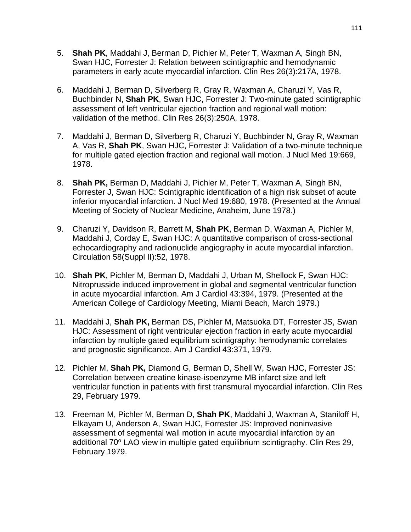- 5. **Shah PK**, Maddahi J, Berman D, Pichler M, Peter T, Waxman A, Singh BN, Swan HJC, Forrester J: Relation between scintigraphic and hemodynamic parameters in early acute myocardial infarction. Clin Res 26(3):217A, 1978.
- 6. Maddahi J, Berman D, Silverberg R, Gray R, Waxman A, Charuzi Y, Vas R, Buchbinder N, **Shah PK**, Swan HJC, Forrester J: Two-minute gated scintigraphic assessment of left ventricular ejection fraction and regional wall motion: validation of the method. Clin Res 26(3):250A, 1978.
- 7. Maddahi J, Berman D, Silverberg R, Charuzi Y, Buchbinder N, Gray R, Waxman A, Vas R, **Shah PK**, Swan HJC, Forrester J: Validation of a two-minute technique for multiple gated ejection fraction and regional wall motion. J Nucl Med 19:669, 1978.
- 8. **Shah PK,** Berman D, Maddahi J, Pichler M, Peter T, Waxman A, Singh BN, Forrester J, Swan HJC: Scintigraphic identification of a high risk subset of acute inferior myocardial infarction. J Nucl Med 19:680, 1978. (Presented at the Annual Meeting of Society of Nuclear Medicine, Anaheim, June 1978.)
- 9. Charuzi Y, Davidson R, Barrett M, **Shah PK**, Berman D, Waxman A, Pichler M, Maddahi J, Corday E, Swan HJC: A quantitative comparison of cross-sectional echocardiography and radionuclide angiography in acute myocardial infarction. Circulation 58(Suppl II):52, 1978.
- 10. **Shah PK**, Pichler M, Berman D, Maddahi J, Urban M, Shellock F, Swan HJC: Nitroprusside induced improvement in global and segmental ventricular function in acute myocardial infarction. Am J Cardiol 43:394, 1979. (Presented at the American College of Cardiology Meeting, Miami Beach, March 1979.)
- 11. Maddahi J, **Shah PK,** Berman DS, Pichler M, Matsuoka DT, Forrester JS, Swan HJC: Assessment of right ventricular ejection fraction in early acute myocardial infarction by multiple gated equilibrium scintigraphy: hemodynamic correlates and prognostic significance. Am J Cardiol 43:371, 1979.
- 12. Pichler M, **Shah PK,** Diamond G, Berman D, Shell W, Swan HJC, Forrester JS: Correlation between creatine kinase-isoenzyme MB infarct size and left ventricular function in patients with first transmural myocardial infarction. Clin Res 29, February 1979.
- 13. Freeman M, Pichler M, Berman D, **Shah PK**, Maddahi J, Waxman A, Staniloff H, Elkayam U, Anderson A, Swan HJC, Forrester JS: Improved noninvasive assessment of segmental wall motion in acute myocardial infarction by an additional 70° LAO view in multiple gated equilibrium scintigraphy. Clin Res 29, February 1979.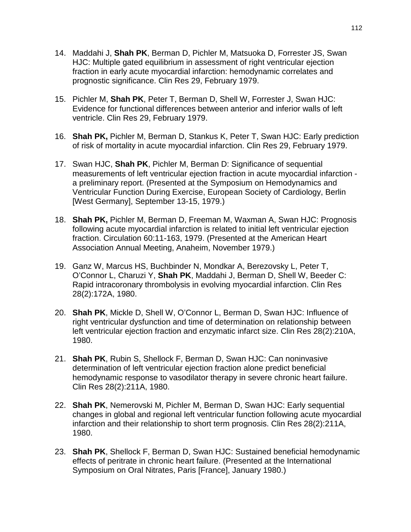- 14. Maddahi J, **Shah PK**, Berman D, Pichler M, Matsuoka D, Forrester JS, Swan HJC: Multiple gated equilibrium in assessment of right ventricular ejection fraction in early acute myocardial infarction: hemodynamic correlates and prognostic significance. Clin Res 29, February 1979.
- 15. Pichler M, **Shah PK**, Peter T, Berman D, Shell W, Forrester J, Swan HJC: Evidence for functional differences between anterior and inferior walls of left ventricle. Clin Res 29, February 1979.
- 16. **Shah PK,** Pichler M, Berman D, Stankus K, Peter T, Swan HJC: Early prediction of risk of mortality in acute myocardial infarction. Clin Res 29, February 1979.
- 17. Swan HJC, **Shah PK**, Pichler M, Berman D: Significance of sequential measurements of left ventricular ejection fraction in acute myocardial infarction a preliminary report. (Presented at the Symposium on Hemodynamics and Ventricular Function During Exercise, European Society of Cardiology, Berlin [West Germany], September 13-15, 1979.)
- 18. **Shah PK,** Pichler M, Berman D, Freeman M, Waxman A, Swan HJC: Prognosis following acute myocardial infarction is related to initial left ventricular ejection fraction. Circulation 60:11-163, 1979. (Presented at the American Heart Association Annual Meeting, Anaheim, November 1979.)
- 19. Ganz W, Marcus HS, Buchbinder N, Mondkar A, Berezovsky L, Peter T, O'Connor L, Charuzi Y, **Shah PK**, Maddahi J, Berman D, Shell W, Beeder C: Rapid intracoronary thrombolysis in evolving myocardial infarction. Clin Res 28(2):172A, 1980.
- 20. **Shah PK**, Mickle D, Shell W, O'Connor L, Berman D, Swan HJC: Influence of right ventricular dysfunction and time of determination on relationship between left ventricular ejection fraction and enzymatic infarct size. Clin Res 28(2):210A, 1980.
- 21. **Shah PK**, Rubin S, Shellock F, Berman D, Swan HJC: Can noninvasive determination of left ventricular ejection fraction alone predict beneficial hemodynamic response to vasodilator therapy in severe chronic heart failure. Clin Res 28(2):211A, 1980.
- 22. **Shah PK**, Nemerovski M, Pichler M, Berman D, Swan HJC: Early sequential changes in global and regional left ventricular function following acute myocardial infarction and their relationship to short term prognosis. Clin Res 28(2):211A, 1980.
- 23. **Shah PK**, Shellock F, Berman D, Swan HJC: Sustained beneficial hemodynamic effects of peritrate in chronic heart failure. (Presented at the International Symposium on Oral Nitrates, Paris [France], January 1980.)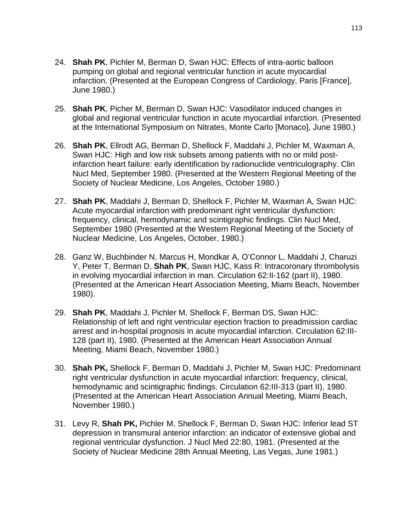- 24. **Shah PK**, Pichler M, Berman D, Swan HJC: Effects of intra-aortic balloon pumping on global and regional ventricular function in acute myocardial infarction. (Presented at the European Congress of Cardiology, Paris [France], June 1980.)
- 25. **Shah PK**, Picher M, Berman D, Swan HJC: Vasodilator induced changes in global and regional ventricular function in acute myocardial infarction. (Presented at the International Symposium on Nitrates, Monte Carlo [Monaco], June 1980.)
- 26. **Shah PK**, Ellrodt AG, Berman D, Shellock F, Maddahi J, Pichler M, Waxman A, Swan HJC: High and low risk subsets among patients with no or mild postinfarction heart failure: early identification by radionuclide ventriculography. Clin Nucl Med, September 1980. (Presented at the Western Regional Meeting of the Society of Nuclear Medicine, Los Angeles, October 1980.)
- 27. **Shah PK**, Maddahi J, Berman D, Shellock F, Pichler M, Waxman A, Swan HJC: Acute myocardial infarction with predominant right ventricular dysfunction: frequency, clinical, hemodynamic and scintigraphic findings. Clin Nucl Med, September 1980 (Presented at the Western Regional Meeting of the Society of Nuclear Medicine, Los Angeles, October, 1980.)
- 28. Ganz W, Buchbinder N, Marcus H, Mondkar A, O'Connor L, Maddahi J, Charuzi Y, Peter T, Berman D, **Shah PK**, Swan HJC, Kass R: Intracoronary thrombolysis in evolving myocardial infarction in man. Circulation 62:II-162 (part II), 1980. (Presented at the American Heart Association Meeting, Miami Beach, November 1980).
- 29. **Shah PK**, Maddahi J, Pichler M, Shellock F, Berman DS, Swan HJC: Relationship of left and right ventricular ejection fraction to preadmission cardiac arrest and in-hospital prognosis in acute myocardial infarction. Circulation 62:III-128 (part II), 1980. (Presented at the American Heart Association Annual Meeting, Miami Beach, November 1980.)
- 30. **Shah PK,** Shellock F, Berman D, Maddahi J, Pichler M, Swan HJC: Predominant right ventricular dysfunction in acute myocardial infarction: frequency, clinical, hemodynamic and scintigraphic findings. Circulation 62:III-313 (part II), 1980. (Presented at the American Heart Association Annual Meeting, Miami Beach, November 1980.)
- 31. Levy R, **Shah PK,** Pichler M, Shellock F, Berman D, Swan HJC: Inferior lead ST depression in transmural anterior infarction: an indicator of extensive global and regional ventricular dysfunction. J Nucl Med 22:80, 1981. (Presented at the Society of Nuclear Medicine 28th Annual Meeting, Las Vegas, June 1981.)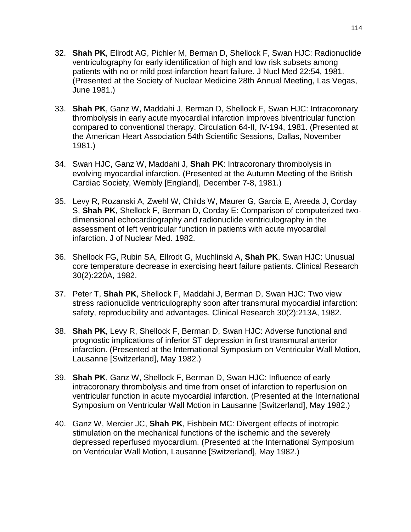- 32. **Shah PK**, Ellrodt AG, Pichler M, Berman D, Shellock F, Swan HJC: Radionuclide ventriculography for early identification of high and low risk subsets among patients with no or mild post-infarction heart failure. J Nucl Med 22:54, 1981. (Presented at the Society of Nuclear Medicine 28th Annual Meeting, Las Vegas, June 1981.)
- 33. **Shah PK**, Ganz W, Maddahi J, Berman D, Shellock F, Swan HJC: Intracoronary thrombolysis in early acute myocardial infarction improves biventricular function compared to conventional therapy. Circulation 64-II, IV-194, 1981. (Presented at the American Heart Association 54th Scientific Sessions, Dallas, November 1981.)
- 34. Swan HJC, Ganz W, Maddahi J, **Shah PK**: Intracoronary thrombolysis in evolving myocardial infarction. (Presented at the Autumn Meeting of the British Cardiac Society, Wembly [England], December 7-8, 1981.)
- 35. Levy R, Rozanski A, Zwehl W, Childs W, Maurer G, Garcia E, Areeda J, Corday S, **Shah PK**, Shellock F, Berman D, Corday E: Comparison of computerized twodimensional echocardiography and radionuclide ventriculography in the assessment of left ventricular function in patients with acute myocardial infarction. J of Nuclear Med. 1982.
- 36. Shellock FG, Rubin SA, Ellrodt G, Muchlinski A, **Shah PK**, Swan HJC: Unusual core temperature decrease in exercising heart failure patients. Clinical Research 30(2):220A, 1982.
- 37. Peter T, **Shah PK**, Shellock F, Maddahi J, Berman D, Swan HJC: Two view stress radionuclide ventriculography soon after transmural myocardial infarction: safety, reproducibility and advantages. Clinical Research 30(2):213A, 1982.
- 38. **Shah PK**, Levy R, Shellock F, Berman D, Swan HJC: Adverse functional and prognostic implications of inferior ST depression in first transmural anterior infarction. (Presented at the International Symposium on Ventricular Wall Motion, Lausanne [Switzerland], May 1982.)
- 39. **Shah PK**, Ganz W, Shellock F, Berman D, Swan HJC: Influence of early intracoronary thrombolysis and time from onset of infarction to reperfusion on ventricular function in acute myocardial infarction. (Presented at the International Symposium on Ventricular Wall Motion in Lausanne [Switzerland], May 1982.)
- 40. Ganz W, Mercier JC, **Shah PK**, Fishbein MC: Divergent effects of inotropic stimulation on the mechanical functions of the ischemic and the severely depressed reperfused myocardium. (Presented at the International Symposium on Ventricular Wall Motion, Lausanne [Switzerland], May 1982.)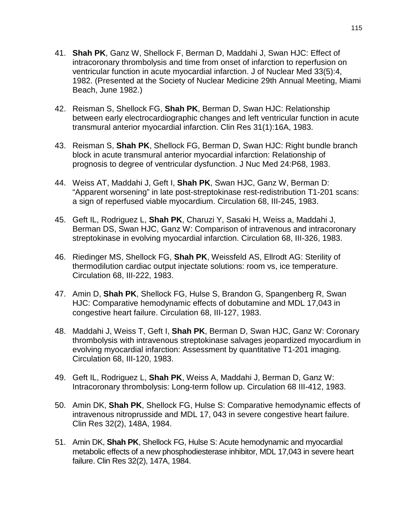- 41. **Shah PK**, Ganz W, Shellock F, Berman D, Maddahi J, Swan HJC: Effect of intracoronary thrombolysis and time from onset of infarction to reperfusion on ventricular function in acute myocardial infarction. J of Nuclear Med 33(5):4, 1982. (Presented at the Society of Nuclear Medicine 29th Annual Meeting, Miami Beach, June 1982.)
- 42. Reisman S, Shellock FG, **Shah PK**, Berman D, Swan HJC: Relationship between early electrocardiographic changes and left ventricular function in acute transmural anterior myocardial infarction. Clin Res 31(1):16A, 1983.
- 43. Reisman S, **Shah PK**, Shellock FG, Berman D, Swan HJC: Right bundle branch block in acute transmural anterior myocardial infarction: Relationship of prognosis to degree of ventricular dysfunction. J Nuc Med 24:P68, 1983.
- 44. Weiss AT, Maddahi J, Geft I, **Shah PK**, Swan HJC, Ganz W, Berman D: "Apparent worsening" in late post-streptokinase rest-redistribution T1-201 scans: a sign of reperfused viable myocardium. Circulation 68, III-245, 1983.
- 45. Geft IL, Rodriguez L, **Shah PK**, Charuzi Y, Sasaki H, Weiss a, Maddahi J, Berman DS, Swan HJC, Ganz W: Comparison of intravenous and intracoronary streptokinase in evolving myocardial infarction. Circulation 68, III-326, 1983.
- 46. Riedinger MS, Shellock FG, **Shah PK**, Weissfeld AS, Ellrodt AG: Sterility of thermodilution cardiac output injectate solutions: room vs, ice temperature. Circulation 68, III-222, 1983.
- 47. Amin D, **Shah PK**, Shellock FG, Hulse S, Brandon G, Spangenberg R, Swan HJC: Comparative hemodynamic effects of dobutamine and MDL 17,043 in congestive heart failure. Circulation 68, III-127, 1983.
- 48. Maddahi J, Weiss T, Geft I, **Shah PK**, Berman D, Swan HJC, Ganz W: Coronary thrombolysis with intravenous streptokinase salvages jeopardized myocardium in evolving myocardial infarction: Assessment by quantitative T1-201 imaging. Circulation 68, III-120, 1983.
- 49. Geft IL, Rodriguez L, **Shah PK**, Weiss A, Maddahi J, Berman D, Ganz W: Intracoronary thrombolysis: Long-term follow up. Circulation 68 III-412, 1983.
- 50. Amin DK, **Shah PK**, Shellock FG, Hulse S: Comparative hemodynamic effects of intravenous nitroprusside and MDL 17, 043 in severe congestive heart failure. Clin Res 32(2), 148A, 1984.
- 51. Amin DK, **Shah PK**, Shellock FG, Hulse S: Acute hemodynamic and myocardial metabolic effects of a new phosphodiesterase inhibitor, MDL 17,043 in severe heart failure. Clin Res 32(2), 147A, 1984.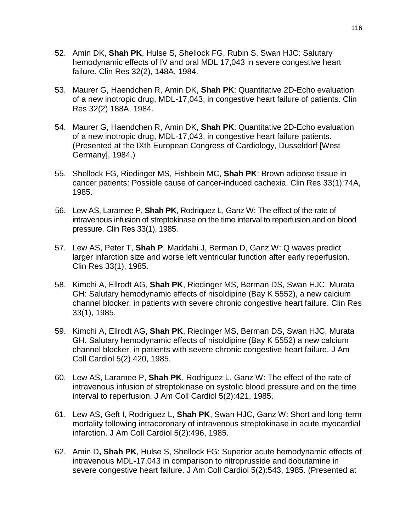- 52. Amin DK, **Shah PK**, Hulse S, Shellock FG, Rubin S, Swan HJC: Salutary hemodynamic effects of IV and oral MDL 17,043 in severe congestive heart failure. Clin Res 32(2), 148A, 1984.
- 53. Maurer G, Haendchen R, Amin DK, **Shah PK**: Quantitative 2D-Echo evaluation of a new inotropic drug, MDL-17,043, in congestive heart failure of patients. Clin Res 32(2) 188A, 1984.
- 54. Maurer G, Haendchen R, Amin DK, **Shah PK**: Quantitative 2D-Echo evaluation of a new inotropic drug, MDL-17,043, in congestive heart failure patients. (Presented at the IXth European Congress of Cardiology, Dusseldorf [West Germany], 1984.)
- 55. Shellock FG, Riedinger MS, Fishbein MC, **Shah PK**: Brown adipose tissue in cancer patients: Possible cause of cancer-induced cachexia. Clin Res 33(1):74A, 1985.
- 56. Lew AS, Laramee P, **Shah PK**, Rodriquez L, Ganz W: The effect of the rate of intravenous infusion of streptokinase on the time interval to reperfusion and on blood pressure. Clin Res 33(1), 1985.
- 57. Lew AS, Peter T, **Shah P**, Maddahi J, Berman D, Ganz W: Q waves predict larger infarction size and worse left ventricular function after early reperfusion. Clin Res 33(1), 1985.
- 58. Kimchi A, Ellrodt AG, **Shah PK**, Riedinger MS, Berman DS, Swan HJC, Murata GH: Salutary hemodynamic effects of nisoldipine (Bay K 5552), a new calcium channel blocker, in patients with severe chronic congestive heart failure. Clin Res 33(1), 1985.
- 59. Kimchi A, Ellrodt AG, **Shah PK**, Riedinger MS, Berman DS, Swan HJC, Murata GH. Salutary hemodynamic effects of nisoldipine (Bay K 5552) a new calcium channel blocker, in patients with severe chronic congestive heart failure. J Am Coll Cardiol 5(2) 420, 1985.
- 60. Lew AS, Laramee P, **Shah PK**, Rodriguez L, Ganz W: The effect of the rate of intravenous infusion of streptokinase on systolic blood pressure and on the time interval to reperfusion. J Am Coll Cardiol 5(2):421, 1985.
- 61. Lew AS, Geft I, Rodriguez L, **Shah PK**, Swan HJC, Ganz W: Short and long-term mortality following intracoronary of intravenous streptokinase in acute myocardial infarction. J Am Coll Cardiol 5(2):496, 1985.
- 62. Amin D**, Shah PK**, Hulse S, Shellock FG: Superior acute hemodynamic effects of intravenous MDL-17,043 in comparison to nitroprusside and dobutamine in severe congestive heart failure. J Am Coll Cardiol 5(2):543, 1985. (Presented at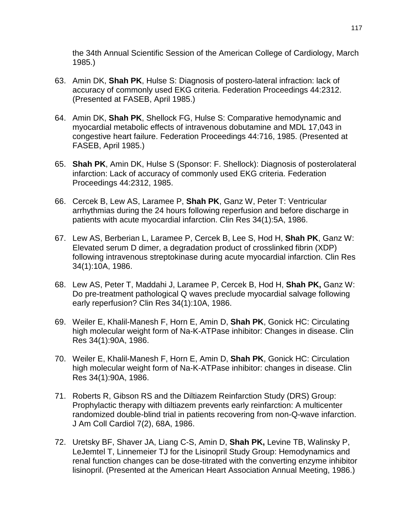the 34th Annual Scientific Session of the American College of Cardiology, March 1985.)

- 63. Amin DK, **Shah PK**, Hulse S: Diagnosis of postero-lateral infraction: lack of accuracy of commonly used EKG criteria. Federation Proceedings 44:2312. (Presented at FASEB, April 1985.)
- 64. Amin DK, **Shah PK**, Shellock FG, Hulse S: Comparative hemodynamic and myocardial metabolic effects of intravenous dobutamine and MDL 17,043 in congestive heart failure. Federation Proceedings 44:716, 1985. (Presented at FASEB, April 1985.)
- 65. **Shah PK**, Amin DK, Hulse S (Sponsor: F. Shellock): Diagnosis of posterolateral infarction: Lack of accuracy of commonly used EKG criteria. Federation Proceedings 44:2312, 1985.
- 66. Cercek B, Lew AS, Laramee P, **Shah PK**, Ganz W, Peter T: Ventricular arrhythmias during the 24 hours following reperfusion and before discharge in patients with acute myocardial infarction. Clin Res 34(1):5A, 1986.
- 67. Lew AS, Berberian L, Laramee P, Cercek B, Lee S, Hod H, **Shah PK**, Ganz W: Elevated serum D dimer, a degradation product of crosslinked fibrin (XDP) following intravenous streptokinase during acute myocardial infarction. Clin Res 34(1):10A, 1986.
- 68. Lew AS, Peter T, Maddahi J, Laramee P, Cercek B, Hod H, **Shah PK,** Ganz W: Do pre-treatment pathological Q waves preclude myocardial salvage following early reperfusion? Clin Res 34(1):10A, 1986.
- 69. Weiler E, Khalil-Manesh F, Horn E, Amin D, **Shah PK**, Gonick HC: Circulating high molecular weight form of Na-K-ATPase inhibitor: Changes in disease. Clin Res 34(1):90A, 1986.
- 70. Weiler E, Khalil-Manesh F, Horn E, Amin D, **Shah PK**, Gonick HC: Circulation high molecular weight form of Na-K-ATPase inhibitor: changes in disease. Clin Res 34(1):90A, 1986.
- 71. Roberts R, Gibson RS and the Diltiazem Reinfarction Study (DRS) Group: Prophylactic therapy with diltiazem prevents early reinfarction: A multicenter randomized double-blind trial in patients recovering from non-Q-wave infarction. J Am Coll Cardiol 7(2), 68A, 1986.
- 72. Uretsky BF, Shaver JA, Liang C-S, Amin D, **Shah PK,** Levine TB, Walinsky P, LeJemtel T, Linnemeier TJ for the Lisinopril Study Group: Hemodynamics and renal function changes can be dose-titrated with the converting enzyme inhibitor lisinopril. (Presented at the American Heart Association Annual Meeting, 1986.)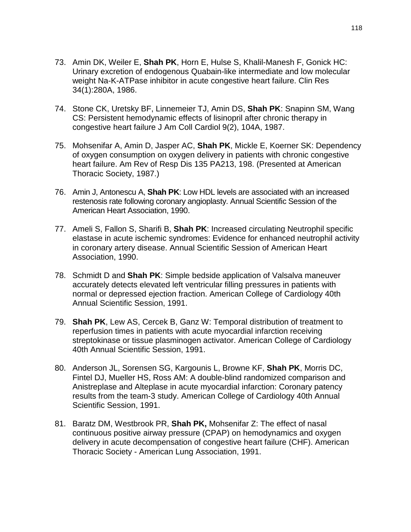- 73. Amin DK, Weiler E, **Shah PK**, Horn E, Hulse S, Khalil-Manesh F, Gonick HC: Urinary excretion of endogenous Quabain-like intermediate and low molecular weight Na-K-ATPase inhibitor in acute congestive heart failure. Clin Res 34(1):280A, 1986.
- 74. Stone CK, Uretsky BF, Linnemeier TJ, Amin DS, **Shah PK**: Snapinn SM, Wang CS: Persistent hemodynamic effects of lisinopril after chronic therapy in congestive heart failure J Am Coll Cardiol 9(2), 104A, 1987.
- 75. Mohsenifar A, Amin D, Jasper AC, **Shah PK**, Mickle E, Koerner SK: Dependency of oxygen consumption on oxygen delivery in patients with chronic congestive heart failure. Am Rev of Resp Dis 135 PA213, 198. (Presented at American Thoracic Society, 1987.)
- 76. Amin J, Antonescu A, **Shah PK**: Low HDL levels are associated with an increased restenosis rate following coronary angioplasty. Annual Scientific Session of the American Heart Association, 1990.
- 77. Ameli S, Fallon S, Sharifi B, **Shah PK**: Increased circulating Neutrophil specific elastase in acute ischemic syndromes: Evidence for enhanced neutrophil activity in coronary artery disease. Annual Scientific Session of American Heart Association, 1990.
- 78. Schmidt D and **Shah PK**: Simple bedside application of Valsalva maneuver accurately detects elevated left ventricular filling pressures in patients with normal or depressed ejection fraction. American College of Cardiology 40th Annual Scientific Session, 1991.
- 79. **Shah PK**, Lew AS, Cercek B, Ganz W: Temporal distribution of treatment to reperfusion times in patients with acute myocardial infarction receiving streptokinase or tissue plasminogen activator. American College of Cardiology 40th Annual Scientific Session, 1991.
- 80. Anderson JL, Sorensen SG, Kargounis L, Browne KF, **Shah PK**, Morris DC, Fintel DJ, Mueller HS, Ross AM: A double-blind randomized comparison and Anistreplase and Alteplase in acute myocardial infarction: Coronary patency results from the team-3 study. American College of Cardiology 40th Annual Scientific Session, 1991.
- 81. Baratz DM, Westbrook PR, **Shah PK,** Mohsenifar Z: The effect of nasal continuous positive airway pressure (CPAP) on hemodynamics and oxygen delivery in acute decompensation of congestive heart failure (CHF). American Thoracic Society - American Lung Association, 1991.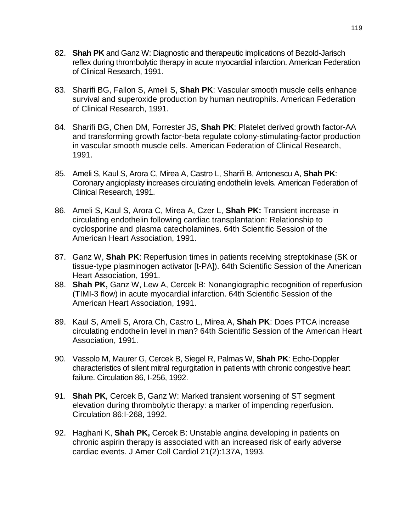- 82. **Shah PK** and Ganz W: Diagnostic and therapeutic implications of Bezold-Jarisch reflex during thrombolytic therapy in acute myocardial infarction. American Federation of Clinical Research, 1991.
- 83. Sharifi BG, Fallon S, Ameli S, **Shah PK**: Vascular smooth muscle cells enhance survival and superoxide production by human neutrophils. American Federation of Clinical Research, 1991.
- 84. Sharifi BG, Chen DM, Forrester JS, **Shah PK**: Platelet derived growth factor-AA and transforming growth factor-beta regulate colony-stimulating-factor production in vascular smooth muscle cells. American Federation of Clinical Research, 1991.
- 85. Ameli S, Kaul S, Arora C, Mirea A, Castro L, Sharifi B, Antonescu A, **Shah PK**: Coronary angioplasty increases circulating endothelin levels. American Federation of Clinical Research, 1991.
- 86. Ameli S, Kaul S, Arora C, Mirea A, Czer L, **Shah PK:** Transient increase in circulating endothelin following cardiac transplantation: Relationship to cyclosporine and plasma catecholamines. 64th Scientific Session of the American Heart Association, 1991.
- 87. Ganz W, **Shah PK**: Reperfusion times in patients receiving streptokinase (SK or tissue-type plasminogen activator [t-PA]). 64th Scientific Session of the American Heart Association, 1991.
- 88. **Shah PK,** Ganz W, Lew A, Cercek B: Nonangiographic recognition of reperfusion (TIMI-3 flow) in acute myocardial infarction. 64th Scientific Session of the American Heart Association, 1991.
- 89. Kaul S, Ameli S, Arora Ch, Castro L, Mirea A, **Shah PK**: Does PTCA increase circulating endothelin level in man? 64th Scientific Session of the American Heart Association, 1991.
- 90. Vassolo M, Maurer G, Cercek B, Siegel R, Palmas W, **Shah PK**: Echo-Doppler characteristics of silent mitral regurgitation in patients with chronic congestive heart failure. Circulation 86, I-256, 1992.
- 91. **Shah PK**, Cercek B, Ganz W: Marked transient worsening of ST segment elevation during thrombolytic therapy: a marker of impending reperfusion. Circulation 86:I-268, 1992.
- 92. Haghani K, **Shah PK,** Cercek B: Unstable angina developing in patients on chronic aspirin therapy is associated with an increased risk of early adverse cardiac events. J Amer Coll Cardiol 21(2):137A, 1993.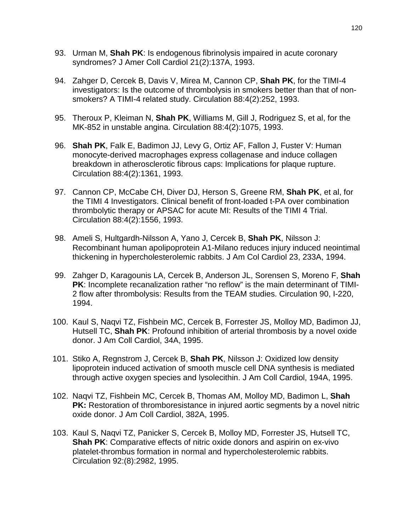- 93. Urman M, **Shah PK**: Is endogenous fibrinolysis impaired in acute coronary syndromes? J Amer Coll Cardiol 21(2):137A, 1993.
- 94. Zahger D, Cercek B, Davis V, Mirea M, Cannon CP, **Shah PK**, for the TIMI-4 investigators: Is the outcome of thrombolysis in smokers better than that of nonsmokers? A TIMI-4 related study. Circulation 88:4(2):252, 1993.
- 95. Theroux P, Kleiman N, **Shah PK**, Williams M, Gill J, Rodriguez S, et al, for the MK-852 in unstable angina. Circulation 88:4(2):1075, 1993.
- 96. **Shah PK**, Falk E, Badimon JJ, Levy G, Ortiz AF, Fallon J, Fuster V: Human monocyte-derived macrophages express collagenase and induce collagen breakdown in atherosclerotic fibrous caps: Implications for plaque rupture. Circulation 88:4(2):1361, 1993.
- 97. Cannon CP, McCabe CH, Diver DJ, Herson S, Greene RM, **Shah PK**, et al, for the TIMI 4 Investigators. Clinical benefit of front-loaded t-PA over combination thrombolytic therapy or APSAC for acute MI: Results of the TIMI 4 Trial. Circulation 88:4(2):1556, 1993.
- 98. Ameli S, Hultgardh-Nilsson A, Yano J, Cercek B, **Shah PK**, Nilsson J: Recombinant human apolipoprotein A1-Milano reduces injury induced neointimal thickening in hypercholesterolemic rabbits. J Am Col Cardiol 23, 233A, 1994.
- 99. Zahger D, Karagounis LA, Cercek B, Anderson JL, Sorensen S, Moreno F, **Shah PK**: Incomplete recanalization rather "no reflow" is the main determinant of TIMI-2 flow after thrombolysis: Results from the TEAM studies. Circulation 90, I-220, 1994.
- 100. Kaul S, Naqvi TZ, Fishbein MC, Cercek B, Forrester JS, Molloy MD, Badimon JJ, Hutsell TC, **Shah PK**: Profound inhibition of arterial thrombosis by a novel oxide donor. J Am Coll Cardiol, 34A, 1995.
- 101. Stiko A, Regnstrom J, Cercek B, **Shah PK**, Nilsson J: Oxidized low density lipoprotein induced activation of smooth muscle cell DNA synthesis is mediated through active oxygen species and lysolecithin. J Am Coll Cardiol, 194A, 1995.
- 102. Naqvi TZ, Fishbein MC, Cercek B, Thomas AM, Molloy MD, Badimon L, **Shah PK:** Restoration of thromboresistance in injured aortic segments by a novel nitric oxide donor. J Am Coll Cardiol, 382A, 1995.
- 103. Kaul S, Naqvi TZ, Panicker S, Cercek B, Molloy MD, Forrester JS, Hutsell TC, **Shah PK:** Comparative effects of nitric oxide donors and aspirin on ex-vivo platelet-thrombus formation in normal and hypercholesterolemic rabbits. Circulation 92:(8):2982, 1995.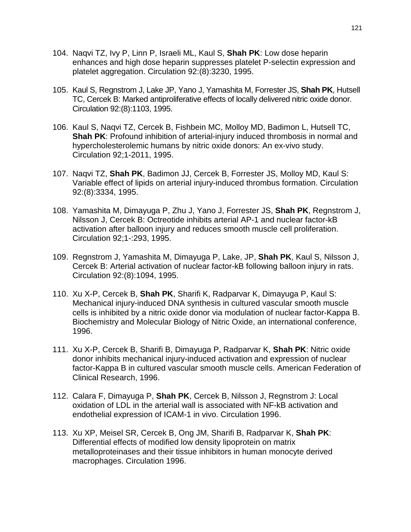- 104. Naqvi TZ, Ivy P, Linn P, Israeli ML, Kaul S, **Shah PK**: Low dose heparin enhances and high dose heparin suppresses platelet P-selectin expression and platelet aggregation. Circulation 92:(8):3230, 1995.
- 105. Kaul S, Regnstrom J, Lake JP, Yano J, Yamashita M, Forrester JS, **Shah PK**, Hutsell TC, Cercek B: Marked antiproliferative effects of locally delivered nitric oxide donor. Circulation 92:(8):1103, 1995.
- 106. Kaul S, Naqvi TZ, Cercek B, Fishbein MC, Molloy MD, Badimon L, Hutsell TC, **Shah PK**: Profound inhibition of arterial-injury induced thrombosis in normal and hypercholesterolemic humans by nitric oxide donors: An ex-vivo study. Circulation 92;1-2011, 1995.
- 107. Naqvi TZ, **Shah PK**, Badimon JJ, Cercek B, Forrester JS, Molloy MD, Kaul S: Variable effect of lipids on arterial injury-induced thrombus formation. Circulation 92:(8):3334, 1995.
- 108. Yamashita M, Dimayuga P, Zhu J, Yano J, Forrester JS, **Shah PK**, Regnstrom J, Nilsson J, Cercek B: Octreotide inhibits arterial AP-1 and nuclear factor-kB activation after balloon injury and reduces smooth muscle cell proliferation. Circulation 92;1-:293, 1995.
- 109. Regnstrom J, Yamashita M, Dimayuga P, Lake, JP, **Shah PK**, Kaul S, Nilsson J, Cercek B: Arterial activation of nuclear factor-kB following balloon injury in rats. Circulation 92:(8):1094, 1995.
- 110. Xu X-P, Cercek B, **Shah PK**, Sharifi K, Radparvar K, Dimayuga P, Kaul S: Mechanical injury-induced DNA synthesis in cultured vascular smooth muscle cells is inhibited by a nitric oxide donor via modulation of nuclear factor-Kappa B. Biochemistry and Molecular Biology of Nitric Oxide, an international conference, 1996.
- 111. Xu X-P, Cercek B, Sharifi B, Dimayuga P, Radparvar K, **Shah PK**: Nitric oxide donor inhibits mechanical injury-induced activation and expression of nuclear factor-Kappa B in cultured vascular smooth muscle cells. American Federation of Clinical Research, 1996.
- 112. Calara F, Dimayuga P, **Shah PK**, Cercek B, Nilsson J, Regnstrom J: Local oxidation of LDL in the arterial wall is associated with NF-kB activation and endothelial expression of ICAM-1 in vivo. Circulation 1996.
- 113. Xu XP, Meisel SR, Cercek B, Ong JM, Sharifi B, Radparvar K, **Shah PK**: Differential effects of modified low density lipoprotein on matrix metalloproteinases and their tissue inhibitors in human monocyte derived macrophages. Circulation 1996.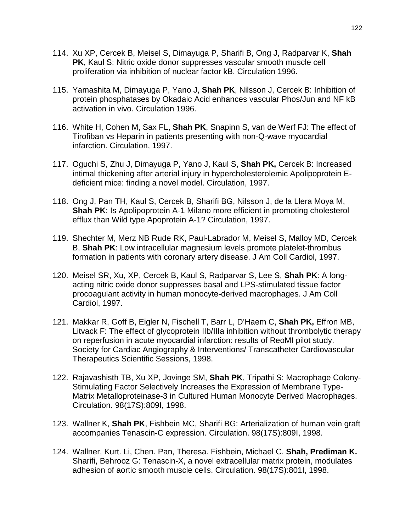- 114. Xu XP, Cercek B, Meisel S, Dimayuga P, Sharifi B, Ong J, Radparvar K, **Shah PK**, Kaul S: Nitric oxide donor suppresses vascular smooth muscle cell proliferation via inhibition of nuclear factor kB. Circulation 1996.
- 115. Yamashita M, Dimayuga P, Yano J, **Shah PK**, Nilsson J, Cercek B: Inhibition of protein phosphatases by Okadaic Acid enhances vascular Phos/Jun and NF kB activation in vivo. Circulation 1996.
- 116. White H, Cohen M, Sax FL, **Shah PK**, Snapinn S, van de Werf FJ: The effect of Tirofiban vs Heparin in patients presenting with non-Q-wave myocardial infarction. Circulation, 1997.
- 117. Oguchi S, Zhu J, Dimayuga P, Yano J, Kaul S, **Shah PK,** Cercek B: Increased intimal thickening after arterial injury in hypercholesterolemic Apolipoprotein Edeficient mice: finding a novel model. Circulation, 1997.
- 118. Ong J, Pan TH, Kaul S, Cercek B, Sharifi BG, Nilsson J, de la Llera Moya M, **Shah PK:** Is Apolipoprotein A-1 Milano more efficient in promoting cholesterol efflux than Wild type Apoprotein A-1? Circulation, 1997.
- 119. Shechter M, Merz NB Rude RK, Paul-Labrador M, Meisel S, Malloy MD, Cercek B, **Shah PK**: Low intracellular magnesium levels promote platelet-thrombus formation in patients with coronary artery disease. J Am Coll Cardiol, 1997.
- 120. Meisel SR, Xu, XP, Cercek B, Kaul S, Radparvar S, Lee S, **Shah PK**: A longacting nitric oxide donor suppresses basal and LPS-stimulated tissue factor procoagulant activity in human monocyte-derived macrophages. J Am Coll Cardiol, 1997.
- 121. Makkar R, Goff B, Eigler N, Fischell T, Barr L, D'Haem C, **Shah PK,** Effron MB, Litvack F: The effect of glycoprotein IIb/IIIa inhibition without thrombolytic therapy on reperfusion in acute myocardial infarction: results of ReoMI pilot study. Society for Cardiac Angiography & Interventions/ Transcatheter Cardiovascular Therapeutics Scientific Sessions, 1998.
- 122. Rajavashisth TB, Xu XP, Jovinge SM, **Shah PK**, Tripathi S: Macrophage Colony-Stimulating Factor Selectively Increases the Expression of Membrane Type-Matrix Metalloproteinase-3 in Cultured Human Monocyte Derived Macrophages. Circulation. 98(17S):809I, 1998.
- 123. Wallner K, **Shah PK**, Fishbein MC, Sharifi BG: Arterialization of human vein graft accompanies Tenascin-C expression. Circulation. 98(17S):809I, 1998.
- 124. Wallner, Kurt. Li, Chen. Pan, Theresa. Fishbein, Michael C. **Shah, Prediman K.** Sharifi, Behrooz G: Tenascin-X, a novel extracellular matrix protein, modulates adhesion of aortic smooth muscle cells. Circulation. 98(17S):801I, 1998.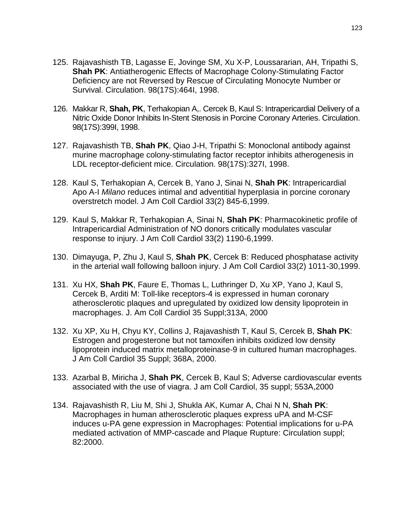- 125. Rajavashisth TB, Lagasse E, Jovinge SM, Xu X-P, Loussararian, AH, Tripathi S, **Shah PK**: Antiatherogenic Effects of Macrophage Colony-Stimulating Factor Deficiency are not Reversed by Rescue of Circulating Monocyte Number or Survival. Circulation. 98(17S):464I, 1998.
- 126. Makkar R, **Shah, PK**, Terhakopian A,. Cercek B, Kaul S: Intrapericardial Delivery of a Nitric Oxide Donor Inhibits In-Stent Stenosis in Porcine Coronary Arteries. Circulation. 98(17S):399I, 1998.
- 127. Rajavashisth TB, **Shah PK**, Qiao J-H, Tripathi S: Monoclonal antibody against murine macrophage colony-stimulating factor receptor inhibits atherogenesis in LDL receptor-deficient mice. Circulation. 98(17S):327I, 1998.
- 128. Kaul S, Terhakopian A, Cercek B, Yano J, Sinai N, **Shah PK**: Intrapericardial Apo A-I *Milano* reduces intimal and adventitial hyperplasia in porcine coronary overstretch model. J Am Coll Cardiol 33(2) 845-6,1999.
- 129. Kaul S, Makkar R, Terhakopian A, Sinai N, **Shah PK**: Pharmacokinetic profile of Intrapericardial Administration of NO donors critically modulates vascular response to injury. J Am Coll Cardiol 33(2) 1190-6,1999.
- 130. Dimayuga, P, Zhu J, Kaul S, **Shah PK**, Cercek B: Reduced phosphatase activity in the arterial wall following balloon injury. J Am Coll Cardiol 33(2) 1011-30,1999.
- 131. Xu HX, **Shah PK**, Faure E, Thomas L, Luthringer D, Xu XP, Yano J, Kaul S, Cercek B, Arditi M: Toll-like receptors-4 is expressed in human coronary atherosclerotic plaques and upregulated by oxidized low density lipoprotein in macrophages. J. Am Coll Cardiol 35 Suppl;313A, 2000
- 132. Xu XP, Xu H, Chyu KY, Collins J, Rajavashisth T, Kaul S, Cercek B, **Shah PK**: Estrogen and progesterone but not tamoxifen inhibits oxidized low density lipoprotein induced matrix metalloproteinase-9 in cultured human macrophages. J Am Coll Cardiol 35 Suppl; 368A, 2000.
- 133. Azarbal B, Miricha J, **Shah PK**, Cercek B, Kaul S; Adverse cardiovascular events associated with the use of viagra. J am Coll Cardiol, 35 suppl; 553A,2000
- 134. Rajavashisth R, Liu M, Shi J, Shukla AK, Kumar A, Chai N N, **Shah PK**: Macrophages in human atherosclerotic plaques express uPA and M-CSF induces u-PA gene expression in Macrophages: Potential implications for u-PA mediated activation of MMP-cascade and Plaque Rupture: Circulation suppl; 82:2000.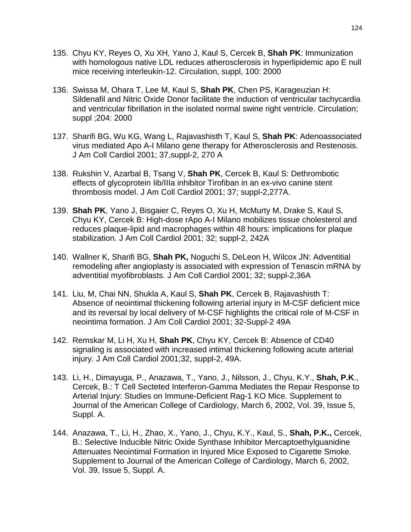- 135. Chyu KY, Reyes O, Xu XH, Yano J, Kaul S, Cercek B, **Shah PK**: Immunization with homologous native LDL reduces atherosclerosis in hyperlipidemic apo E null mice receiving interleukin-12. Circulation, suppl, 100: 2000
- 136. Swissa M, Ohara T, Lee M, Kaul S, **Shah PK**, Chen PS, Karageuzian H: Sildenafil and Nitric Oxide Donor facilitate the induction of ventricular tachycardia and ventricular fibrillation in the isolated normal swine right ventricle. Circulation; suppl ;204: 2000
- 137. Sharifi BG, Wu KG, Wang L, Rajavashisth T, Kaul S, **Shah PK**: Adenoassociated virus mediated Apo A-I Milano gene therapy for Atherosclerosis and Restenosis. J Am Coll Cardiol 2001; 37,suppl-2, 270 A
- 138. Rukshin V, Azarbal B, Tsang V, **Shah PK**, Cercek B, Kaul S: Dethrombotic effects of glycoprotein Iib/IIIa inhibitor Tirofiban in an ex-vivo canine stent thrombosis model. J Am Coll Cardiol 2001; 37; suppl-2,277A.
- 139. **Shah PK**, Yano J, Bisgaier C, Reyes O, Xu H, McMurty M, Drake S, Kaul S, Chyu KY, Cercek B: High-dose rApo A-I Milano mobilizes tissue cholesterol and reduces plaque-lipid and macrophages within 48 hours: implications for plaque stabilization. J Am Coll Cardiol 2001; 32; suppl-2, 242A
- 140. Wallner K, Sharifi BG, **Shah PK,** Noguchi S, DeLeon H, Wilcox JN: Adventitial remodeling after angioplasty is associated with expression of Tenascin mRNA by adventitial myofibroblasts. J Am Coll Cardiol 2001; 32; suppl-2,36A
- 141. Liu, M, Chai NN, Shukla A, Kaul S, **Shah PK**, Cercek B, Rajavashisth T: Absence of neointimal thickening following arterial injury in M-CSF deficient mice and its reversal by local delivery of M-CSF highlights the critical role of M-CSF in neointima formation. J Am Coll Cardiol 2001; 32-Suppl-2 49A
- 142. Remskar M, Li H, Xu H, **Shah PK**, Chyu KY, Cercek B: Absence of CD40 signaling is associated with increased intimal thickening following acute arterial injury. J Am Coll Cardiol 2001;32, suppl-2, 49A.
- 143. Li, H., Dimayuga, P., Anazawa, T., Yano, J., Nilsson, J., Chyu, K.Y., **Shah, P.K**., Cercek, B.: T Cell Secteted Interferon-Gamma Mediates the Repair Response to Arterial Injury: Studies on Immune-Deficient Rag-1 KO Mice. Supplement to Journal of the American College of Cardiology, March 6, 2002, Vol. 39, Issue 5, Suppl. A.
- 144. Anazawa, T., Li, H., Zhao, X., Yano, J., Chyu, K.Y., Kaul, S., **Shah, P.K.,** Cercek, B.: Selective Inducible Nitric Oxide Synthase Inhibitor Mercaptoethylguanidine Attenuates Neointimal Formation in Injured Mice Exposed to Cigarette Smoke. Supplement to Journal of the American College of Cardiology, March 6, 2002, Vol. 39, Issue 5, Suppl. A.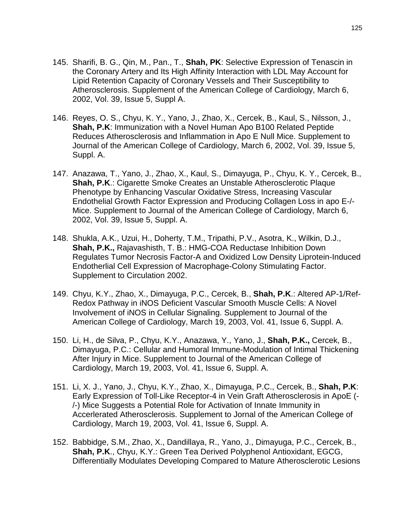- 145. Sharifi, B. G., Qin, M., Pan., T., **Shah, PK**: Selective Expression of Tenascin in the Coronary Artery and Its High Affinity Interaction with LDL May Account for Lipid Retention Capacity of Coronary Vessels and Their Susceptibility to Atherosclerosis. Supplement of the American College of Cardiology, March 6, 2002, Vol. 39, Issue 5, Suppl A.
- 146. Reyes, O. S., Chyu, K. Y., Yano, J., Zhao, X., Cercek, B., Kaul, S., Nilsson, J., **Shah, P.K**: Immunization with a Novel Human Apo B100 Related Peptide Reduces Atherosclerosis and Inflammation in Apo E Null Mice. Supplement to Journal of the American College of Cardiology, March 6, 2002, Vol. 39, Issue 5, Suppl. A.
- 147. Anazawa, T., Yano, J., Zhao, X., Kaul, S., Dimayuga, P., Chyu, K. Y., Cercek, B., **Shah, P.K**.: Cigarette Smoke Creates an Unstable Atherosclerotic Plaque Phenotype by Enhancing Vascular Oxidative Stress, Increasing Vascular Endothelial Growth Factor Expression and Producing Collagen Loss in apo E-/- Mice. Supplement to Journal of the American College of Cardiology, March 6, 2002, Vol. 39, Issue 5, Suppl. A.
- 148. Shukla, A.K., Uzui, H., Doherty, T.M., Tripathi, P.V., Asotra, K., Wilkin, D.J., **Shah, P.K.,** Rajavashisth, T. B.: HMG-COA Reductase Inhibition Down Regulates Tumor Necrosis Factor-A and Oxidized Low Density Liprotein-Induced Endotherlial Cell Expression of Macrophage-Colony Stimulating Factor. Supplement to Circulation 2002.
- 149. Chyu, K.Y., Zhao, X., Dimayuga, P.C., Cercek, B., **Shah, P.K**.: Altered AP-1/Ref-Redox Pathway in iNOS Deficient Vascular Smooth Muscle Cells: A Novel Involvement of iNOS in Cellular Signaling. Supplement to Journal of the American College of Cardiology, March 19, 2003, Vol. 41, Issue 6, Suppl. A.
- 150. Li, H., de Silva, P., Chyu, K.Y., Anazawa, Y., Yano, J., **Shah, P.K.,** Cercek, B., Dimayuga, P.C.: Cellular and Humoral Immune-Modulation of Intimal Thickening After Injury in Mice. Supplement to Journal of the American College of Cardiology, March 19, 2003, Vol. 41, Issue 6, Suppl. A.
- 151. Li, X. J., Yano, J., Chyu, K.Y., Zhao, X., Dimayuga, P.C., Cercek, B., **Shah, P.K**: Early Expression of Toll-Like Receptor-4 in Vein Graft Atherosclerosis in ApoE (- /-) Mice Suggests a Potential Role for Activation of Innate Immunity in Accerlerated Atherosclerosis. Supplement to Jornal of the American College of Cardiology, March 19, 2003, Vol. 41, Issue 6, Suppl. A.
- 152. Babbidge, S.M., Zhao, X., Dandillaya, R., Yano, J., Dimayuga, P.C., Cercek, B., **Shah, P.K**., Chyu, K.Y.: Green Tea Derived Polyphenol Antioxidant, EGCG, Differentially Modulates Developing Compared to Mature Atherosclerotic Lesions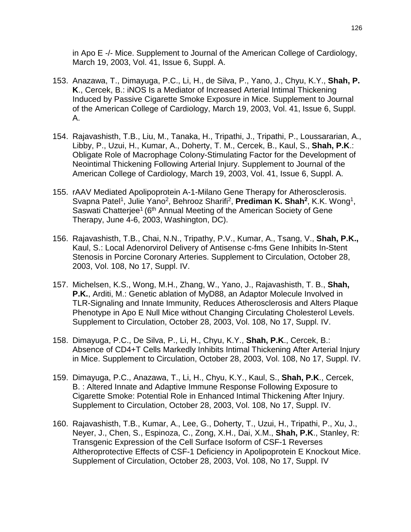in Apo E -/- Mice. Supplement to Journal of the American College of Cardiology, March 19, 2003, Vol. 41, Issue 6, Suppl. A.

- 153. Anazawa, T., Dimayuga, P.C., Li, H., de Silva, P., Yano, J., Chyu, K.Y., **Shah, P. K**., Cercek, B.: iNOS Is a Mediator of Increased Arterial Intimal Thickening Induced by Passive Cigarette Smoke Exposure in Mice. Supplement to Journal of the American College of Cardiology, March 19, 2003, Vol. 41, Issue 6, Suppl. A.
- 154. Rajavashisth, T.B., Liu, M., Tanaka, H., Tripathi, J., Tripathi, P., Loussararian, A., Libby, P., Uzui, H., Kumar, A., Doherty, T. M., Cercek, B., Kaul, S., **Shah, P.K**.: Obligate Role of Macrophage Colony-Stimulating Factor for the Development of Neointimal Thickening Following Arterial Injury. Supplement to Journal of the American College of Cardiology, March 19, 2003, Vol. 41, Issue 6, Suppl. A.
- 155. rAAV Mediated Apolipoprotein A-1-Milano Gene Therapy for Atherosclerosis. Svapna Patel<sup>1</sup>, Julie Yano<sup>2</sup>, Behrooz Sharifi<sup>2</sup>, **Prediman K. Shah<sup>2</sup>, K.K. Wong<sup>1</sup>,** Saswati Chatterjee<sup>1</sup> (6<sup>th</sup> Annual Meeting of the American Society of Gene Therapy, June 4-6, 2003, Washington, DC).
- 156. Rajavashisth, T.B., Chai, N.N., Tripathy, P.V., Kumar, A., Tsang, V., **Shah, P.K.,** Kaul, S.: Local Adenorvirol Delivery of Antisense c-fms Gene Inhibits In-Stent Stenosis in Porcine Coronary Arteries. Supplement to Circulation, October 28, 2003, Vol. 108, No 17, Suppl. IV.
- 157. Michelsen, K.S., Wong, M.H., Zhang, W., Yano, J., Rajavashisth, T. B., **Shah, P.K.**, Arditi, M.: Genetic ablation of MyD88, an Adaptor Molecule Involved in TLR-Signaling and Innate Immunity, Reduces Atherosclerosis and Alters Plaque Phenotype in Apo E Null Mice without Changing Circulating Cholesterol Levels. Supplement to Circulation, October 28, 2003, Vol. 108, No 17, Suppl. IV.
- 158. Dimayuga, P.C., De Silva, P., Li, H., Chyu, K.Y., **Shah, P.K**., Cercek, B.: Absence of CD4+T Cells Markedly Inhibits Intimal Thickening After Arterial Injury in Mice. Supplement to Circulation, October 28, 2003, Vol. 108, No 17, Suppl. IV.
- 159. Dimayuga, P.C., Anazawa, T., Li, H., Chyu, K.Y., Kaul, S., **Shah, P.K**., Cercek, B. : Altered Innate and Adaptive Immune Response Following Exposure to Cigarette Smoke: Potential Role in Enhanced Intimal Thickening After Injury. Supplement to Circulation, October 28, 2003, Vol. 108, No 17, Suppl. IV.
- 160. Rajavashisth, T.B., Kumar, A., Lee, G., Doherty, T., Uzui, H., Tripathi, P., Xu, J., Neyer, J., Chen, S., Espinoza, C., Zong, X.H., Dai, X.M., **Shah, P.K**., Stanley, R: Transgenic Expression of the Cell Surface Isoform of CSF-1 Reverses Altheroprotective Effects of CSF-1 Deficiency in Apolipoprotein E Knockout Mice. Supplement of Circulation, October 28, 2003, Vol. 108, No 17, Suppl. IV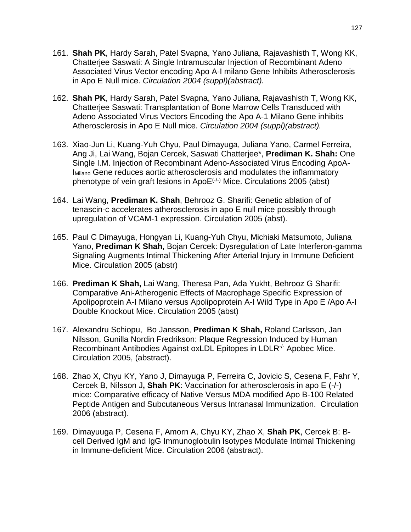- 161. **Shah PK**, Hardy Sarah, Patel Svapna, Yano Juliana, Rajavashisth T, Wong KK, Chatterjee Saswati: A Single Intramuscular Injection of Recombinant Adeno Associated Virus Vector encoding Apo A-I milano Gene Inhibits Atherosclerosis in Apo E Null mice. *Circulation 2004 (suppl)(abstract).*
- 162. **Shah PK**, Hardy Sarah, Patel Svapna, Yano Juliana, Rajavashisth T, Wong KK, Chatterjee Saswati: Transplantation of Bone Marrow Cells Transduced with Adeno Associated Virus Vectors Encoding the Apo A-1 Milano Gene inhibits Atherosclerosis in Apo E Null mice. *Circulation 2004 (suppl)(abstract).*
- 163. Xiao-Jun Li, Kuang-Yuh Chyu, Paul Dimayuga, Juliana Yano, Carmel Ferreira, Ang Ji, Lai Wang, Bojan Cercek, Saswati Chatterjee\*, **Prediman K. Shah:** One Single I.M. Injection of Recombinant Adeno-Associated Virus Encoding ApoA-IMilano Gene reduces aortic atherosclerosis and modulates the inflammatory phenotype of vein graft lesions in  $\text{ApoE}^{(+)}$  Mice. Circulations 2005 (abst)
- 164. Lai Wang, **Prediman K. Shah**, Behrooz G. Sharifi: Genetic ablation of of tenascin-c accelerates atherosclerosis in apo E null mice possibly through upregulation of VCAM-1 expression. Circulation 2005 (abst).
- 165. Paul C Dimayuga, Hongyan Li, Kuang-Yuh Chyu, Michiaki Matsumoto, Juliana Yano, **Prediman K Shah**, Bojan Cercek: [Dysregulation of Late Interferon-gamma](javascript:openPopupWindow()  [Signaling Augments Intimal Thickening After Arterial Injury in Immune Deficient](javascript:openPopupWindow()  [Mice.](javascript:openPopupWindow() Circulation 2005 (abstr)
- 166. **Prediman K Shah,** Lai Wang, Theresa Pan, Ada Yukht, Behrooz G Sharifi: Comparative Ani-Atherogenic Effects of Macrophage Specific Expression of Apolipoprotein A-I Milano versus Apolipoprotein A-I Wild Type in Apo E /Apo A-I Double Knockout Mice. Circulation 2005 (abst)
- 167. Alexandru Schiopu, Bo Jansson, **Prediman K Shah,** Roland Carlsson, Jan Nilsson, Gunilla Nordin Fredrikson: [Plaque Regression Induced by Human](javascript:openPopupWindow()  Recombinant Antibodies Against oxLDL Epitopes in LDLR<sup>-/-</sup> Apobec Mice. Circulation 2005, (abstract).
- 168. Zhao X, Chyu KY, Yano J, Dimayuga P, Ferreira C, Jovicic S, Cesena F, Fahr Y, Cercek B, Nilsson J**, Shah PK**: Vaccination for atherosclerosis in apo E (-/-) mice: Comparative efficacy of Native Versus MDA modified Apo B-100 Related Peptide Antigen and Subcutaneous Versus Intranasal Immunization. Circulation 2006 (abstract).
- 169. Dimayuuga P, Cesena F, Amorn A, Chyu KY, Zhao X, **Shah PK**, Cercek B: Bcell Derived IgM and IgG Immunoglobulin Isotypes Modulate Intimal Thickening in Immune-deficient Mice. Circulation 2006 (abstract).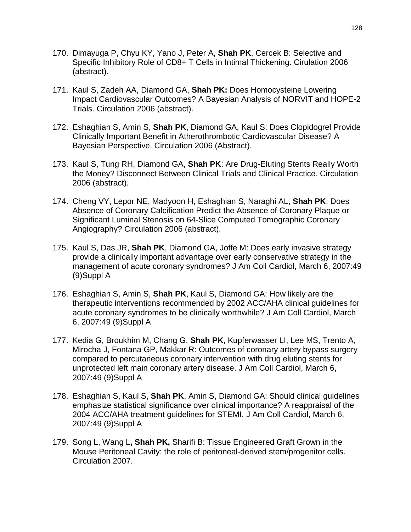- 170. Dimayuga P, Chyu KY, Yano J, Peter A, **Shah PK**, Cercek B: Selective and Specific Inhibitory Role of CD8+ T Cells in Intimal Thickening. Cirulation 2006 (abstract).
- 171. Kaul S, Zadeh AA, Diamond GA, **Shah PK:** Does Homocysteine Lowering Impact Cardiovascular Outcomes? A Bayesian Analysis of NORVIT and HOPE-2 Trials. Circulation 2006 (abstract).
- 172. Eshaghian S, Amin S, **Shah PK**, Diamond GA, Kaul S: Does Clopidogrel Provide Clinically Important Benefit in Atherothrombotic Cardiovascular Disease? A Bayesian Perspective. Circulation 2006 (Abstract).
- 173. Kaul S, Tung RH, Diamond GA, **Shah PK**: Are Drug-Eluting Stents Really Worth the Money? Disconnect Between Clinical Trials and Clinical Practice. Circulation 2006 (abstract).
- 174. Cheng VY, Lepor NE, Madyoon H, Eshaghian S, Naraghi AL, **Shah PK**: Does Absence of Coronary Calcification Predict the Absence of Coronary Plaque or Significant Luminal Stenosis on 64-Slice Computed Tomographic Coronary Angiography? Circulation 2006 (abstract).
- 175. Kaul S, Das JR, **Shah PK**, Diamond GA, Joffe M: Does early invasive strategy provide a clinically important advantage over early conservative strategy in the management of acute coronary syndromes? J Am Coll Cardiol, March 6, 2007:49 (9)Suppl A
- 176. Eshaghian S, Amin S, **Shah PK**, Kaul S, Diamond GA: How likely are the therapeutic interventions recommended by 2002 ACC/AHA clinical guidelines for acute coronary syndromes to be clinically worthwhile? J Am Coll Cardiol, March 6, 2007:49 (9)Suppl A
- 177. Kedia G, Broukhim M, Chang G, **Shah PK**, Kupferwasser LI, Lee MS, Trento A, Mirocha J, Fontana GP, Makkar R: Outcomes of coronary artery bypass surgery compared to percutaneous coronary intervention with drug eluting stents for unprotected left main coronary artery disease. J Am Coll Cardiol, March 6, 2007:49 (9)Suppl A
- 178. Eshaghian S, Kaul S, **Shah PK**, Amin S, Diamond GA: Should clinical guidelines emphasize statistical significance over clinical importance? A reappraisal of the 2004 ACC/AHA treatment guidelines for STEMI. J Am Coll Cardiol, March 6, 2007:49 (9)Suppl A
- 179. Song L, Wang L**, Shah PK,** Sharifi B: Tissue Engineered Graft Grown in the Mouse Peritoneal Cavity: the role of peritoneal-derived stem/progenitor cells. Circulation 2007.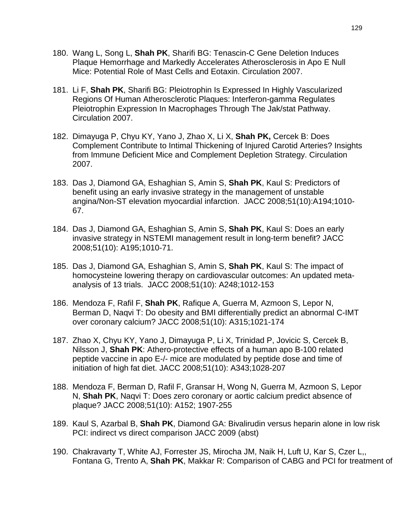- 180. Wang L, Song L, **Shah PK**, Sharifi BG: Tenascin-C Gene Deletion Induces Plaque Hemorrhage and Markedly Accelerates Atherosclerosis in Apo E Null Mice: Potential Role of Mast Cells and Eotaxin. Circulation 2007.
- 181. Li F, **Shah PK**, Sharifi BG: Pleiotrophin Is Expressed In Highly Vascularized Regions Of Human Atherosclerotic Plaques: Interferon-gamma Regulates Pleiotrophin Expression In Macrophages Through The Jak/stat Pathway. Circulation 2007.
- 182. Dimayuga P, Chyu KY, Yano J, Zhao X, Li X, **Shah PK,** Cercek B: Does Complement Contribute to Intimal Thickening of Injured Carotid Arteries? Insights from Immune Deficient Mice and Complement Depletion Strategy. Circulation 2007.
- 183. Das J, Diamond GA, Eshaghian S, Amin S, **Shah PK**, Kaul S: Predictors of benefit using an early invasive strategy in the management of unstable angina/Non-ST elevation myocardial infarction. JACC 2008;51(10):A194;1010- 67.
- 184. Das J, Diamond GA, Eshaghian S, Amin S, **Shah PK**, Kaul S: Does an early invasive strategy in NSTEMI management result in long-term benefit? JACC 2008;51(10): A195;1010-71.
- 185. Das J, Diamond GA, Eshaghian S, Amin S, **Shah PK**, Kaul S: The impact of homocysteine lowering therapy on cardiovascular outcomes: An updated metaanalysis of 13 trials. JACC 2008;51(10): A248;1012-153
- 186. Mendoza F, Rafil F, **Shah PK**, Rafique A, Guerra M, Azmoon S, Lepor N, Berman D, Naqvi T: Do obesity and BMI differentially predict an abnormal C-IMT over coronary calcium? JACC 2008;51(10): A315;1021-174
- 187. Zhao X, Chyu KY, Yano J, Dimayuga P, Li X, Trinidad P, Jovicic S, Cercek B, Nilsson J, **Shah PK**: Athero-protective effects of a human apo B-100 related peptide vaccine in apo E-/- mice are modulated by peptide dose and time of initiation of high fat diet. JACC 2008;51(10): A343;1028-207
- 188. Mendoza F, Berman D, Rafil F, Gransar H, Wong N, Guerra M, Azmoon S, Lepor N, **Shah PK**, Naqvi T: Does zero coronary or aortic calcium predict absence of plaque? JACC 2008;51(10): A152; 1907-255
- 189. Kaul S, Azarbal B, **Shah PK**, Diamond GA: Bivalirudin versus heparin alone in low risk PCI: indirect vs direct comparison JACC 2009 (abst)
- 190. Chakravarty T, White AJ, Forrester JS, Mirocha JM, Naik H, Luft U, Kar S, Czer L,, Fontana G, Trento A, **Shah PK**, Makkar R: Comparison of CABG and PCI for treatment of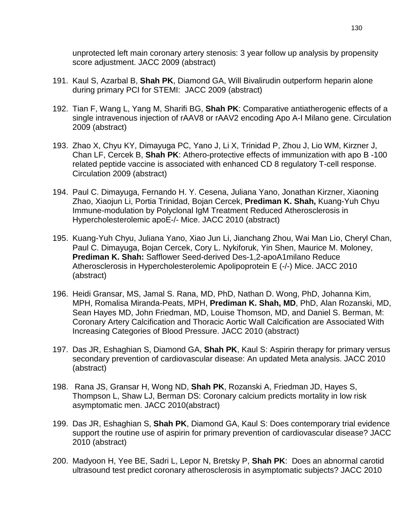unprotected left main coronary artery stenosis: 3 year follow up analysis by propensity score adjustment. JACC 2009 (abstract)

- 191. Kaul S, Azarbal B, **Shah PK**, Diamond GA, Will Bivalirudin outperform heparin alone during primary PCI for STEMI: JACC 2009 (abstract)
- 192. Tian F, Wang L, Yang M, Sharifi BG, **Shah PK**: Comparative antiatherogenic effects of a single intravenous injection of rAAV8 or rAAV2 encoding Apo A-I Milano gene. Circulation 2009 (abstract)
- 193. Zhao X, Chyu KY, Dimayuga PC, Yano J, Li X, Trinidad P, Zhou J, Lio WM, Kirzner J, Chan LF, Cercek B, **Shah PK**: Athero-protective effects of immunization with apo B -100 related peptide vaccine is associated with enhanced CD 8 regulatory T-cell response. Circulation 2009 (abstract)
- 194. Paul C. Dimayuga, Fernando H. Y. Cesena, Juliana Yano, Jonathan Kirzner, Xiaoning Zhao, Xiaojun Li, Portia Trinidad, Bojan Cercek, **Prediman K. Shah,** Kuang-Yuh Chyu Immune-modulation by Polyclonal IgM Treatment Reduced Atherosclerosis in Hypercholesterolemic apoE-/- Mice. JACC 2010 (abstract)
- 195. Kuang-Yuh Chyu, Juliana Yano, Xiao Jun Li, Jianchang Zhou, Wai Man Lio, Cheryl Chan, Paul C. Dimayuga, Bojan Cercek, Cory L. Nykiforuk, Yin Shen, Maurice M. Moloney, **Prediman K. Shah:** Safflower Seed-derived Des-1,2-apoA1milano Reduce Atherosclerosis in Hypercholesterolemic Apolipoprotein E (-/-) Mice. JACC 2010 (abstract)
- 196. Heidi Gransar, MS, Jamal S. Rana, MD, PhD, Nathan D. Wong, PhD, Johanna Kim, MPH, Romalisa Miranda-Peats, MPH, **Prediman K. Shah, MD**, PhD, Alan Rozanski, MD, Sean Hayes MD, John Friedman, MD, Louise Thomson, MD, and Daniel S. Berman, M: Coronary Artery Calcification and Thoracic Aortic Wall Calcification are Associated With Increasing Categories of Blood Pressure. JACC 2010 (abstract)
- 197. Das JR, Eshaghian S, Diamond GA, **Shah PK**, Kaul S: Aspirin therapy for primary versus secondary prevention of cardiovascular disease: An updated Meta analysis. JACC 2010 (abstract)
- 198. Rana JS, Gransar H, Wong ND, **Shah PK**, Rozanski A, Friedman JD, Hayes S, Thompson L, Shaw LJ, Berman DS: Coronary calcium predicts mortality in low risk asymptomatic men. JACC 2010(abstract)
- 199. Das JR, Eshaghian S, **Shah PK**, Diamond GA, Kaul S: Does contemporary trial evidence support the routine use of aspirin for primary prevention of cardiovascular disease? JACC 2010 (abstract)
- 200. Madyoon H, Yee BE, Sadri L, Lepor N, Bretsky P, **Shah PK**: Does an abnormal carotid ultrasound test predict coronary atherosclerosis in asymptomatic subjects? JACC 2010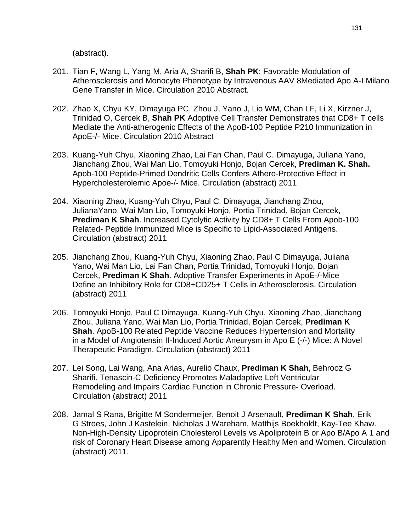(abstract).

- 201. Tian F, Wang L, Yang M, Aria A, Sharifi B, **Shah PK**: Favorable Modulation of Atherosclerosis and Monocyte Phenotype by Intravenous AAV 8Mediated Apo A-I Milano Gene Transfer in Mice. Circulation 2010 Abstract.
- 202. Zhao X, Chyu KY, Dimayuga PC, Zhou J, Yano J, Lio WM, Chan LF, Li X, Kirzner J, Trinidad O, Cercek B, **Shah PK** Adoptive Cell Transfer Demonstrates that CD8+ T cells Mediate the Anti-atherogenic Effects of the ApoB-100 Peptide P210 Immunization in ApoE-/- Mice. Circulation 2010 Abstract
- 203. Kuang-Yuh Chyu, Xiaoning Zhao, Lai Fan Chan, Paul C. Dimayuga, Juliana Yano, Jianchang Zhou, Wai Man Lio, Tomoyuki Honjo, Bojan Cercek, **Prediman K. Shah.**  Apob-100 Peptide-Primed Dendritic Cells Confers Athero-Protective Effect in Hypercholesterolemic Apoe-/- Mice. Circulation (abstract) 2011
- 204. Xiaoning Zhao, Kuang-Yuh Chyu, Paul C. Dimayuga, Jianchang Zhou, JulianaYano, Wai Man Lio, Tomoyuki Honjo, Portia Trinidad, Bojan Cercek, **Prediman K Shah**. Increased Cytolytic Activity by CD8+ T Cells From Apob-100 Related- Peptide Immunized Mice is Specific to Lipid-Associated Antigens. Circulation (abstract) 2011
- 205. Jianchang Zhou, Kuang-Yuh Chyu, Xiaoning Zhao, Paul C Dimayuga, Juliana Yano, Wai Man Lio, Lai Fan Chan, Portia Trinidad, Tomoyuki Honjo, Bojan Cercek, **Prediman K Shah**. Adoptive Transfer Experiments in ApoE-/-Mice Define an Inhibitory Role for CD8+CD25+ T Cells in Atherosclerosis. Circulation (abstract) 2011
- 206. Tomoyuki Honjo, Paul C Dimayuga, Kuang-Yuh Chyu, Xiaoning Zhao, Jianchang Zhou, Juliana Yano, Wai Man Lio, Portia Trinidad, Bojan Cercek, **Prediman K Shah**. ApoB-100 Related Peptide Vaccine Reduces Hypertension and Mortality in a Model of Angiotensin II-Induced Aortic Aneurysm in Apo E (-/-) Mice: A Novel Therapeutic Paradigm. Circulation (abstract) 2011
- 207. Lei Song, Lai Wang, Ana Arias, Aurelio Chaux, **Prediman K Shah**, Behrooz G Sharifi. Tenascin-C Deficiency Promotes Maladaptive Left Ventricular Remodeling and Impairs Cardiac Function in Chronic Pressure- Overload. Circulation (abstract) 2011
- 208. Jamal S Rana, Brigitte M Sondermeijer, Benoit J Arsenault, **Prediman K Shah**, Erik G Stroes, John J Kastelein, Nicholas J Wareham, Matthijs Boekholdt, Kay-Tee Khaw. Non-High-Density Lipoprotein Cholesterol Levels vs Apoliprotein B or Apo B/Apo A 1 and risk of Coronary Heart Disease among Apparently Healthy Men and Women. Circulation (abstract) 2011.